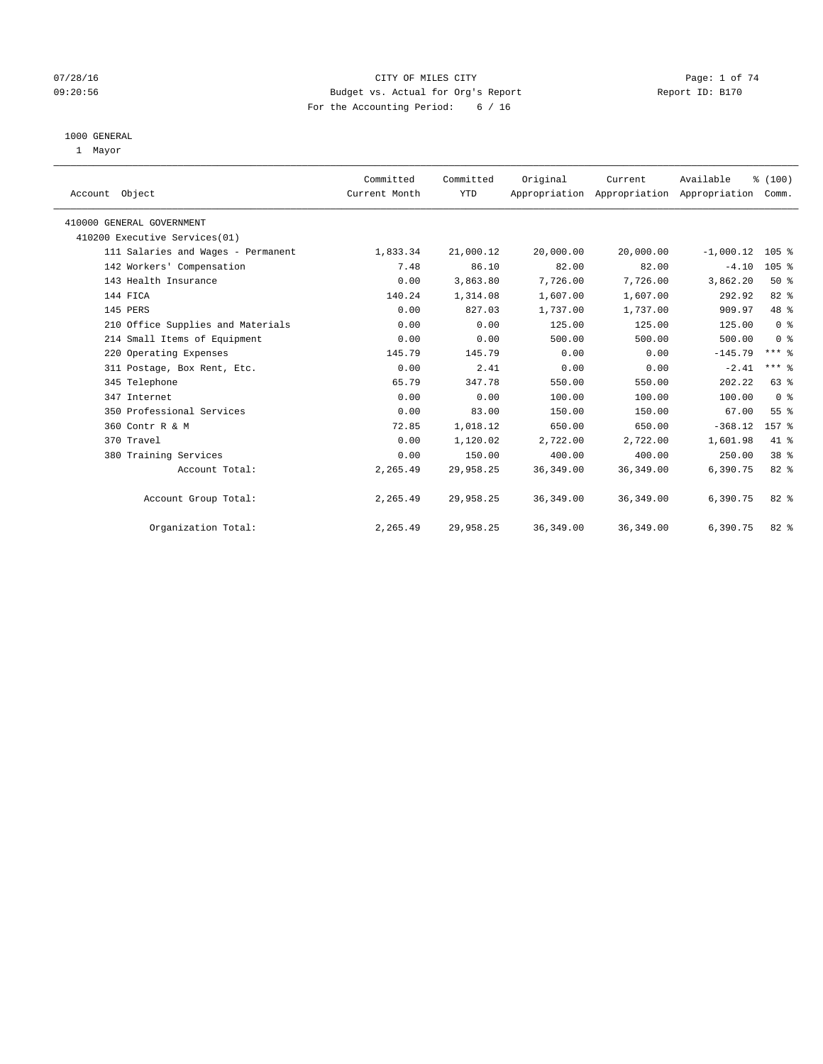## 07/28/16 Page: 1 of 74 09:20:56 Budget vs. Actual for Org's Report Report ID: B170 For the Accounting Period: 6 / 16

#### 1000 GENERAL

1 Mayor

| Account Object                     | Committed<br>Current Month | Committed<br><b>YTD</b> | Original   | Current    | Available<br>Appropriation Appropriation Appropriation | % (100)<br>Comm.    |  |
|------------------------------------|----------------------------|-------------------------|------------|------------|--------------------------------------------------------|---------------------|--|
| 410000 GENERAL GOVERNMENT          |                            |                         |            |            |                                                        |                     |  |
| 410200 Executive Services(01)      |                            |                         |            |            |                                                        |                     |  |
| 111 Salaries and Wages - Permanent | 1,833.34                   | 21,000.12               | 20,000.00  | 20,000.00  | $-1,000.12$                                            | 105 %               |  |
| 142 Workers' Compensation          | 7.48                       | 86.10                   | 82.00      | 82.00      | $-4.10$                                                | 105 %               |  |
| 143 Health Insurance               | 0.00                       | 3,863.80                | 7,726.00   | 7,726.00   | 3,862.20                                               | 50%                 |  |
| 144 FICA                           | 140.24                     | 1,314.08                | 1,607.00   | 1,607.00   | 292.92                                                 | 82 %                |  |
| 145 PERS                           | 0.00                       | 827.03                  | 1,737.00   | 1,737.00   | 909.97                                                 | 48 %                |  |
| 210 Office Supplies and Materials  | 0.00                       | 0.00                    | 125.00     | 125.00     | 125.00                                                 | 0 <sup>8</sup>      |  |
| 214 Small Items of Equipment       | 0.00                       | 0.00                    | 500.00     | 500.00     | 500.00                                                 | 0 <sup>8</sup>      |  |
| 220 Operating Expenses             | 145.79                     | 145.79                  | 0.00       | 0.00       | $-145.79$                                              | $***$ $%$           |  |
| 311 Postage, Box Rent, Etc.        | 0.00                       | 2.41                    | 0.00       | 0.00       | $-2.41$                                                | $***$ $\frac{6}{5}$ |  |
| 345 Telephone                      | 65.79                      | 347.78                  | 550.00     | 550.00     | 202.22                                                 | 63 %                |  |
| 347 Internet                       | 0.00                       | 0.00                    | 100.00     | 100.00     | 100.00                                                 | 0 <sup>8</sup>      |  |
| 350 Professional Services          | 0.00                       | 83.00                   | 150.00     | 150.00     | 67.00                                                  | 55%                 |  |
| 360 Contr R & M                    | 72.85                      | 1,018.12                | 650.00     | 650.00     | $-368.12$                                              | 157 %               |  |
| 370 Travel                         | 0.00                       | 1,120.02                | 2,722.00   | 2,722.00   | 1,601.98                                               | 41 %                |  |
| 380 Training Services              | 0.00                       | 150.00                  | 400.00     | 400.00     | 250.00                                                 | 38 <sup>8</sup>     |  |
| Account Total:                     | 2,265.49                   | 29,958.25               | 36, 349.00 | 36, 349.00 | 6,390.75                                               | 82 %                |  |
| Account Group Total:               | 2,265.49                   | 29,958.25               | 36, 349.00 | 36,349.00  | 6,390.75                                               | $82$ $%$            |  |
| Organization Total:                | 2,265.49                   | 29,958.25               | 36, 349.00 | 36, 349.00 | 6,390.75                                               | 82 %                |  |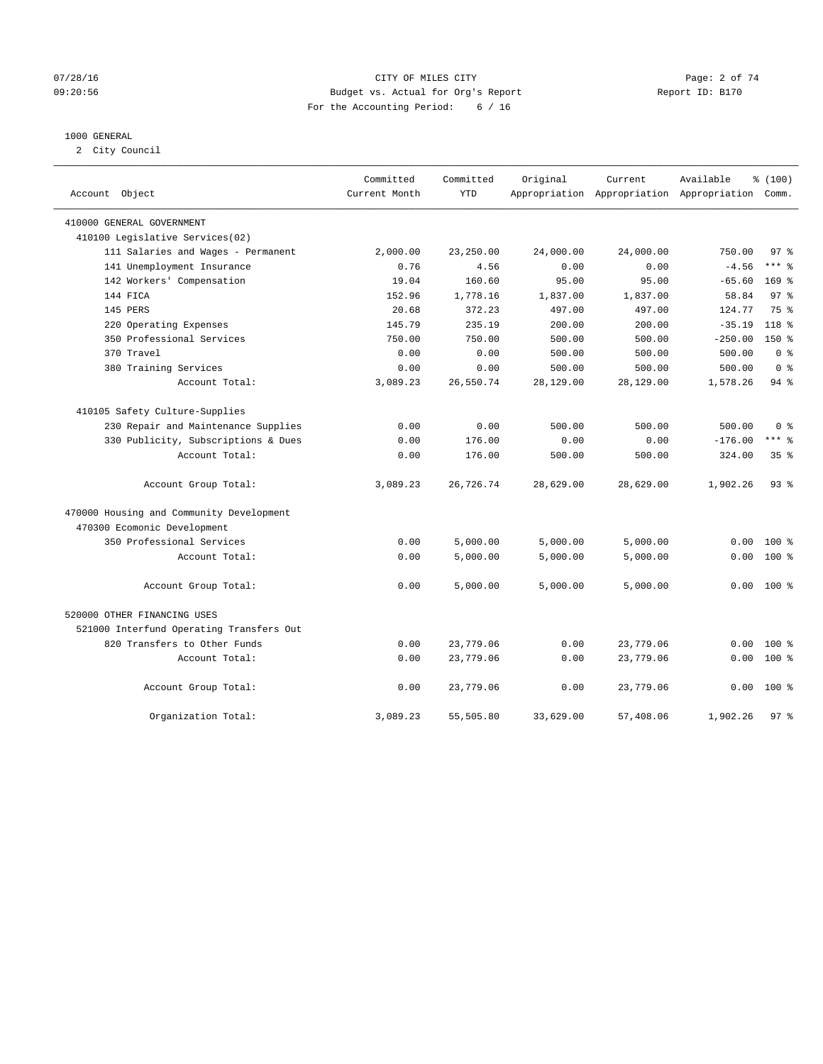## 07/28/16 Page: 2 of 74 09:20:56 Budget vs. Actual for Org's Report Report ID: B170 For the Accounting Period: 6 / 16

#### 1000 GENERAL

2 City Council

| Account<br>Object                        | Committed<br>Current Month | Committed<br><b>YTD</b> | Original  | Current<br>Appropriation Appropriation Appropriation Comm. | Available | % (100)         |
|------------------------------------------|----------------------------|-------------------------|-----------|------------------------------------------------------------|-----------|-----------------|
| 410000 GENERAL GOVERNMENT                |                            |                         |           |                                                            |           |                 |
| 410100 Legislative Services(02)          |                            |                         |           |                                                            |           |                 |
| 111 Salaries and Wages - Permanent       | 2,000.00                   | 23,250.00               | 24,000.00 | 24,000.00                                                  | 750.00    | 97 <sub>8</sub> |
| 141 Unemployment Insurance               | 0.76                       | 4.56                    | 0.00      | 0.00                                                       | $-4.56$   | $***$ 8         |
| 142 Workers' Compensation                | 19.04                      | 160.60                  | 95.00     | 95.00                                                      | $-65.60$  | $169$ %         |
| 144 FICA                                 | 152.96                     | 1,778.16                | 1,837.00  | 1,837.00                                                   | 58.84     | 97 <sub>8</sub> |
| 145 PERS                                 | 20.68                      | 372.23                  | 497.00    | 497.00                                                     | 124.77    | 75 %            |
| 220 Operating Expenses                   | 145.79                     | 235.19                  | 200.00    | 200.00                                                     | $-35.19$  | $118*$          |
| 350 Professional Services                | 750.00                     | 750.00                  | 500.00    | 500.00                                                     | $-250.00$ | $150*$          |
| 370 Travel                               | 0.00                       | 0.00                    | 500.00    | 500.00                                                     | 500.00    | 0 <sup>8</sup>  |
| 380 Training Services                    | 0.00                       | 0.00                    | 500.00    | 500.00                                                     | 500.00    | 0 <sup>8</sup>  |
| Account Total:                           | 3,089.23                   | 26,550.74               | 28,129.00 | 28,129.00                                                  | 1,578.26  | 94 %            |
| 410105 Safety Culture-Supplies           |                            |                         |           |                                                            |           |                 |
| 230 Repair and Maintenance Supplies      | 0.00                       | 0.00                    | 500.00    | 500.00                                                     | 500.00    | 0 <sup>8</sup>  |
| 330 Publicity, Subscriptions & Dues      | 0.00                       | 176.00                  | 0.00      | 0.00                                                       | $-176.00$ | $***$ %         |
| Account Total:                           | 0.00                       | 176.00                  | 500.00    | 500.00                                                     | 324.00    | 35 <sup>8</sup> |
| Account Group Total:                     | 3,089.23                   | 26,726.74               | 28,629.00 | 28,629.00                                                  | 1,902.26  | $93$ $%$        |
| 470000 Housing and Community Development |                            |                         |           |                                                            |           |                 |
| 470300 Ecomonic Development              |                            |                         |           |                                                            |           |                 |
| 350 Professional Services                | 0.00                       | 5,000.00                | 5,000.00  | 5,000.00                                                   | 0.00      | $100*$          |
| Account Total:                           | 0.00                       | 5,000.00                | 5,000.00  | 5,000.00                                                   | 0.00      | 100 %           |
| Account Group Total:                     | 0.00                       | 5,000.00                | 5,000.00  | 5,000.00                                                   | 0.00      | $100*$          |
| 520000 OTHER FINANCING USES              |                            |                         |           |                                                            |           |                 |
| 521000 Interfund Operating Transfers Out |                            |                         |           |                                                            |           |                 |
| 820 Transfers to Other Funds             | 0.00                       | 23,779.06               | 0.00      | 23,779.06                                                  | 0.00      | 100 %           |
| Account Total:                           | 0.00                       | 23,779.06               | 0.00      | 23,779.06                                                  | 0.00      | $100*$          |
| Account Group Total:                     | 0.00                       | 23,779.06               | 0.00      | 23,779.06                                                  | 0.00      | $100*$          |
| Organization Total:                      | 3,089.23                   | 55,505.80               | 33,629.00 | 57,408.06                                                  | 1,902.26  | 97 <sub>8</sub> |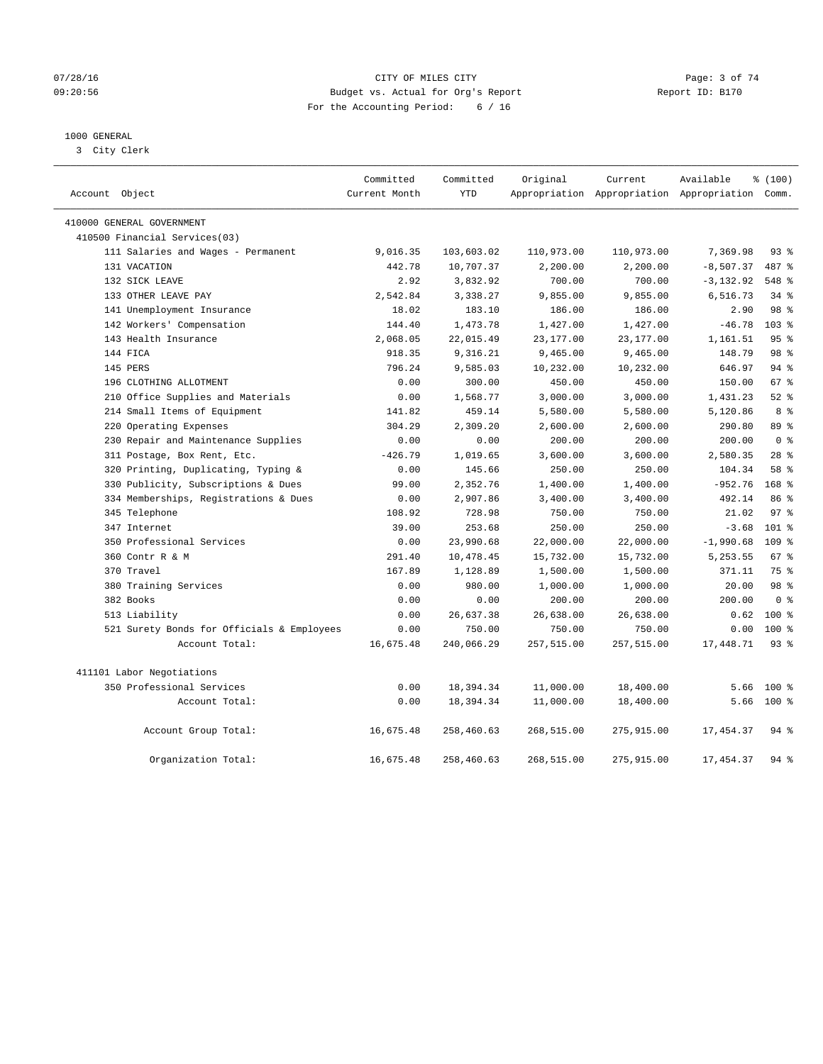#### 07/28/16 Page: 3 of 74 09:20:56 Budget vs. Actual for Org's Report Report ID: B170 For the Accounting Period: 6 / 16

## 1000 GENERAL

3 City Clerk

| Account Object                             | Committed<br>Current Month | Committed<br><b>YTD</b> | Original   | Current<br>Appropriation Appropriation Appropriation Comm. | Available    | % (100)         |
|--------------------------------------------|----------------------------|-------------------------|------------|------------------------------------------------------------|--------------|-----------------|
| 410000 GENERAL GOVERNMENT                  |                            |                         |            |                                                            |              |                 |
| 410500 Financial Services(03)              |                            |                         |            |                                                            |              |                 |
| 111 Salaries and Wages - Permanent         | 9,016.35                   | 103,603.02              | 110,973.00 | 110,973.00                                                 | 7,369.98     | 93%             |
| 131 VACATION                               | 442.78                     | 10,707.37               | 2,200.00   | 2,200.00                                                   | $-8,507.37$  | 487 %           |
| 132 SICK LEAVE                             | 2.92                       | 3,832.92                | 700.00     | 700.00                                                     | $-3, 132.92$ | 548 %           |
| 133 OTHER LEAVE PAY                        | 2,542.84                   | 3,338.27                | 9,855.00   | 9,855.00                                                   | 6,516.73     | $34$ $%$        |
| 141 Unemployment Insurance                 | 18.02                      | 183.10                  | 186.00     | 186.00                                                     | 2.90         | 98 %            |
| 142 Workers' Compensation                  | 144.40                     | 1,473.78                | 1,427.00   | 1,427.00                                                   | $-46.78$     | $103*$          |
| 143 Health Insurance                       | 2,068.05                   | 22,015.49               | 23,177.00  | 23,177.00                                                  | 1,161.51     | 95%             |
| 144 FICA                                   | 918.35                     | 9,316.21                | 9,465.00   | 9,465.00                                                   | 148.79       | 98 %            |
| 145 PERS                                   | 796.24                     | 9,585.03                | 10,232.00  | 10,232.00                                                  | 646.97       | 94%             |
| 196 CLOTHING ALLOTMENT                     | 0.00                       | 300.00                  | 450.00     | 450.00                                                     | 150.00       | 67 <sup>°</sup> |
| 210 Office Supplies and Materials          | 0.00                       | 1,568.77                | 3,000.00   | 3,000.00                                                   | 1,431.23     | 52.8            |
| 214 Small Items of Equipment               | 141.82                     | 459.14                  | 5,580.00   | 5,580.00                                                   | 5,120.86     | 8 %             |
| 220 Operating Expenses                     | 304.29                     | 2,309.20                | 2,600.00   | 2,600.00                                                   | 290.80       | 89 %            |
| 230 Repair and Maintenance Supplies        | 0.00                       | 0.00                    | 200.00     | 200.00                                                     | 200.00       | 0 <sup>8</sup>  |
| 311 Postage, Box Rent, Etc.                | $-426.79$                  | 1,019.65                | 3,600.00   | 3,600.00                                                   | 2,580.35     | 28 <sup>8</sup> |
| 320 Printing, Duplicating, Typing &        | 0.00                       | 145.66                  | 250.00     | 250.00                                                     | 104.34       | 58 %            |
| 330 Publicity, Subscriptions & Dues        | 99.00                      | 2,352.76                | 1,400.00   | 1,400.00                                                   | $-952.76$    | $168$ %         |
| 334 Memberships, Registrations & Dues      | 0.00                       | 2,907.86                | 3,400.00   | 3,400.00                                                   | 492.14       | 86 %            |
| 345 Telephone                              | 108.92                     | 728.98                  | 750.00     | 750.00                                                     | 21.02        | 97 <sub>8</sub> |
| 347 Internet                               | 39.00                      | 253.68                  | 250.00     | 250.00                                                     | $-3.68$      | $101$ %         |
| 350 Professional Services                  | 0.00                       | 23,990.68               | 22,000.00  | 22,000.00                                                  | $-1,990.68$  | 109 %           |
| 360 Contr R & M                            | 291.40                     | 10,478.45               | 15,732.00  | 15,732.00                                                  | 5,253.55     | 67 <sup>°</sup> |
| 370 Travel                                 | 167.89                     | 1,128.89                | 1,500.00   | 1,500.00                                                   | 371.11       | 75 %            |
| 380 Training Services                      | 0.00                       | 980.00                  | 1,000.00   | 1,000.00                                                   | 20.00        | 98 %            |
| 382 Books                                  | 0.00                       | 0.00                    | 200.00     | 200.00                                                     | 200.00       | 0 <sup>8</sup>  |
| 513 Liability                              | 0.00                       | 26,637.38               | 26,638.00  | 26,638.00                                                  | 0.62         | $100*$          |
| 521 Surety Bonds for Officials & Employees | 0.00                       | 750.00                  | 750.00     | 750.00                                                     | 0.00         | $100*$          |
| Account Total:                             | 16,675.48                  | 240,066.29              | 257,515.00 | 257,515.00                                                 | 17,448.71    | 93%             |
| 411101 Labor Negotiations                  |                            |                         |            |                                                            |              |                 |
| 350 Professional Services                  | 0.00                       | 18,394.34               | 11,000.00  | 18,400.00                                                  | 5.66         | $100$ %         |
| Account Total:                             | 0.00                       | 18,394.34               | 11,000.00  | 18,400.00                                                  |              | $5.66$ 100 %    |
| Account Group Total:                       | 16,675.48                  | 258,460.63              | 268,515.00 | 275,915.00                                                 | 17, 454.37   | $94$ $%$        |
| Organization Total:                        | 16,675.48                  | 258,460.63              | 268,515.00 | 275,915.00                                                 | 17, 454.37   | 94%             |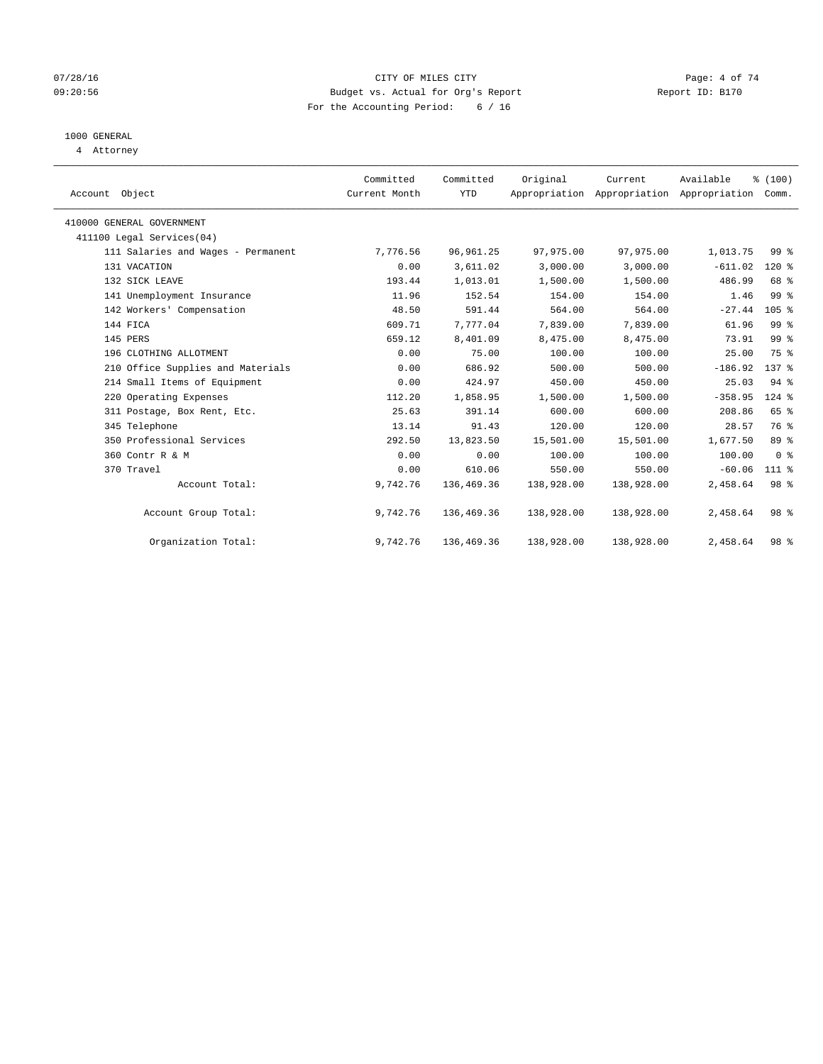## 07/28/16 Page: 4 of 74 09:20:56 Budget vs. Actual for Org's Report Report ID: B170 For the Accounting Period: 6 / 16

# 1000 GENERAL

4 Attorney

| Account Object                     | Committed<br>Current Month | Committed<br>YTD | Original   | Current<br>Appropriation Appropriation | Available<br>Appropriation | % (100)<br>Comm. |  |
|------------------------------------|----------------------------|------------------|------------|----------------------------------------|----------------------------|------------------|--|
| 410000 GENERAL GOVERNMENT          |                            |                  |            |                                        |                            |                  |  |
| 411100 Legal Services(04)          |                            |                  |            |                                        |                            |                  |  |
| 111 Salaries and Wages - Permanent | 7,776.56                   | 96, 961.25       | 97,975.00  | 97,975.00                              | 1,013.75                   | 99 <sub>8</sub>  |  |
| 131 VACATION                       | 0.00                       | 3,611.02         | 3,000.00   | 3,000.00                               | $-611.02$                  | $120*$           |  |
| 132 SICK LEAVE                     | 193.44                     | 1,013.01         | 1,500.00   | 1,500.00                               | 486.99                     | 68 %             |  |
| 141 Unemployment Insurance         | 11.96                      | 152.54           | 154.00     | 154.00                                 | 1.46                       | 99 <sup>°</sup>  |  |
| 142 Workers' Compensation          | 48.50                      | 591.44           | 564.00     | 564.00                                 | $-27.44$                   | 105%             |  |
| 144 FICA                           | 609.71                     | 7,777.04         | 7,839.00   | 7,839.00                               | 61.96                      | 99 <sub>8</sub>  |  |
| 145 PERS                           | 659.12                     | 8,401.09         | 8,475.00   | 8,475.00                               | 73.91                      | 99 <sup>°</sup>  |  |
| 196 CLOTHING ALLOTMENT             | 0.00                       | 75.00            | 100.00     | 100.00                                 | 25.00                      | 75 %             |  |
| 210 Office Supplies and Materials  | 0.00                       | 686.92           | 500.00     | 500.00                                 | $-186.92$                  | 137 %            |  |
| 214 Small Items of Equipment       | 0.00                       | 424.97           | 450.00     | 450.00                                 | 25.03                      | $94$ $%$         |  |
| 220 Operating Expenses             | 112.20                     | 1,858.95         | 1,500.00   | 1,500.00                               | $-358.95$                  | $124$ $%$        |  |
| 311 Postage, Box Rent, Etc.        | 25.63                      | 391.14           | 600.00     | 600.00                                 | 208.86                     | 65 %             |  |
| 345 Telephone                      | 13.14                      | 91.43            | 120.00     | 120.00                                 | 28.57                      | 76 %             |  |
| 350 Professional Services          | 292.50                     | 13,823.50        | 15,501.00  | 15,501.00                              | 1,677.50                   | 89 %             |  |
| 360 Contr R & M                    | 0.00                       | 0.00             | 100.00     | 100.00                                 | 100.00                     | 0 <sup>8</sup>   |  |
| 370 Travel                         | 0.00                       | 610.06           | 550.00     | 550.00                                 | $-60.06$                   | $111*$           |  |
| Account Total:                     | 9,742.76                   | 136,469.36       | 138,928.00 | 138,928.00                             | 2,458.64                   | 98 %             |  |
| Account Group Total:               | 9,742.76                   | 136,469.36       | 138,928.00 | 138,928.00                             | 2,458.64                   | 98 %             |  |
| Organization Total:                | 9,742.76                   | 136,469.36       | 138,928.00 | 138,928.00                             | 2,458.64                   | 98 %             |  |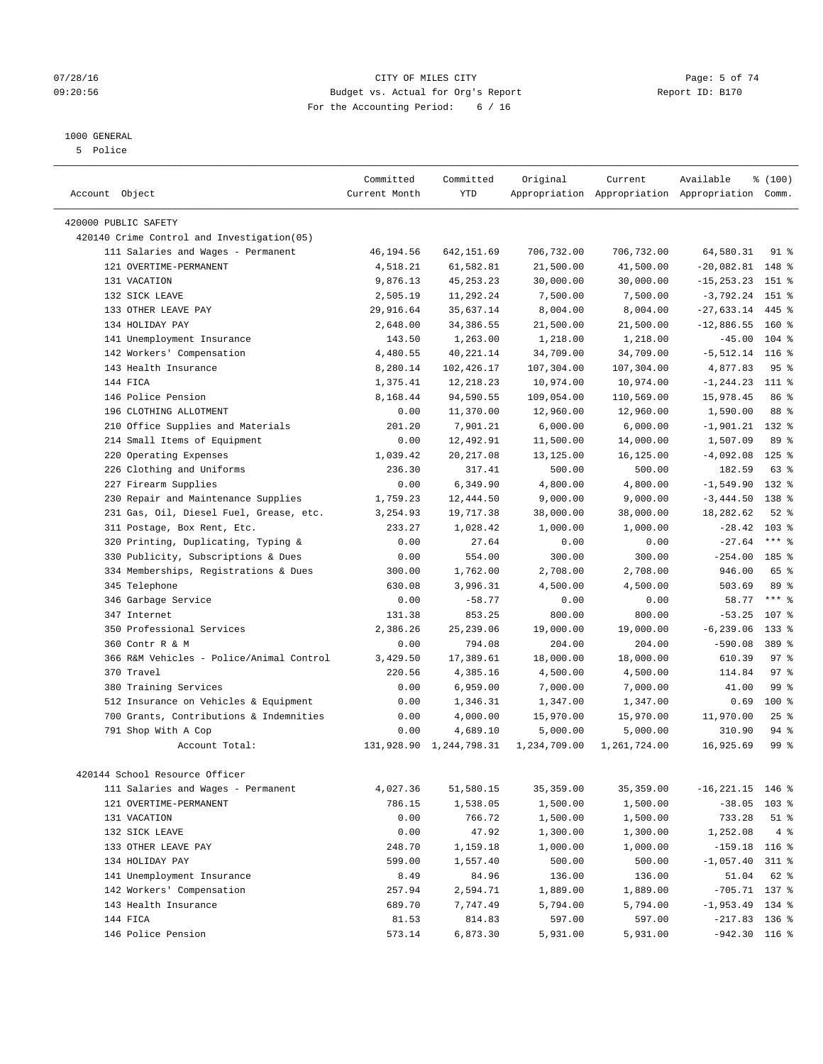#### 07/28/16 CITY OF MILES CITY Page: 5 of 74 09:20:56 Budget vs. Actual for Org's Report Report ID: B170 For the Accounting Period: 6 / 16

## 1000 GENERAL

5 Police

| Account Object                             | Committed<br>Current Month | Committed<br><b>YTD</b> | Original     | Current      | Available<br>Appropriation Appropriation Appropriation Comm. | % (100)         |
|--------------------------------------------|----------------------------|-------------------------|--------------|--------------|--------------------------------------------------------------|-----------------|
| 420000 PUBLIC SAFETY                       |                            |                         |              |              |                                                              |                 |
| 420140 Crime Control and Investigation(05) |                            |                         |              |              |                                                              |                 |
| 111 Salaries and Wages - Permanent         | 46,194.56                  | 642,151.69              | 706,732.00   | 706,732.00   | 64,580.31                                                    | 91 %            |
| 121 OVERTIME-PERMANENT                     | 4,518.21                   | 61,582.81               | 21,500.00    | 41,500.00    | $-20,082.81$                                                 | 148 %           |
| 131 VACATION                               | 9,876.13                   | 45, 253. 23             | 30,000.00    | 30,000.00    | $-15, 253.23$                                                | 151 %           |
| 132 STCK LEAVE                             | 2,505.19                   | 11,292.24               | 7,500.00     | 7,500.00     | $-3,792.24$                                                  | 151 %           |
| 133 OTHER LEAVE PAY                        | 29,916.64                  | 35,637.14               | 8,004.00     | 8,004.00     | $-27,633.14$                                                 | 445 %           |
| 134 HOLIDAY PAY                            | 2,648.00                   | 34,386.55               | 21,500.00    | 21,500.00    | $-12,886.55$                                                 | $160*$          |
| 141 Unemployment Insurance                 | 143.50                     | 1,263.00                | 1,218.00     | 1,218.00     | $-45.00$                                                     | $104$ %         |
| 142 Workers' Compensation                  | 4,480.55                   | 40,221.14               | 34,709.00    | 34,709.00    | $-5,512.14$ 116 %                                            |                 |
| 143 Health Insurance                       | 8,280.14                   | 102,426.17              | 107,304.00   | 107,304.00   | 4,877.83                                                     | 95 <sup>°</sup> |
| 144 FICA                                   | 1,375.41                   | 12,218.23               | 10,974.00    | 10,974.00    | $-1, 244.23$                                                 | 111 %           |
| 146 Police Pension                         | 8,168.44                   | 94,590.55               | 109,054.00   | 110,569.00   | 15,978.45                                                    | 86 %            |
| 196 CLOTHING ALLOTMENT                     | 0.00                       | 11,370.00               | 12,960.00    | 12,960.00    | 1,590.00                                                     | 88 %            |
| 210 Office Supplies and Materials          | 201.20                     | 7,901.21                | 6,000.00     | 6,000.00     | $-1,901.21$                                                  | $132*$          |
| 214 Small Items of Equipment               | 0.00                       | 12,492.91               | 11,500.00    | 14,000.00    | 1,507.09                                                     | 89 %            |
| 220 Operating Expenses                     | 1,039.42                   | 20, 217.08              | 13,125.00    | 16,125.00    | $-4,092.08$                                                  | $125$ %         |
| 226 Clothing and Uniforms                  | 236.30                     | 317.41                  | 500.00       | 500.00       | 182.59                                                       | $63$ $%$        |
| 227 Firearm Supplies                       | 0.00                       | 6,349.90                | 4,800.00     | 4,800.00     | $-1,549.90$                                                  | 132 %           |
| 230 Repair and Maintenance Supplies        | 1,759.23                   | 12,444.50               | 9,000.00     | 9,000.00     | $-3,444.50$                                                  | 138 %           |
| 231 Gas, Oil, Diesel Fuel, Grease, etc.    | 3,254.93                   | 19,717.38               | 38,000.00    | 38,000.00    | 18,282.62                                                    | $52$ $%$        |
| 311 Postage, Box Rent, Etc.                | 233.27                     | 1,028.42                | 1,000.00     | 1,000.00     | $-28.42$                                                     | $103*$          |
| 320 Printing, Duplicating, Typing &        | 0.00                       | 27.64                   | 0.00         | 0.00         | $-27.64$                                                     | $***$ $%$       |
| 330 Publicity, Subscriptions & Dues        | 0.00                       | 554.00                  | 300.00       | 300.00       | $-254.00$                                                    | 185 %           |
| 334 Memberships, Registrations & Dues      | 300.00                     | 1,762.00                | 2,708.00     | 2,708.00     | 946.00                                                       | 65 %            |
| 345 Telephone                              | 630.08                     | 3,996.31                | 4,500.00     | 4,500.00     | 503.69                                                       | 89 %            |
| 346 Garbage Service                        | 0.00                       | $-58.77$                | 0.00         | 0.00         | 58.77                                                        | $***$ %         |
| 347 Internet                               | 131.38                     | 853.25                  | 800.00       | 800.00       | $-53.25$                                                     | 107 %           |
| 350 Professional Services                  | 2,386.26                   | 25, 239.06              | 19,000.00    | 19,000.00    | $-6, 239.06$                                                 | $133$ %         |
| 360 Contr R & M                            | 0.00                       | 794.08                  | 204.00       | 204.00       | $-590.08$                                                    | 389 %           |
| 366 R&M Vehicles - Police/Animal Control   | 3,429.50                   | 17,389.61               | 18,000.00    | 18,000.00    | 610.39                                                       | 97 <sub>8</sub> |
| 370 Travel                                 | 220.56                     | 4,385.16                | 4,500.00     | 4,500.00     | 114.84                                                       | 97%             |
| 380 Training Services                      | 0.00                       | 6,959.00                | 7,000.00     | 7,000.00     | 41.00                                                        | 99 %            |
| 512 Insurance on Vehicles & Equipment      | 0.00                       | 1,346.31                | 1,347.00     | 1,347.00     | 0.69                                                         | 100 %           |
| 700 Grants, Contributions & Indemnities    | 0.00                       | 4,000.00                | 15,970.00    | 15,970.00    | 11,970.00                                                    | 25%             |
| 791 Shop With A Cop                        | 0.00                       | 4,689.10                | 5,000.00     | 5,000.00     | 310.90                                                       | $94$ %          |
| Account Total:                             | 131,928.90                 | 1,244,798.31            | 1,234,709.00 | 1,261,724.00 | 16,925.69                                                    | 99 <sub>8</sub> |
|                                            |                            |                         |              |              |                                                              |                 |
| 420144 School Resource Officer             |                            |                         |              |              |                                                              |                 |
| 111 Salaries and Wages - Permanent         | 4,027.36                   | 51,580.15               | 35,359.00    | 35, 359.00   | $-16,221.15$ 146 %                                           |                 |
| 121 OVERTIME-PERMANENT                     | 786.15                     | 1,538.05                | 1,500.00     | 1,500.00     | $-38.05$                                                     | $103$ %         |
| 131 VACATION                               | 0.00                       | 766.72                  | 1,500.00     | 1,500.00     | 733.28                                                       | $51$ %          |
| 132 SICK LEAVE                             | 0.00                       | 47.92                   | 1,300.00     | 1,300.00     | 1,252.08                                                     | 4%              |
| 133 OTHER LEAVE PAY                        | 248.70                     | 1,159.18                | 1,000.00     | 1,000.00     | $-159.18$ 116 %                                              |                 |
| 134 HOLIDAY PAY                            | 599.00                     | 1,557.40                | 500.00       | 500.00       | $-1,057.40$                                                  | $311$ $%$       |
| 141 Unemployment Insurance                 | 8.49                       | 84.96                   | 136.00       | 136.00       | 51.04                                                        | 62 %            |
| 142 Workers' Compensation                  | 257.94                     | 2,594.71                | 1,889.00     | 1,889.00     | $-705.71$ 137 %                                              |                 |
| 143 Health Insurance                       | 689.70                     | 7,747.49                | 5,794.00     | 5,794.00     | $-1,953.49$ 134 %                                            |                 |
| 144 FICA                                   | 81.53                      | 814.83                  | 597.00       | 597.00       | $-217.83$ 136 %                                              |                 |
| 146 Police Pension                         | 573.14                     | 6,873.30                | 5,931.00     | 5,931.00     | $-942.30$ 116 %                                              |                 |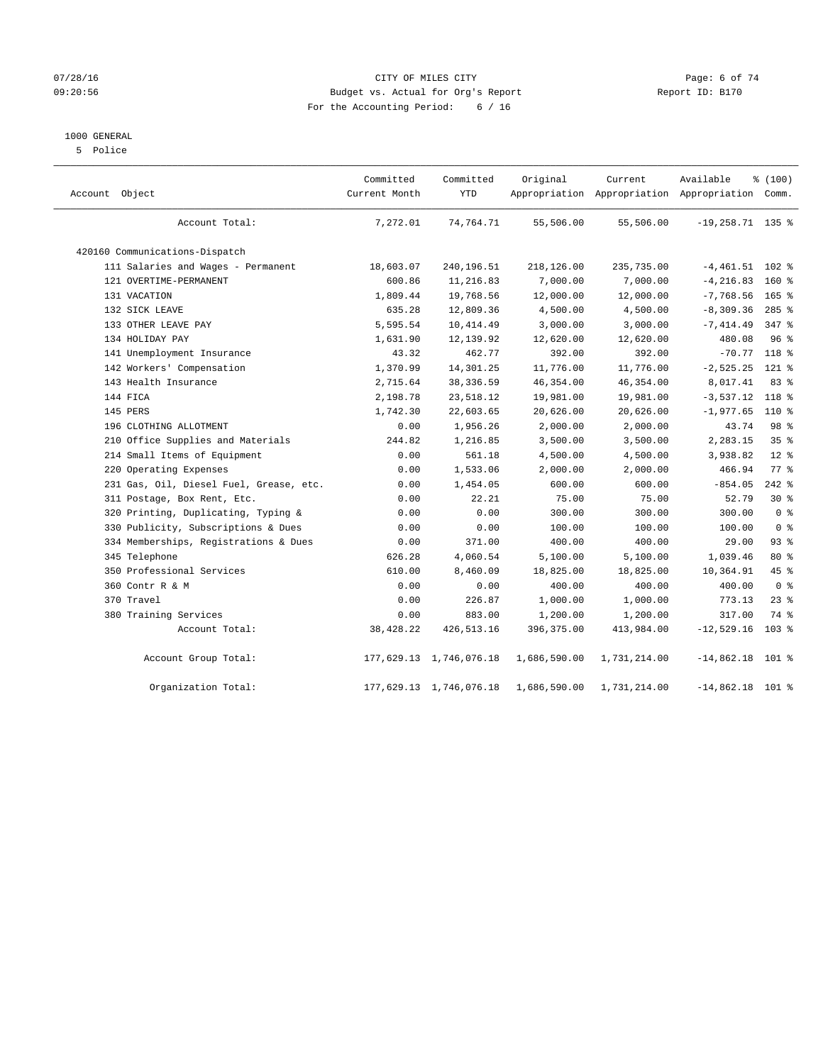## 07/28/16 CITY OF MILES CITY Page: 6 of 74 09:20:56 Budget vs. Actual for Org's Report Report ID: B170 For the Accounting Period: 6 / 16

## 1000 GENERAL

5 Police

| Account Object                          | Committed<br>Current Month | Committed<br><b>YTD</b> | Original     | Current      | Available<br>Appropriation Appropriation Appropriation Comm. | % (100)        |  |
|-----------------------------------------|----------------------------|-------------------------|--------------|--------------|--------------------------------------------------------------|----------------|--|
| Account Total:                          | 7,272.01                   | 74,764.71               | 55,506.00    | 55,506.00    | $-19, 258.71$ 135 %                                          |                |  |
| 420160 Communications-Dispatch          |                            |                         |              |              |                                                              |                |  |
| 111 Salaries and Wages - Permanent      | 18,603.07                  | 240,196.51              | 218,126.00   | 235,735.00   | $-4,461.51$                                                  | $102$ %        |  |
| 121 OVERTIME-PERMANENT                  | 600.86                     | 11,216.83               | 7,000.00     | 7,000.00     | $-4, 216.83$                                                 | $160*$         |  |
| 131 VACATION                            | 1,809.44                   | 19,768.56               | 12,000.00    | 12,000.00    | $-7,768.56$                                                  | $165$ %        |  |
| 132 SICK LEAVE                          | 635.28                     | 12,809.36               | 4,500.00     | 4,500.00     | $-8, 309.36$                                                 | $285$ %        |  |
| 133 OTHER LEAVE PAY                     | 5,595.54                   | 10, 414.49              | 3,000.00     | 3,000.00     | $-7, 414.49$                                                 | $347$ $%$      |  |
| 134 HOLIDAY PAY                         | 1,631.90                   | 12,139.92               | 12,620.00    | 12,620.00    | 480.08                                                       | 96%            |  |
| 141 Unemployment Insurance              | 43.32                      | 462.77                  | 392.00       | 392.00       | $-70.77$                                                     | 118 %          |  |
| 142 Workers' Compensation               | 1,370.99                   | 14,301.25               | 11,776.00    | 11,776.00    | $-2,525.25$                                                  | $121$ %        |  |
| 143 Health Insurance                    | 2,715.64                   | 38, 336.59              | 46, 354.00   | 46, 354.00   | 8,017.41                                                     | 83 %           |  |
| 144 FICA                                | 2,198.78                   | 23,518.12               | 19,981.00    | 19,981.00    | $-3,537.12$                                                  | 118 %          |  |
| 145 PERS                                | 1,742.30                   | 22,603.65               | 20,626.00    | 20,626.00    | $-1,977.65$                                                  | 110 %          |  |
| 196 CLOTHING ALLOTMENT                  | 0.00                       | 1,956.26                | 2,000.00     | 2,000.00     | 43.74                                                        | 98 %           |  |
| 210 Office Supplies and Materials       | 244.82                     | 1,216.85                | 3,500.00     | 3,500.00     | 2,283.15                                                     | 35%            |  |
| 214 Small Items of Equipment            | 0.00                       | 561.18                  | 4,500.00     | 4,500.00     | 3,938.82                                                     | $12*$          |  |
| 220 Operating Expenses                  | 0.00                       | 1,533.06                | 2,000.00     | 2,000.00     | 466.94                                                       | 77.8           |  |
| 231 Gas, Oil, Diesel Fuel, Grease, etc. | 0.00                       | 1,454.05                | 600.00       | 600.00       | $-854.05$                                                    | $242$ %        |  |
| 311 Postage, Box Rent, Etc.             | 0.00                       | 22.21                   | 75.00        | 75.00        | 52.79                                                        | $30*$          |  |
| 320 Printing, Duplicating, Typing &     | 0.00                       | 0.00                    | 300.00       | 300.00       | 300.00                                                       | 0 <sup>8</sup> |  |
| 330 Publicity, Subscriptions & Dues     | 0.00                       | 0.00                    | 100.00       | 100.00       | 100.00                                                       | 0 <sup>8</sup> |  |
| 334 Memberships, Registrations & Dues   | 0.00                       | 371.00                  | 400.00       | 400.00       | 29.00                                                        | 93%            |  |
| 345 Telephone                           | 626.28                     | 4,060.54                | 5,100.00     | 5,100.00     | 1,039.46                                                     | 80 %           |  |
| 350 Professional Services               | 610.00                     | 8,460.09                | 18,825.00    | 18,825.00    | 10,364.91                                                    | 45 %           |  |
| 360 Contr R & M                         | 0.00                       | 0.00                    | 400.00       | 400.00       | 400.00                                                       | 0 <sup>8</sup> |  |
| 370 Travel                              | 0.00                       | 226.87                  | 1,000.00     | 1,000.00     | 773.13                                                       | $23$ %         |  |
| 380 Training Services                   | 0.00                       | 883.00                  | 1,200.00     | 1,200.00     | 317.00                                                       | 74 %           |  |
| Account Total:                          | 38,428.22                  | 426, 513.16             | 396, 375.00  | 413,984.00   | $-12,529.16$                                                 | $103$ %        |  |
| Account Group Total:                    |                            | 177,629.13 1,746,076.18 | 1,686,590.00 | 1,731,214.00 | $-14,862.18$ 101 %                                           |                |  |
| Organization Total:                     |                            | 177,629.13 1,746,076.18 | 1,686,590.00 | 1,731,214.00 | $-14,862.18$ 101 %                                           |                |  |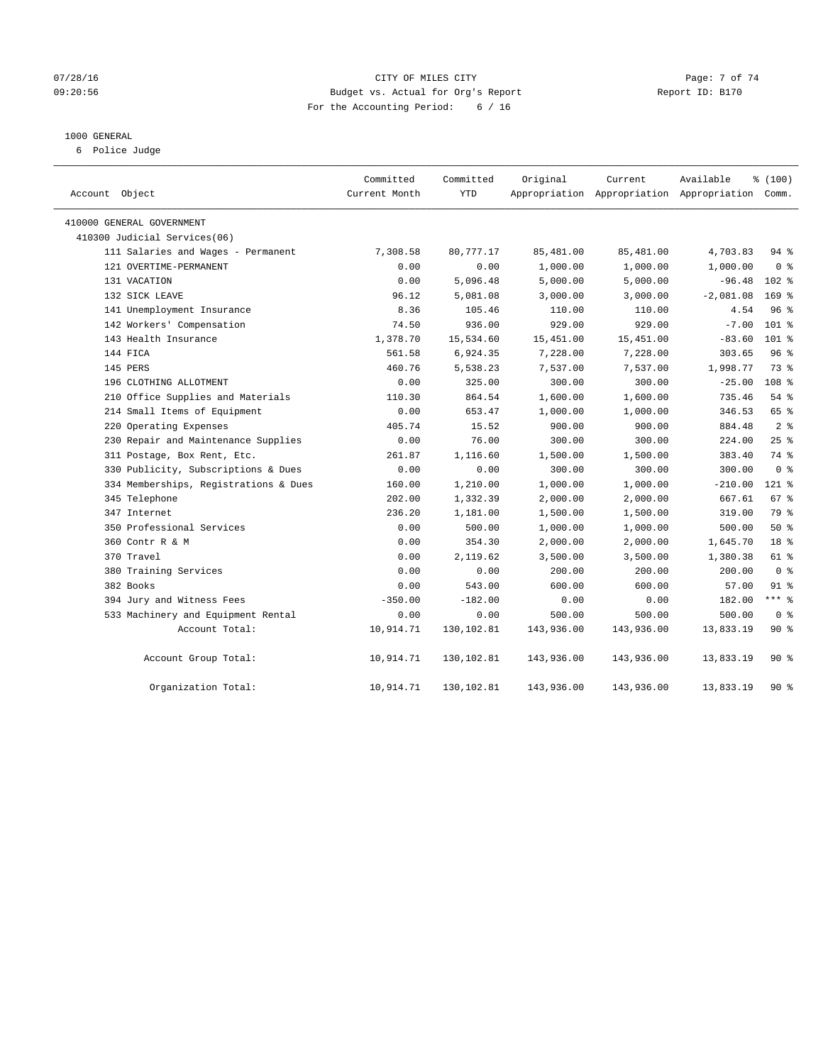## 07/28/16 Page: 7 of 74 09:20:56 Budget vs. Actual for Org's Report Report ID: B170 For the Accounting Period: 6 / 16

#### 1000 GENERAL

6 Police Judge

| Account Object                        | Committed<br>Current Month | Committed<br><b>YTD</b> | Original   | Current<br>Appropriation Appropriation Appropriation Comm. | Available   | % (100)          |
|---------------------------------------|----------------------------|-------------------------|------------|------------------------------------------------------------|-------------|------------------|
| 410000 GENERAL GOVERNMENT             |                            |                         |            |                                                            |             |                  |
| 410300 Judicial Services(06)          |                            |                         |            |                                                            |             |                  |
| 111 Salaries and Wages - Permanent    | 7,308.58                   | 80,777.17               | 85,481.00  | 85,481.00                                                  | 4,703.83    | $94$ %           |
| 121 OVERTIME-PERMANENT                | 0.00                       | 0.00                    | 1,000.00   | 1,000.00                                                   | 1,000.00    | 0 <sup>8</sup>   |
| 131 VACATION                          | 0.00                       | 5,096.48                | 5,000.00   | 5,000.00                                                   | $-96.48$    | $102$ %          |
| 132 SICK LEAVE                        | 96.12                      | 5,081.08                | 3,000.00   | 3,000.00                                                   | $-2,081.08$ | 169 <sup>8</sup> |
| 141 Unemployment Insurance            | 8.36                       | 105.46                  | 110.00     | 110.00                                                     | 4.54        | 96 <sup>°</sup>  |
| 142 Workers' Compensation             | 74.50                      | 936.00                  | 929.00     | 929.00                                                     | $-7.00$     | 101 %            |
| 143 Health Insurance                  | 1,378.70                   | 15,534.60               | 15,451.00  | 15,451.00                                                  | $-83.60$    | $101$ %          |
| 144 FICA                              | 561.58                     | 6,924.35                | 7,228.00   | 7,228.00                                                   | 303.65      | 96%              |
| 145 PERS                              | 460.76                     | 5,538.23                | 7,537.00   | 7,537.00                                                   | 1,998.77    | 73.8             |
| 196 CLOTHING ALLOTMENT                | 0.00                       | 325.00                  | 300.00     | 300.00                                                     | $-25.00$    | 108 <sup>8</sup> |
| 210 Office Supplies and Materials     | 110.30                     | 864.54                  | 1,600.00   | 1,600.00                                                   | 735.46      | 54 %             |
| 214 Small Items of Equipment          | 0.00                       | 653.47                  | 1,000.00   | 1,000.00                                                   | 346.53      | 65 %             |
| 220 Operating Expenses                | 405.74                     | 15.52                   | 900.00     | 900.00                                                     | 884.48      | 2 <sup>°</sup>   |
| 230 Repair and Maintenance Supplies   | 0.00                       | 76.00                   | 300.00     | 300.00                                                     | 224.00      | 25%              |
| 311 Postage, Box Rent, Etc.           | 261.87                     | 1,116.60                | 1,500.00   | 1,500.00                                                   | 383.40      | 74 %             |
| 330 Publicity, Subscriptions & Dues   | 0.00                       | 0.00                    | 300.00     | 300.00                                                     | 300.00      | 0 <sup>8</sup>   |
| 334 Memberships, Registrations & Dues | 160.00                     | 1,210.00                | 1,000.00   | 1,000.00                                                   | $-210.00$   | $121$ %          |
| 345 Telephone                         | 202.00                     | 1,332.39                | 2,000.00   | 2,000.00                                                   | 667.61      | $67$ %           |
| 347 Internet                          | 236.20                     | 1,181.00                | 1,500.00   | 1,500.00                                                   | 319.00      | 79 %             |
| 350 Professional Services             | 0.00                       | 500.00                  | 1,000.00   | 1,000.00                                                   | 500.00      | 50%              |
| 360 Contr R & M                       | 0.00                       | 354.30                  | 2,000.00   | 2,000.00                                                   | 1,645.70    | 18 <sup>8</sup>  |
| 370 Travel                            | 0.00                       | 2,119.62                | 3,500.00   | 3,500.00                                                   | 1,380.38    | 61 %             |
| 380 Training Services                 | 0.00                       | 0.00                    | 200.00     | 200.00                                                     | 200.00      | 0 <sup>8</sup>   |
| 382 Books                             | 0.00                       | 543.00                  | 600.00     | 600.00                                                     | 57.00       | $91$ %           |
| 394 Jury and Witness Fees             | $-350.00$                  | $-182.00$               | 0.00       | 0.00                                                       | 182.00      | $***$ $_{8}$     |
| 533 Machinery and Equipment Rental    | 0.00                       | 0.00                    | 500.00     | 500.00                                                     | 500.00      | 0 <sup>8</sup>   |
| Account Total:                        | 10,914.71                  | 130,102.81              | 143,936.00 | 143,936.00                                                 | 13,833.19   | $90*$            |
| Account Group Total:                  | 10,914.71                  | 130,102.81              | 143,936.00 | 143,936.00                                                 | 13,833.19   | $90*$            |
| Organization Total:                   | 10,914.71                  | 130,102.81              | 143,936.00 | 143,936.00                                                 | 13,833.19   | 90%              |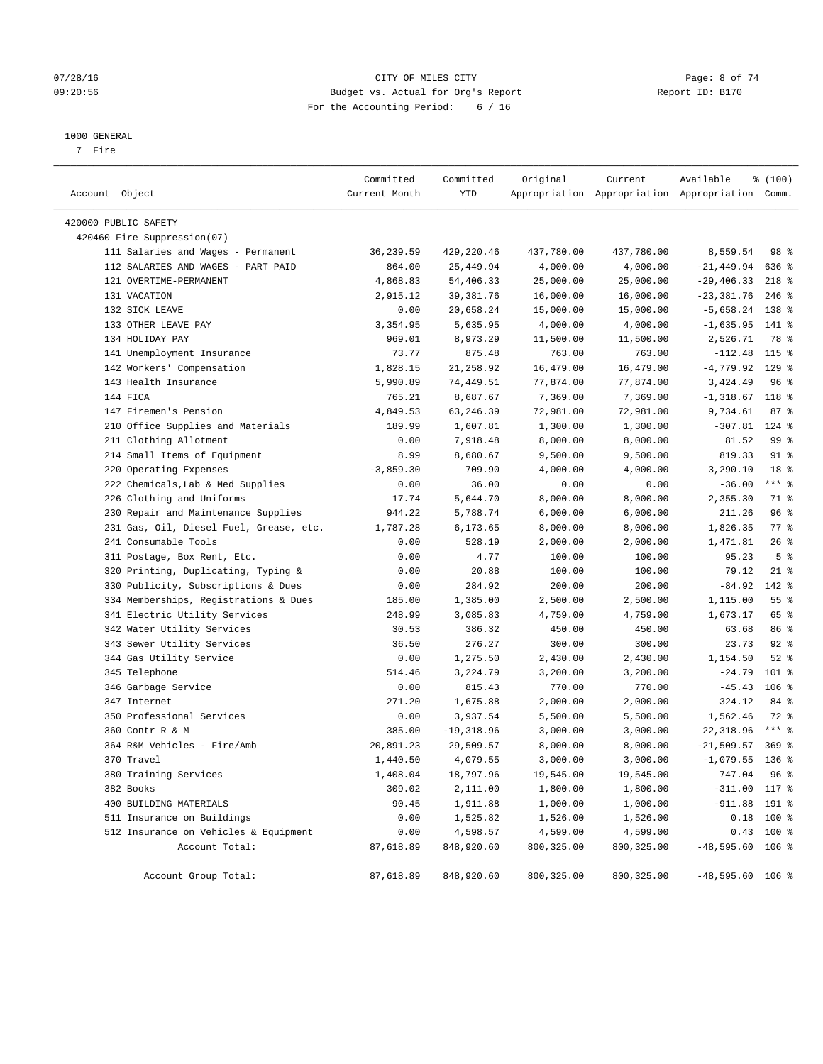## 07/28/16 CITY OF MILES CITY Page: 8 of 74 09:20:56 Budget vs. Actual for Org's Report Report ID: B170 For the Accounting Period: 6 / 16

#### 1000 GENERAL

7 Fire

| Account Object                                                           | Committed<br>Current Month | Committed<br>YTD       | Original               | Current                | Available<br>Appropriation Appropriation Appropriation Comm. | \$(100)                         |
|--------------------------------------------------------------------------|----------------------------|------------------------|------------------------|------------------------|--------------------------------------------------------------|---------------------------------|
| 420000 PUBLIC SAFETY                                                     |                            |                        |                        |                        |                                                              |                                 |
| 420460 Fire Suppression(07)                                              |                            |                        |                        |                        |                                                              |                                 |
|                                                                          |                            | 429,220.46             |                        |                        |                                                              | 98 %                            |
| 111 Salaries and Wages - Permanent<br>112 SALARIES AND WAGES - PART PAID | 36,239.59<br>864.00        | 25,449.94              | 437,780.00<br>4,000.00 | 437,780.00<br>4,000.00 | 8,559.54                                                     | 636 %                           |
| 121 OVERTIME-PERMANENT                                                   | 4,868.83                   | 54,406.33              |                        |                        | $-21,449.94$<br>$-29,406.33$                                 | $218$ %                         |
| 131 VACATION                                                             |                            | 39, 381. 76            | 25,000.00<br>16,000.00 | 25,000.00<br>16,000.00 | $-23, 381.76$                                                | $246$ %                         |
| 132 SICK LEAVE                                                           | 2,915.12<br>0.00           | 20,658.24              | 15,000.00              | 15,000.00              | $-5,658.24$ 138 %                                            |                                 |
| 133 OTHER LEAVE PAY                                                      | 3,354.95                   | 5,635.95               | 4,000.00               | 4,000.00               | $-1,635.95$ 141 %                                            |                                 |
| 134 HOLIDAY PAY                                                          | 969.01                     | 8,973.29               | 11,500.00              | 11,500.00              | 2,526.71                                                     | 78 %                            |
| 141 Unemployment Insurance                                               | 73.77                      | 875.48                 | 763.00                 | 763.00                 | $-112.48$                                                    | 115 %                           |
| 142 Workers' Compensation                                                | 1,828.15                   | 21,258.92              | 16,479.00              | 16,479.00              | $-4,779.92$                                                  | $129$ %                         |
| 143 Health Insurance                                                     | 5,990.89                   | 74,449.51              | 77,874.00              | 77,874.00              | 3,424.49                                                     | 96 <sup>°</sup>                 |
| 144 FICA                                                                 |                            |                        |                        |                        |                                                              |                                 |
| 147 Firemen's Pension                                                    | 765.21<br>4,849.53         | 8,687.67<br>63, 246.39 | 7,369.00<br>72,981.00  | 7,369.00               | $-1,318.67$ 118 %<br>9,734.61                                | 87%                             |
| 210 Office Supplies and Materials                                        | 189.99                     |                        |                        | 72,981.00              | $-307.81$ 124 %                                              |                                 |
|                                                                          |                            | 1,607.81               | 1,300.00               | 1,300.00               |                                                              | 99 <sub>8</sub>                 |
| 211 Clothing Allotment                                                   | 0.00                       | 7,918.48               | 8,000.00               | 8,000.00<br>9,500.00   | 81.52                                                        | $91$ %                          |
| 214 Small Items of Equipment                                             | 8.99                       | 8,680.67               | 9,500.00               |                        | 819.33                                                       |                                 |
| 220 Operating Expenses                                                   | $-3,859.30$                | 709.90                 | 4,000.00               | 4,000.00               | 3,290.10                                                     | 18 <sup>°</sup><br>$***$ $_{8}$ |
| 222 Chemicals, Lab & Med Supplies                                        | 0.00                       | 36.00                  | 0.00                   | 0.00                   | $-36.00$                                                     |                                 |
| 226 Clothing and Uniforms                                                | 17.74                      | 5,644.70               | 8,000.00               | 8,000.00               | 2,355.30                                                     | 71 %                            |
| 230 Repair and Maintenance Supplies                                      | 944.22                     | 5,788.74               | 6,000.00               | 6,000.00               | 211.26                                                       | 96%                             |
| 231 Gas, Oil, Diesel Fuel, Grease, etc.                                  | 1,787.28                   | 6,173.65               | 8,000.00               | 8,000.00               | 1,826.35                                                     | $77$ $%$                        |
| 241 Consumable Tools                                                     | 0.00                       | 528.19                 | 2,000.00               | 2,000.00               | 1,471.81                                                     | 26%                             |
| 311 Postage, Box Rent, Etc.                                              | 0.00                       | 4.77                   | 100.00                 | 100.00                 | 95.23                                                        | 5 <sup>°</sup>                  |
| 320 Printing, Duplicating, Typing &                                      | 0.00                       | 20.88                  | 100.00                 | 100.00                 | 79.12                                                        | $21$ %                          |
| 330 Publicity, Subscriptions & Dues                                      | 0.00                       | 284.92                 | 200.00                 | 200.00                 | $-84.92$                                                     | 142 %                           |
| 334 Memberships, Registrations & Dues                                    | 185.00                     | 1,385.00               | 2,500.00               | 2,500.00               | 1,115.00                                                     | 55%                             |
| 341 Electric Utility Services                                            | 248.99                     | 3,085.83               | 4,759.00               | 4,759.00               | 1,673.17                                                     | 65 %                            |
| 342 Water Utility Services                                               | 30.53                      | 386.32                 | 450.00                 | 450.00                 | 63.68                                                        | 86 %                            |
| 343 Sewer Utility Services                                               | 36.50                      | 276.27                 | 300.00                 | 300.00                 | 23.73                                                        | 92%                             |
| 344 Gas Utility Service                                                  | 0.00                       | 1,275.50               | 2,430.00               | 2,430.00               | 1,154.50                                                     | $52$ $%$                        |
| 345 Telephone                                                            | 514.46                     | 3,224.79               | 3,200.00               | 3,200.00               | $-24.79$                                                     | $101$ %                         |
| 346 Garbage Service                                                      | 0.00                       | 815.43                 | 770.00                 | 770.00                 | $-45.43$                                                     | $106$ %                         |
| 347 Internet                                                             | 271.20                     | 1,675.88               | 2,000.00               | 2,000.00               | 324.12                                                       | 84 %                            |
| 350 Professional Services                                                | 0.00                       | 3,937.54               | 5,500.00               | 5,500.00               | 1,562.46                                                     | 72 %                            |
| 360 Contr R & M                                                          | 385.00                     | $-19,318.96$           | 3,000.00               | 3,000.00               | 22,318.96                                                    | $***$ $-$                       |
| 364 R&M Vehicles - Fire/Amb                                              | 20,891.23                  | 29,509.57              | 8,000.00               | 8,000.00               | $-21,509.57$                                                 | $369$ $%$                       |
| 370 Travel                                                               | 1,440.50                   | 4,079.55               | 3,000.00               | 3,000.00               | $-1,079.55$ 136 %                                            |                                 |
| 380 Training Services                                                    | 1,408.04                   | 18,797.96              | 19,545.00              | 19,545.00              | 747.04                                                       | 96 %                            |
| 382 Books                                                                | 309.02                     | 2,111.00               | 1,800.00               | 1,800.00               | $-311.00$ 117 %                                              |                                 |
| 400 BUILDING MATERIALS                                                   | 90.45                      | 1,911.88               | 1,000.00               | 1,000.00               | $-911.88$                                                    | 191 %                           |
| 511 Insurance on Buildings                                               | 0.00                       | 1,525.82               | 1,526.00               | 1,526.00               |                                                              | $0.18$ 100 %                    |
| 512 Insurance on Vehicles & Equipment                                    | 0.00                       | 4,598.57               | 4,599.00               | 4,599.00               |                                                              | $0.43$ 100 %                    |
| Account Total:                                                           | 87,618.89                  | 848,920.60             | 800,325.00             | 800,325.00             | $-48,595.60$ 106 %                                           |                                 |
| Account Group Total:                                                     | 87,618.89                  | 848,920.60             | 800,325.00             | 800,325.00             | $-48,595.60$ 106 %                                           |                                 |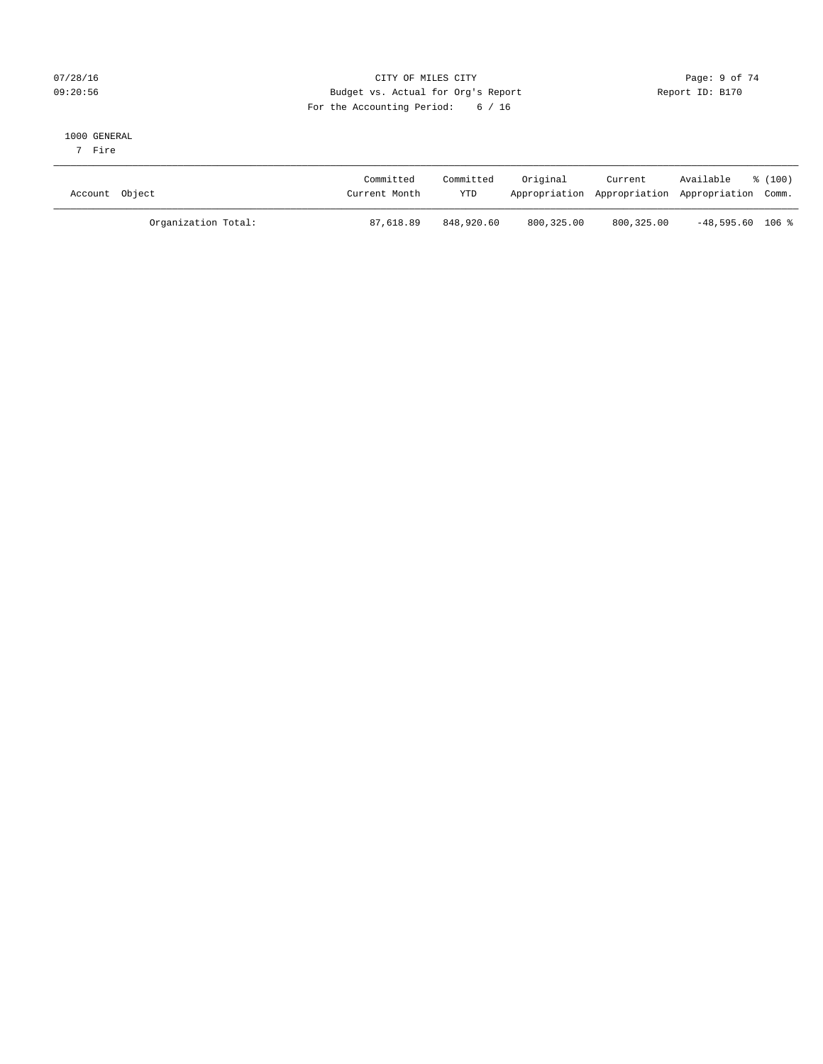## 07/28/16 Page: 9 of 74 09:20:56 Budget vs. Actual for Org's Report Report ID: B170 For the Accounting Period: 6 / 16

#### 1000 GENERAL

7 Fire

| Account Object      | Committed<br>Current Month | Committed<br><b>YTD</b> | Original   | Current<br>Appropriation Appropriation Appropriation Comm. | Available          | ៖ (100) |
|---------------------|----------------------------|-------------------------|------------|------------------------------------------------------------|--------------------|---------|
| Organization Total: | 87,618.89                  | 848,920.60              | 800,325.00 | 800,325.00                                                 | $-48,595.60$ 106 % |         |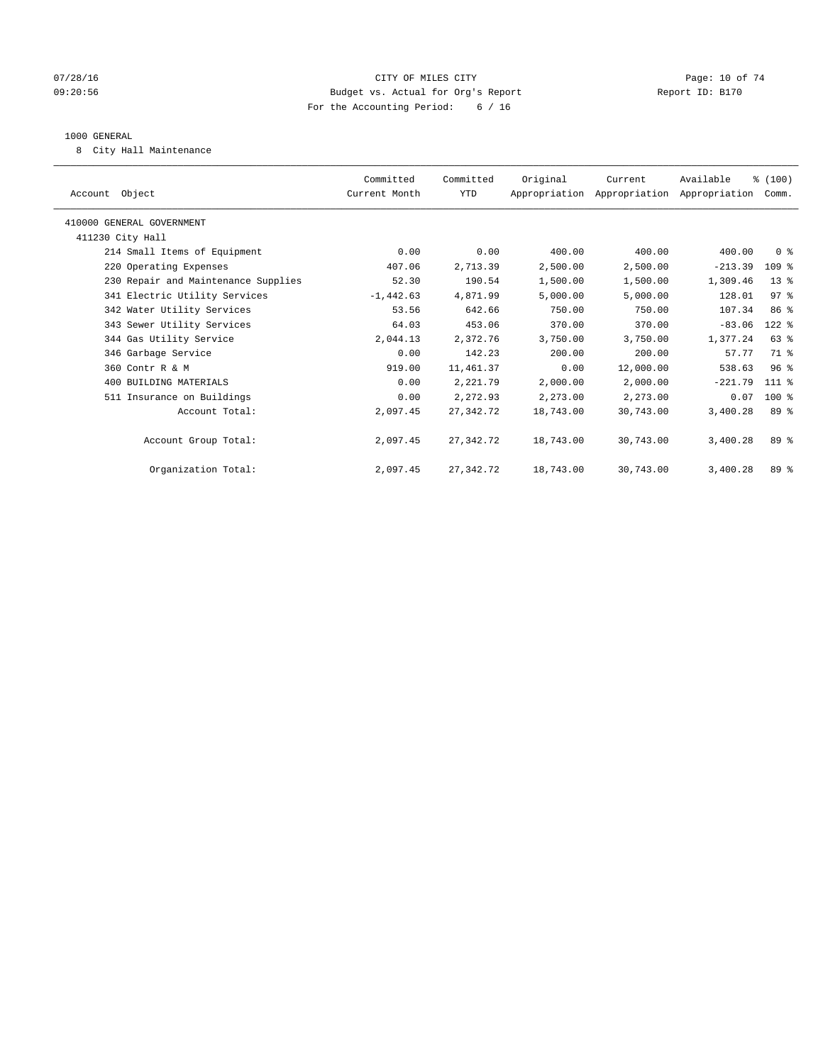## $07/28/16$  Page: 10 of 74 09:20:56 Budget vs. Actual for Org's Report Report ID: B170 For the Accounting Period: 6 / 16

#### 1000 GENERAL

8 City Hall Maintenance

| Account Object                      | Committed<br>Current Month | Committed<br>YTD | Original  | Current<br>Appropriation Appropriation Appropriation Comm. | Available | % (100)         |  |
|-------------------------------------|----------------------------|------------------|-----------|------------------------------------------------------------|-----------|-----------------|--|
| 410000 GENERAL GOVERNMENT           |                            |                  |           |                                                            |           |                 |  |
| 411230 City Hall                    |                            |                  |           |                                                            |           |                 |  |
| 214 Small Items of Equipment        | 0.00                       | 0.00             | 400.00    | 400.00                                                     | 400.00    | 0 <sup>8</sup>  |  |
| 220 Operating Expenses              | 407.06                     | 2,713.39         | 2,500.00  | 2,500.00                                                   | $-213.39$ | $109$ %         |  |
| 230 Repair and Maintenance Supplies | 52.30                      | 190.54           | 1,500.00  | 1,500.00                                                   | 1,309.46  | $13*$           |  |
| 341 Electric Utility Services       | $-1,442.63$                | 4,871.99         | 5,000.00  | 5,000.00                                                   | 128.01    | 97 <sup>8</sup> |  |
| 342 Water Utility Services          | 53.56                      | 642.66           | 750.00    | 750.00                                                     | 107.34    | 86 %            |  |
| 343 Sewer Utility Services          | 64.03                      | 453.06           | 370.00    | 370.00                                                     | $-83.06$  | $122$ %         |  |
| 344 Gas Utility Service             | 2,044.13                   | 2,372.76         | 3,750.00  | 3,750.00                                                   | 1,377.24  | 63 %            |  |
| 346 Garbage Service                 | 0.00                       | 142.23           | 200.00    | 200.00                                                     | 57.77     | 71.8            |  |
| 360 Contr R & M                     | 919.00                     | 11,461.37        | 0.00      | 12,000.00                                                  | 538.63    | 96 <sup>8</sup> |  |
| 400 BUILDING MATERIALS              | 0.00                       | 2,221.79         | 2,000.00  | 2,000.00                                                   | $-221.79$ | 111 %           |  |
| 511 Insurance on Buildings          | 0.00                       | 2,272.93         | 2,273.00  | 2,273.00                                                   | 0.07      | $100$ %         |  |
| Account Total:                      | 2,097.45                   | 27, 342. 72      | 18,743.00 | 30,743.00                                                  | 3,400.28  | 89 %            |  |
| Account Group Total:                | 2,097.45                   | 27,342.72        | 18,743.00 | 30,743.00                                                  | 3,400.28  | 89 %            |  |
| Organization Total:                 | 2,097.45                   | 27,342.72        | 18,743.00 | 30,743.00                                                  | 3,400.28  | 89 %            |  |
|                                     |                            |                  |           |                                                            |           |                 |  |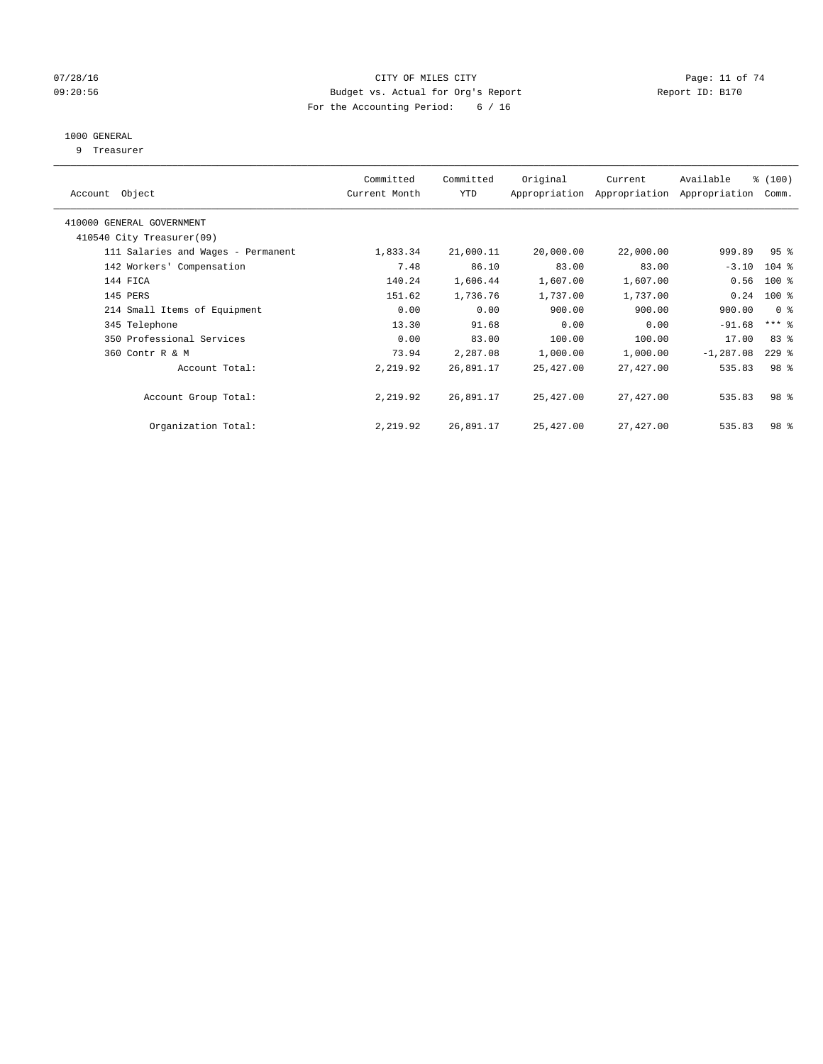## $07/28/16$  Page: 11 of 74 09:20:56 Budget vs. Actual for Org's Report Report ID: B170 For the Accounting Period: 6 / 16

# 1000 GENERAL

9 Treasurer

| Object<br>Account                  | Committed<br>Current Month | Committed<br><b>YTD</b> | Original  | Current<br>Appropriation Appropriation | Available<br>Appropriation | % (100)<br>Comm. |  |
|------------------------------------|----------------------------|-------------------------|-----------|----------------------------------------|----------------------------|------------------|--|
|                                    |                            |                         |           |                                        |                            |                  |  |
| 410000 GENERAL GOVERNMENT          |                            |                         |           |                                        |                            |                  |  |
| 410540 City Treasurer(09)          |                            |                         |           |                                        |                            |                  |  |
| 111 Salaries and Wages - Permanent | 1,833.34                   | 21,000.11               | 20,000.00 | 22,000.00                              | 999.89                     | 95 <sup>8</sup>  |  |
| 142 Workers' Compensation          | 7.48                       | 86.10                   | 83.00     | 83.00                                  | $-3.10$                    | $104$ %          |  |
| 144 FICA                           | 140.24                     | 1,606.44                | 1,607.00  | 1,607.00                               | 0.56                       | $100$ %          |  |
| 145 PERS                           | 151.62                     | 1,736.76                | 1,737.00  | 1,737.00                               | 0.24                       | $100$ %          |  |
| 214 Small Items of Equipment       | 0.00                       | 0.00                    | 900.00    | 900.00                                 | 900.00                     | 0 <sup>8</sup>   |  |
| 345 Telephone                      | 13.30                      | 91.68                   | 0.00      | 0.00                                   | $-91.68$                   | $***$ $-$        |  |
| 350 Professional Services          | 0.00                       | 83.00                   | 100.00    | 100.00                                 | 17.00                      | 83 %             |  |
| 360 Contr R & M                    | 73.94                      | 2,287.08                | 1,000.00  | 1,000.00                               | $-1, 287.08$               | $229$ %          |  |
| Account Total:                     | 2,219.92                   | 26,891.17               | 25,427.00 | 27,427.00                              | 535.83                     | 98 <sup>8</sup>  |  |
|                                    |                            |                         |           |                                        |                            |                  |  |
| Account Group Total:               | 2,219.92                   | 26,891.17               | 25,427.00 | 27,427.00                              | 535.83                     | 98 <sup>8</sup>  |  |
|                                    |                            |                         |           |                                        |                            |                  |  |
| Organization Total:                | 2,219.92                   | 26,891.17               | 25,427.00 | 27,427.00                              | 535.83                     | 98 %             |  |
|                                    |                            |                         |           |                                        |                            |                  |  |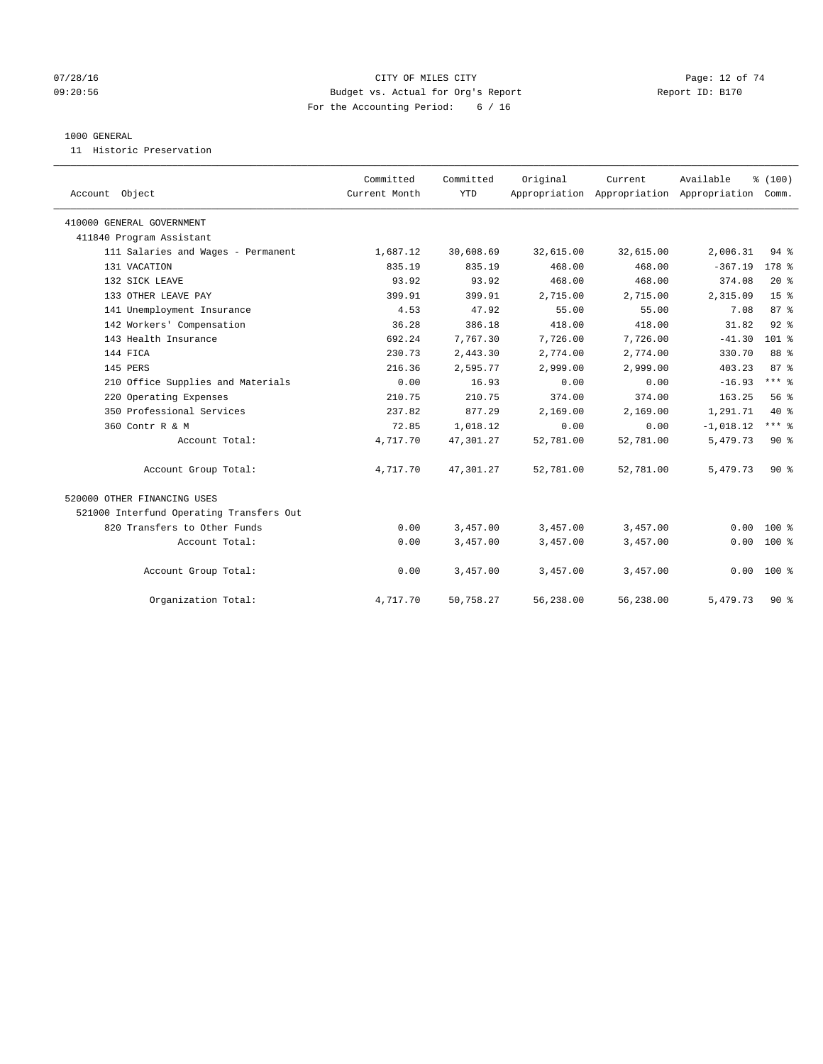## $O7/28/16$  Page: 12 of 74 09:20:56 Budget vs. Actual for Org's Report Report ID: B170 For the Accounting Period: 6 / 16

#### 1000 GENERAL

11 Historic Preservation

| Account Object                           | Committed<br>Current Month | Committed<br><b>YTD</b> | Original  | Current   | Available<br>Appropriation Appropriation Appropriation Comm. | % (100)         |
|------------------------------------------|----------------------------|-------------------------|-----------|-----------|--------------------------------------------------------------|-----------------|
| 410000 GENERAL GOVERNMENT                |                            |                         |           |           |                                                              |                 |
| 411840 Program Assistant                 |                            |                         |           |           |                                                              |                 |
| 111 Salaries and Wages - Permanent       | 1,687.12                   | 30,608.69               | 32,615.00 | 32,615.00 | 2,006.31                                                     | $94$ %          |
| 131 VACATION                             | 835.19                     | 835.19                  | 468.00    | 468.00    | $-367.19$                                                    | $178$ %         |
| 132 SICK LEAVE                           | 93.92                      | 93.92                   | 468.00    | 468.00    | 374.08                                                       | $20*$           |
| 133 OTHER LEAVE PAY                      | 399.91                     | 399.91                  | 2,715.00  | 2,715.00  | 2,315.09                                                     | 15 <sup>°</sup> |
| 141 Unemployment Insurance               | 4.53                       | 47.92                   | 55.00     | 55.00     | 7.08                                                         | 87 <sup>°</sup> |
| 142 Workers' Compensation                | 36.28                      | 386.18                  | 418.00    | 418.00    | 31.82                                                        | 92%             |
| 143 Health Insurance                     | 692.24                     | 7,767.30                | 7,726.00  | 7,726.00  | $-41.30$                                                     | $101$ %         |
| 144 FICA                                 | 230.73                     | 2,443.30                | 2,774.00  | 2,774.00  | 330.70                                                       | 88 %            |
| 145 PERS                                 | 216.36                     | 2,595.77                | 2,999.00  | 2,999.00  | 403.23                                                       | 87%             |
| 210 Office Supplies and Materials        | 0.00                       | 16.93                   | 0.00      | 0.00      | $-16.93$                                                     | $***$ 8         |
| 220 Operating Expenses                   | 210.75                     | 210.75                  | 374.00    | 374.00    | 163.25                                                       | 56%             |
| 350 Professional Services                | 237.82                     | 877.29                  | 2,169.00  | 2,169.00  | 1,291.71                                                     | $40*$           |
| 360 Contr R & M                          | 72.85                      | 1,018.12                | 0.00      | 0.00      | $-1,018.12$                                                  | $***$ $-$       |
| Account Total:                           | 4,717.70                   | 47,301.27               | 52,781.00 | 52,781.00 | 5,479.73                                                     | $90*$           |
| Account Group Total:                     | 4,717.70                   | 47,301.27               | 52,781.00 | 52,781.00 | 5,479.73                                                     | $90*$           |
| 520000 OTHER FINANCING USES              |                            |                         |           |           |                                                              |                 |
| 521000 Interfund Operating Transfers Out |                            |                         |           |           |                                                              |                 |
| 820 Transfers to Other Funds             | 0.00                       | 3,457.00                | 3,457.00  | 3,457.00  | 0.00                                                         | $100*$          |
| Account Total:                           | 0.00                       | 3,457.00                | 3,457.00  | 3,457.00  | 0.00                                                         | $100*$          |
| Account Group Total:                     | 0.00                       | 3,457.00                | 3,457.00  | 3,457.00  |                                                              | $0.00 100$ %    |
| Organization Total:                      | 4,717.70                   | 50,758.27               | 56,238.00 | 56,238.00 | 5,479.73                                                     | $90*$           |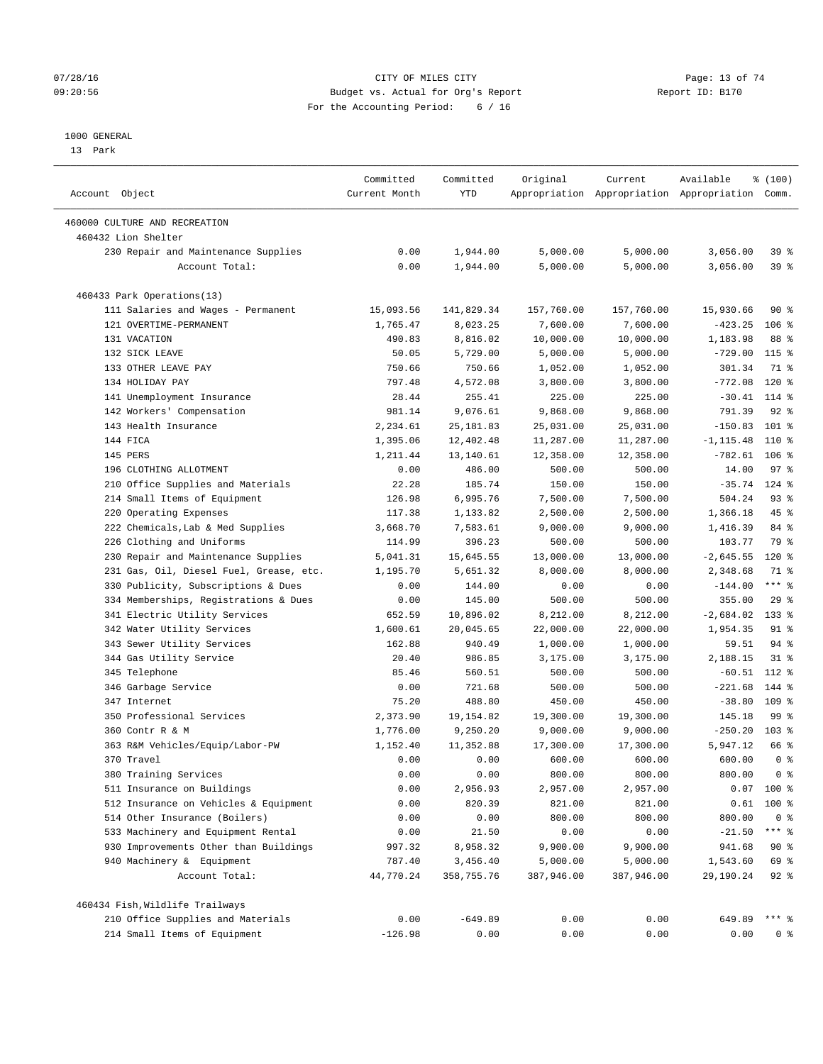## $07/28/16$  Page: 13 of 74 09:20:56 Budget vs. Actual for Org's Report Report ID: B170 For the Accounting Period: 6 / 16

————————————————————————————————————————————————————————————————————————————————————————————————————————————————————————————————————

#### 1000 GENERAL

13 Park

|                                         | Committed     | Committed  | Original   | Current    | Available                                       | % (100)         |  |
|-----------------------------------------|---------------|------------|------------|------------|-------------------------------------------------|-----------------|--|
| Account Object                          | Current Month | YTD        |            |            | Appropriation Appropriation Appropriation Comm. |                 |  |
| 460000 CULTURE AND RECREATION           |               |            |            |            |                                                 |                 |  |
| 460432 Lion Shelter                     |               |            |            |            |                                                 |                 |  |
| 230 Repair and Maintenance Supplies     | 0.00          | 1,944.00   | 5,000.00   | 5,000.00   | 3,056.00                                        | 39 %            |  |
| Account Total:                          | 0.00          | 1,944.00   | 5,000.00   | 5,000.00   | 3,056.00                                        | 39%             |  |
| 460433 Park Operations(13)              |               |            |            |            |                                                 |                 |  |
| 111 Salaries and Wages - Permanent      | 15,093.56     | 141,829.34 | 157,760.00 | 157,760.00 | 15,930.66                                       | 90 %            |  |
| 121 OVERTIME-PERMANENT                  | 1,765.47      | 8,023.25   | 7,600.00   | 7,600.00   | $-423.25$                                       | $106$ %         |  |
| 131 VACATION                            | 490.83        | 8,816.02   | 10,000.00  | 10,000.00  | 1,183.98                                        | 88 %            |  |
| 132 SICK LEAVE                          | 50.05         | 5,729.00   | 5,000.00   | 5,000.00   | $-729.00$                                       | $115$ %         |  |
| 133 OTHER LEAVE PAY                     | 750.66        | 750.66     | 1,052.00   | 1,052.00   | 301.34                                          | 71 %            |  |
| 134 HOLIDAY PAY                         | 797.48        | 4,572.08   | 3,800.00   | 3,800.00   | $-772.08$                                       | $120*$          |  |
| 141 Unemployment Insurance              | 28.44         | 255.41     | 225.00     | 225.00     | $-30.41$                                        | $114$ %         |  |
| 142 Workers' Compensation               | 981.14        | 9,076.61   | 9,868.00   | 9,868.00   | 791.39                                          | $92$ $%$        |  |
| 143 Health Insurance                    | 2,234.61      | 25, 181.83 | 25,031.00  | 25,031.00  | $-150.83$                                       | 101 %           |  |
| 144 FICA                                | 1,395.06      | 12,402.48  | 11,287.00  | 11,287.00  | $-1, 115.48$                                    | 110 %           |  |
| 145 PERS                                | 1,211.44      | 13,140.61  | 12,358.00  | 12,358.00  | $-782.61$                                       | $106$ %         |  |
| 196 CLOTHING ALLOTMENT                  | 0.00          | 486.00     | 500.00     | 500.00     | 14.00                                           | 97 <sub>8</sub> |  |
| 210 Office Supplies and Materials       | 22.28         | 185.74     | 150.00     | 150.00     | $-35.74$ 124 %                                  |                 |  |
| 214 Small Items of Equipment            | 126.98        | 6,995.76   | 7,500.00   | 7,500.00   | 504.24                                          | 93%             |  |
| 220 Operating Expenses                  | 117.38        | 1,133.82   | 2,500.00   | 2,500.00   | 1,366.18                                        | 45 %            |  |
| 222 Chemicals, Lab & Med Supplies       | 3,668.70      | 7,583.61   | 9,000.00   | 9,000.00   | 1,416.39                                        | 84 %            |  |
| 226 Clothing and Uniforms               | 114.99        | 396.23     | 500.00     | 500.00     | 103.77                                          | 79 %            |  |
| 230 Repair and Maintenance Supplies     | 5,041.31      | 15,645.55  | 13,000.00  | 13,000.00  | $-2,645.55$                                     | $120$ %         |  |
| 231 Gas, Oil, Diesel Fuel, Grease, etc. | 1,195.70      | 5,651.32   | 8,000.00   | 8,000.00   | 2,348.68                                        | 71 %            |  |
| 330 Publicity, Subscriptions & Dues     | 0.00          | 144.00     | 0.00       | 0.00       | $-144.00$                                       | $***$ $-$       |  |
| 334 Memberships, Registrations & Dues   | 0.00          | 145.00     | 500.00     | 500.00     | 355.00                                          | 29%             |  |
| 341 Electric Utility Services           | 652.59        | 10,896.02  | 8,212.00   | 8,212.00   | $-2,684.02$ 133 %                               |                 |  |
| 342 Water Utility Services              | 1,600.61      | 20,045.65  | 22,000.00  | 22,000.00  | 1,954.35                                        | $91$ %          |  |
| 343 Sewer Utility Services              | 162.88        | 940.49     | 1,000.00   | 1,000.00   | 59.51                                           | 94%             |  |
| 344 Gas Utility Service                 | 20.40         | 986.85     | 3,175.00   | 3,175.00   | 2,188.15                                        | $31$ %          |  |
| 345 Telephone                           | 85.46         | 560.51     | 500.00     | 500.00     | $-60.51$                                        | 112 %           |  |
| 346 Garbage Service                     | 0.00          | 721.68     | 500.00     | 500.00     | $-221.68$                                       | 144 %           |  |
| 347 Internet                            | 75.20         | 488.80     | 450.00     | 450.00     | $-38.80$                                        | $109$ %         |  |
| 350 Professional Services               | 2,373.90      | 19, 154.82 | 19,300.00  | 19,300.00  | 145.18                                          | 99 <sub>8</sub> |  |
| 360 Contr R & M                         | 1,776.00      | 9,250.20   | 9,000.00   | 9,000.00   | $-250.20$                                       | $103*$          |  |
| 363 R&M Vehicles/Equip/Labor-PW         | 1,152.40      | 11,352.88  | 17,300.00  | 17,300.00  | 5,947.12                                        | 66 %            |  |
| 370 Travel                              | 0.00          | 0.00       | 600.00     | 600.00     | 600.00                                          | 0 <sup>8</sup>  |  |
| 380 Training Services                   | 0.00          | 0.00       | 800.00     | 800.00     | 800.00                                          | 0 <sup>8</sup>  |  |
| 511 Insurance on Buildings              | 0.00          | 2,956.93   | 2,957.00   | 2,957.00   |                                                 | $0.07$ 100 %    |  |
| 512 Insurance on Vehicles & Equipment   | 0.00          | 820.39     | 821.00     | 821.00     |                                                 | $0.61$ 100 %    |  |
| 514 Other Insurance (Boilers)           | 0.00          | 0.00       | 800.00     | 800.00     | 800.00                                          | 0 <sup>8</sup>  |  |
| 533 Machinery and Equipment Rental      | 0.00          | 21.50      | 0.00       | 0.00       | $-21.50$                                        | $***$ $_{8}$    |  |
| 930 Improvements Other than Buildings   | 997.32        | 8,958.32   | 9,900.00   | 9,900.00   | 941.68                                          | 90%             |  |
| 940 Machinery & Equipment               | 787.40        | 3,456.40   | 5,000.00   | 5,000.00   | 1,543.60                                        | 69 %            |  |
| Account Total:                          | 44,770.24     | 358,755.76 | 387,946.00 | 387,946.00 | 29,190.24                                       | $92$ $%$        |  |
| 460434 Fish, Wildlife Trailways         |               |            |            |            |                                                 |                 |  |
| 210 Office Supplies and Materials       | 0.00          | $-649.89$  | 0.00       | 0.00       | 649.89                                          | $***$ $-$       |  |
| 214 Small Items of Equipment            | $-126.98$     | 0.00       | 0.00       | 0.00       | 0.00                                            | 0 %             |  |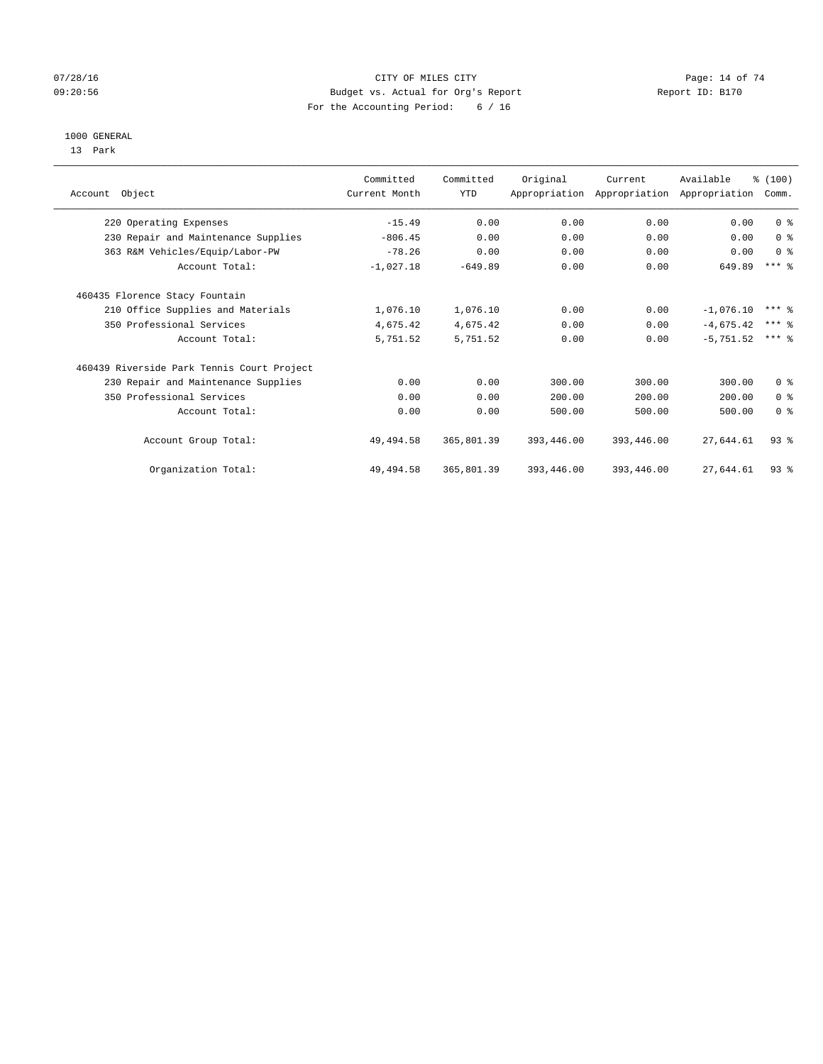## $O7/28/16$  Page: 14 of 74 09:20:56 Budget vs. Actual for Org's Report Report ID: B170 For the Accounting Period: 6 / 16

#### 1000 GENERAL

13 Park

|                                            | Committed     | Committed  | Original   | Current                                   | Available   | % (100)        |  |
|--------------------------------------------|---------------|------------|------------|-------------------------------------------|-------------|----------------|--|
| Account Object                             | Current Month | <b>YTD</b> |            | Appropriation Appropriation Appropriation |             | Comm.          |  |
| 220 Operating Expenses                     | $-15.49$      | 0.00       | 0.00       | 0.00                                      | 0.00        | 0 <sup>8</sup> |  |
| 230 Repair and Maintenance Supplies        | $-806.45$     | 0.00       | 0.00       | 0.00                                      | 0.00        | 0 <sup>8</sup> |  |
| 363 R&M Vehicles/Equip/Labor-PW            | $-78.26$      | 0.00       | 0.00       | 0.00                                      | 0.00        | 0 <sup>8</sup> |  |
| Account Total:                             | $-1,027.18$   | $-649.89$  | 0.00       | 0.00                                      | 649.89      | $***$ $%$      |  |
| 460435 Florence Stacy Fountain             |               |            |            |                                           |             |                |  |
| 210 Office Supplies and Materials          | 1,076.10      | 1,076.10   | 0.00       | 0.00                                      | $-1,076.10$ | $***$ $%$      |  |
| 350 Professional Services                  | 4,675.42      | 4,675.42   | 0.00       | 0.00                                      | $-4,675.42$ | $***$ 2        |  |
| Account Total:                             | 5,751.52      | 5,751.52   | 0.00       | 0.00                                      | $-5.751.52$ | $***$ 2        |  |
| 460439 Riverside Park Tennis Court Project |               |            |            |                                           |             |                |  |
| 230 Repair and Maintenance Supplies        | 0.00          | 0.00       | 300.00     | 300.00                                    | 300.00      | 0 <sup>8</sup> |  |
| 350 Professional Services                  | 0.00          | 0.00       | 200.00     | 200.00                                    | 200.00      | 0 <sup>8</sup> |  |
| Account Total:                             | 0.00          | 0.00       | 500.00     | 500.00                                    | 500.00      | 0 <sup>8</sup> |  |
| Account Group Total:                       | 49,494.58     | 365,801.39 | 393,446.00 | 393,446.00                                | 27,644.61   | $93$ $%$       |  |
| Organization Total:                        | 49, 494.58    | 365,801.39 | 393,446.00 | 393,446.00                                | 27,644.61   | 93%            |  |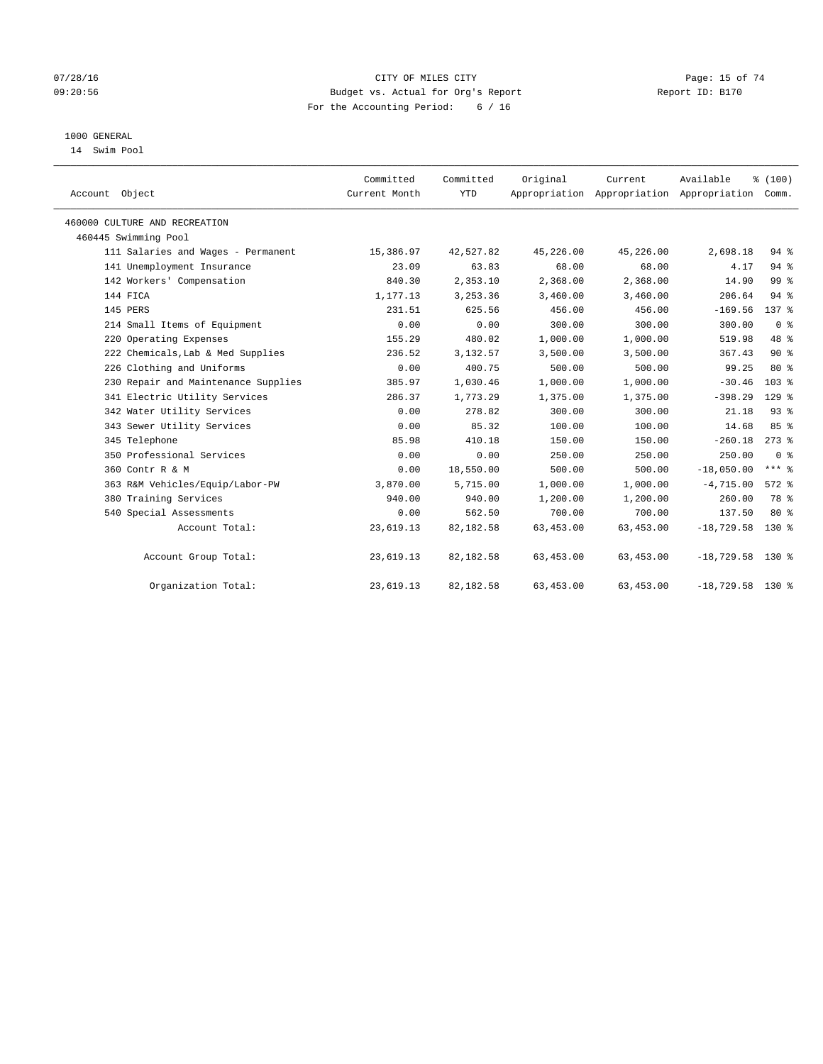## $07/28/16$  Page: 15 of 74 09:20:56 Budget vs. Actual for Org's Report Report ID: B170 For the Accounting Period: 6 / 16

# 1000 GENERAL

14 Swim Pool

|                                     | Committed     | Committed  | Original  |                                                            | Available          | % (100)         |
|-------------------------------------|---------------|------------|-----------|------------------------------------------------------------|--------------------|-----------------|
| Account Object                      | Current Month | <b>YTD</b> |           | Current<br>Appropriation Appropriation Appropriation Comm. |                    |                 |
|                                     |               |            |           |                                                            |                    |                 |
| 460000 CULTURE AND RECREATION       |               |            |           |                                                            |                    |                 |
| 460445 Swimming Pool                |               |            |           |                                                            |                    |                 |
| 111 Salaries and Wages - Permanent  | 15,386.97     | 42,527.82  | 45,226.00 | 45,226.00                                                  | 2,698.18           | $94$ $%$        |
| 141 Unemployment Insurance          | 23.09         | 63.83      | 68.00     | 68.00                                                      | 4.17               | $94$ %          |
| 142 Workers' Compensation           | 840.30        | 2,353.10   | 2,368.00  | 2,368.00                                                   | 14.90              | 99 <sup>°</sup> |
| 144 FICA                            | 1,177.13      | 3,253.36   | 3,460.00  | 3,460.00                                                   | 206.64             | 94%             |
| 145 PERS                            | 231.51        | 625.56     | 456.00    | 456.00                                                     | $-169.56$          | $137*$          |
| 214 Small Items of Equipment        | 0.00          | 0.00       | 300.00    | 300.00                                                     | 300.00             | 0 <sup>8</sup>  |
| 220 Operating Expenses              | 155.29        | 480.02     | 1,000.00  | 1,000.00                                                   | 519.98             | 48 %            |
| 222 Chemicals, Lab & Med Supplies   | 236.52        | 3,132.57   | 3,500.00  | 3,500.00                                                   | 367.43             | 90%             |
| 226 Clothing and Uniforms           | 0.00          | 400.75     | 500.00    | 500.00                                                     | 99.25              | $80*$           |
| 230 Repair and Maintenance Supplies | 385.97        | 1,030.46   | 1,000.00  | 1,000.00                                                   | $-30.46$           | 103%            |
| 341 Electric Utility Services       | 286.37        | 1,773.29   | 1,375.00  | 1,375.00                                                   | $-398.29$          | $129$ $%$       |
| 342 Water Utility Services          | 0.00          | 278.82     | 300.00    | 300.00                                                     | 21.18              | 93%             |
| 343 Sewer Utility Services          | 0.00          | 85.32      | 100.00    | 100.00                                                     | 14.68              | 85 %            |
| 345 Telephone                       | 85.98         | 410.18     | 150.00    | 150.00                                                     | $-260.18$          | $273$ $%$       |
| 350 Professional Services           | 0.00          | 0.00       | 250.00    | 250.00                                                     | 250.00             | 0 <sup>8</sup>  |
| 360 Contr R & M                     | 0.00          | 18,550.00  | 500.00    | 500.00                                                     | $-18,050.00$       | $***$ 8         |
| 363 R&M Vehicles/Equip/Labor-PW     | 3,870.00      | 5,715.00   | 1,000.00  | 1,000.00                                                   | $-4,715.00$        | $572$ $%$       |
| 380 Training Services               | 940.00        | 940.00     | 1,200.00  | 1,200.00                                                   | 260.00             | 78 %            |
| 540 Special Assessments             | 0.00          | 562.50     | 700.00    | 700.00                                                     | 137.50             | $80*$           |
| Account Total:                      | 23,619.13     | 82,182.58  | 63,453.00 | 63,453.00                                                  | $-18,729.58$       | $130*$          |
| Account Group Total:                | 23,619.13     | 82,182.58  | 63,453.00 | 63,453.00                                                  | $-18,729.58$ 130 % |                 |
| Organization Total:                 | 23,619.13     | 82,182.58  | 63,453.00 | 63, 453.00                                                 | $-18,729.58$ 130 % |                 |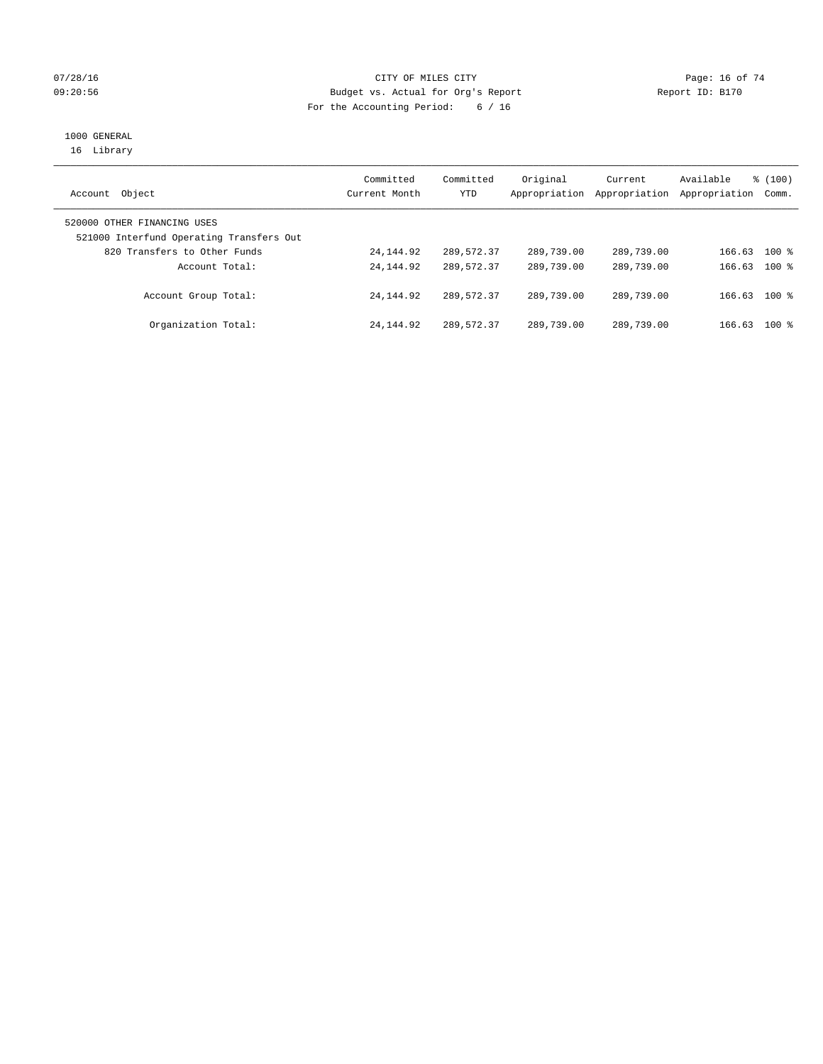## $07/28/16$  Page: 16 of 74 09:20:56 Budget vs. Actual for Org's Report Report ID: B170 For the Accounting Period: 6 / 16

# 1000 GENERAL

16 Library

| Object<br>Account                                                       | Committed<br>Current Month | Committed<br>YTD | Original<br>Appropriation | Current<br>Appropriation | Available<br>Appropriation | % (100)<br>Comm. |  |
|-------------------------------------------------------------------------|----------------------------|------------------|---------------------------|--------------------------|----------------------------|------------------|--|
| 520000 OTHER FINANCING USES<br>521000 Interfund Operating Transfers Out |                            |                  |                           |                          |                            |                  |  |
| 820 Transfers to Other Funds                                            | 24, 144, 92                | 289,572.37       | 289,739.00                | 289,739.00               | 166.63                     | $100*$           |  |
| Account Total:                                                          | 24, 144, 92                | 289,572.37       | 289,739.00                | 289,739.00               | 166.63                     | $100*$           |  |
| Account Group Total:                                                    | 24, 144, 92                | 289,572.37       | 289,739.00                | 289,739.00               | 166.63                     | $100$ %          |  |
| Organization Total:                                                     | 24, 144, 92                | 289,572.37       | 289,739.00                | 289,739.00               | 166.63                     | 100 %            |  |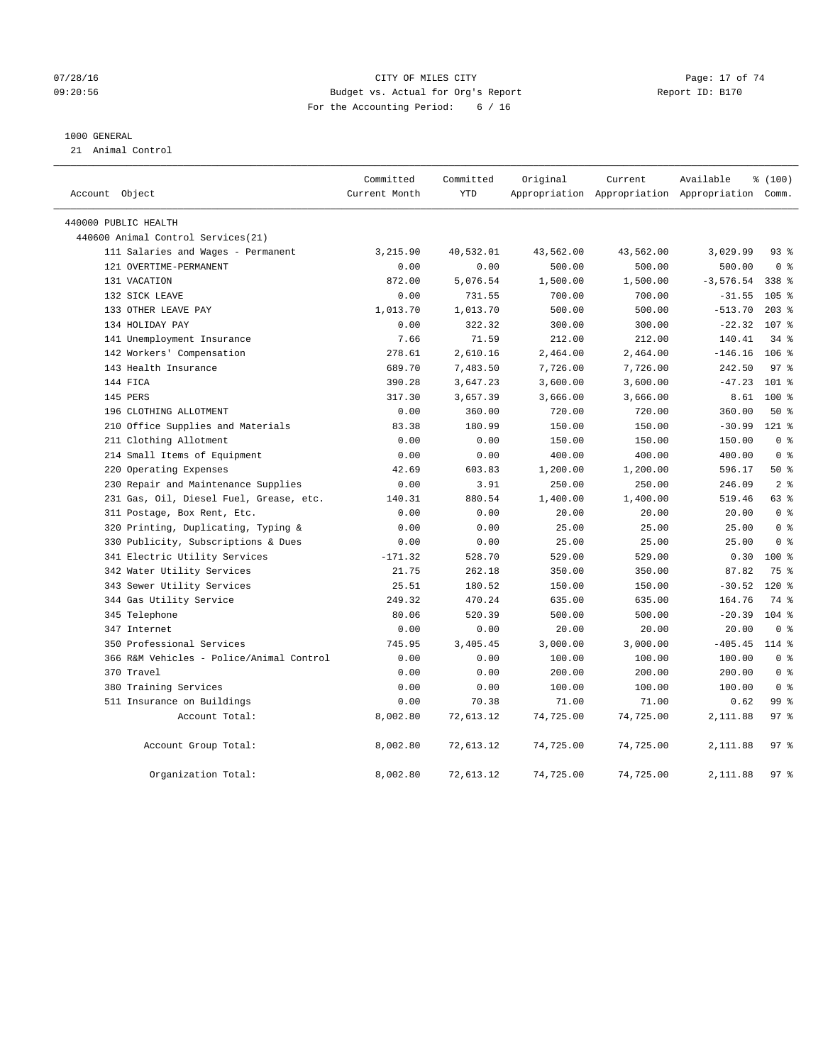## $07/28/16$  Page: 17 of 74 09:20:56 Budget vs. Actual for Org's Report Report ID: B170 For the Accounting Period: 6 / 16

#### 1000 GENERAL

21 Animal Control

| Account Object |                                          | Committed<br>Current Month | Committed<br><b>YTD</b> | Original  | Current   | Available<br>Appropriation Appropriation Appropriation Comm. | % (100)          |  |
|----------------|------------------------------------------|----------------------------|-------------------------|-----------|-----------|--------------------------------------------------------------|------------------|--|
|                | 440000 PUBLIC HEALTH                     |                            |                         |           |           |                                                              |                  |  |
|                | 440600 Animal Control Services (21)      |                            |                         |           |           |                                                              |                  |  |
|                | 111 Salaries and Wages - Permanent       | 3,215.90                   | 40,532.01               | 43,562.00 | 43,562.00 | 3,029.99                                                     | $93$ $%$         |  |
|                | 121 OVERTIME-PERMANENT                   | 0.00                       | 0.00                    | 500.00    | 500.00    | 500.00                                                       | 0 <sup>8</sup>   |  |
|                | 131 VACATION                             | 872.00                     | 5,076.54                | 1,500.00  | 1,500.00  | $-3,576.54$                                                  | 338 %            |  |
|                | 132 SICK LEAVE                           | 0.00                       | 731.55                  | 700.00    | 700.00    | $-31.55$                                                     | 105 <sub>8</sub> |  |
|                | 133 OTHER LEAVE PAY                      | 1,013.70                   | 1,013.70                | 500.00    | 500.00    | $-513.70$                                                    | $203$ %          |  |
|                | 134 HOLIDAY PAY                          | 0.00                       | 322.32                  | 300.00    | 300.00    | $-22.32$                                                     | 107 %            |  |
|                | 141 Unemployment Insurance               | 7.66                       | 71.59                   | 212.00    | 212.00    | 140.41                                                       | 34.8             |  |
|                | 142 Workers' Compensation                | 278.61                     | 2,610.16                | 2,464.00  | 2,464.00  | $-146.16$                                                    | $106$ %          |  |
|                | 143 Health Insurance                     | 689.70                     | 7,483.50                | 7,726.00  | 7,726.00  | 242.50                                                       | 97 <sub>8</sub>  |  |
|                | 144 FICA                                 | 390.28                     | 3,647.23                | 3,600.00  | 3,600.00  | $-47.23$                                                     | $101$ %          |  |
|                | 145 PERS                                 | 317.30                     | 3,657.39                | 3,666.00  | 3,666.00  | 8.61                                                         | $100*$           |  |
|                | 196 CLOTHING ALLOTMENT                   | 0.00                       | 360.00                  | 720.00    | 720.00    | 360.00                                                       | 50%              |  |
|                | 210 Office Supplies and Materials        | 83.38                      | 180.99                  | 150.00    | 150.00    | $-30.99$                                                     | $121$ %          |  |
|                | 211 Clothing Allotment                   | 0.00                       | 0.00                    | 150.00    | 150.00    | 150.00                                                       | 0 <sup>8</sup>   |  |
|                | 214 Small Items of Equipment             | 0.00                       | 0.00                    | 400.00    | 400.00    | 400.00                                                       | 0 <sup>8</sup>   |  |
|                | 220 Operating Expenses                   | 42.69                      | 603.83                  | 1,200.00  | 1,200.00  | 596.17                                                       | 50%              |  |
|                | 230 Repair and Maintenance Supplies      | 0.00                       | 3.91                    | 250.00    | 250.00    | 246.09                                                       | 2 <sup>8</sup>   |  |
|                | 231 Gas, Oil, Diesel Fuel, Grease, etc.  | 140.31                     | 880.54                  | 1,400.00  | 1,400.00  | 519.46                                                       | 63 %             |  |
|                | 311 Postage, Box Rent, Etc.              | 0.00                       | 0.00                    | 20.00     | 20.00     | 20.00                                                        | 0 <sup>8</sup>   |  |
|                | 320 Printing, Duplicating, Typing &      | 0.00                       | 0.00                    | 25.00     | 25.00     | 25.00                                                        | 0 <sup>8</sup>   |  |
|                | 330 Publicity, Subscriptions & Dues      | 0.00                       | 0.00                    | 25.00     | 25.00     | 25.00                                                        | 0 <sup>8</sup>   |  |
|                | 341 Electric Utility Services            | $-171.32$                  | 528.70                  | 529.00    | 529.00    | 0.30                                                         | 100 %            |  |
|                | 342 Water Utility Services               | 21.75                      | 262.18                  | 350.00    | 350.00    | 87.82                                                        | 75 %             |  |
|                | 343 Sewer Utility Services               | 25.51                      | 180.52                  | 150.00    | 150.00    | $-30.52$                                                     | $120*$           |  |
|                | 344 Gas Utility Service                  | 249.32                     | 470.24                  | 635.00    | 635.00    | 164.76                                                       | 74 %             |  |
|                | 345 Telephone                            | 80.06                      | 520.39                  | 500.00    | 500.00    | $-20.39$                                                     | $104$ %          |  |
|                | 347 Internet                             | 0.00                       | 0.00                    | 20.00     | 20.00     | 20.00                                                        | 0 <sup>8</sup>   |  |
|                | 350 Professional Services                | 745.95                     | 3,405.45                | 3,000.00  | 3,000.00  | $-405.45$                                                    | $114$ %          |  |
|                | 366 R&M Vehicles - Police/Animal Control | 0.00                       | 0.00                    | 100.00    | 100.00    | 100.00                                                       | 0 <sup>8</sup>   |  |
|                | 370 Travel                               | 0.00                       | 0.00                    | 200.00    | 200.00    | 200.00                                                       | 0 <sup>8</sup>   |  |
|                | 380 Training Services                    | 0.00                       | 0.00                    | 100.00    | 100.00    | 100.00                                                       | 0 <sup>8</sup>   |  |
|                | 511 Insurance on Buildings               | 0.00                       | 70.38                   | 71.00     | 71.00     | 0.62                                                         | 99 <sup>8</sup>  |  |
|                | Account Total:                           | 8,002.80                   | 72,613.12               | 74,725.00 | 74,725.00 | 2,111.88                                                     | 97%              |  |
|                | Account Group Total:                     | 8,002.80                   | 72,613.12               | 74,725.00 | 74,725.00 | 2,111.88                                                     | 97%              |  |
|                | Organization Total:                      | 8,002.80                   | 72,613.12               | 74,725.00 | 74,725.00 | 2,111.88                                                     | 97%              |  |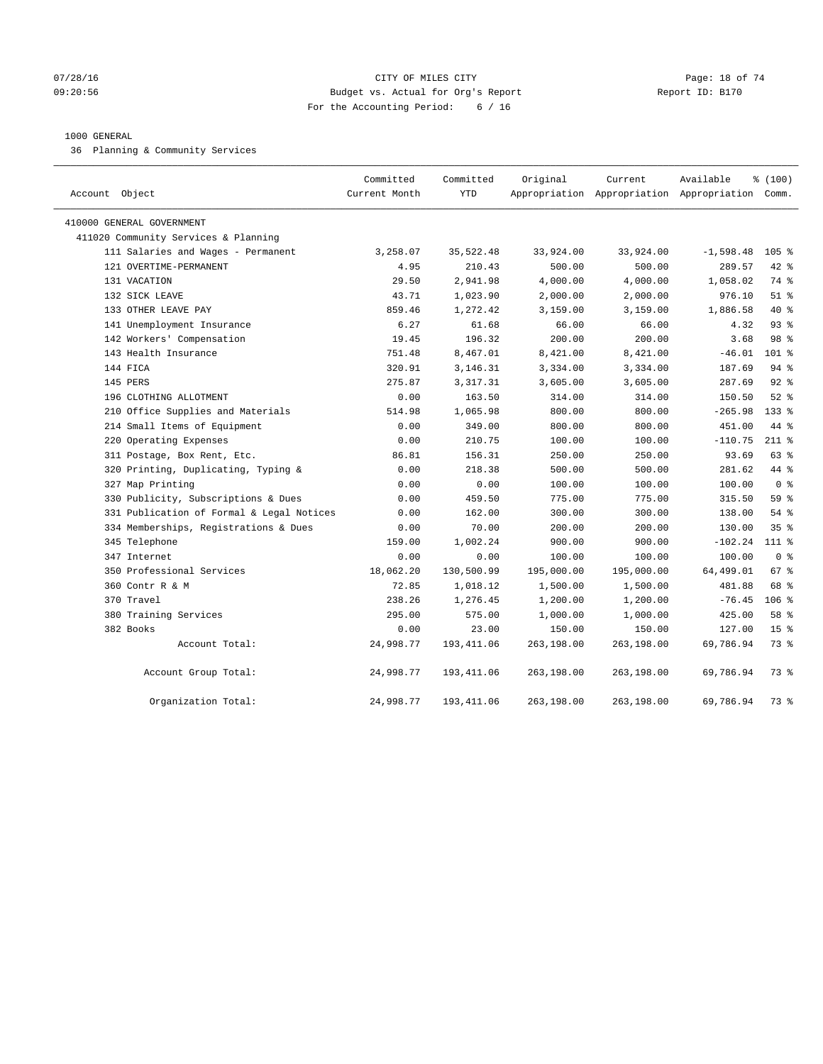## $07/28/16$  Page: 18 of 74 09:20:56 Budget vs. Actual for Org's Report Report ID: B170 For the Accounting Period: 6 / 16

#### 1000 GENERAL

36 Planning & Community Services

| Account Object                            | Committed<br>Current Month | Committed<br><b>YTD</b> | Original   | Current    | Available<br>Appropriation Appropriation Appropriation Comm. | % (100)         |
|-------------------------------------------|----------------------------|-------------------------|------------|------------|--------------------------------------------------------------|-----------------|
| 410000 GENERAL GOVERNMENT                 |                            |                         |            |            |                                                              |                 |
| 411020 Community Services & Planning      |                            |                         |            |            |                                                              |                 |
| 111 Salaries and Wages - Permanent        | 3,258.07                   | 35,522.48               | 33,924.00  | 33,924.00  | $-1,598.48$                                                  | $105$ %         |
| 121 OVERTIME-PERMANENT                    | 4.95                       | 210.43                  | 500.00     | 500.00     | 289.57                                                       | $42$ %          |
| 131 VACATION                              | 29.50                      | 2,941.98                | 4,000.00   | 4,000.00   | 1,058.02                                                     | 74 %            |
| 132 SICK LEAVE                            | 43.71                      | 1,023.90                | 2,000.00   | 2,000.00   | 976.10                                                       | $51$ %          |
| 133 OTHER LEAVE PAY                       | 859.46                     | 1,272.42                | 3,159.00   | 3,159.00   | 1,886.58                                                     | 40 %            |
| 141 Unemployment Insurance                | 6.27                       | 61.68                   | 66.00      | 66.00      | 4.32                                                         | 93%             |
| 142 Workers' Compensation                 | 19.45                      | 196.32                  | 200.00     | 200.00     | 3.68                                                         | 98 <sup>8</sup> |
| 143 Health Insurance                      | 751.48                     | 8,467.01                | 8,421.00   | 8,421.00   | $-46.01$                                                     | $101$ %         |
| 144 FICA                                  | 320.91                     | 3,146.31                | 3,334.00   | 3,334.00   | 187.69                                                       | 94%             |
| 145 PERS                                  | 275.87                     | 3, 317. 31              | 3,605.00   | 3,605.00   | 287.69                                                       | $92$ $%$        |
| 196 CLOTHING ALLOTMENT                    | 0.00                       | 163.50                  | 314.00     | 314.00     | 150.50                                                       | $52$ $%$        |
| 210 Office Supplies and Materials         | 514.98                     | 1,065.98                | 800.00     | 800.00     | $-265.98$                                                    | $133$ $%$       |
| 214 Small Items of Equipment              | 0.00                       | 349.00                  | 800.00     | 800.00     | 451.00                                                       | 44 %            |
| 220 Operating Expenses                    | 0.00                       | 210.75                  | 100.00     | 100.00     | $-110.75$                                                    | $211$ %         |
| 311 Postage, Box Rent, Etc.               | 86.81                      | 156.31                  | 250.00     | 250.00     | 93.69                                                        | 63 %            |
| 320 Printing, Duplicating, Typing &       | 0.00                       | 218.38                  | 500.00     | 500.00     | 281.62                                                       | 44 %            |
| 327 Map Printing                          | 0.00                       | 0.00                    | 100.00     | 100.00     | 100.00                                                       | 0 <sup>8</sup>  |
| 330 Publicity, Subscriptions & Dues       | 0.00                       | 459.50                  | 775.00     | 775.00     | 315.50                                                       | 59 %            |
| 331 Publication of Formal & Legal Notices | 0.00                       | 162.00                  | 300.00     | 300.00     | 138.00                                                       | 54 %            |
| 334 Memberships, Registrations & Dues     | 0.00                       | 70.00                   | 200.00     | 200.00     | 130.00                                                       | 35 <sup>8</sup> |
| 345 Telephone                             | 159.00                     | 1,002.24                | 900.00     | 900.00     | $-102.24$                                                    | $111*$          |
| 347 Internet                              | 0.00                       | 0.00                    | 100.00     | 100.00     | 100.00                                                       | 0 <sup>8</sup>  |
| 350 Professional Services                 | 18,062.20                  | 130,500.99              | 195,000.00 | 195,000.00 | 64,499.01                                                    | 67 %            |
| 360 Contr R & M                           | 72.85                      | 1,018.12                | 1,500.00   | 1,500.00   | 481.88                                                       | 68 %            |
| 370 Travel                                | 238.26                     | 1,276.45                | 1,200.00   | 1,200.00   | $-76.45$                                                     | $106$ %         |
| 380 Training Services                     | 295.00                     | 575.00                  | 1,000.00   | 1,000.00   | 425.00                                                       | 58 %            |
| 382 Books                                 | 0.00                       | 23.00                   | 150.00     | 150.00     | 127.00                                                       | 15 <sup>°</sup> |
| Account Total:                            | 24,998.77                  | 193, 411.06             | 263,198.00 | 263,198.00 | 69,786.94                                                    | 73 %            |
| Account Group Total:                      | 24,998.77                  | 193, 411.06             | 263,198.00 | 263,198.00 | 69,786.94                                                    | 73 %            |
| Organization Total:                       | 24,998.77                  | 193, 411.06             | 263,198.00 | 263,198.00 | 69,786.94                                                    | 73 %            |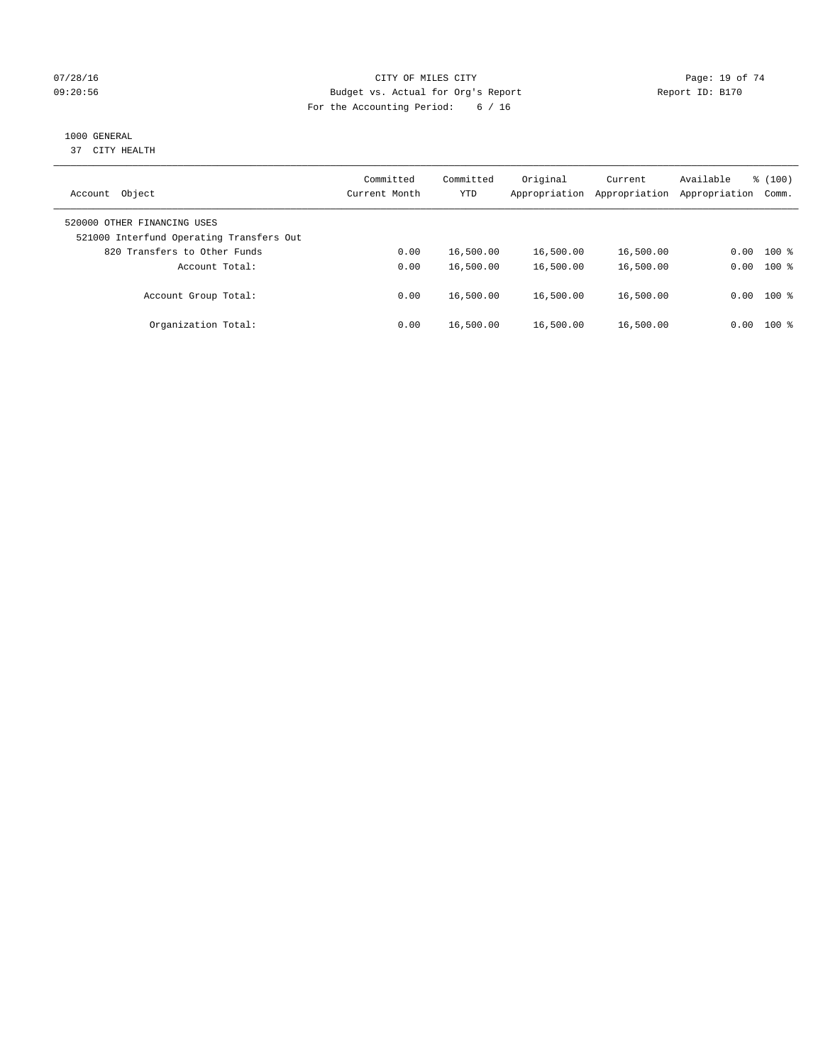## $O7/28/16$  Page: 19 of 74 09:20:56 Budget vs. Actual for Org's Report Report ID: B170 For the Accounting Period: 6 / 16

# 1000 GENERAL

37 CITY HEALTH

| Object<br>Account                                                       | Committed<br>Current Month | Committed<br><b>YTD</b> | Original<br>Appropriation | Current<br>Appropriation | Available<br>Appropriation | % (100)<br>Comm. |
|-------------------------------------------------------------------------|----------------------------|-------------------------|---------------------------|--------------------------|----------------------------|------------------|
| 520000 OTHER FINANCING USES<br>521000 Interfund Operating Transfers Out |                            |                         |                           |                          |                            |                  |
| 820 Transfers to Other Funds                                            | 0.00                       | 16,500.00               | 16,500.00                 | 16,500.00                | 0.00                       | $100$ %          |
| Account Total:                                                          | 0.00                       | 16,500.00               | 16,500.00                 | 16,500.00                | 0.00                       | $100$ %          |
| Account Group Total:                                                    | 0.00                       | 16,500.00               | 16,500.00                 | 16,500.00                |                            | $0.00$ 100 %     |
| Organization Total:                                                     | 0.00                       | 16,500.00               | 16,500.00                 | 16,500.00                | 0.00                       | $100$ %          |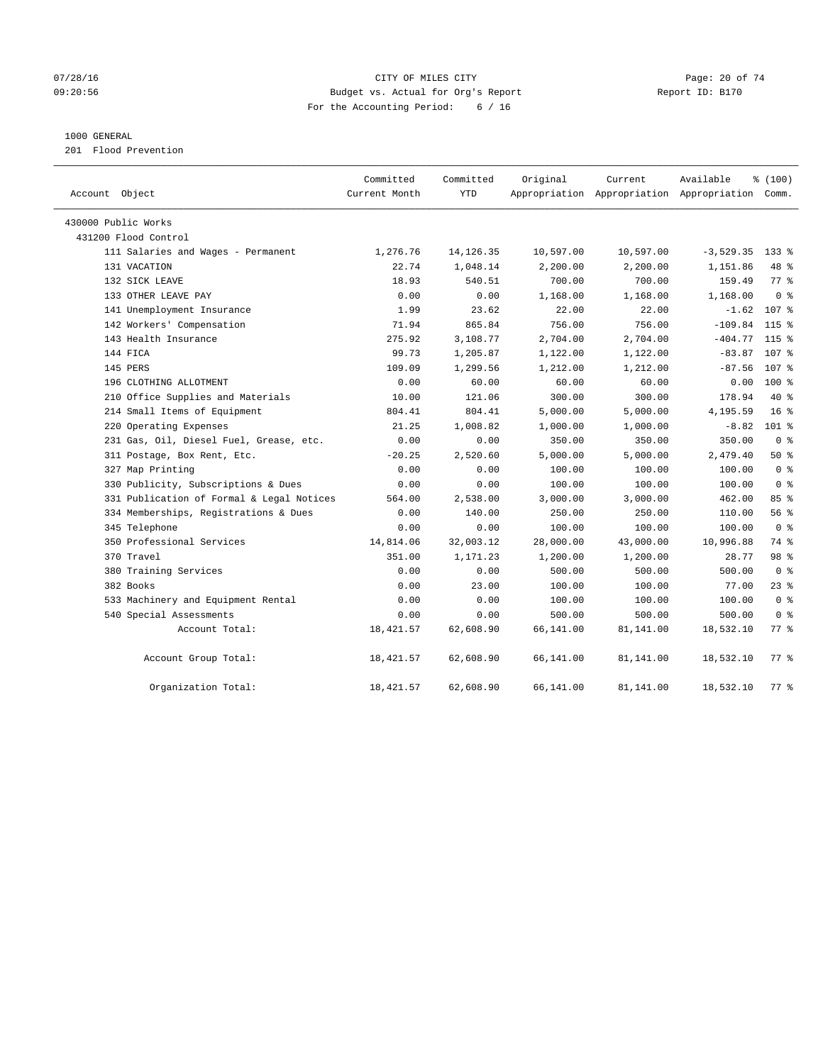## $O7/28/16$  Page: 20 of 74 09:20:56 Budget vs. Actual for Org's Report Report ID: B170 For the Accounting Period: 6 / 16

## 1000 GENERAL

201 Flood Prevention

| Account Object                            | Committed<br>Current Month | Committed<br><b>YTD</b> | Original  | Current<br>Appropriation Appropriation Appropriation Comm. | Available   | % (100)            |
|-------------------------------------------|----------------------------|-------------------------|-----------|------------------------------------------------------------|-------------|--------------------|
| 430000 Public Works                       |                            |                         |           |                                                            |             |                    |
| 431200 Flood Control                      |                            |                         |           |                                                            |             |                    |
| 111 Salaries and Wages - Permanent        | 1,276.76                   | 14, 126.35              | 10,597.00 | 10,597.00                                                  | $-3,529.35$ | $133$ $%$          |
| 131 VACATION                              | 22.74                      | 1,048.14                | 2,200.00  | 2,200.00                                                   | 1,151.86    | 48 %               |
| 132 SICK LEAVE                            | 18.93                      | 540.51                  | 700.00    | 700.00                                                     | 159.49      | 77.8               |
| 133 OTHER LEAVE PAY                       | 0.00                       | 0.00                    | 1,168.00  | 1,168.00                                                   | 1,168.00    | 0 <sup>8</sup>     |
| 141 Unemployment Insurance                | 1.99                       | 23.62                   | 22.00     | 22.00                                                      |             | $-1.62$ 107 %      |
| 142 Workers' Compensation                 | 71.94                      | 865.84                  | 756.00    | 756.00                                                     | $-109.84$   | $115$ %            |
| 143 Health Insurance                      | 275.92                     | 3,108.77                | 2,704.00  | 2,704.00                                                   | $-404.77$   | $115$ %            |
| 144 FICA                                  | 99.73                      | 1,205.87                | 1,122.00  | 1,122.00                                                   | $-83.87$    | 107 %              |
| 145 PERS                                  | 109.09                     | 1,299.56                | 1,212.00  | 1,212.00                                                   | $-87.56$    | 107 %              |
| 196 CLOTHING ALLOTMENT                    | 0.00                       | 60.00                   | 60.00     | 60.00                                                      | 0.00        | 100 %              |
| 210 Office Supplies and Materials         | 10.00                      | 121.06                  | 300.00    | 300.00                                                     | 178.94      | 40 %               |
| 214 Small Items of Equipment              | 804.41                     | 804.41                  | 5,000.00  | 5,000.00                                                   | 4,195.59    | 16 <sup>8</sup>    |
| 220 Operating Expenses                    | 21.25                      | 1,008.82                | 1,000.00  | 1,000.00                                                   | $-8.82$     | $101$ %            |
| 231 Gas, Oil, Diesel Fuel, Grease, etc.   | 0.00                       | 0.00                    | 350.00    | 350.00                                                     | 350.00      | 0 <sup>8</sup>     |
| 311 Postage, Box Rent, Etc.               | $-20.25$                   | 2,520.60                | 5,000.00  | 5,000.00                                                   | 2,479.40    | 50%                |
| 327 Map Printing                          | 0.00                       | 0.00                    | 100.00    | 100.00                                                     | 100.00      | 0 <sup>8</sup>     |
| 330 Publicity, Subscriptions & Dues       | 0.00                       | 0.00                    | 100.00    | 100.00                                                     | 100.00      | 0 <sup>8</sup>     |
| 331 Publication of Formal & Legal Notices | 564.00                     | 2,538.00                | 3,000.00  | 3,000.00                                                   | 462.00      | 85%                |
| 334 Memberships, Registrations & Dues     | 0.00                       | 140.00                  | 250.00    | 250.00                                                     | 110.00      | 56%                |
| 345 Telephone                             | 0.00                       | 0.00                    | 100.00    | 100.00                                                     | 100.00      | 0 <sup>8</sup>     |
| 350 Professional Services                 | 14,814.06                  | 32,003.12               | 28,000.00 | 43,000.00                                                  | 10,996.88   | 74 %               |
| 370 Travel                                | 351.00                     | 1,171.23                | 1,200.00  | 1,200.00                                                   | 28.77       | 98 %               |
| 380 Training Services                     | 0.00                       | 0.00                    | 500.00    | 500.00                                                     | 500.00      | 0 <sup>8</sup>     |
| 382 Books                                 | 0.00                       | 23.00                   | 100.00    | 100.00                                                     | 77.00       | $23$ $%$           |
| 533 Machinery and Equipment Rental        | 0.00                       | 0.00                    | 100.00    | 100.00                                                     | 100.00      | 0 <sup>8</sup>     |
| 540 Special Assessments                   | 0.00                       | 0.00                    | 500.00    | 500.00                                                     | 500.00      | 0 <sup>8</sup>     |
| Account Total:                            | 18,421.57                  | 62,608.90               | 66,141.00 | 81,141.00                                                  | 18,532.10   | $77$ $\frac{6}{9}$ |
| Account Group Total:                      | 18,421.57                  | 62,608.90               | 66,141.00 | 81,141.00                                                  | 18,532.10   | 77.8               |
| Organization Total:                       | 18, 421.57                 | 62,608.90               | 66,141.00 | 81,141.00                                                  | 18,532.10   | 77.8               |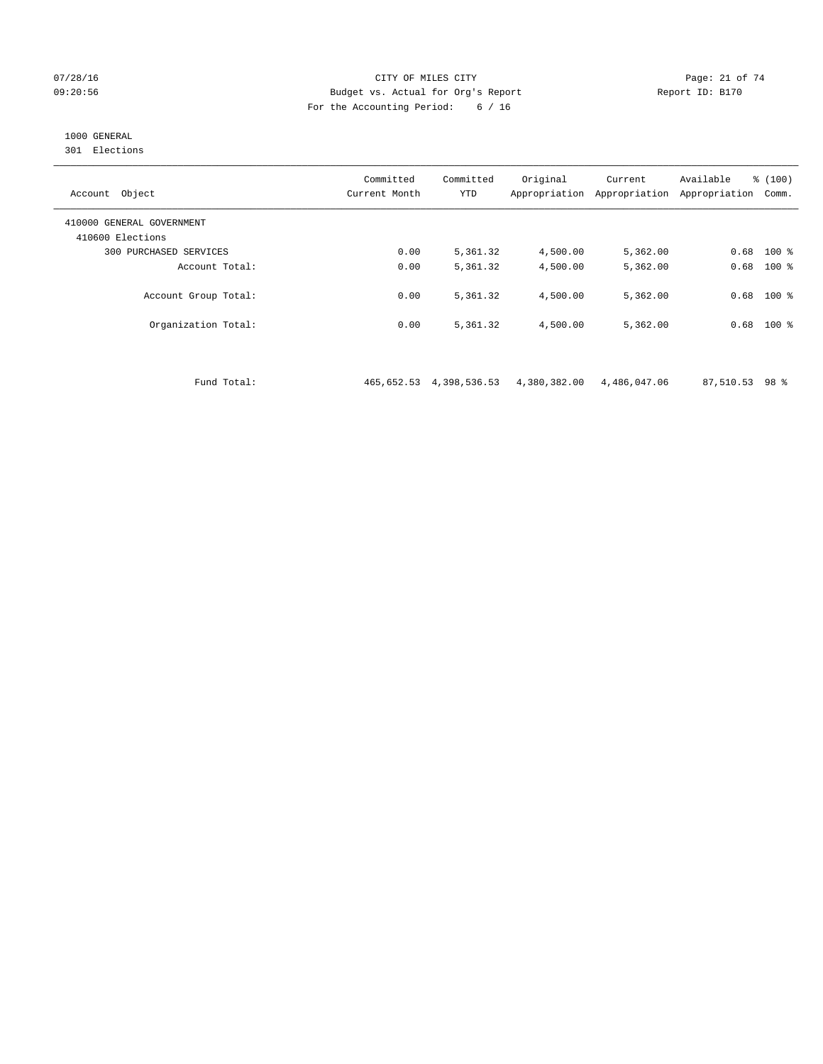#### 07/28/16 Page: 21 of 74 09:20:56 Budget vs. Actual for Org's Report Report ID: B170 For the Accounting Period: 6 / 16

# 1000 GENERAL

301 Elections

| Object<br>Account                             | Committed<br>Current Month | Committed<br><b>YTD</b> | Original<br>Appropriation | Current<br>Appropriation | Available<br>Appropriation | % (100)<br>Comm. |
|-----------------------------------------------|----------------------------|-------------------------|---------------------------|--------------------------|----------------------------|------------------|
| 410000 GENERAL GOVERNMENT<br>410600 Elections |                            |                         |                           |                          |                            |                  |
| 300 PURCHASED SERVICES                        | 0.00                       | 5,361.32                | 4,500.00                  | 5,362.00                 |                            | $0.68$ 100 %     |
| Account Total:                                | 0.00                       | 5,361.32                | 4,500.00                  | 5,362.00                 | 0.68                       | $100$ %          |
| Account Group Total:                          | 0.00                       | 5,361.32                | 4,500.00                  | 5,362.00                 | 0.68                       | $100$ %          |
| Organization Total:                           | 0.00                       | 5,361.32                | 4,500.00                  | 5,362.00                 | 0.68                       | $100*$           |

Fund Total: 465,652.53 4,398,536.53 4,380,382.00 4,486,047.06 87,510.53 98 %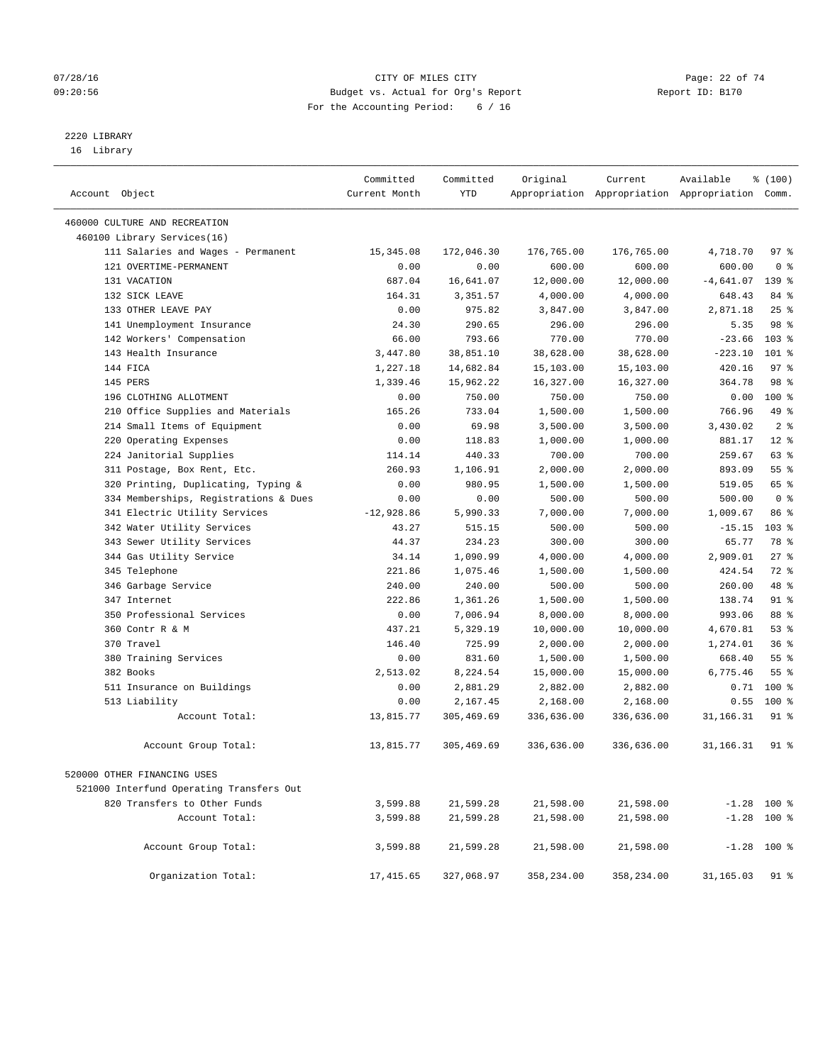## $O7/28/16$  Page: 22 of 74 09:20:56 Budget vs. Actual for Org's Report Report ID: B170 For the Accounting Period: 6 / 16

# 2220 LIBRARY

16 Library

| Account Object                           | Committed<br>Current Month | Committed<br><b>YTD</b> | Original   | Current    | Available<br>Appropriation Appropriation Appropriation Comm. | % (100)          |  |
|------------------------------------------|----------------------------|-------------------------|------------|------------|--------------------------------------------------------------|------------------|--|
| 460000 CULTURE AND RECREATION            |                            |                         |            |            |                                                              |                  |  |
| 460100 Library Services(16)              |                            |                         |            |            |                                                              |                  |  |
| 111 Salaries and Wages - Permanent       | 15, 345.08                 | 172,046.30              | 176,765.00 | 176,765.00 | 4,718.70                                                     | 97%              |  |
| 121 OVERTIME-PERMANENT                   | 0.00                       | 0.00                    | 600.00     | 600.00     | 600.00                                                       | 0 <sup>8</sup>   |  |
| 131 VACATION                             | 687.04                     | 16,641.07               | 12,000.00  | 12,000.00  | $-4,641.07$                                                  | 139 %            |  |
| 132 STCK LEAVE                           | 164.31                     | 3,351.57                | 4,000.00   | 4,000.00   | 648.43                                                       | 84 %             |  |
| 133 OTHER LEAVE PAY                      | 0.00                       | 975.82                  | 3,847.00   | 3,847.00   | 2,871.18                                                     | 25%              |  |
| 141 Unemployment Insurance               | 24.30                      | 290.65                  | 296.00     | 296.00     | 5.35                                                         | 98 %             |  |
| 142 Workers' Compensation                | 66.00                      | 793.66                  | 770.00     | 770.00     | $-23.66$                                                     | $103$ %          |  |
| 143 Health Insurance                     | 3,447.80                   | 38,851.10               | 38,628.00  | 38,628.00  | $-223.10$                                                    | $101$ %          |  |
| 144 FICA                                 | 1,227.18                   | 14,682.84               | 15,103.00  | 15,103.00  | 420.16                                                       | 97 <sub>8</sub>  |  |
| 145 PERS                                 | 1,339.46                   | 15,962.22               | 16,327.00  | 16,327.00  | 364.78                                                       | 98 %             |  |
| 196 CLOTHING ALLOTMENT                   | 0.00                       | 750.00                  | 750.00     | 750.00     | 0.00                                                         | 100 %            |  |
| 210 Office Supplies and Materials        | 165.26                     | 733.04                  | 1,500.00   | 1,500.00   | 766.96                                                       | 49 %             |  |
| 214 Small Items of Equipment             | 0.00                       | 69.98                   | 3,500.00   | 3,500.00   | 3,430.02                                                     | 2 <sup>8</sup>   |  |
| 220 Operating Expenses                   | 0.00                       | 118.83                  | 1,000.00   | 1,000.00   | 881.17                                                       | $12*$            |  |
| 224 Janitorial Supplies                  | 114.14                     | 440.33                  | 700.00     | 700.00     | 259.67                                                       | 63%              |  |
| 311 Postage, Box Rent, Etc.              | 260.93                     | 1,106.91                | 2,000.00   | 2,000.00   | 893.09                                                       | 55%              |  |
| 320 Printing, Duplicating, Typing &      | 0.00                       | 980.95                  | 1,500.00   | 1,500.00   | 519.05                                                       | 65 %             |  |
| 334 Memberships, Registrations & Dues    | 0.00                       | 0.00                    | 500.00     | 500.00     | 500.00                                                       | 0 <sup>8</sup>   |  |
| 341 Electric Utility Services            | $-12,928.86$               | 5,990.33                | 7,000.00   | 7,000.00   | 1,009.67                                                     | 86 %             |  |
| 342 Water Utility Services               | 43.27                      | 515.15                  | 500.00     | 500.00     | $-15.15$                                                     | 103 <sub>8</sub> |  |
| 343 Sewer Utility Services               | 44.37                      | 234.23                  | 300.00     | 300.00     | 65.77                                                        | 78 %             |  |
| 344 Gas Utility Service                  | 34.14                      | 1,090.99                | 4,000.00   | 4,000.00   | 2,909.01                                                     | 27%              |  |
| 345 Telephone                            | 221.86                     | 1,075.46                | 1,500.00   | 1,500.00   | 424.54                                                       | 72 %             |  |
| 346 Garbage Service                      | 240.00                     | 240.00                  | 500.00     | 500.00     | 260.00                                                       | 48 %             |  |
| 347 Internet                             | 222.86                     | 1,361.26                | 1,500.00   | 1,500.00   | 138.74                                                       | 91 %             |  |
| 350 Professional Services                | 0.00                       | 7,006.94                | 8,000.00   | 8,000.00   | 993.06                                                       | 88 %             |  |
| 360 Contr R & M                          | 437.21                     | 5,329.19                | 10,000.00  | 10,000.00  | 4,670.81                                                     | 53%              |  |
| 370 Travel                               | 146.40                     | 725.99                  | 2,000.00   | 2,000.00   | 1,274.01                                                     | 36%              |  |
| 380 Training Services                    | 0.00                       | 831.60                  | 1,500.00   | 1,500.00   | 668.40                                                       | 55 <sup>8</sup>  |  |
| 382 Books                                | 2,513.02                   | 8,224.54                | 15,000.00  | 15,000.00  | 6,775.46                                                     | $55$ $%$         |  |
| 511 Insurance on Buildings               | 0.00                       | 2,881.29                | 2,882.00   | 2,882.00   | 0.71                                                         | 100 %            |  |
| 513 Liability                            | 0.00                       | 2,167.45                | 2,168.00   | 2,168.00   | 0.55                                                         | 100 %            |  |
| Account Total:                           | 13,815.77                  | 305,469.69              | 336,636.00 | 336,636.00 | 31,166.31                                                    | $91$ %           |  |
| Account Group Total:                     | 13,815.77                  | 305,469.69              | 336,636.00 | 336,636.00 | 31, 166. 31                                                  | $91$ %           |  |
| 520000 OTHER FINANCING USES              |                            |                         |            |            |                                                              |                  |  |
| 521000 Interfund Operating Transfers Out |                            |                         |            |            |                                                              |                  |  |
| 820 Transfers to Other Funds             | 3,599.88                   | 21,599.28               | 21,598.00  | 21,598.00  |                                                              | $-1.28$ 100 %    |  |
| Account Total:                           | 3,599.88                   | 21,599.28               | 21,598.00  | 21,598.00  |                                                              | $-1.28$ 100 %    |  |
| Account Group Total:                     | 3,599.88                   | 21,599.28               | 21,598.00  | 21,598.00  | $-1.28$ 100 %                                                |                  |  |
| Organization Total:                      | 17,415.65                  | 327,068.97              | 358,234.00 | 358,234.00 | 31,165.03                                                    | 91 %             |  |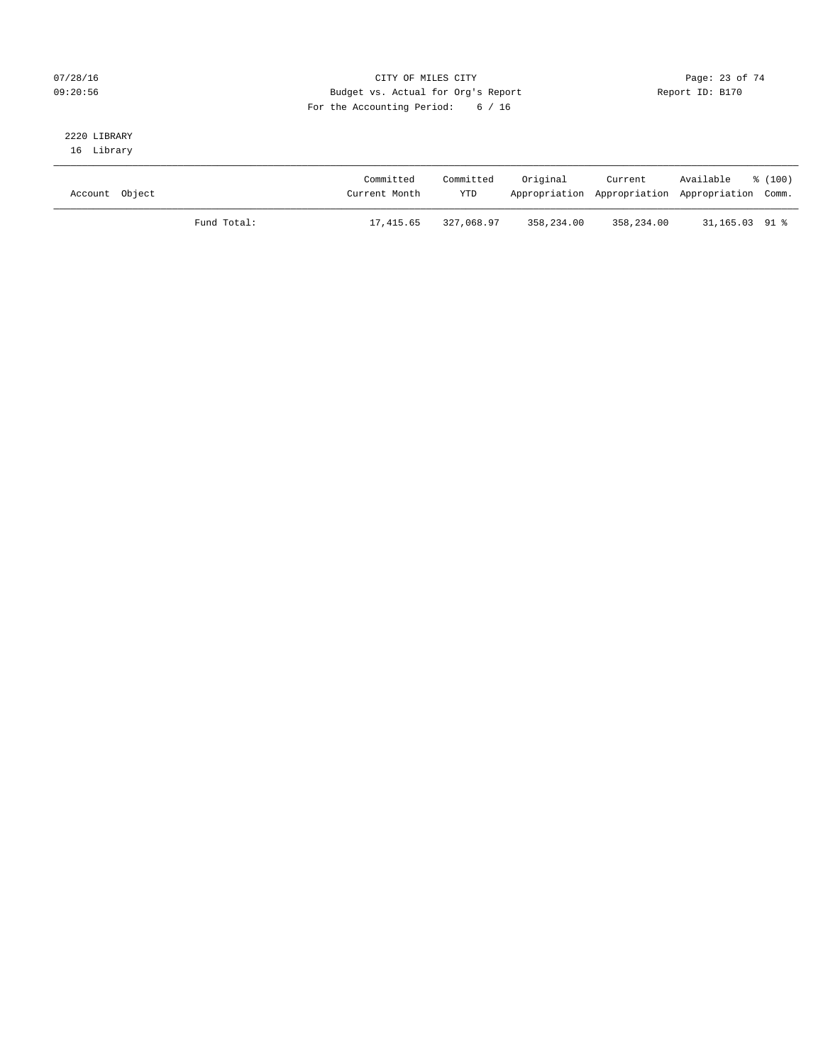## 07/28/16 Page: 23 of 74 09:20:56 Budget vs. Actual for Org's Report Report ID: B170 For the Accounting Period: 6 / 16

# 2220 LIBRARY

16 Library

| Account Object |             | Committed<br>Current Month | Committed<br><b>YTD</b> | Original   | Current<br>Appropriation Appropriation Appropriation Comm. | Available      | % (100) |
|----------------|-------------|----------------------------|-------------------------|------------|------------------------------------------------------------|----------------|---------|
|                | Fund Total: | 17,415.65                  | 327,068.97              | 358,234.00 | 358,234.00                                                 | 31,165.03 91 % |         |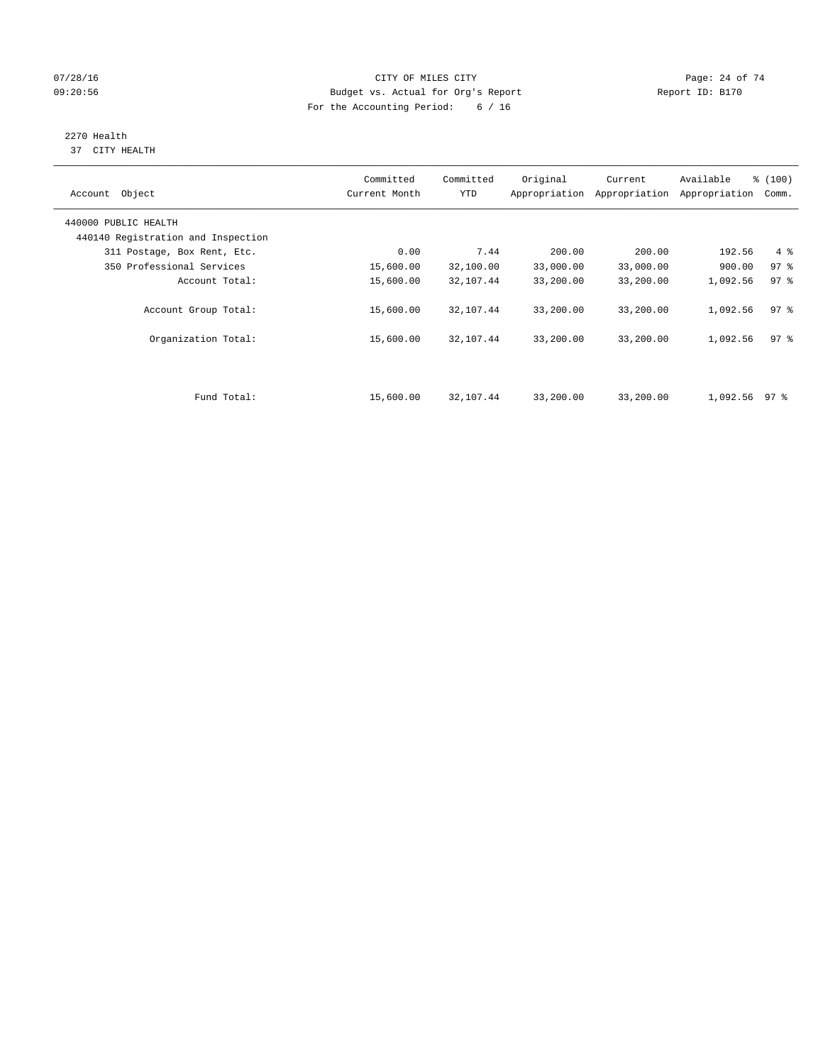## $O7/28/16$  Page: 24 of 74 09:20:56 Budget vs. Actual for Org's Report Report ID: B170 For the Accounting Period: 6 / 16

#### 2270 Health 37 CITY HEALTH

| Account Object                     | Committed<br>Current Month | Committed<br><b>YTD</b> | Original  | Current<br>Appropriation Appropriation | Available<br>Appropriation | % (100)<br>Comm. |
|------------------------------------|----------------------------|-------------------------|-----------|----------------------------------------|----------------------------|------------------|
| 440000 PUBLIC HEALTH               |                            |                         |           |                                        |                            |                  |
| 440140 Registration and Inspection |                            |                         |           |                                        |                            |                  |
| 311 Postage, Box Rent, Etc.        | 0.00                       | 7.44                    | 200.00    | 200.00                                 | 192.56                     | 4%               |
| 350 Professional Services          | 15,600.00                  | 32,100.00               | 33,000.00 | 33,000.00                              | 900.00                     | 97 <sup>8</sup>  |
| Account Total:                     | 15,600.00                  | 32,107.44               | 33,200.00 | 33,200.00                              | 1,092.56                   | 97.8             |
| Account Group Total:               | 15,600.00                  | 32,107.44               | 33,200.00 | 33,200.00                              | 1,092.56                   | 97.8             |
| Organization Total:                | 15,600.00                  | 32,107.44               | 33,200.00 | 33,200.00                              | 1,092.56                   | 97 <sub>8</sub>  |
|                                    |                            |                         |           |                                        |                            |                  |
| Fund Total:                        | 15,600.00                  | 32,107.44               | 33,200.00 | 33,200.00                              | 1,092.56 97 %              |                  |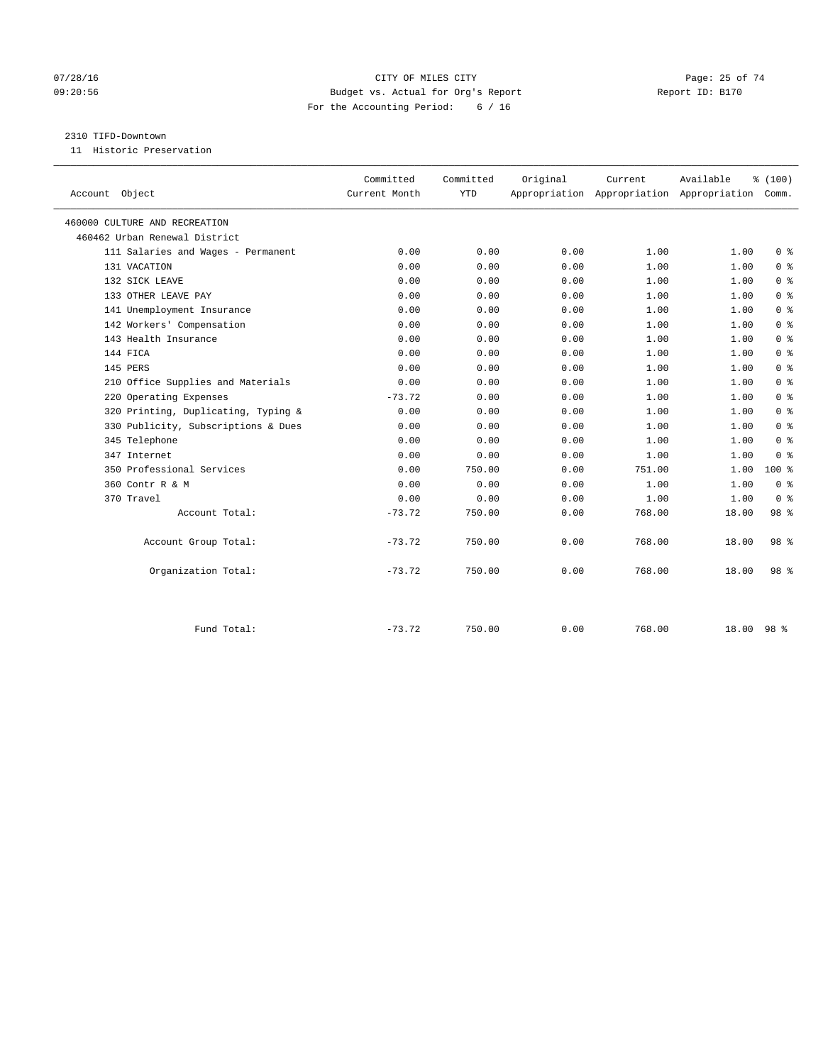## $O7/28/16$  Page: 25 of 74 09:20:56 Budget vs. Actual for Org's Report Report ID: B170 For the Accounting Period: 6 / 16

#### 2310 TIFD-Downtown

11 Historic Preservation

|                                     | Committed     | Committed  | Original | Current | Available                                       | % (100)         |  |
|-------------------------------------|---------------|------------|----------|---------|-------------------------------------------------|-----------------|--|
| Account Object                      | Current Month | <b>YTD</b> |          |         | Appropriation Appropriation Appropriation Comm. |                 |  |
| 460000 CULTURE AND RECREATION       |               |            |          |         |                                                 |                 |  |
| 460462 Urban Renewal District       |               |            |          |         |                                                 |                 |  |
| 111 Salaries and Wages - Permanent  | 0.00          | 0.00       | 0.00     | 1.00    | 1.00                                            | 0 <sup>8</sup>  |  |
| 131 VACATION                        | 0.00          | 0.00       | 0.00     | 1.00    | 1.00                                            | 0 <sup>8</sup>  |  |
| 132 SICK LEAVE                      | 0.00          | 0.00       | 0.00     | 1.00    | 1.00                                            | 0 <sup>8</sup>  |  |
| 133 OTHER LEAVE PAY                 | 0.00          | 0.00       | 0.00     | 1.00    | 1.00                                            | 0 <sup>8</sup>  |  |
| 141 Unemployment Insurance          | 0.00          | 0.00       | 0.00     | 1.00    | 1.00                                            | 0 <sup>8</sup>  |  |
| 142 Workers' Compensation           | 0.00          | 0.00       | 0.00     | 1.00    | 1.00                                            | 0 <sup>8</sup>  |  |
| 143 Health Insurance                | 0.00          | 0.00       | 0.00     | 1.00    | 1.00                                            | 0 <sup>8</sup>  |  |
| 144 FICA                            | 0.00          | 0.00       | 0.00     | 1.00    | 1.00                                            | 0 <sup>8</sup>  |  |
| 145 PERS                            | 0.00          | 0.00       | 0.00     | 1.00    | 1.00                                            | 0 <sup>8</sup>  |  |
| 210 Office Supplies and Materials   | 0.00          | 0.00       | 0.00     | 1.00    | 1.00                                            | 0 <sup>8</sup>  |  |
| 220 Operating Expenses              | $-73.72$      | 0.00       | 0.00     | 1.00    | 1.00                                            | 0 <sup>8</sup>  |  |
| 320 Printing, Duplicating, Typing & | 0.00          | 0.00       | 0.00     | 1.00    | 1.00                                            | 0 <sup>8</sup>  |  |
| 330 Publicity, Subscriptions & Dues | 0.00          | 0.00       | 0.00     | 1.00    | 1.00                                            | 0 <sup>8</sup>  |  |
| 345 Telephone                       | 0.00          | 0.00       | 0.00     | 1.00    | 1.00                                            | 0 <sup>8</sup>  |  |
| 347 Internet                        | 0.00          | 0.00       | 0.00     | 1.00    | 1.00                                            | 0 <sup>8</sup>  |  |
| 350 Professional Services           | 0.00          | 750.00     | 0.00     | 751.00  | 1.00                                            | $100*$          |  |
| 360 Contr R & M                     | 0.00          | 0.00       | 0.00     | 1.00    | 1.00                                            | 0 <sup>8</sup>  |  |
| 370 Travel                          | 0.00          | 0.00       | 0.00     | 1.00    | 1.00                                            | 0 <sup>8</sup>  |  |
| Account Total:                      | $-73.72$      | 750.00     | 0.00     | 768.00  | 18.00                                           | 98 %            |  |
| Account Group Total:                | $-73.72$      | 750.00     | 0.00     | 768.00  | 18.00                                           | 98 %            |  |
| Organization Total:                 | $-73.72$      | 750.00     | 0.00     | 768.00  | 18.00                                           | 98 <sup>8</sup> |  |
|                                     |               |            |          |         |                                                 |                 |  |
| Fund Total:                         | $-73.72$      | 750.00     | 0.00     | 768.00  | 18.00                                           | 98 <sup>8</sup> |  |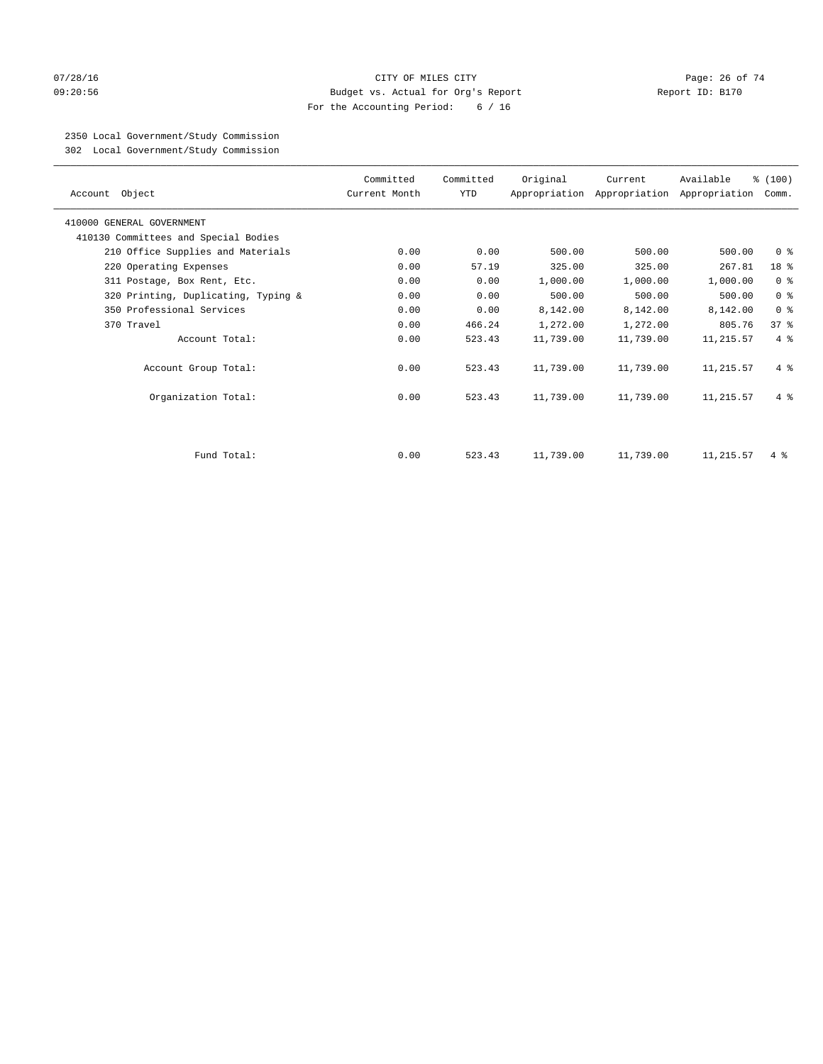#### $O7/28/16$  Page: 26 of 74 09:20:56 Budget vs. Actual for Org's Report Report ID: B170 For the Accounting Period: 6 / 16

# 2350 Local Government/Study Commission

302 Local Government/Study Commission

| Account Object                       | Committed<br>Current Month | Committed<br>YTD | Original  | Current   | Available<br>Appropriation Appropriation Appropriation | % (100)<br>Comm. |
|--------------------------------------|----------------------------|------------------|-----------|-----------|--------------------------------------------------------|------------------|
| 410000 GENERAL GOVERNMENT            |                            |                  |           |           |                                                        |                  |
| 410130 Committees and Special Bodies |                            |                  |           |           |                                                        |                  |
| 210 Office Supplies and Materials    | 0.00                       | 0.00             | 500.00    | 500.00    | 500.00                                                 | 0 <sup>8</sup>   |
| 220 Operating Expenses               | 0.00                       | 57.19            | 325.00    | 325.00    | 267.81                                                 | 18 %             |
| 311 Postage, Box Rent, Etc.          | 0.00                       | 0.00             | 1,000.00  | 1,000.00  | 1,000.00                                               | 0 <sup>8</sup>   |
| 320 Printing, Duplicating, Typing &  | 0.00                       | 0.00             | 500.00    | 500.00    | 500.00                                                 | 0 <sup>8</sup>   |
| 350 Professional Services            | 0.00                       | 0.00             | 8,142.00  | 8,142.00  | 8,142.00                                               | 0 <sup>8</sup>   |
| 370 Travel                           | 0.00                       | 466.24           | 1,272.00  | 1,272.00  | 805.76                                                 | 37%              |
| Account Total:                       | 0.00                       | 523.43           | 11,739.00 | 11,739.00 | 11,215.57                                              | $4\degree$       |
| Account Group Total:                 | 0.00                       | 523.43           | 11,739.00 | 11,739.00 | 11,215.57                                              | $4\degree$       |
| Organization Total:                  | 0.00                       | 523.43           | 11,739.00 | 11,739.00 | 11,215.57                                              | $4 \text{ }$     |
|                                      |                            |                  |           |           |                                                        |                  |
| Fund Total:                          | 0.00                       | 523.43           | 11,739.00 | 11,739.00 | 11, 215.57                                             | $4\degree$       |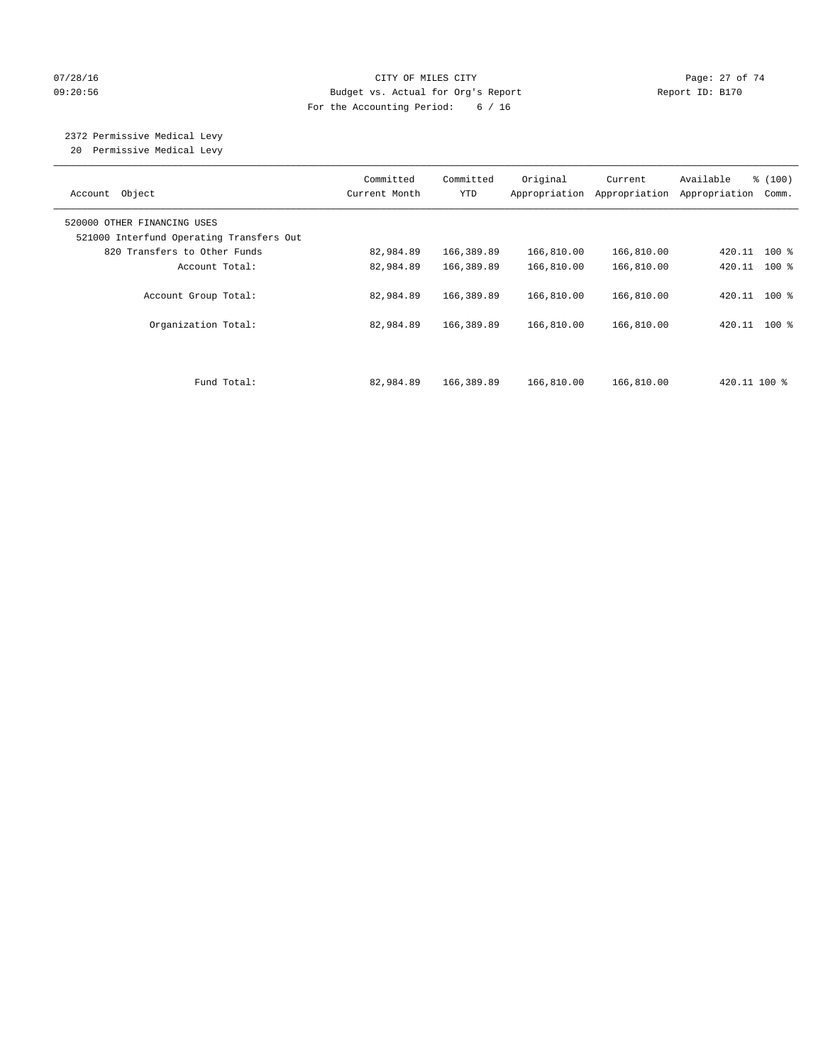## 07/28/16 Page: 27 of 74 09:20:56 Budget vs. Actual for Org's Report Report ID: B170 For the Accounting Period: 6 / 16

# 2372 Permissive Medical Levy

20 Permissive Medical Levy

| Account Object                                                          | Committed<br>Current Month | Committed<br><b>YTD</b> | Original<br>Appropriation | Current<br>Appropriation | % (100)<br>Available<br>Appropriation<br>Comm. |  |
|-------------------------------------------------------------------------|----------------------------|-------------------------|---------------------------|--------------------------|------------------------------------------------|--|
| 520000 OTHER FINANCING USES<br>521000 Interfund Operating Transfers Out |                            |                         |                           |                          |                                                |  |
| 820 Transfers to Other Funds                                            | 82,984.89                  | 166,389.89              | 166,810.00                | 166,810.00               | 420.11 100 %                                   |  |
| Account Total:                                                          | 82,984.89                  | 166,389.89              | 166,810.00                | 166,810.00               | 420.11 100 %                                   |  |
| Account Group Total:                                                    | 82,984.89                  | 166,389.89              | 166,810.00                | 166,810.00               | 420.11 100 %                                   |  |
| Organization Total:                                                     | 82,984.89                  | 166,389.89              | 166,810.00                | 166,810.00               | 420.11 100 %                                   |  |
|                                                                         |                            |                         |                           |                          |                                                |  |
| Fund Total:                                                             | 82,984.89                  | 166,389.89              | 166,810.00                | 166,810.00               | 420.11 100 %                                   |  |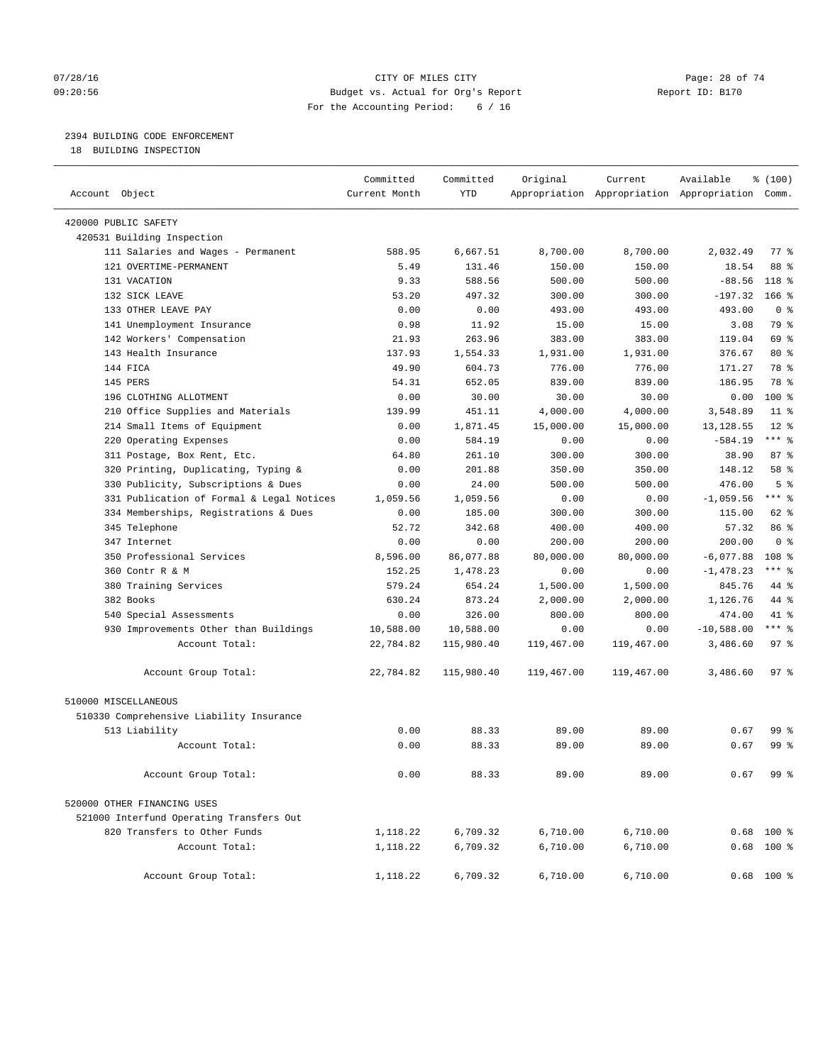#### $O7/28/16$  Page: 28 of 74 09:20:56 Budget vs. Actual for Org's Report Report ID: B170 For the Accounting Period: 6 / 16

————————————————————————————————————————————————————————————————————————————————————————————————————————————————————————————————————

## 2394 BUILDING CODE ENFORCEMENT

18 BUILDING INSPECTION

|                                           | Committed     | Committed  | Original   | Current    | Available                                       | % (100)            |  |
|-------------------------------------------|---------------|------------|------------|------------|-------------------------------------------------|--------------------|--|
| Account Object                            | Current Month | <b>YTD</b> |            |            | Appropriation Appropriation Appropriation Comm. |                    |  |
| 420000 PUBLIC SAFETY                      |               |            |            |            |                                                 |                    |  |
| 420531 Building Inspection                |               |            |            |            |                                                 |                    |  |
| 111 Salaries and Wages - Permanent        | 588.95        | 6,667.51   | 8,700.00   | 8,700.00   | 2,032.49                                        | $77$ $\frac{6}{9}$ |  |
| 121 OVERTIME-PERMANENT                    | 5.49          | 131.46     | 150.00     | 150.00     | 18.54                                           | 88 %               |  |
| 131 VACATION                              | 9.33          | 588.56     | 500.00     | 500.00     | $-88.56$                                        | $118*$             |  |
| 132 SICK LEAVE                            | 53.20         | 497.32     | 300.00     | 300.00     | $-197.32$                                       | $166$ %            |  |
| 133 OTHER LEAVE PAY                       | 0.00          | 0.00       | 493.00     | 493.00     | 493.00                                          | 0 <sup>8</sup>     |  |
| 141 Unemployment Insurance                | 0.98          | 11.92      | 15.00      | 15.00      | 3.08                                            | 79 %               |  |
| 142 Workers' Compensation                 | 21.93         | 263.96     | 383.00     | 383.00     | 119.04                                          | 69 %               |  |
| 143 Health Insurance                      | 137.93        | 1,554.33   | 1,931.00   | 1,931.00   | 376.67                                          | $80*$              |  |
| 144 FICA                                  | 49.90         | 604.73     | 776.00     | 776.00     | 171.27                                          | 78 %               |  |
| 145 PERS                                  | 54.31         | 652.05     | 839.00     | 839.00     | 186.95                                          | 78 %               |  |
| 196 CLOTHING ALLOTMENT                    | 0.00          | 30.00      | 30.00      | 30.00      | 0.00                                            | $100*$             |  |
| 210 Office Supplies and Materials         | 139.99        | 451.11     | 4,000.00   | 4,000.00   | 3,548.89                                        | $11$ %             |  |
| 214 Small Items of Equipment              | 0.00          | 1,871.45   | 15,000.00  | 15,000.00  | 13,128.55                                       | $12*$              |  |
| 220 Operating Expenses                    | 0.00          | 584.19     | 0.00       | 0.00       | $-584.19$                                       | *** 응              |  |
| 311 Postage, Box Rent, Etc.               | 64.80         | 261.10     | 300.00     | 300.00     | 38.90                                           | 87%                |  |
| 320 Printing, Duplicating, Typing &       | 0.00          | 201.88     | 350.00     | 350.00     | 148.12                                          | 58 %               |  |
| 330 Publicity, Subscriptions & Dues       | 0.00          | 24.00      | 500.00     | 500.00     | 476.00                                          | 5 <sup>°</sup>     |  |
| 331 Publication of Formal & Legal Notices | 1,059.56      | 1,059.56   | 0.00       | 0.00       | $-1,059.56$                                     | $***$ $-$          |  |
| 334 Memberships, Registrations & Dues     | 0.00          | 185.00     | 300.00     | 300.00     | 115.00                                          | 62 %               |  |
| 345 Telephone                             | 52.72         | 342.68     | 400.00     | 400.00     | 57.32                                           | 86 %               |  |
| 347 Internet                              | 0.00          | 0.00       | 200.00     | 200.00     | 200.00                                          | 0 <sup>8</sup>     |  |
| 350 Professional Services                 | 8,596.00      | 86,077.88  | 80,000.00  | 80,000.00  | $-6,077.88$                                     | 108 <sup>8</sup>   |  |
| 360 Contr R & M                           | 152.25        | 1,478.23   | 0.00       | 0.00       | $-1,478.23$                                     | *** %              |  |
| 380 Training Services                     | 579.24        | 654.24     | 1,500.00   | 1,500.00   | 845.76                                          | 44 %               |  |
| 382 Books                                 | 630.24        | 873.24     | 2,000.00   | 2,000.00   | 1,126.76                                        | 44 %               |  |
| 540 Special Assessments                   | 0.00          | 326.00     | 800.00     | 800.00     | 474.00                                          | 41 %               |  |
| 930 Improvements Other than Buildings     | 10,588.00     | 10,588.00  | 0.00       | 0.00       | $-10,588.00$                                    | $***$ $%$          |  |
| Account Total:                            | 22,784.82     | 115,980.40 | 119,467.00 | 119,467.00 | 3,486.60                                        | 97 <sub>8</sub>    |  |
| Account Group Total:                      | 22,784.82     | 115,980.40 | 119,467.00 | 119,467.00 | 3,486.60                                        | 97%                |  |
| 510000 MISCELLANEOUS                      |               |            |            |            |                                                 |                    |  |
| 510330 Comprehensive Liability Insurance  |               |            |            |            |                                                 |                    |  |
| 513 Liability                             | 0.00          | 88.33      | 89.00      | 89.00      | 0.67                                            | 99 %               |  |
| Account Total:                            | 0.00          | 88.33      | 89.00      | 89.00      | 0.67                                            | 99 %               |  |
| Account Group Total:                      | 0.00          | 88.33      | 89.00      | 89.00      | 0.67                                            | 99 %               |  |
| 520000 OTHER FINANCING USES               |               |            |            |            |                                                 |                    |  |
| 521000 Interfund Operating Transfers Out  |               |            |            |            |                                                 |                    |  |
| 820 Transfers to Other Funds              | 1,118.22      | 6,709.32   | 6,710.00   | 6,710.00   |                                                 | $0.68$ 100 %       |  |
| Account Total:                            | 1,118.22      | 6,709.32   | 6,710.00   | 6,710.00   |                                                 | $0.68$ 100 %       |  |
| Account Group Total:                      | 1,118.22      | 6,709.32   | 6,710.00   | 6,710.00   |                                                 | $0.68$ 100 %       |  |
|                                           |               |            |            |            |                                                 |                    |  |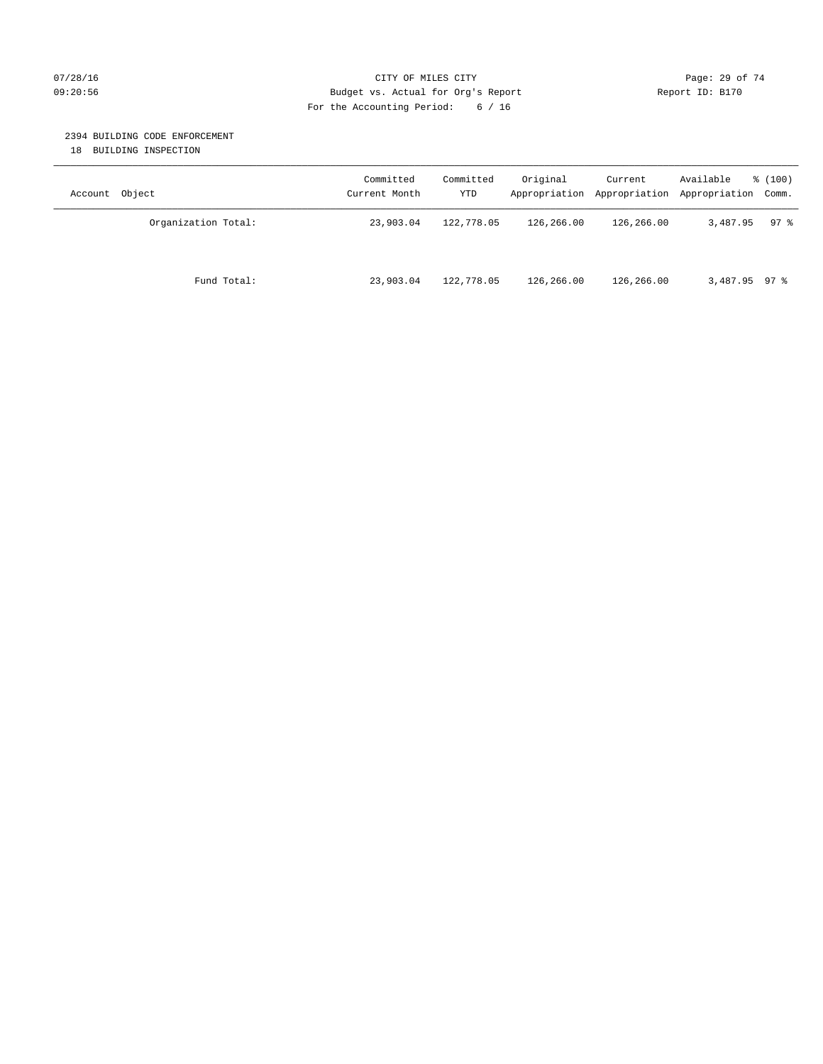#### $O7/28/16$  Page: 29 of 74 09:20:56 Budget vs. Actual for Org's Report Report ID: B170 For the Accounting Period: 6 / 16

## 2394 BUILDING CODE ENFORCEMENT

18 BUILDING INSPECTION

| Account Object      | Committed<br>Current Month | Committed<br>YTD | Original   | Current    | Available<br>Appropriation Appropriation Appropriation Comm. | % (100) |
|---------------------|----------------------------|------------------|------------|------------|--------------------------------------------------------------|---------|
| Organization Total: | 23,903.04                  | 122,778.05       | 126,266.00 | 126,266.00 | 3,487.95                                                     | $97$ %  |
| Fund Total:         | 23,903.04                  | 122,778.05       | 126,266.00 | 126,266.00 | $3,487.95$ 97 %                                              |         |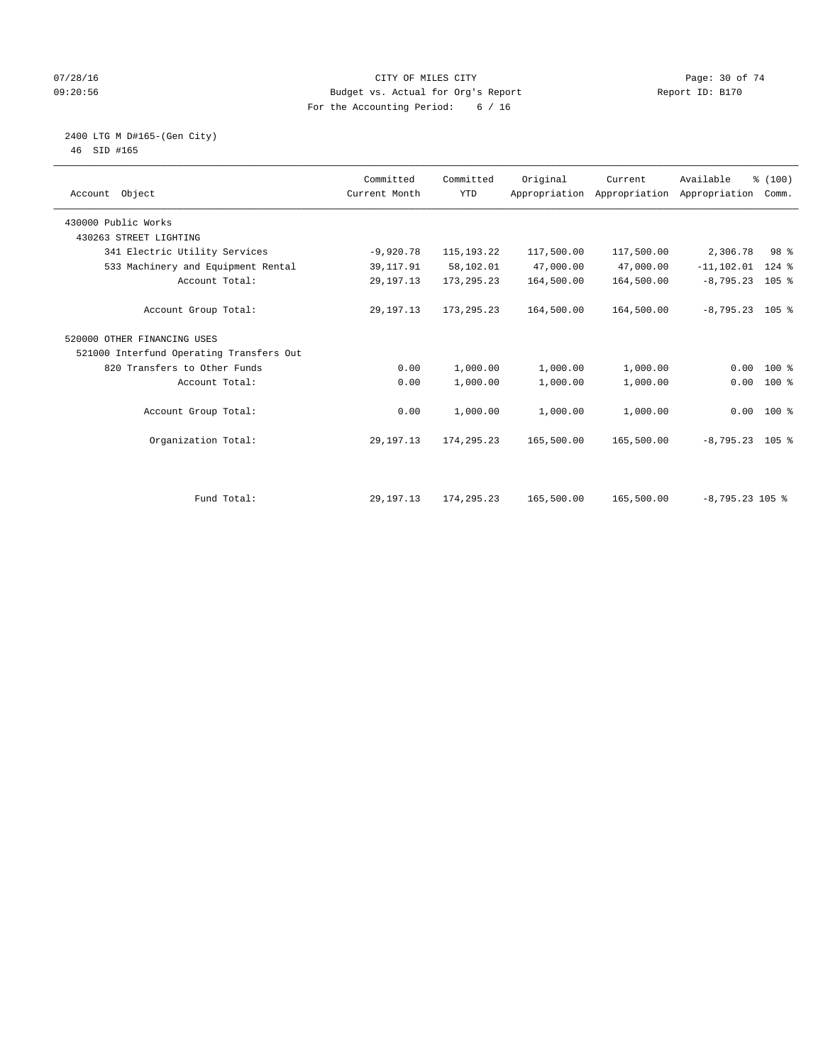## $O7/28/16$  Page: 30 of 74 09:20:56 Budget vs. Actual for Org's Report Report ID: B170 For the Accounting Period: 6 / 16

#### 2400 LTG M D#165-(Gen City) 46 SID #165

| Account Object                           | Committed<br>Current Month | Committed<br><b>YTD</b> | Original   | Current    | Available<br>Appropriation Appropriation Appropriation | % (100)<br>Comm. |
|------------------------------------------|----------------------------|-------------------------|------------|------------|--------------------------------------------------------|------------------|
| 430000 Public Works                      |                            |                         |            |            |                                                        |                  |
| 430263 STREET LIGHTING                   |                            |                         |            |            |                                                        |                  |
| 341 Electric Utility Services            | $-9,920.78$                | 115, 193. 22            | 117,500.00 | 117,500.00 | 2,306.78                                               | 98 %             |
| 533 Machinery and Equipment Rental       | 39, 117.91                 | 58,102.01               | 47,000.00  | 47,000.00  | $-11, 102.01$                                          | $124$ %          |
| Account Total:                           | 29, 197. 13                | 173, 295. 23            | 164,500.00 | 164,500.00 | $-8,795.23$ 105 %                                      |                  |
| Account Group Total:                     | 29, 197. 13                | 173,295.23              | 164,500.00 | 164,500.00 | $-8,795.23$ 105 %                                      |                  |
| 520000 OTHER FINANCING USES              |                            |                         |            |            |                                                        |                  |
| 521000 Interfund Operating Transfers Out |                            |                         |            |            |                                                        |                  |
| 820 Transfers to Other Funds             | 0.00                       | 1,000.00                | 1,000.00   | 1,000.00   | 0.00                                                   | $100*$           |
| Account Total:                           | 0.00                       | 1,000.00                | 1,000.00   | 1,000.00   | 0.00                                                   | 100 %            |
| Account Group Total:                     | 0.00                       | 1,000.00                | 1,000.00   | 1,000.00   |                                                        | $0.00$ 100 %     |
| Organization Total:                      | 29, 197. 13                | 174,295.23              | 165,500.00 | 165,500.00 | $-8,795.23$ 105 %                                      |                  |
|                                          |                            |                         |            |            |                                                        |                  |
| Fund Total:                              | 29, 197. 13                | 174, 295. 23            | 165,500.00 | 165,500.00 | $-8,795.23$ 105 %                                      |                  |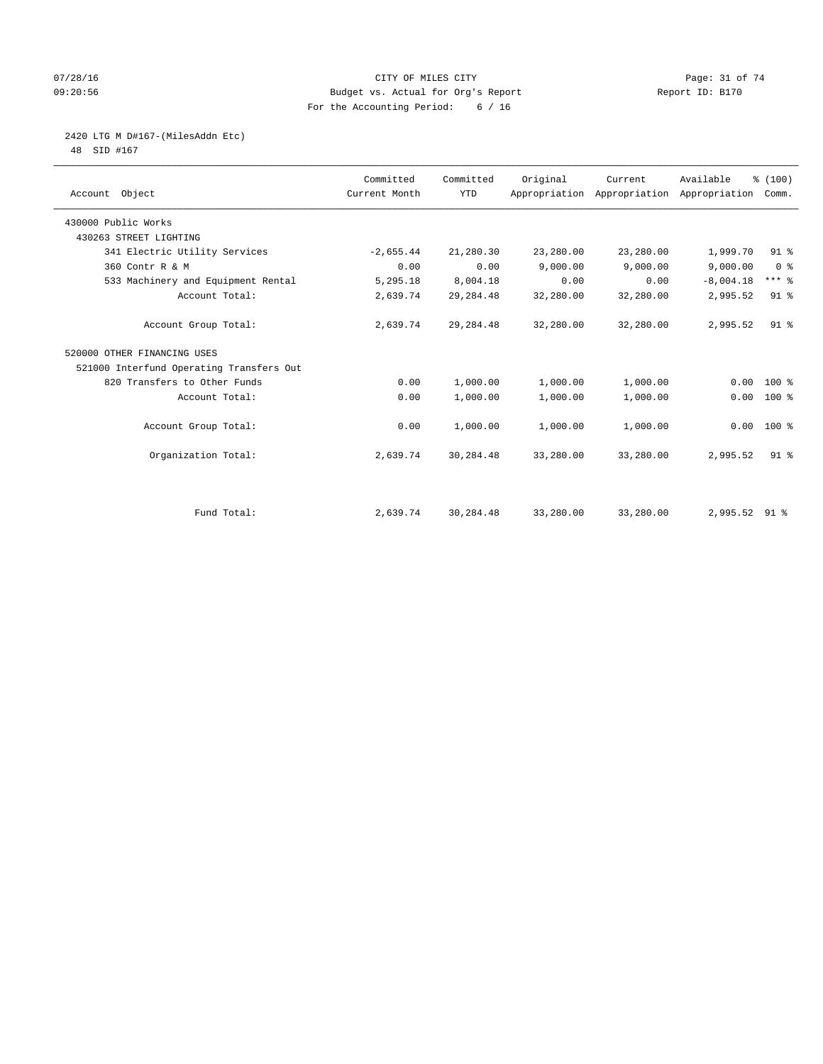## $O7/28/16$  Page: 31 of 74 09:20:56 Budget vs. Actual for Org's Report Report ID: B170 For the Accounting Period: 6 / 16

# 2420 LTG M D#167-(MilesAddn Etc)

48 SID #167

| Account Object                           | Committed<br>Current Month | Committed<br><b>YTD</b> | Original  | Current   | Available<br>Appropriation Appropriation Appropriation Comm. | % (100)             |
|------------------------------------------|----------------------------|-------------------------|-----------|-----------|--------------------------------------------------------------|---------------------|
|                                          |                            |                         |           |           |                                                              |                     |
| 430000 Public Works                      |                            |                         |           |           |                                                              |                     |
| 430263 STREET LIGHTING                   |                            |                         |           |           |                                                              |                     |
| 341 Electric Utility Services            | $-2,655.44$                | 21,280.30               | 23,280.00 | 23,280.00 | 1,999.70                                                     | $91$ %              |
| 360 Contr R & M                          | 0.00                       | 0.00                    | 9,000.00  | 9,000.00  | 9,000.00                                                     | 0 <sup>8</sup>      |
| 533 Machinery and Equipment Rental       | 5,295.18                   | 8,004.18                | 0.00      | 0.00      | $-8,004.18$                                                  | $***$ $\frac{6}{5}$ |
| Account Total:                           | 2,639.74                   | 29, 284.48              | 32,280.00 | 32,280.00 | 2,995.52                                                     | $91$ %              |
| Account Group Total:                     | 2,639.74                   | 29, 284.48              | 32,280.00 | 32,280.00 | 2,995.52                                                     | 91 <sup>°</sup>     |
| 520000 OTHER FINANCING USES              |                            |                         |           |           |                                                              |                     |
| 521000 Interfund Operating Transfers Out |                            |                         |           |           |                                                              |                     |
| 820 Transfers to Other Funds             | 0.00                       | 1,000.00                | 1,000.00  | 1,000.00  | 0.00                                                         | 100 %               |
| Account Total:                           | 0.00                       | 1,000.00                | 1,000.00  | 1,000.00  | 0.00                                                         | 100 %               |
| Account Group Total:                     | 0.00                       | 1,000.00                | 1,000.00  | 1,000.00  |                                                              | $0.00$ 100 %        |
| Organization Total:                      | 2,639.74                   | 30,284.48               | 33,280.00 | 33,280.00 | 2,995.52                                                     | 91 <sup>°</sup>     |
|                                          |                            |                         |           |           |                                                              |                     |
| Fund Total:                              | 2,639.74                   | 30,284.48               | 33,280.00 | 33,280.00 | 2,995.52 91 %                                                |                     |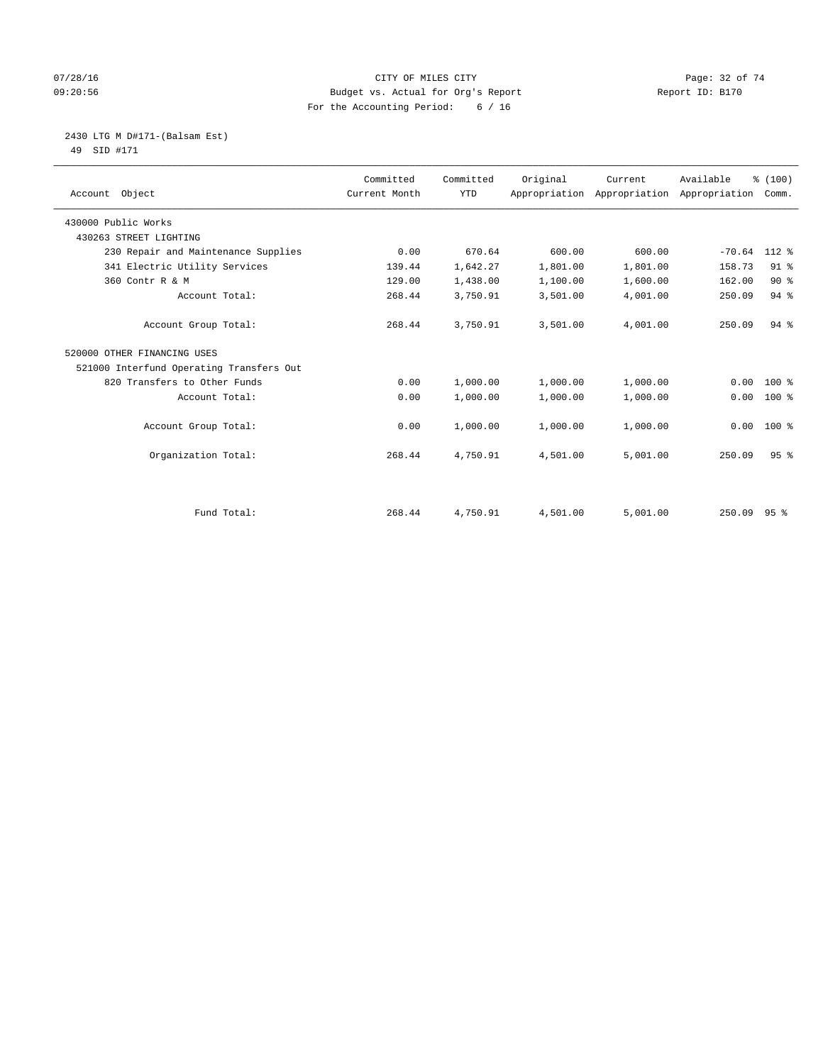## $O7/28/16$  Page: 32 of 74 09:20:56 Budget vs. Actual for Org's Report Report ID: B170 For the Accounting Period: 6 / 16

#### 2430 LTG M D#171-(Balsam Est) 49 SID #171

| Account Object                           | Committed<br>Current Month | Committed<br><b>YTD</b> | Original | Current<br>Appropriation Appropriation | Available<br>Appropriation | % (100)<br>Comm. |
|------------------------------------------|----------------------------|-------------------------|----------|----------------------------------------|----------------------------|------------------|
| 430000 Public Works                      |                            |                         |          |                                        |                            |                  |
| 430263 STREET LIGHTING                   |                            |                         |          |                                        |                            |                  |
| 230 Repair and Maintenance Supplies      | 0.00                       | 670.64                  | 600.00   | 600.00                                 | $-70.64$                   | $112*$           |
| 341 Electric Utility Services            | 139.44                     | 1,642.27                | 1,801.00 | 1,801.00                               | 158.73                     | $91$ %           |
| 360 Contr R & M                          | 129.00                     | 1,438.00                | 1,100.00 | 1,600.00                               | 162.00                     | $90*$            |
| Account Total:                           | 268.44                     | 3,750.91                | 3,501.00 | 4,001.00                               | 250.09                     | 94%              |
| Account Group Total:                     | 268.44                     | 3,750.91                | 3,501.00 | 4,001.00                               | 250.09                     | $94$ $%$         |
| 520000 OTHER FINANCING USES              |                            |                         |          |                                        |                            |                  |
| 521000 Interfund Operating Transfers Out |                            |                         |          |                                        |                            |                  |
| 820 Transfers to Other Funds             | 0.00                       | 1,000.00                | 1,000.00 | 1,000.00                               | 0.00                       | $100$ %          |
| Account Total:                           | 0.00                       | 1,000.00                | 1,000.00 | 1,000.00                               | 0.00                       | $100*$           |
| Account Group Total:                     | 0.00                       | 1,000.00                | 1,000.00 | 1,000.00                               | 0.00                       | $100*$           |
| Organization Total:                      | 268.44                     | 4,750.91                | 4,501.00 | 5,001.00                               | 250.09                     | 95 <sup>8</sup>  |
|                                          |                            |                         |          |                                        |                            |                  |
| Fund Total:                              | 268.44                     | 4,750.91                | 4,501.00 | 5,001.00                               | 250.09 95 %                |                  |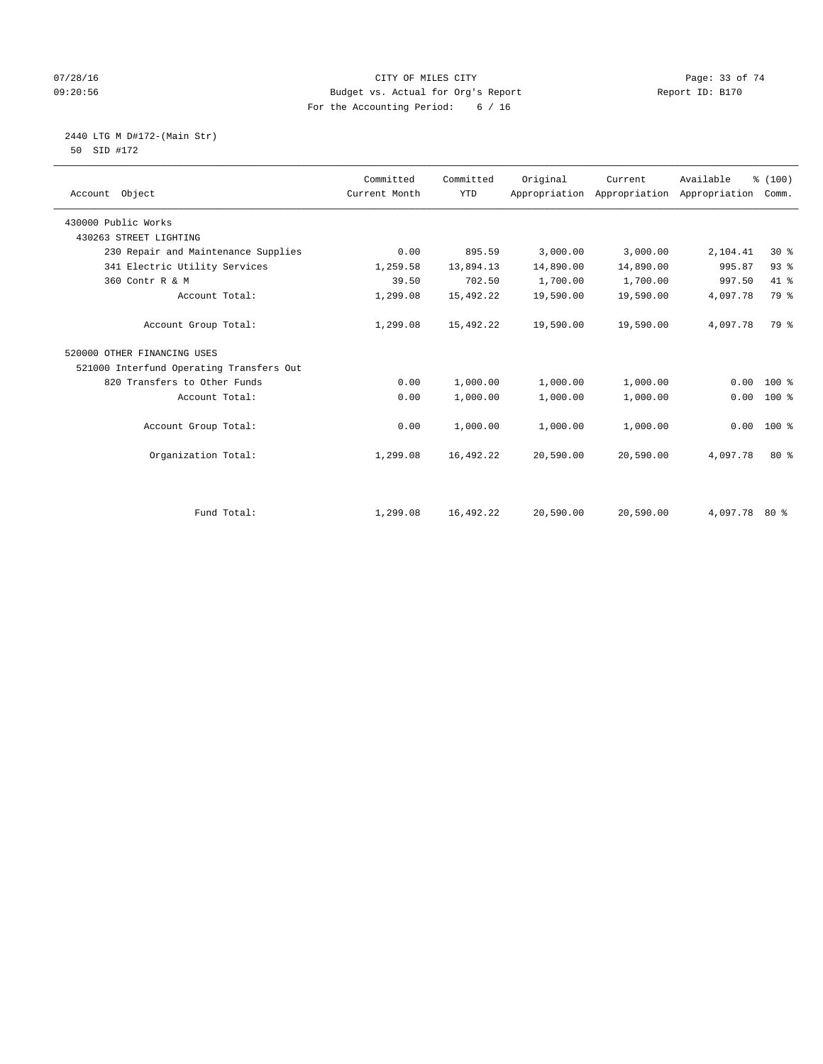## 07/28/16 Page: 33 of 74 09:20:56 Budget vs. Actual for Org's Report Report ID: B170 For the Accounting Period: 6 / 16

#### 2440 LTG M D#172-(Main Str) 50 SID #172

| Account Object                           | Committed<br>Current Month | Committed<br><b>YTD</b> | Original  | Current<br>Appropriation Appropriation Appropriation | Available     | % (100)<br>Comm. |
|------------------------------------------|----------------------------|-------------------------|-----------|------------------------------------------------------|---------------|------------------|
| 430000 Public Works                      |                            |                         |           |                                                      |               |                  |
| 430263 STREET LIGHTING                   |                            |                         |           |                                                      |               |                  |
| 230 Repair and Maintenance Supplies      | 0.00                       | 895.59                  | 3,000.00  | 3,000.00                                             | 2,104.41      | $30*$            |
| 341 Electric Utility Services            | 1,259.58                   | 13,894.13               | 14,890.00 | 14,890.00                                            | 995.87        | 93%              |
| 360 Contr R & M                          | 39.50                      | 702.50                  | 1,700.00  | 1,700.00                                             | 997.50        | 41.8             |
| Account Total:                           | 1,299.08                   | 15,492.22               | 19,590.00 | 19,590.00                                            | 4,097.78      | 79 %             |
| Account Group Total:                     | 1,299.08                   | 15,492.22               | 19,590.00 | 19,590.00                                            | 4,097.78      | 79 %             |
| 520000 OTHER FINANCING USES              |                            |                         |           |                                                      |               |                  |
| 521000 Interfund Operating Transfers Out |                            |                         |           |                                                      |               |                  |
| 820 Transfers to Other Funds             | 0.00                       | 1,000.00                | 1,000.00  | 1,000.00                                             | 0.00          | 100 %            |
| Account Total:                           | 0.00                       | 1,000.00                | 1,000.00  | 1,000.00                                             | 0.00          | 100 %            |
| Account Group Total:                     | 0.00                       | 1,000.00                | 1,000.00  | 1,000.00                                             | 0.00          | 100 %            |
| Organization Total:                      | 1,299.08                   | 16,492.22               | 20,590.00 | 20,590.00                                            | 4,097.78      | $80*$            |
|                                          |                            |                         |           |                                                      |               |                  |
| Fund Total:                              | 1,299.08                   | 16,492.22               | 20,590.00 | 20,590.00                                            | 4,097.78 80 % |                  |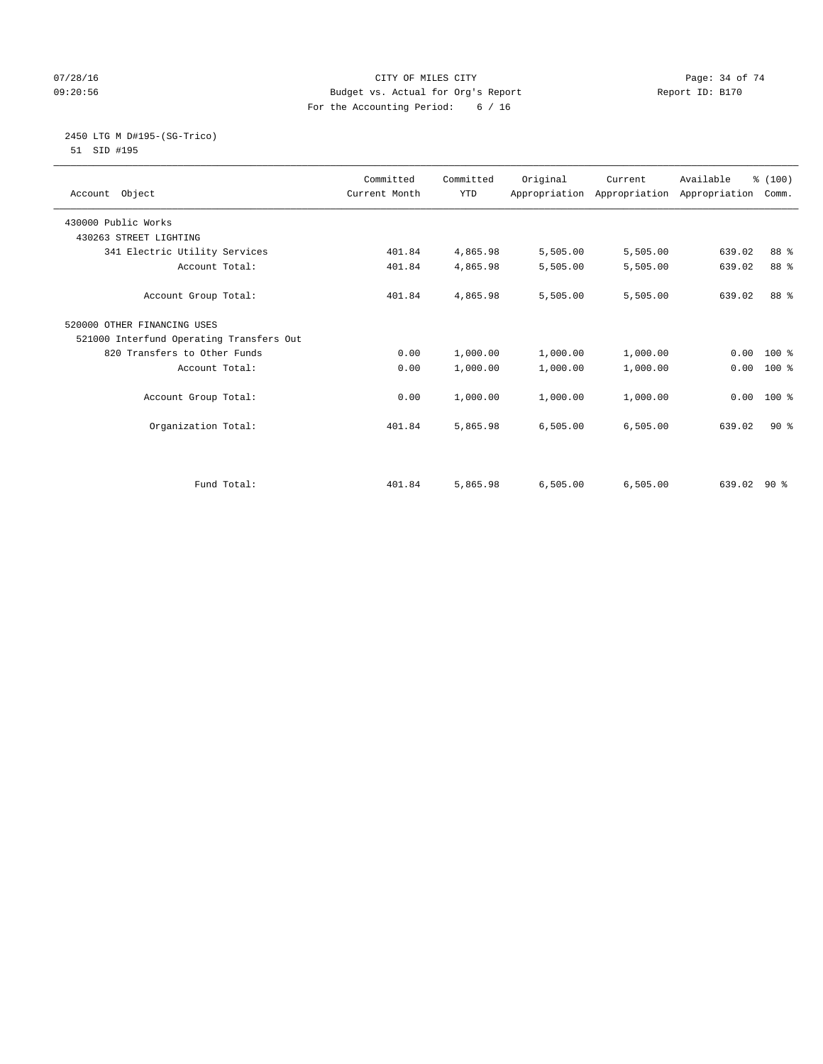## $O7/28/16$  Page: 34 of 74 09:20:56 Budget vs. Actual for Org's Report Report ID: B170 For the Accounting Period: 6 / 16

# 2450 LTG M D#195-(SG-Trico)

51 SID #195

|                                          | Committed     | Committed  | Original | Current                                   | Available     | % (100) |  |
|------------------------------------------|---------------|------------|----------|-------------------------------------------|---------------|---------|--|
| Account Object                           | Current Month | <b>YTD</b> |          | Appropriation Appropriation Appropriation |               | Comm.   |  |
|                                          |               |            |          |                                           |               |         |  |
| 430000 Public Works                      |               |            |          |                                           |               |         |  |
| 430263 STREET LIGHTING                   |               |            |          |                                           |               |         |  |
| 341 Electric Utility Services            | 401.84        | 4,865.98   | 5,505.00 | 5,505.00                                  | 639.02        | 88 %    |  |
| Account Total:                           | 401.84        | 4,865.98   | 5,505.00 | 5,505.00                                  | 639.02        | 88 %    |  |
| Account Group Total:                     | 401.84        | 4,865.98   | 5,505.00 | 5,505.00                                  | 639.02        | 88 %    |  |
| 520000 OTHER FINANCING USES              |               |            |          |                                           |               |         |  |
| 521000 Interfund Operating Transfers Out |               |            |          |                                           |               |         |  |
| 820 Transfers to Other Funds             | 0.00          | 1,000.00   | 1,000.00 | 1,000.00                                  | 0.00          | $100*$  |  |
| Account Total:                           | 0.00          | 1,000.00   | 1,000.00 | 1,000.00                                  | 0.00          | $100*$  |  |
| Account Group Total:                     | 0.00          | 1,000.00   | 1,000.00 | 1,000.00                                  | 0.00          | $100*$  |  |
| Organization Total:                      | 401.84        | 5,865.98   | 6,505.00 | 6,505.00                                  | 639.02        | 90%     |  |
|                                          |               |            |          |                                           |               |         |  |
|                                          |               |            |          |                                           |               |         |  |
| Fund Total:                              | 401.84        | 5,865.98   | 6,505.00 | 6,505.00                                  | $639.02$ 90 % |         |  |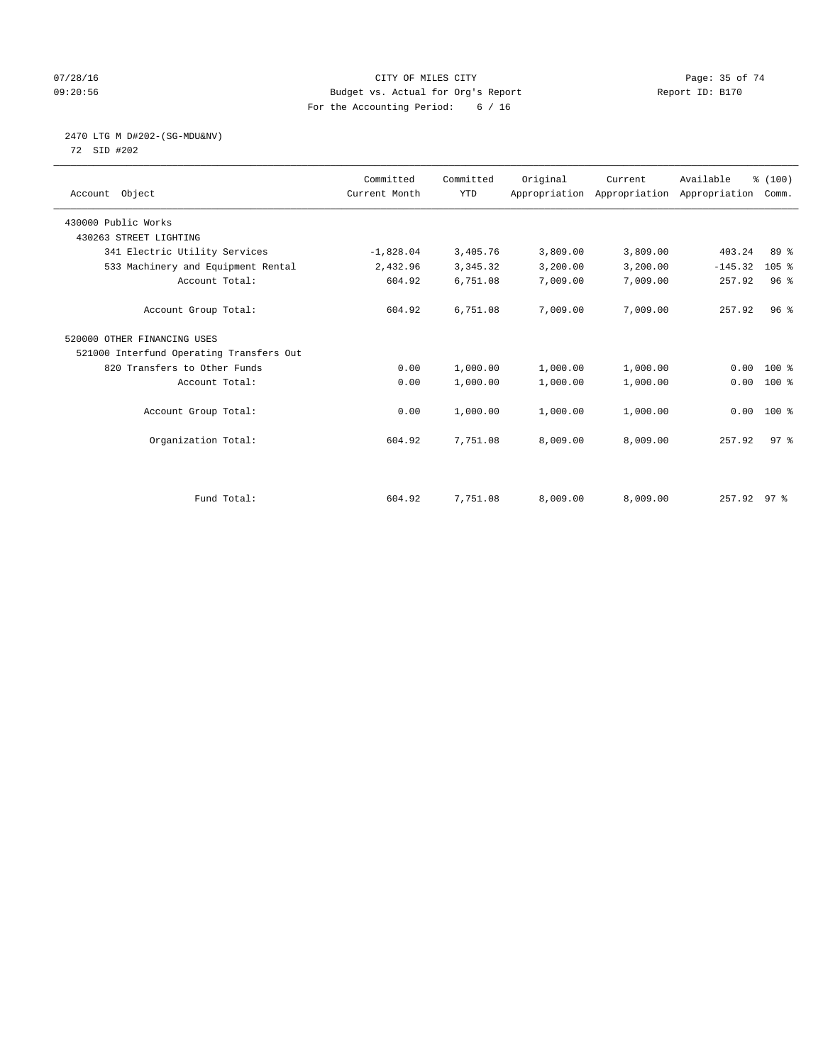## $O7/28/16$  Page: 35 of 74 09:20:56 Budget vs. Actual for Org's Report Report ID: B170 For the Accounting Period: 6 / 16

# 2470 LTG M D#202-(SG-MDU&NV)

72 SID #202

| Account Object                           | Committed<br>Current Month | Committed<br><b>YTD</b> | Original | Current<br>Appropriation Appropriation Appropriation | Available   | % (100)<br>Comm. |  |
|------------------------------------------|----------------------------|-------------------------|----------|------------------------------------------------------|-------------|------------------|--|
| 430000 Public Works                      |                            |                         |          |                                                      |             |                  |  |
| 430263 STREET LIGHTING                   |                            |                         |          |                                                      |             |                  |  |
| 341 Electric Utility Services            | $-1,828.04$                | 3,405.76                | 3,809.00 | 3,809.00                                             | 403.24      | 89 %             |  |
| 533 Machinery and Equipment Rental       | 2,432.96                   | 3,345.32                | 3,200.00 | 3,200.00                                             | $-145.32$   | $105$ %          |  |
| Account Total:                           | 604.92                     | 6,751.08                | 7,009.00 | 7,009.00                                             | 257.92      | 96 <sup>8</sup>  |  |
| Account Group Total:                     | 604.92                     | 6,751.08                | 7,009.00 | 7,009.00                                             | 257.92      | 96 <sup>°</sup>  |  |
| 520000 OTHER FINANCING USES              |                            |                         |          |                                                      |             |                  |  |
| 521000 Interfund Operating Transfers Out |                            |                         |          |                                                      |             |                  |  |
| 820 Transfers to Other Funds             | 0.00                       | 1,000.00                | 1,000.00 | 1,000.00                                             | 0.00        | $100*$           |  |
| Account Total:                           | 0.00                       | 1,000.00                | 1,000.00 | 1,000.00                                             | 0.00        | $100$ %          |  |
| Account Group Total:                     | 0.00                       | 1,000.00                | 1,000.00 | 1,000.00                                             | 0.00        | $100*$           |  |
| Organization Total:                      | 604.92                     | 7,751.08                | 8,009.00 | 8,009.00                                             | 257.92      | 97 <sup>8</sup>  |  |
|                                          |                            |                         |          |                                                      |             |                  |  |
| Fund Total:                              | 604.92                     | 7,751.08                | 8,009.00 | 8,009.00                                             | 257.92 97 % |                  |  |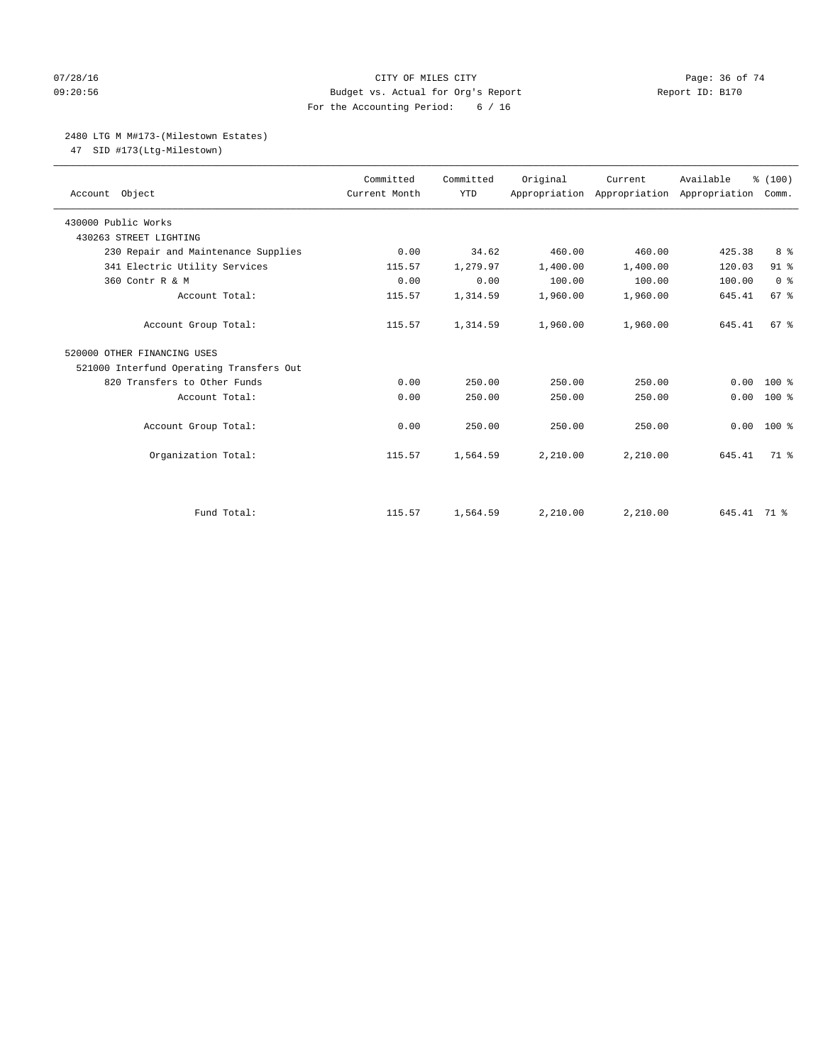#### $O7/28/16$  Page: 36 of 74 09:20:56 Budget vs. Actual for Org's Report Report ID: B170 For the Accounting Period: 6 / 16

# 2480 LTG M M#173-(Milestown Estates)

47 SID #173(Ltg-Milestown)

| Account Object                           | Committed<br>Current Month | Committed<br><b>YTD</b> | Original | Current<br>Appropriation Appropriation Appropriation Comm. | Available   | % (100)         |
|------------------------------------------|----------------------------|-------------------------|----------|------------------------------------------------------------|-------------|-----------------|
| 430000 Public Works                      |                            |                         |          |                                                            |             |                 |
| 430263 STREET LIGHTING                   |                            |                         |          |                                                            |             |                 |
| 230 Repair and Maintenance Supplies      | 0.00                       | 34.62                   | 460.00   | 460.00                                                     | 425.38      | 8 <sup>°</sup>  |
| 341 Electric Utility Services            | 115.57                     | 1,279.97                | 1,400.00 | 1,400.00                                                   | 120.03      | 91 %            |
| 360 Contr R & M                          | 0.00                       | 0.00                    | 100.00   | 100.00                                                     | 100.00      | 0 <sup>8</sup>  |
| Account Total:                           | 115.57                     | 1,314.59                | 1,960.00 | 1,960.00                                                   | 645.41      | 67 %            |
| Account Group Total:                     | 115.57                     | 1,314.59                | 1,960.00 | 1,960.00                                                   | 645.41      | 67 <sup>8</sup> |
| 520000 OTHER FINANCING USES              |                            |                         |          |                                                            |             |                 |
| 521000 Interfund Operating Transfers Out |                            |                         |          |                                                            |             |                 |
| 820 Transfers to Other Funds             | 0.00                       | 250.00                  | 250.00   | 250.00                                                     | 0.00        | $100*$          |
| Account Total:                           | 0.00                       | 250.00                  | 250.00   | 250.00                                                     | 0.00        | 100 %           |
| Account Group Total:                     | 0.00                       | 250.00                  | 250.00   | 250.00                                                     | 0.00        | $100*$          |
| Organization Total:                      | 115.57                     | 1,564.59                | 2,210.00 | 2,210.00                                                   | 645.41      | $71*$           |
|                                          |                            |                         |          |                                                            |             |                 |
| Fund Total:                              | 115.57                     | 1,564.59                | 2,210.00 | 2.210.00                                                   | 645.41 71 % |                 |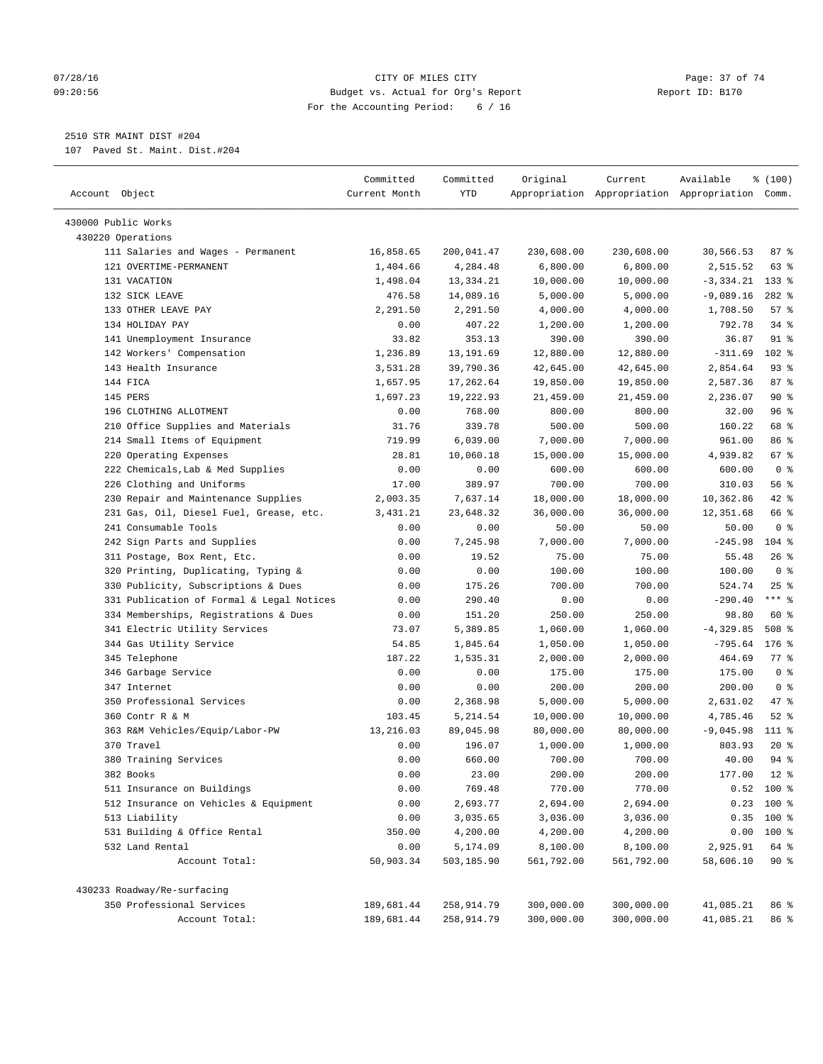#### 07/28/16 Page: 37 of 74 09:20:56 Budget vs. Actual for Org's Report Report ID: B170 For the Accounting Period: 6 / 16

————————————————————————————————————————————————————————————————————————————————————————————————————————————————————————————————————

# 2510 STR MAINT DIST #204

107 Paved St. Maint. Dist.#204

|                                           | Committed     | Committed  | Original   | Current    | Available                                       | \$(100)          |  |
|-------------------------------------------|---------------|------------|------------|------------|-------------------------------------------------|------------------|--|
| Account Object                            | Current Month | YTD        |            |            | Appropriation Appropriation Appropriation Comm. |                  |  |
| 430000 Public Works                       |               |            |            |            |                                                 |                  |  |
| 430220 Operations                         |               |            |            |            |                                                 |                  |  |
| 111 Salaries and Wages - Permanent        | 16,858.65     | 200,041.47 | 230,608.00 | 230,608.00 | 30,566.53                                       | 87%              |  |
| 121 OVERTIME-PERMANENT                    | 1,404.66      | 4,284.48   | 6,800.00   | 6,800.00   | 2,515.52                                        | 63 %             |  |
| 131 VACATION                              | 1,498.04      | 13,334.21  | 10,000.00  | 10,000.00  | $-3,334.21$                                     | $133$ %          |  |
| 132 SICK LEAVE                            | 476.58        | 14,089.16  | 5,000.00   | 5,000.00   | $-9,089.16$                                     | $282$ %          |  |
| 133 OTHER LEAVE PAY                       | 2,291.50      | 2,291.50   | 4,000.00   | 4,000.00   | 1,708.50                                        | 57%              |  |
| 134 HOLIDAY PAY                           | 0.00          | 407.22     | 1,200.00   | 1,200.00   | 792.78                                          | $34$ %           |  |
| 141 Unemployment Insurance                | 33.82         | 353.13     | 390.00     | 390.00     | 36.87                                           | 91 %             |  |
| 142 Workers' Compensation                 | 1,236.89      | 13,191.69  | 12,880.00  | 12,880.00  | $-311.69$                                       | 102 <sub>8</sub> |  |
| 143 Health Insurance                      | 3,531.28      | 39,790.36  | 42,645.00  | 42,645.00  | 2,854.64                                        | $93$ $%$         |  |
| 144 FICA                                  | 1,657.95      | 17,262.64  | 19,850.00  | 19,850.00  | 2,587.36                                        | 87%              |  |
| 145 PERS                                  | 1,697.23      | 19,222.93  | 21,459.00  | 21,459.00  | 2,236.07                                        | 90%              |  |
| 196 CLOTHING ALLOTMENT                    | 0.00          | 768.00     | 800.00     | 800.00     | 32.00                                           | 96%              |  |
| 210 Office Supplies and Materials         | 31.76         | 339.78     | 500.00     | 500.00     | 160.22                                          | 68 %             |  |
| 214 Small Items of Equipment              | 719.99        | 6,039.00   | 7,000.00   | 7,000.00   | 961.00                                          | 86 %             |  |
| 220 Operating Expenses                    | 28.81         | 10,060.18  | 15,000.00  | 15,000.00  | 4,939.82                                        | 67 %             |  |
| 222 Chemicals, Lab & Med Supplies         | 0.00          | 0.00       | 600.00     | 600.00     | 600.00                                          | 0 <sup>8</sup>   |  |
| 226 Clothing and Uniforms                 | 17.00         | 389.97     | 700.00     | 700.00     | 310.03                                          | 56 %             |  |
| 230 Repair and Maintenance Supplies       | 2,003.35      | 7,637.14   | 18,000.00  | 18,000.00  | 10,362.86                                       | 42 %             |  |
| 231 Gas, Oil, Diesel Fuel, Grease, etc.   | 3,431.21      | 23,648.32  | 36,000.00  | 36,000.00  | 12,351.68                                       | 66 %             |  |
| 241 Consumable Tools                      | 0.00          | 0.00       | 50.00      | 50.00      | 50.00                                           | 0 <sup>8</sup>   |  |
| 242 Sign Parts and Supplies               | 0.00          | 7,245.98   | 7,000.00   | 7,000.00   | $-245.98$                                       | $104$ %          |  |
| 311 Postage, Box Rent, Etc.               | 0.00          | 19.52      | 75.00      | 75.00      | 55.48                                           | $26$ %           |  |
| 320 Printing, Duplicating, Typing &       | 0.00          | 0.00       | 100.00     | 100.00     | 100.00                                          | 0 <sup>8</sup>   |  |
| 330 Publicity, Subscriptions & Dues       | 0.00          | 175.26     | 700.00     | 700.00     | 524.74                                          | $25$ %           |  |
| 331 Publication of Formal & Legal Notices | 0.00          | 290.40     | 0.00       | 0.00       | $-290.40$                                       | $***$ $%$        |  |
| 334 Memberships, Registrations & Dues     | 0.00          | 151.20     | 250.00     | 250.00     | 98.80                                           | 60 %             |  |
| 341 Electric Utility Services             | 73.07         | 5,389.85   | 1,060.00   | 1,060.00   | $-4, 329.85$                                    | 508 %            |  |
| 344 Gas Utility Service                   | 54.85         | 1,845.64   | 1,050.00   | 1,050.00   | $-795.64$                                       | $176$ %          |  |
| 345 Telephone                             | 187.22        | 1,535.31   | 2,000.00   | 2,000.00   | 464.69                                          | 77.8             |  |
| 346 Garbage Service                       | 0.00          | 0.00       | 175.00     | 175.00     | 175.00                                          | 0 <sup>8</sup>   |  |
| 347 Internet                              | 0.00          | 0.00       | 200.00     | 200.00     | 200.00                                          | 0 <sup>8</sup>   |  |
| 350 Professional Services                 | 0.00          | 2,368.98   | 5,000.00   | 5,000.00   | 2,631.02                                        | 47 %             |  |
| 360 Contr R & M                           | 103.45        | 5,214.54   | 10,000.00  | 10,000.00  | 4,785.46                                        | $52$ $%$         |  |
| 363 R&M Vehicles/Equip/Labor-PW           | 13, 216.03    | 89,045.98  | 80,000.00  | 80,000.00  | $-9,045.98$                                     | 111 %            |  |
| 370 Travel                                | 0.00          | 196.07     | 1,000.00   | 1,000.00   | 803.93                                          | $20*$            |  |
| 380 Training Services                     | 0.00          | 660.00     | 700.00     | 700.00     | 40.00                                           | 94 %             |  |
| 382 Books                                 | 0.00          | 23.00      | 200.00     | 200.00     | 177.00                                          | $12$ %           |  |
| 511 Insurance on Buildings                | 0.00          | 769.48     | 770.00     | 770.00     |                                                 | $0.52$ 100 %     |  |
| 512 Insurance on Vehicles & Equipment     | 0.00          | 2,693.77   | 2,694.00   | 2,694.00   | 0.23                                            | 100 %            |  |
| 513 Liability                             | 0.00          | 3,035.65   | 3,036.00   | 3,036.00   | 0.35                                            | $100*$           |  |
| 531 Building & Office Rental              | 350.00        | 4,200.00   | 4,200.00   | 4,200.00   | 0.00                                            | 100 %            |  |
| 532 Land Rental                           | 0.00          | 5,174.09   | 8,100.00   | 8,100.00   | 2,925.91                                        | 64 %             |  |
| Account Total:                            | 50,903.34     | 503,185.90 | 561,792.00 | 561,792.00 | 58,606.10                                       | 90%              |  |
| 430233 Roadway/Re-surfacing               |               |            |            |            |                                                 |                  |  |
| 350 Professional Services                 | 189,681.44    | 258,914.79 | 300,000.00 | 300,000.00 | 41,085.21                                       | 86 %             |  |
| Account Total:                            | 189,681.44    | 258,914.79 | 300,000.00 | 300,000.00 | 41,085.21                                       | 86 %             |  |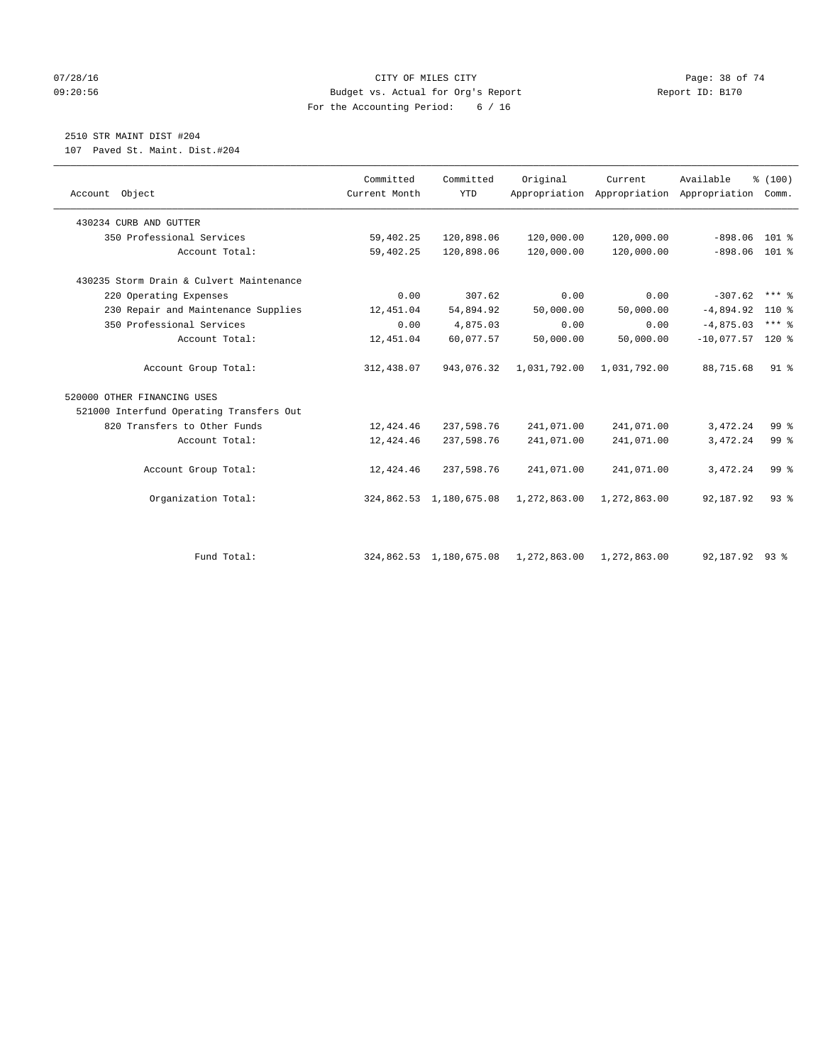#### 07/28/16 Page: 38 of 74 09:20:56 Budget vs. Actual for Org's Report Report ID: B170 For the Accounting Period: 6 / 16

# 2510 STR MAINT DIST #204

107 Paved St. Maint. Dist.#204

|                                          | Committed     | Committed               | Original     | Current                                   | Available          | % (100)         |  |
|------------------------------------------|---------------|-------------------------|--------------|-------------------------------------------|--------------------|-----------------|--|
| Account Object                           | Current Month | <b>YTD</b>              |              | Appropriation Appropriation Appropriation |                    | Comm.           |  |
| 430234 CURB AND GUTTER                   |               |                         |              |                                           |                    |                 |  |
| 350 Professional Services                | 59,402.25     | 120,898.06              | 120,000.00   | 120,000.00                                | $-898.06$ 101 %    |                 |  |
| Account Total:                           | 59,402.25     | 120,898.06              | 120,000.00   | 120,000.00                                | $-898.06$ 101 %    |                 |  |
| 430235 Storm Drain & Culvert Maintenance |               |                         |              |                                           |                    |                 |  |
| 220 Operating Expenses                   | 0.00          | 307.62                  | 0.00         | 0.00                                      | $-307.62$          | $***$ $%$       |  |
| 230 Repair and Maintenance Supplies      | 12,451.04     | 54,894.92               | 50,000.00    | 50,000.00                                 | $-4,894.92$        | $110*$          |  |
| 350 Professional Services                | 0.00          | 4,875.03                | 0.00         | 0.00                                      | $-4,875.03$        | $***$ 8         |  |
| Account Total:                           | 12,451.04     | 60,077.57               | 50,000.00    | 50,000.00                                 | $-10,077.57$ 120 % |                 |  |
| Account Group Total:                     | 312,438.07    | 943,076.32              | 1,031,792.00 | 1,031,792.00                              | 88,715.68          | $91$ %          |  |
| 520000 OTHER FINANCING USES              |               |                         |              |                                           |                    |                 |  |
| 521000 Interfund Operating Transfers Out |               |                         |              |                                           |                    |                 |  |
| 820 Transfers to Other Funds             | 12,424.46     | 237,598.76              | 241,071.00   | 241,071.00                                | 3,472.24           | 99 %            |  |
| Account Total:                           | 12,424.46     | 237,598.76              | 241,071.00   | 241,071.00                                | 3,472.24           | 99 <sup>°</sup> |  |
| Account Group Total:                     | 12,424.46     | 237,598.76              | 241,071.00   | 241,071.00                                | 3,472.24           | 99 <sup>8</sup> |  |
| Organization Total:                      |               | 324,862.53 1,180,675.08 | 1,272,863.00 | 1,272,863.00                              | 92,187.92          | $93$ $%$        |  |
|                                          |               |                         |              |                                           |                    |                 |  |
| Fund Total:                              |               | 324,862.53 1,180,675.08 | 1,272,863.00 | 1,272,863.00                              | 92,187.92 93 %     |                 |  |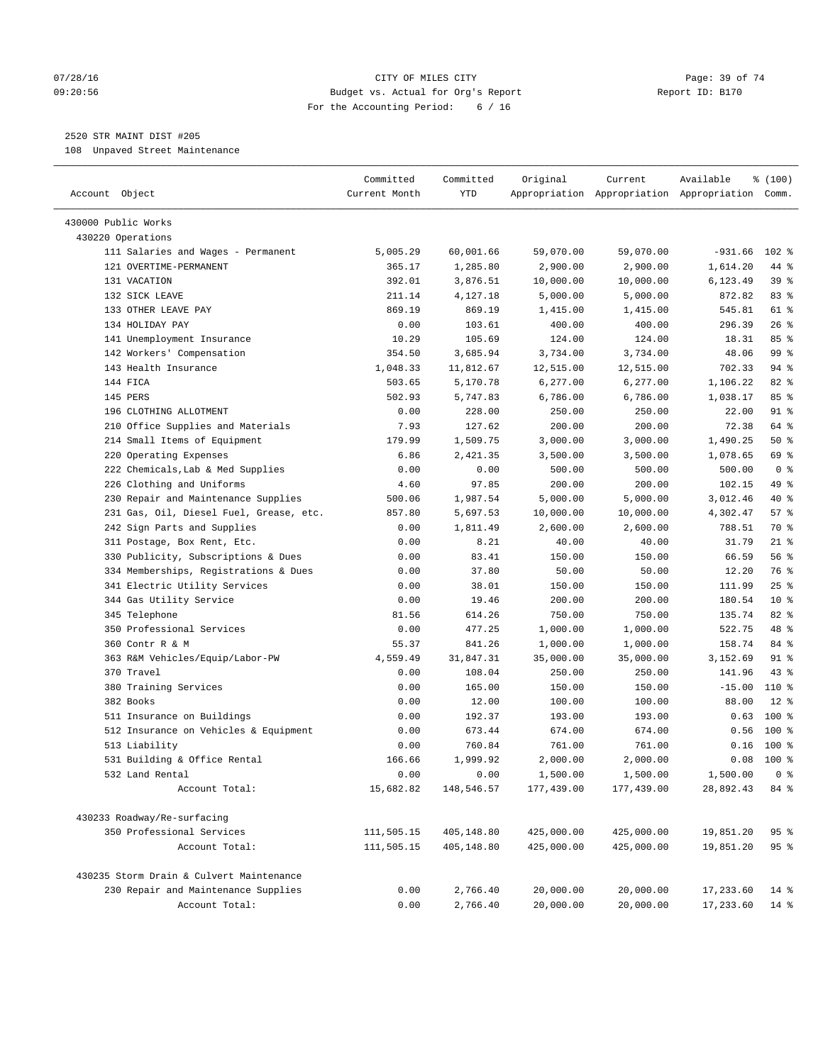#### $O7/28/16$  Page: 39 of 74 09:20:56 Budget vs. Actual for Org's Report Report ID: B170 For the Accounting Period: 6 / 16

————————————————————————————————————————————————————————————————————————————————————————————————————————————————————————————————————

# 2520 STR MAINT DIST #205

108 Unpaved Street Maintenance

| Account Object                                               | Committed<br>Current Month | Committed<br>YTD      | Original              | Current               | Available<br>Appropriation Appropriation Appropriation Comm. | % (100)         |
|--------------------------------------------------------------|----------------------------|-----------------------|-----------------------|-----------------------|--------------------------------------------------------------|-----------------|
|                                                              |                            |                       |                       |                       |                                                              |                 |
| 430000 Public Works                                          |                            |                       |                       |                       |                                                              |                 |
| 430220 Operations                                            |                            |                       |                       |                       |                                                              |                 |
| 111 Salaries and Wages - Permanent<br>121 OVERTIME-PERMANENT | 5,005.29<br>365.17         | 60,001.66<br>1,285.80 | 59,070.00             | 59,070.00             | $-931.66$<br>1,614.20                                        | $102$ %<br>44 % |
| 131 VACATION                                                 | 392.01                     | 3,876.51              | 2,900.00<br>10,000.00 | 2,900.00<br>10,000.00 | 6,123.49                                                     | 39%             |
| 132 SICK LEAVE                                               | 211.14                     | 4,127.18              | 5,000.00              | 5,000.00              | 872.82                                                       | 83 %            |
| 133 OTHER LEAVE PAY                                          | 869.19                     | 869.19                | 1,415.00              | 1,415.00              | 545.81                                                       | 61 %            |
| 134 HOLIDAY PAY                                              | 0.00                       | 103.61                | 400.00                | 400.00                | 296.39                                                       | 26%             |
| 141 Unemployment Insurance                                   | 10.29                      | 105.69                | 124.00                | 124.00                | 18.31                                                        | 85%             |
| 142 Workers' Compensation                                    | 354.50                     | 3,685.94              | 3,734.00              | 3,734.00              | 48.06                                                        | 99 %            |
| 143 Health Insurance                                         | 1,048.33                   | 11,812.67             | 12,515.00             | 12,515.00             | 702.33                                                       | 94 %            |
| 144 FICA                                                     | 503.65                     | 5,170.78              | 6, 277.00             | 6,277.00              | 1,106.22                                                     | 82 %            |
| 145 PERS                                                     | 502.93                     | 5,747.83              | 6,786.00              | 6,786.00              | 1,038.17                                                     | 85%             |
| 196 CLOTHING ALLOTMENT                                       | 0.00                       | 228.00                | 250.00                | 250.00                | 22.00                                                        | 91 %            |
| 210 Office Supplies and Materials                            | 7.93                       | 127.62                | 200.00                | 200.00                | 72.38                                                        | 64 %            |
| 214 Small Items of Equipment                                 | 179.99                     | 1,509.75              | 3,000.00              | 3,000.00              | 1,490.25                                                     | 50%             |
| 220 Operating Expenses                                       | 6.86                       | 2,421.35              | 3,500.00              | 3,500.00              | 1,078.65                                                     | 69 %            |
| 222 Chemicals, Lab & Med Supplies                            | 0.00                       | 0.00                  | 500.00                | 500.00                | 500.00                                                       | 0 <sup>8</sup>  |
| 226 Clothing and Uniforms                                    | 4.60                       | 97.85                 | 200.00                | 200.00                | 102.15                                                       | 49 %            |
| 230 Repair and Maintenance Supplies                          | 500.06                     | 1,987.54              | 5,000.00              | 5,000.00              | 3,012.46                                                     | 40 %            |
| 231 Gas, Oil, Diesel Fuel, Grease, etc.                      | 857.80                     | 5,697.53              | 10,000.00             | 10,000.00             | 4,302.47                                                     | 57%             |
| 242 Sign Parts and Supplies                                  | 0.00                       | 1,811.49              | 2,600.00              | 2,600.00              | 788.51                                                       | 70 %            |
| 311 Postage, Box Rent, Etc.                                  | 0.00                       | 8.21                  | 40.00                 | 40.00                 | 31.79                                                        | $21$ %          |
| 330 Publicity, Subscriptions & Dues                          | 0.00                       | 83.41                 | 150.00                | 150.00                | 66.59                                                        | 56%             |
| 334 Memberships, Registrations & Dues                        | 0.00                       | 37.80                 | 50.00                 | 50.00                 | 12.20                                                        | 76 %            |
| 341 Electric Utility Services                                | 0.00                       | 38.01                 | 150.00                | 150.00                | 111.99                                                       | 25%             |
| 344 Gas Utility Service                                      | 0.00                       | 19.46                 | 200.00                | 200.00                | 180.54                                                       | 10 <sup>8</sup> |
| 345 Telephone                                                | 81.56                      | 614.26                | 750.00                | 750.00                | 135.74                                                       | 82 %            |
| 350 Professional Services                                    | 0.00                       | 477.25                | 1,000.00              | 1,000.00              | 522.75                                                       | 48 %            |
| 360 Contr R & M                                              | 55.37                      | 841.26                | 1,000.00              | 1,000.00              | 158.74                                                       | 84 %            |
| 363 R&M Vehicles/Equip/Labor-PW                              | 4,559.49                   | 31,847.31             | 35,000.00             | 35,000.00             | 3,152.69                                                     | 91 %            |
| 370 Travel                                                   | 0.00                       | 108.04                | 250.00                | 250.00                | 141.96                                                       | $43$ %          |
| 380 Training Services                                        | 0.00                       | 165.00                | 150.00                | 150.00                | $-15.00$                                                     | 110 %           |
| 382 Books                                                    | 0.00                       | 12.00                 | 100.00                | 100.00                | 88.00                                                        | $12*$           |
| 511 Insurance on Buildings                                   | 0.00                       | 192.37                | 193.00                | 193.00                | 0.63                                                         | $100*$          |
| 512 Insurance on Vehicles & Equipment                        | 0.00                       | 673.44                | 674.00                | 674.00                | 0.56                                                         | $100*$          |
| 513 Liability                                                | 0.00                       | 760.84                | 761.00                | 761.00                | 0.16                                                         | 100 %           |
| 531 Building & Office Rental                                 | 166.66                     | 1,999.92              | 2,000.00              | 2,000.00              | 0.08                                                         | 100 %           |
| 532 Land Rental                                              | 0.00                       | 0.00                  | 1,500.00              | 1,500.00              | 1,500.00                                                     | 0 <sup>8</sup>  |
| Account Total:                                               | 15,682.82                  | 148,546.57            | 177,439.00            | 177,439.00            | 28,892.43                                                    | 84 %            |
| 430233 Roadway/Re-surfacing                                  |                            |                       |                       |                       |                                                              |                 |
| 350 Professional Services                                    | 111,505.15                 | 405,148.80            | 425,000.00            | 425,000.00            | 19,851.20                                                    | 95%             |
| Account Total:                                               | 111,505.15                 | 405,148.80            | 425,000.00            | 425,000.00            | 19,851.20                                                    | 95 %            |
| 430235 Storm Drain & Culvert Maintenance                     |                            |                       |                       |                       |                                                              |                 |
| 230 Repair and Maintenance Supplies                          | 0.00                       | 2,766.40              | 20,000.00             | 20,000.00             | 17,233.60                                                    | $14*$           |
| Account Total:                                               | 0.00                       | 2,766.40              | 20,000.00             | 20,000.00             | 17,233.60                                                    | $14$ %          |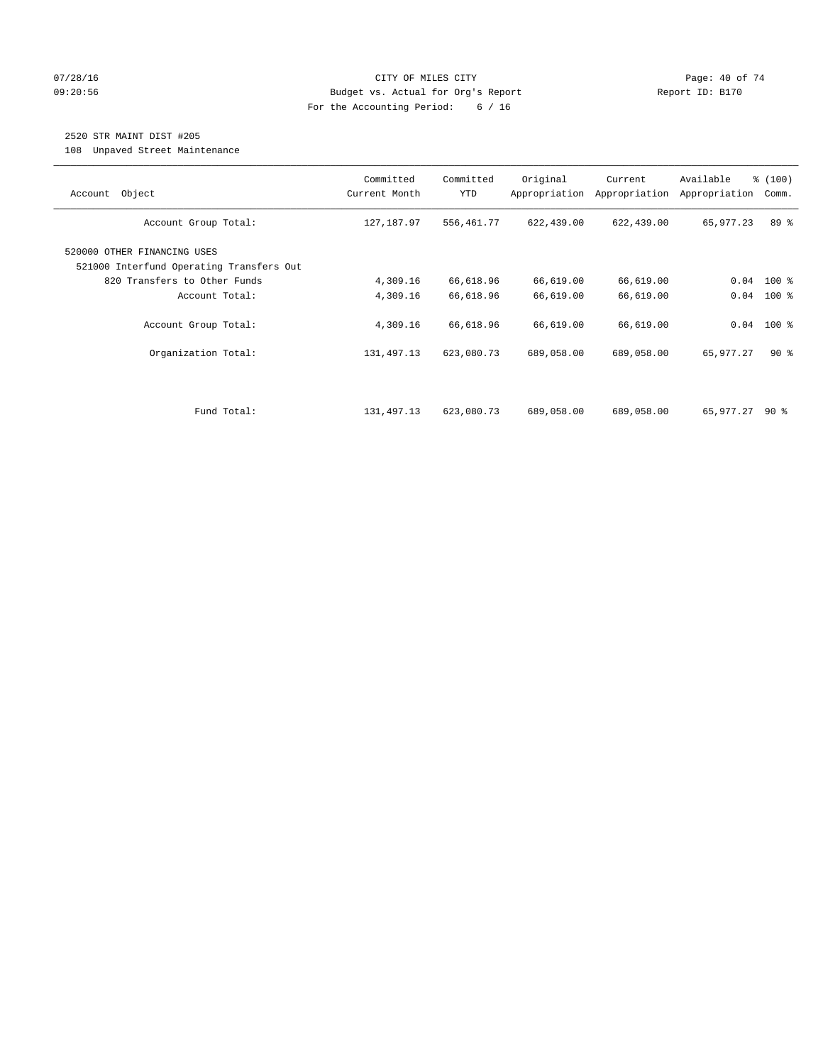#### $O7/28/16$  Page: 40 of 74 09:20:56 Budget vs. Actual for Org's Report Report ID: B170 For the Accounting Period: 6 / 16

# 2520 STR MAINT DIST #205

108 Unpaved Street Maintenance

| Object<br>Account                                                       | Committed<br>Current Month | Committed<br><b>YTD</b> | Original<br>Appropriation | Current<br>Appropriation | Available<br>Appropriation | % (100)<br>Comm. |
|-------------------------------------------------------------------------|----------------------------|-------------------------|---------------------------|--------------------------|----------------------------|------------------|
| Account Group Total:                                                    | 127,187.97                 | 556,461.77              | 622,439.00                | 622,439.00               | 65,977.23                  | 89 %             |
| 520000 OTHER FINANCING USES<br>521000 Interfund Operating Transfers Out |                            |                         |                           |                          |                            |                  |
| 820 Transfers to Other Funds                                            | 4,309.16                   | 66,618.96               | 66,619.00                 | 66,619.00                | 0.04                       | $100$ %          |
| Account Total:                                                          | 4,309.16                   | 66,618.96               | 66,619.00                 | 66,619.00                | 0.04                       | $100*$           |
| Account Group Total:                                                    | 4,309.16                   | 66,618.96               | 66,619.00                 | 66,619.00                |                            | $0.04$ 100 %     |
| Organization Total:                                                     | 131, 497. 13               | 623,080.73              | 689,058.00                | 689,058.00               | 65,977.27                  | $90*$            |
|                                                                         |                            |                         |                           |                          |                            |                  |
| Fund Total:                                                             | 131,497.13                 | 623,080.73              | 689,058.00                | 689,058.00               | 65,977.27                  | 90 ៖             |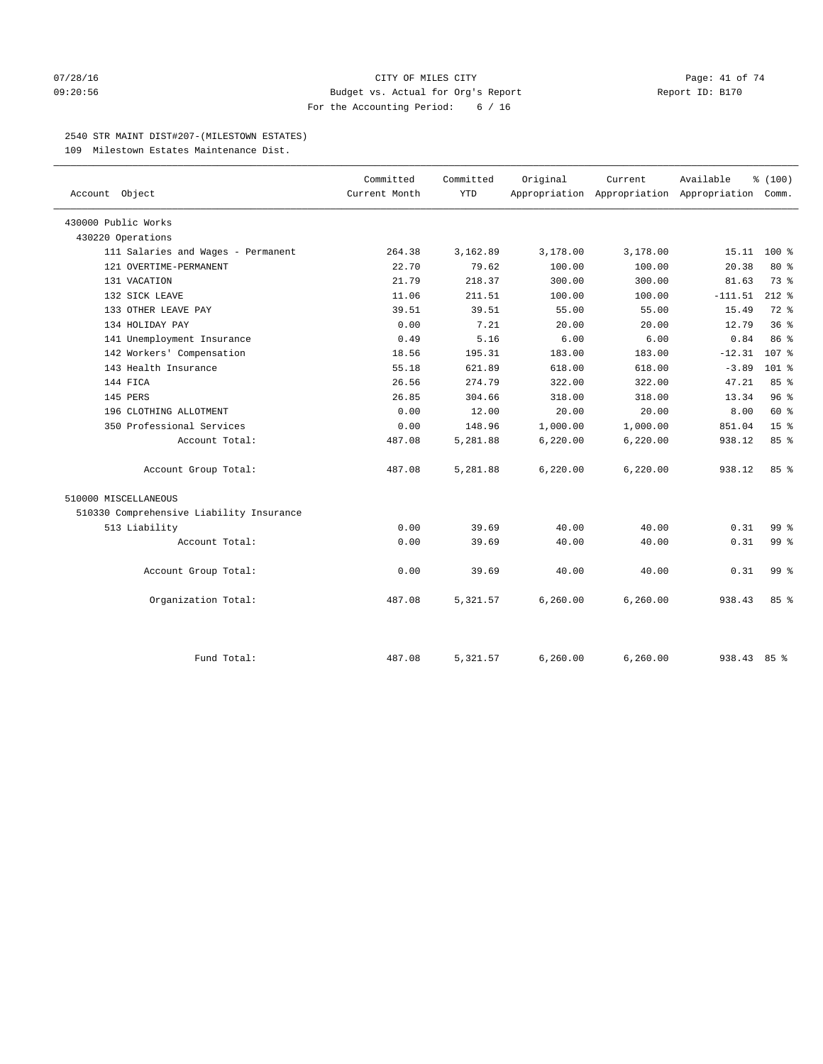#### $O7/28/16$  Page: 41 of 74 09:20:56 Budget vs. Actual for Org's Report Report ID: B170 For the Accounting Period: 6 / 16

#### 2540 STR MAINT DIST#207-(MILESTOWN ESTATES)

109 Milestown Estates Maintenance Dist.

| Account Object                           | Committed<br>Current Month | Committed<br><b>YTD</b> | Original  | Current<br>Appropriation Appropriation Appropriation Comm. | Available   | % (100)          |
|------------------------------------------|----------------------------|-------------------------|-----------|------------------------------------------------------------|-------------|------------------|
| 430000 Public Works                      |                            |                         |           |                                                            |             |                  |
| 430220 Operations                        |                            |                         |           |                                                            |             |                  |
| 111 Salaries and Wages - Permanent       | 264.38                     | 3,162.89                | 3,178.00  | 3,178.00                                                   | 15.11       | $100*$           |
| 121 OVERTIME-PERMANENT                   | 22.70                      | 79.62                   | 100.00    | 100.00                                                     | 20.38       | 80 %             |
| 131 VACATION                             | 21.79                      | 218.37                  | 300.00    | 300.00                                                     | 81.63       | 73.8             |
| 132 SICK LEAVE                           | 11.06                      | 211.51                  | 100.00    | 100.00                                                     | $-111.51$   | $212$ %          |
| 133 OTHER LEAVE PAY                      | 39.51                      | 39.51                   | 55.00     | 55.00                                                      | 15.49       | $72$ $%$         |
| 134 HOLIDAY PAY                          | 0.00                       | 7.21                    | 20.00     | 20.00                                                      | 12.79       | 36%              |
| 141 Unemployment Insurance               | 0.49                       | 5.16                    | 6.00      | 6.00                                                       | 0.84        | 86%              |
| 142 Workers' Compensation                | 18.56                      | 195.31                  | 183.00    | 183.00                                                     | $-12.31$    | 107 <sub>8</sub> |
| 143 Health Insurance                     | 55.18                      | 621.89                  | 618.00    | 618.00                                                     | $-3.89$     | $101$ %          |
| 144 FICA                                 | 26.56                      | 274.79                  | 322.00    | 322.00                                                     | 47.21       | 85%              |
| 145 PERS                                 | 26.85                      | 304.66                  | 318.00    | 318.00                                                     | 13.34       | 96%              |
| 196 CLOTHING ALLOTMENT                   | 0.00                       | 12.00                   | 20.00     | 20.00                                                      | 8.00        | 60 %             |
| 350 Professional Services                | 0.00                       | 148.96                  | 1,000.00  | 1,000.00                                                   | 851.04      | 15 <sup>°</sup>  |
| Account Total:                           | 487.08                     | 5,281.88                | 6,220.00  | 6,220.00                                                   | 938.12      | 85%              |
| Account Group Total:                     | 487.08                     | 5,281.88                | 6,220.00  | 6,220.00                                                   | 938.12      | 85%              |
| 510000 MISCELLANEOUS                     |                            |                         |           |                                                            |             |                  |
| 510330 Comprehensive Liability Insurance |                            |                         |           |                                                            |             |                  |
| 513 Liability                            | 0.00                       | 39.69                   | 40.00     | 40.00                                                      | 0.31        | 99 <sub>8</sub>  |
| Account Total:                           | 0.00                       | 39.69                   | 40.00     | 40.00                                                      | 0.31        | 99 <sub>8</sub>  |
| Account Group Total:                     | 0.00                       | 39.69                   | 40.00     | 40.00                                                      | 0.31        | 99 <sub>8</sub>  |
| Organization Total:                      | 487.08                     | 5,321.57                | 6, 260.00 | 6, 260.00                                                  | 938.43      | 85%              |
| Fund Total:                              | 487.08                     | 5,321.57                | 6,260.00  | 6,260.00                                                   | 938.43 85 % |                  |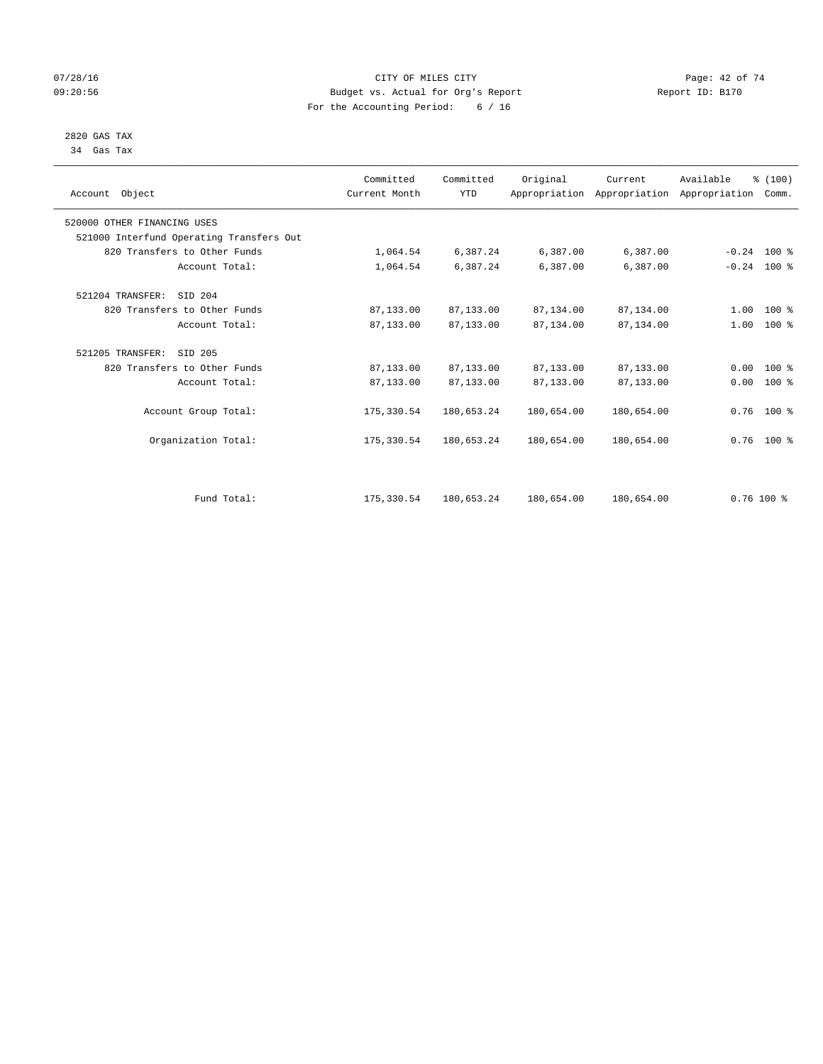## $O7/28/16$  Page: 42 of 74 09:20:56 Budget vs. Actual for Org's Report Report ID: B170 For the Accounting Period: 6 / 16

 2820 GAS TAX 34 Gas Tax

| Account Object               |                                          | Committed<br>Current Month | Committed<br><b>YTD</b> | Original   | Current<br>Appropriation Appropriation Appropriation | Available     | % (100)<br>Comm. |  |
|------------------------------|------------------------------------------|----------------------------|-------------------------|------------|------------------------------------------------------|---------------|------------------|--|
| 520000 OTHER FINANCING USES  |                                          |                            |                         |            |                                                      |               |                  |  |
|                              | 521000 Interfund Operating Transfers Out |                            |                         |            |                                                      |               |                  |  |
| 820 Transfers to Other Funds |                                          | 1,064.54                   | 6,387.24                | 6,387.00   | 6,387.00                                             | $-0.24$ 100 % |                  |  |
|                              | Account Total:                           | 1,064.54                   | 6,387.24                | 6,387.00   | 6,387.00                                             | $-0.24$ 100 % |                  |  |
| 521204 TRANSFER:             | SID 204                                  |                            |                         |            |                                                      |               |                  |  |
| 820 Transfers to Other Funds |                                          | 87,133.00                  | 87,133.00               | 87,134.00  | 87,134.00                                            | 1.00          | $100*$           |  |
|                              | Account Total:                           | 87,133.00                  | 87,133.00               | 87,134.00  | 87,134.00                                            |               | $1.00$ 100 %     |  |
| 521205 TRANSFER:             | SID 205                                  |                            |                         |            |                                                      |               |                  |  |
| 820 Transfers to Other Funds |                                          | 87,133.00                  | 87,133.00               | 87,133.00  | 87,133.00                                            | 0.00          | 100 %            |  |
|                              | Account Total:                           | 87,133.00                  | 87,133.00               | 87,133.00  | 87,133.00                                            | 0.00          | $100*$           |  |
|                              | Account Group Total:                     | 175,330.54                 | 180,653.24              | 180,654.00 | 180,654.00                                           |               | $0.76$ 100 %     |  |
|                              | Organization Total:                      | 175,330.54                 | 180,653.24              | 180,654.00 | 180,654.00                                           |               | $0.76$ 100 %     |  |
|                              |                                          |                            |                         |            |                                                      |               |                  |  |
|                              | Fund Total:                              | 175,330.54                 | 180,653.24              | 180,654.00 | 180,654.00                                           |               | $0.76$ 100 %     |  |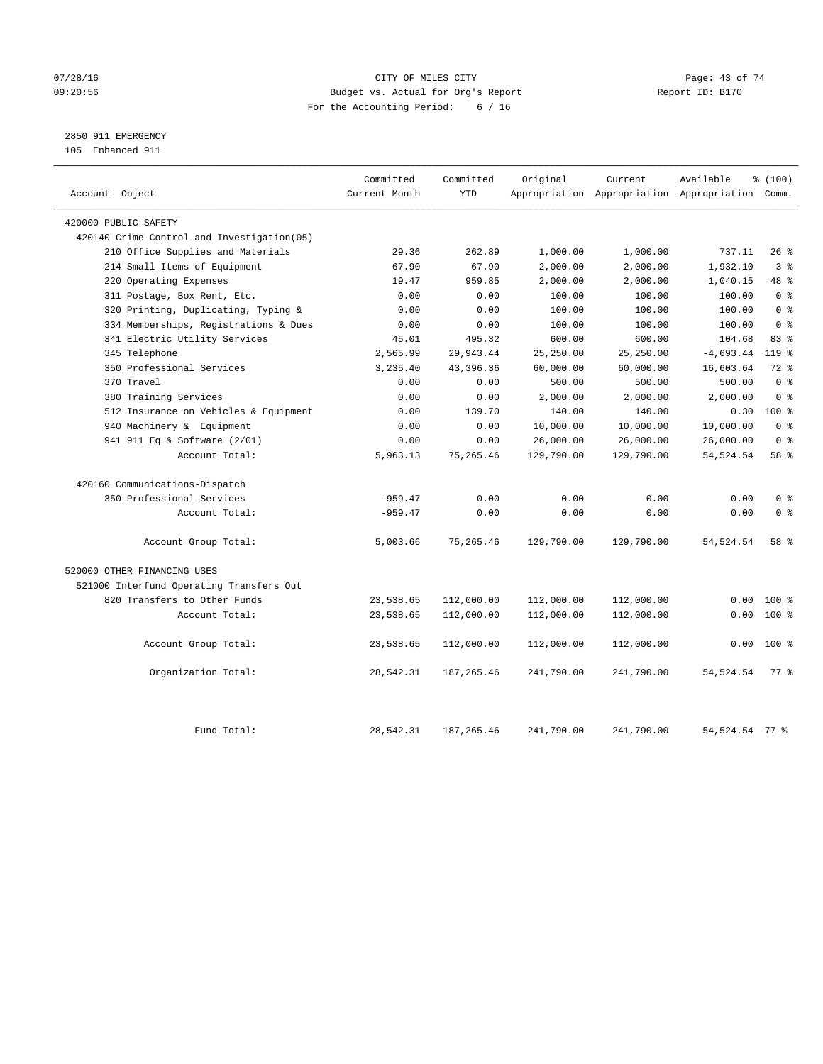## $O7/28/16$  Page: 43 of 74 09:20:56 Budget vs. Actual for Org's Report Report ID: B170 For the Accounting Period: 6 / 16

# 2850 911 EMERGENCY

105 Enhanced 911

| Account Object                             | Committed<br>Current Month | Committed<br><b>YTD</b> | Original   | Current    | Available<br>Appropriation Appropriation Appropriation Comm. | % (100)        |  |
|--------------------------------------------|----------------------------|-------------------------|------------|------------|--------------------------------------------------------------|----------------|--|
|                                            |                            |                         |            |            |                                                              |                |  |
| 420000 PUBLIC SAFETY                       |                            |                         |            |            |                                                              |                |  |
| 420140 Crime Control and Investigation(05) |                            |                         |            |            |                                                              |                |  |
| 210 Office Supplies and Materials          | 29.36                      | 262.89                  | 1,000.00   | 1,000.00   | 737.11                                                       | $26$ %<br>3%   |  |
| 214 Small Items of Equipment               | 67.90                      | 67.90                   | 2,000.00   | 2,000.00   | 1,932.10                                                     | 48 %           |  |
| 220 Operating Expenses                     | 19.47                      | 959.85                  | 2,000.00   | 2,000.00   | 1,040.15                                                     |                |  |
| 311 Postage, Box Rent, Etc.                | 0.00                       | 0.00                    | 100.00     | 100.00     | 100.00                                                       | 0 <sup>8</sup> |  |
| 320 Printing, Duplicating, Typing &        | 0.00                       | 0.00                    | 100.00     | 100.00     | 100.00                                                       | 0 <sup>8</sup> |  |
| 334 Memberships, Registrations & Dues      | 0.00                       | 0.00                    | 100.00     | 100.00     | 100.00                                                       | 0 <sup>8</sup> |  |
| 341 Electric Utility Services              | 45.01                      | 495.32                  | 600.00     | 600.00     | 104.68                                                       | 83%            |  |
| 345 Telephone                              | 2,565.99                   | 29,943.44               | 25,250.00  | 25,250.00  | $-4,693.44$                                                  | $119*$         |  |
| 350 Professional Services                  | 3,235.40                   | 43,396.36               | 60,000.00  | 60,000.00  | 16,603.64                                                    | 72 %           |  |
| 370 Travel                                 | 0.00                       | 0.00                    | 500.00     | 500.00     | 500.00                                                       | 0 <sup>8</sup> |  |
| 380 Training Services                      | 0.00                       | 0.00                    | 2,000.00   | 2,000.00   | 2,000.00                                                     | 0 <sup>8</sup> |  |
| 512 Insurance on Vehicles & Equipment      | 0.00                       | 139.70                  | 140.00     | 140.00     | 0.30                                                         | $100*$         |  |
| 940 Machinery & Equipment                  | 0.00                       | 0.00                    | 10,000.00  | 10,000.00  | 10,000.00                                                    | 0 <sup>8</sup> |  |
| 941 911 Eq & Software (2/01)               | 0.00                       | 0.00                    | 26,000.00  | 26,000.00  | 26,000.00                                                    | 0 <sup>8</sup> |  |
| Account Total:                             | 5,963.13                   | 75, 265.46              | 129,790.00 | 129,790.00 | 54, 524. 54                                                  | 58 %           |  |
| 420160 Communications-Dispatch             |                            |                         |            |            |                                                              |                |  |
| 350 Professional Services                  | $-959.47$                  | 0.00                    | 0.00       | 0.00       | 0.00                                                         | 0 <sup>8</sup> |  |
| Account Total:                             | $-959.47$                  | 0.00                    | 0.00       | 0.00       | 0.00                                                         | 0 <sup>8</sup> |  |
| Account Group Total:                       | 5,003.66                   | 75, 265.46              | 129,790.00 | 129,790.00 | 54, 524. 54                                                  | 58 %           |  |
| 520000 OTHER FINANCING USES                |                            |                         |            |            |                                                              |                |  |
| 521000 Interfund Operating Transfers Out   |                            |                         |            |            |                                                              |                |  |
| 820 Transfers to Other Funds               | 23,538.65                  | 112,000.00              | 112,000.00 | 112,000.00 | 0.00                                                         | $100*$         |  |
| Account Total:                             | 23,538.65                  | 112,000.00              | 112,000.00 | 112,000.00 | 0.00                                                         | $100*$         |  |
| Account Group Total:                       | 23,538.65                  | 112,000.00              | 112,000.00 | 112,000.00 | 0.00                                                         | $100*$         |  |
| Organization Total:                        | 28,542.31                  | 187, 265.46             | 241,790.00 | 241,790.00 | 54, 524. 54                                                  | 77.8           |  |
| Fund Total:                                | 28,542.31                  | 187, 265.46             | 241,790.00 | 241,790.00 | 54,524.54 77 %                                               |                |  |
|                                            |                            |                         |            |            |                                                              |                |  |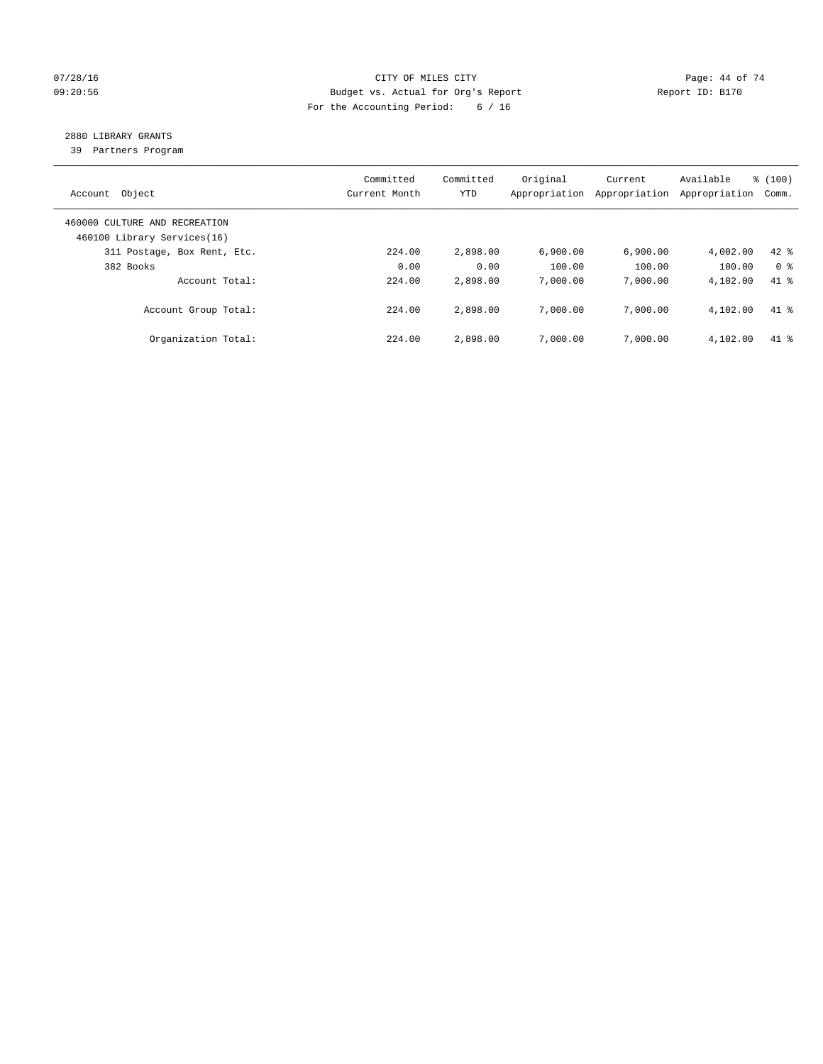## 07/28/16 Page: 44 of 74 09:20:56 Budget vs. Actual for Org's Report Report ID: B170 For the Accounting Period: 6 / 16

# 2880 LIBRARY GRANTS

39 Partners Program

| Account Object                                               | Committed<br>Current Month | Committed<br>YTD | Original<br>Appropriation | Current<br>Appropriation | Available<br>Appropriation | % (100)<br>Comm. |
|--------------------------------------------------------------|----------------------------|------------------|---------------------------|--------------------------|----------------------------|------------------|
| 460000 CULTURE AND RECREATION<br>460100 Library Services(16) |                            |                  |                           |                          |                            |                  |
| 311 Postage, Box Rent, Etc.                                  | 224.00                     | 2,898.00         | 6.900.00                  | 6,900.00                 | 4,002.00                   | $42$ %           |
| 382 Books                                                    | 0.00                       | 0.00             | 100.00                    | 100.00                   | 100.00                     | 0 <sup>8</sup>   |
| Account Total:                                               | 224.00                     | 2,898.00         | 7,000.00                  | 7,000.00                 | 4,102.00                   | $41*$            |
| Account Group Total:                                         | 224.00                     | 2,898.00         | 7,000.00                  | 7,000.00                 | 4,102.00                   | $41$ %           |
| Organization Total:                                          | 224.00                     | 2,898.00         | 7,000.00                  | 7,000.00                 | 4,102.00                   | $41*$            |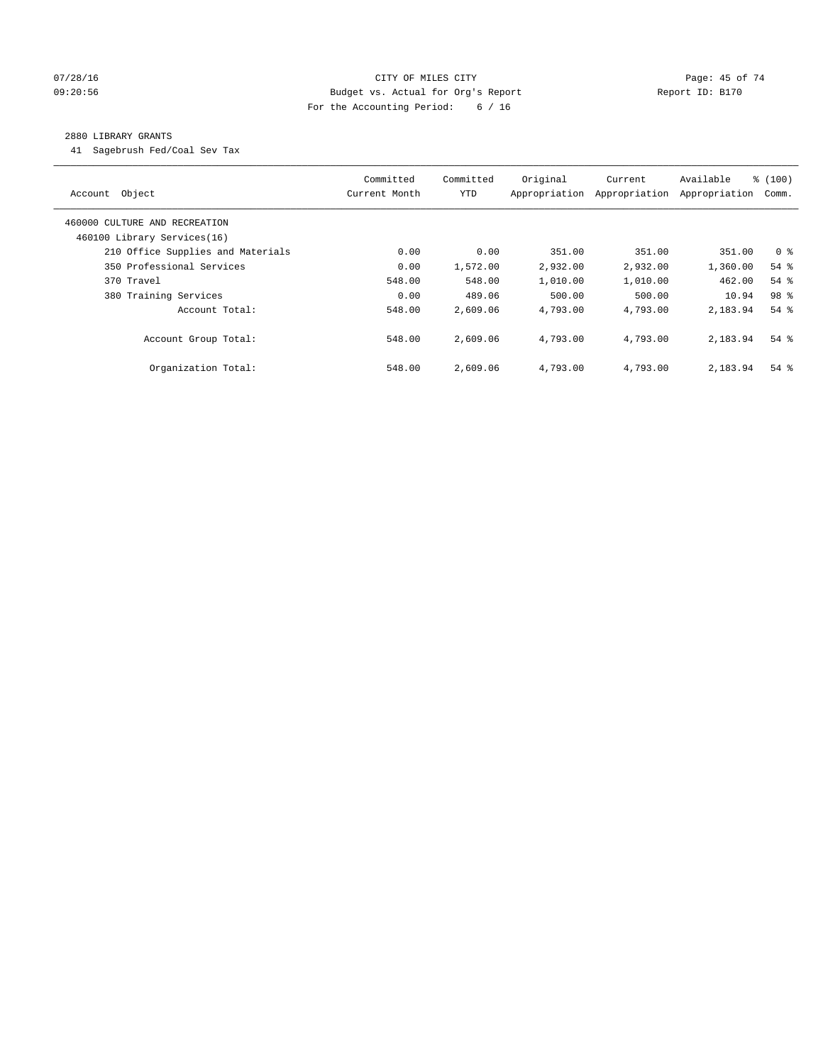#### $O7/28/16$  Page: 45 of 74 09:20:56 Budget vs. Actual for Org's Report Report ID: B170 For the Accounting Period: 6 / 16

### 2880 LIBRARY GRANTS

41 Sagebrush Fed/Coal Sev Tax

| Account Object                                               | Committed<br>Current Month | Committed<br><b>YTD</b> | Original<br>Appropriation | Current<br>Appropriation | Available<br>Appropriation | \$(100)<br>Comm.   |
|--------------------------------------------------------------|----------------------------|-------------------------|---------------------------|--------------------------|----------------------------|--------------------|
| 460000 CULTURE AND RECREATION<br>460100 Library Services(16) |                            |                         |                           |                          |                            |                    |
| 210 Office Supplies and Materials                            | 0.00                       | 0.00                    | 351.00                    | 351.00                   | 351.00                     | 0 <sup>8</sup>     |
| 350 Professional Services                                    | 0.00                       | 1,572.00                | 2,932.00                  | 2,932.00                 | 1,360.00                   | $54$ $%$           |
| 370 Travel                                                   | 548.00                     | 548.00                  | 1,010.00                  | 1,010.00                 | 462.00                     | $54$ $%$           |
| 380 Training Services                                        | 0.00                       | 489.06                  | 500.00                    | 500.00                   | 10.94                      | 98 <sup>8</sup>    |
| Account Total:                                               | 548.00                     | 2,609.06                | 4,793.00                  | 4,793.00                 | 2,183.94                   | $54$ $%$           |
| Account Group Total:                                         | 548.00                     | 2,609.06                | 4,793.00                  | 4,793.00                 | 2,183.94                   | $54$ $\frac{6}{3}$ |
| Organization Total:                                          | 548.00                     | 2,609.06                | 4,793.00                  | 4,793.00                 | 2,183.94                   | $54$ $%$           |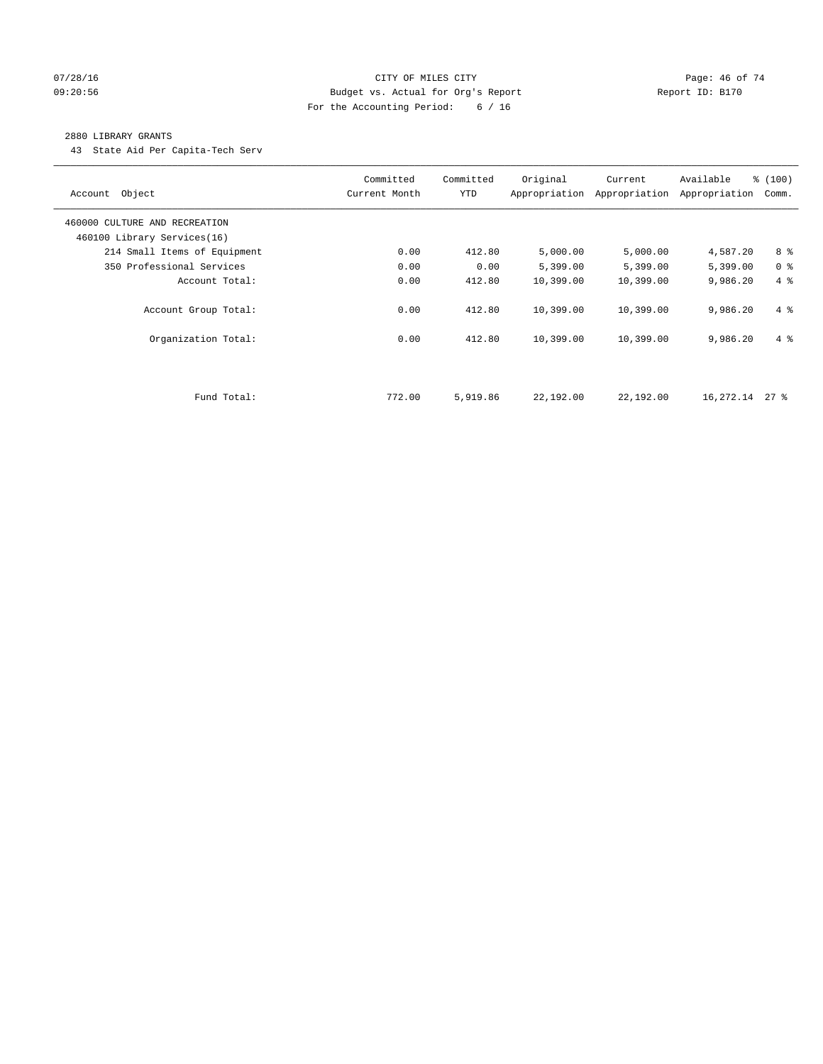## $07/28/16$  Page: 46 of 74 09:20:56 Budget vs. Actual for Org's Report Report ID: B170 For the Accounting Period: 6 / 16

#### 2880 LIBRARY GRANTS

43 State Aid Per Capita-Tech Serv

| Account Object                | Committed<br>Current Month | Committed<br><b>YTD</b> | Original  | Current<br>Appropriation Appropriation | Available<br>Appropriation | % (100)<br>Comm. |
|-------------------------------|----------------------------|-------------------------|-----------|----------------------------------------|----------------------------|------------------|
| 460000 CULTURE AND RECREATION |                            |                         |           |                                        |                            |                  |
| 460100 Library Services(16)   |                            |                         |           |                                        |                            |                  |
| 214 Small Items of Equipment  | 0.00                       | 412.80                  | 5,000.00  | 5,000.00                               | 4,587.20                   | 8 %              |
| 350 Professional Services     | 0.00                       | 0.00                    | 5,399.00  | 5,399.00                               | 5,399.00                   | 0 <sup>8</sup>   |
| Account Total:                | 0.00                       | 412.80                  | 10,399.00 | 10,399.00                              | 9,986.20                   | 4%               |
| Account Group Total:          | 0.00                       | 412.80                  | 10,399.00 | 10,399.00                              | 9,986.20                   | $4\degree$       |
| Organization Total:           | 0.00                       | 412.80                  | 10,399.00 | 10,399.00                              | 9,986.20                   | $4\degree$       |
|                               |                            |                         |           |                                        |                            |                  |
| Fund Total:                   | 772.00                     | 5,919.86                | 22,192.00 | 22,192.00                              | 16,272.14                  | $27$ %           |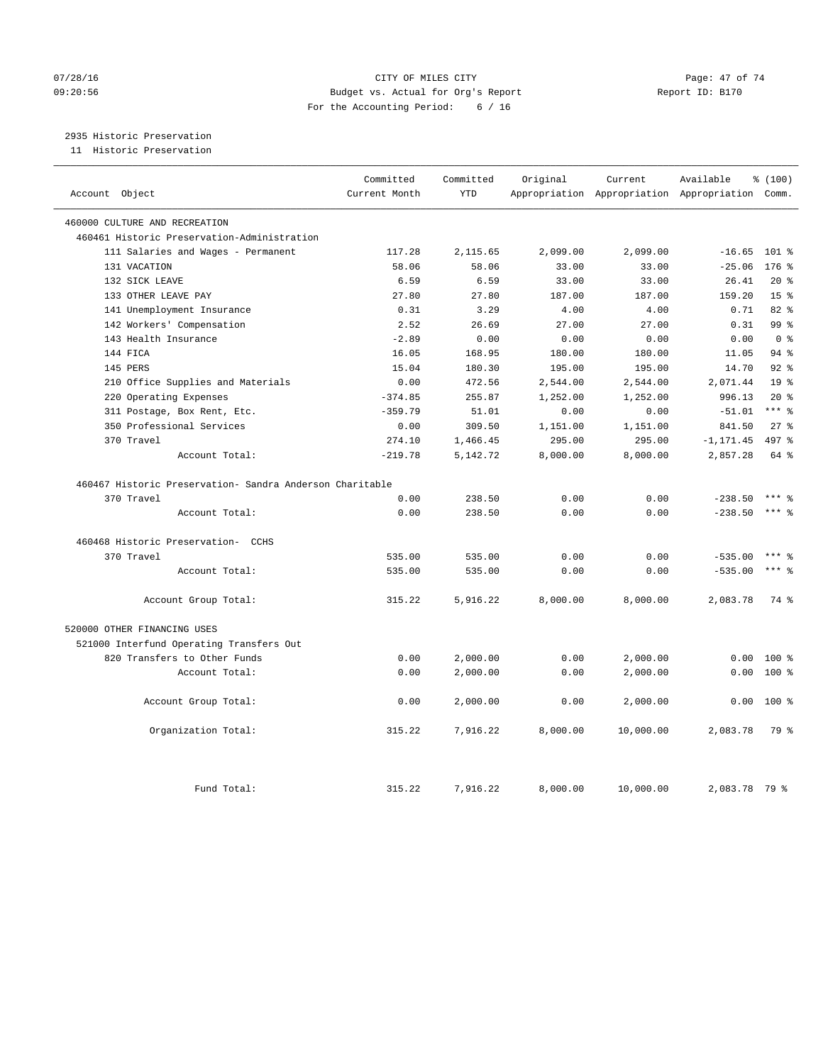## 07/28/16 Page: 47 of 74 09:20:56 Budget vs. Actual for Org's Report Report ID: B170 For the Accounting Period: 6 / 16

2935 Historic Preservation

11 Historic Preservation

| Account Object |                                                          | Committed<br>Current Month | Committed<br><b>YTD</b> | Original | Current   | Available<br>Appropriation Appropriation Appropriation Comm. | % (100)         |
|----------------|----------------------------------------------------------|----------------------------|-------------------------|----------|-----------|--------------------------------------------------------------|-----------------|
|                |                                                          |                            |                         |          |           |                                                              |                 |
|                | 460000 CULTURE AND RECREATION                            |                            |                         |          |           |                                                              |                 |
|                | 460461 Historic Preservation-Administration              |                            |                         |          |           |                                                              |                 |
|                | 111 Salaries and Wages - Permanent                       | 117.28                     | 2,115.65                | 2,099.00 | 2,099.00  | $-16.65$                                                     | $101$ %         |
|                | 131 VACATION                                             | 58.06                      | 58.06                   | 33.00    | 33.00     | $-25.06$                                                     | $176$ %         |
|                | 132 SICK LEAVE                                           | 6.59                       | 6.59                    | 33.00    | 33.00     | 26.41                                                        | $20*$           |
|                | 133 OTHER LEAVE PAY                                      | 27.80                      | 27.80                   | 187.00   | 187.00    | 159.20                                                       | 15 <sup>°</sup> |
|                | 141 Unemployment Insurance                               | 0.31                       | 3.29                    | 4.00     | 4.00      | 0.71                                                         | 82%             |
|                | 142 Workers' Compensation                                | 2.52                       | 26.69                   | 27.00    | 27.00     | 0.31                                                         | 99 %            |
|                | 143 Health Insurance                                     | $-2.89$                    | 0.00                    | 0.00     | 0.00      | 0.00                                                         | 0 <sup>8</sup>  |
|                | 144 FICA                                                 | 16.05                      | 168.95                  | 180.00   | 180.00    | 11.05                                                        | $94$ $%$        |
|                | 145 PERS                                                 | 15.04                      | 180.30                  | 195.00   | 195.00    | 14.70                                                        | 92.8            |
|                | 210 Office Supplies and Materials                        | 0.00                       | 472.56                  | 2,544.00 | 2,544.00  | 2,071.44                                                     | 19 <sup>°</sup> |
|                | 220 Operating Expenses                                   | $-374.85$                  | 255.87                  | 1,252.00 | 1,252.00  | 996.13                                                       | $20*$           |
|                | 311 Postage, Box Rent, Etc.                              | $-359.79$                  | 51.01                   | 0.00     | 0.00      | $-51.01$                                                     | $***$ 8         |
|                | 350 Professional Services                                | 0.00                       | 309.50                  | 1,151.00 | 1,151.00  | 841.50                                                       | 27%             |
|                | 370 Travel                                               | 274.10                     | 1,466.45                | 295.00   | 295.00    | $-1, 171.45$                                                 | 497 %           |
|                | Account Total:                                           | $-219.78$                  | 5,142.72                | 8,000.00 | 8,000.00  | 2,857.28                                                     | 64 %            |
|                |                                                          |                            |                         |          |           |                                                              |                 |
|                | 460467 Historic Preservation- Sandra Anderson Charitable |                            |                         |          |           |                                                              |                 |
|                | 370 Travel                                               | 0.00                       | 238.50                  | 0.00     | 0.00      | $-238.50$                                                    | $***$ 2         |
|                | Account Total:                                           | 0.00                       | 238.50                  | 0.00     | 0.00      | $-238.50$                                                    | $***$ $_{8}$    |
|                | 460468 Historic Preservation- CCHS                       |                            |                         |          |           |                                                              |                 |
|                | 370 Travel                                               | 535.00                     | 535.00                  | 0.00     | 0.00      | $-535.00$                                                    | $***$ $_{8}$    |
|                | Account Total:                                           | 535.00                     | 535.00                  | 0.00     | 0.00      | $-535.00$                                                    | $***$ $%$       |
|                | Account Group Total:                                     | 315.22                     | 5,916.22                | 8,000.00 | 8,000.00  | 2,083.78                                                     | 74 %            |
|                | 520000 OTHER FINANCING USES                              |                            |                         |          |           |                                                              |                 |
|                | 521000 Interfund Operating Transfers Out                 |                            |                         |          |           |                                                              |                 |
|                | 820 Transfers to Other Funds                             | 0.00                       | 2,000.00                | 0.00     | 2,000.00  | 0.00                                                         | 100 %           |
|                | Account Total:                                           | 0.00                       | 2,000.00                | 0.00     | 2,000.00  | 0.00                                                         | 100 %           |
|                |                                                          |                            |                         |          |           |                                                              |                 |
|                | Account Group Total:                                     | 0.00                       | 2,000.00                | 0.00     | 2,000.00  | 0.00                                                         | $100*$          |
|                | Organization Total:                                      | 315.22                     | 7,916.22                | 8,000.00 | 10,000.00 | 2,083.78                                                     | 79 %            |
|                | Fund Total:                                              | 315.22                     | 7,916.22                | 8,000.00 | 10,000.00 | 2,083.78 79 %                                                |                 |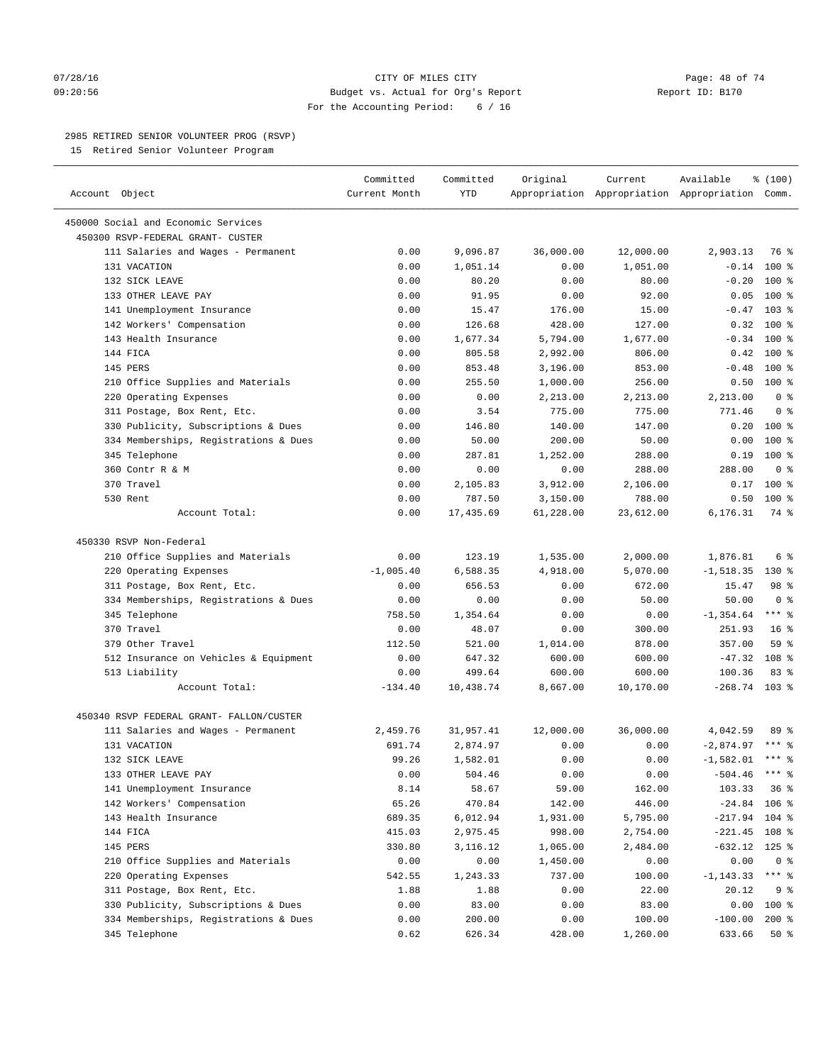#### $O7/28/16$  Page: 48 of 74 09:20:56 Budget vs. Actual for Org's Report Report ID: B170 For the Accounting Period: 6 / 16

————————————————————————————————————————————————————————————————————————————————————————————————————————————————————————————————————

## 2985 RETIRED SENIOR VOLUNTEER PROG (RSVP)

15 Retired Senior Volunteer Program

|                                          | Committed     | Committed | Original  | Current   | Available                                       | \$(100)             |  |
|------------------------------------------|---------------|-----------|-----------|-----------|-------------------------------------------------|---------------------|--|
| Account Object                           | Current Month | YTD       |           |           | Appropriation Appropriation Appropriation Comm. |                     |  |
| 450000 Social and Economic Services      |               |           |           |           |                                                 |                     |  |
| 450300 RSVP-FEDERAL GRANT- CUSTER        |               |           |           |           |                                                 |                     |  |
| 111 Salaries and Wages - Permanent       | 0.00          | 9,096.87  | 36,000.00 | 12,000.00 | 2,903.13                                        | 76 %                |  |
| 131 VACATION                             | 0.00          | 1,051.14  | 0.00      | 1,051.00  | $-0.14$                                         | $100$ %             |  |
| 132 SICK LEAVE                           | 0.00          | 80.20     | 0.00      | 80.00     | $-0.20$ 100 %                                   |                     |  |
| 133 OTHER LEAVE PAY                      | 0.00          | 91.95     | 0.00      | 92.00     |                                                 | $0.05$ 100 %        |  |
| 141 Unemployment Insurance               | 0.00          | 15.47     | 176.00    | 15.00     | $-0.47$                                         | $103$ %             |  |
| 142 Workers' Compensation                | 0.00          | 126.68    | 428.00    | 127.00    | 0.32                                            | $100*$              |  |
| 143 Health Insurance                     | 0.00          | 1,677.34  | 5,794.00  | 1,677.00  | $-0.34$                                         | $100*$              |  |
| 144 FICA                                 | 0.00          | 805.58    | 2,992.00  | 806.00    |                                                 | $0.42$ 100 %        |  |
| 145 PERS                                 | 0.00          | 853.48    | 3,196.00  | 853.00    | $-0.48$                                         | 100 %               |  |
| 210 Office Supplies and Materials        | 0.00          | 255.50    | 1,000.00  | 256.00    | 0.50                                            | 100 %               |  |
| 220 Operating Expenses                   | 0.00          | 0.00      | 2,213.00  | 2,213.00  | 2,213.00                                        | 0 <sup>8</sup>      |  |
| 311 Postage, Box Rent, Etc.              | 0.00          | 3.54      | 775.00    | 775.00    | 771.46                                          | 0 <sup>8</sup>      |  |
| 330 Publicity, Subscriptions & Dues      | 0.00          | 146.80    | 140.00    | 147.00    |                                                 | $0.20$ 100 %        |  |
| 334 Memberships, Registrations & Dues    | 0.00          | 50.00     | 200.00    | 50.00     | 0.00                                            | 100 %               |  |
| 345 Telephone                            | 0.00          | 287.81    | 1,252.00  | 288.00    | 0.19                                            | $100*$              |  |
| 360 Contr R & M                          | 0.00          | 0.00      | 0.00      | 288.00    | 288.00                                          | 0 <sup>8</sup>      |  |
| 370 Travel                               | 0.00          | 2,105.83  | 3,912.00  | 2,106.00  | 0.17                                            | $100*$              |  |
| 530 Rent                                 | 0.00          | 787.50    | 3,150.00  | 788.00    | 0.50                                            | $100*$              |  |
| Account Total:                           | 0.00          | 17,435.69 | 61,228.00 | 23,612.00 | 6,176.31                                        | 74 %                |  |
| 450330 RSVP Non-Federal                  |               |           |           |           |                                                 |                     |  |
| 210 Office Supplies and Materials        | 0.00          | 123.19    | 1,535.00  | 2,000.00  | 1,876.81                                        | 6 %                 |  |
| 220 Operating Expenses                   | $-1,005.40$   | 6,588.35  | 4,918.00  | 5,070.00  | $-1,518.35$ 130 %                               |                     |  |
| 311 Postage, Box Rent, Etc.              | 0.00          | 656.53    | 0.00      | 672.00    | 15.47                                           | 98 %                |  |
| 334 Memberships, Registrations & Dues    | 0.00          | 0.00      | 0.00      | 50.00     | 50.00                                           | 0 <sup>8</sup>      |  |
| 345 Telephone                            | 758.50        | 1,354.64  | 0.00      | 0.00      | $-1, 354.64$                                    | $***$ $%$           |  |
| 370 Travel                               | 0.00          | 48.07     | 0.00      | 300.00    | 251.93                                          | 16 <sup>8</sup>     |  |
| 379 Other Travel                         | 112.50        | 521.00    | 1,014.00  | 878.00    | 357.00                                          | 59%                 |  |
| 512 Insurance on Vehicles & Equipment    | 0.00          | 647.32    | 600.00    | 600.00    | $-47.32$                                        | 108 %               |  |
| 513 Liability                            | 0.00          | 499.64    | 600.00    | 600.00    | 100.36                                          | 83%                 |  |
| Account Total:                           | $-134.40$     | 10,438.74 | 8,667.00  | 10,170.00 | $-268.74$ 103 %                                 |                     |  |
| 450340 RSVP FEDERAL GRANT- FALLON/CUSTER |               |           |           |           |                                                 |                     |  |
| 111 Salaries and Wages - Permanent       | 2,459.76      | 31,957.41 | 12,000.00 | 36,000.00 | 4,042.59                                        | 89 %                |  |
| 131 VACATION                             | 691.74        | 2,874.97  | 0.00      | 0.00      | $-2,874.97$                                     | $***$ $\frac{6}{5}$ |  |
| 132 SICK LEAVE                           | 99.26         | 1,582.01  | 0.00      | 0.00      | $-1,582.01$ *** %                               |                     |  |
| 133 OTHER LEAVE PAY                      | 0.00          | 504.46    | 0.00      | 0.00      | $-504.46$ *** %                                 |                     |  |
| 141 Unemployment Insurance               | 8.14          | 58.67     | 59.00     | 162.00    | 103.33                                          | 36%                 |  |
| 142 Workers' Compensation                | 65.26         | 470.84    | 142.00    | 446.00    | $-24.84$ 106 %                                  |                     |  |
| 143 Health Insurance                     | 689.35        | 6,012.94  | 1,931.00  | 5,795.00  | $-217.94$ 104 %                                 |                     |  |
| 144 FICA                                 | 415.03        | 2,975.45  | 998.00    | 2,754.00  | $-221.45$ 108 %                                 |                     |  |
| 145 PERS                                 | 330.80        | 3,116.12  | 1,065.00  | 2,484.00  | $-632.12$ 125 %                                 |                     |  |
| 210 Office Supplies and Materials        | 0.00          | 0.00      | 1,450.00  | 0.00      | 0.00                                            | 0 <sup>8</sup>      |  |
| 220 Operating Expenses                   | 542.55        | 1,243.33  | 737.00    | 100.00    | $-1, 143.33$                                    | $***$ $_{8}$        |  |
| 311 Postage, Box Rent, Etc.              | 1.88          | 1.88      | 0.00      | 22.00     | 20.12                                           | 9 %                 |  |
| 330 Publicity, Subscriptions & Dues      | 0.00          | 83.00     | 0.00      | 83.00     | 0.00                                            | $100$ %             |  |
| 334 Memberships, Registrations & Dues    | 0.00          | 200.00    | 0.00      | 100.00    | $-100.00$                                       | $200*$              |  |
| 345 Telephone                            | 0.62          | 626.34    | 428.00    | 1,260.00  | 633.66                                          | 50 %                |  |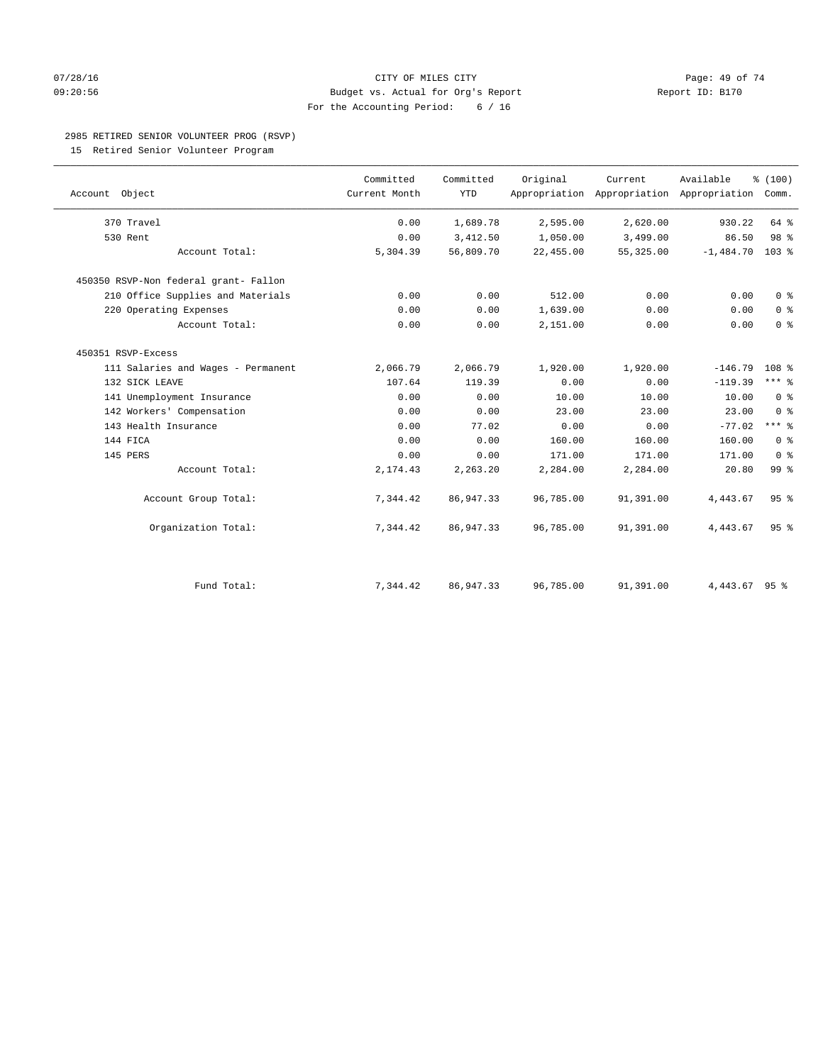#### $O7/28/16$  Page: 49 of 74 09:20:56 Budget vs. Actual for Org's Report Report ID: B170 For the Accounting Period: 6 / 16

## 2985 RETIRED SENIOR VOLUNTEER PROG (RSVP)

15 Retired Senior Volunteer Program

| Account Object                        | Committed<br>Current Month | Committed<br><b>YTD</b> | Original  | Current   | Available<br>Appropriation Appropriation Appropriation Comm. | % (100)          |
|---------------------------------------|----------------------------|-------------------------|-----------|-----------|--------------------------------------------------------------|------------------|
| 370 Travel                            | 0.00                       | 1,689.78                | 2,595.00  | 2,620.00  | 930.22                                                       | 64 %             |
| 530 Rent                              | 0.00                       | 3,412.50                | 1,050.00  | 3,499.00  | 86.50                                                        | 98 <sup>8</sup>  |
| Account Total:                        | 5,304.39                   | 56,809.70               | 22,455.00 | 55,325.00 | $-1,484.70$                                                  | $103$ %          |
| 450350 RSVP-Non federal grant- Fallon |                            |                         |           |           |                                                              |                  |
| 210 Office Supplies and Materials     | 0.00                       | 0.00                    | 512.00    | 0.00      | 0.00                                                         | 0 <sup>8</sup>   |
| 220 Operating Expenses                | 0.00                       | 0.00                    | 1,639.00  | 0.00      | 0.00                                                         | 0 <sup>8</sup>   |
| Account Total:                        | 0.00                       | 0.00                    | 2,151.00  | 0.00      | 0.00                                                         | 0 <sup>8</sup>   |
| 450351 RSVP-Excess                    |                            |                         |           |           |                                                              |                  |
| 111 Salaries and Wages - Permanent    | 2,066.79                   | 2,066.79                | 1,920.00  | 1,920.00  | $-146.79$                                                    | 108 <sup>8</sup> |
| 132 SICK LEAVE                        | 107.64                     | 119.39                  | 0.00      | 0.00      | $-119.39$                                                    | $***$ $%$        |
| 141 Unemployment Insurance            | 0.00                       | 0.00                    | 10.00     | 10.00     | 10.00                                                        | 0 <sup>8</sup>   |
| 142 Workers' Compensation             | 0.00                       | 0.00                    | 23.00     | 23.00     | 23.00                                                        | 0 <sup>8</sup>   |
| 143 Health Insurance                  | 0.00                       | 77.02                   | 0.00      | 0.00      | $-77.02$                                                     | $***$ $_{8}$     |
| 144 FICA                              | 0.00                       | 0.00                    | 160.00    | 160.00    | 160.00                                                       | 0 <sup>8</sup>   |
| 145 PERS                              | 0.00                       | 0.00                    | 171.00    | 171.00    | 171.00                                                       | 0 <sup>8</sup>   |
| Account Total:                        | 2,174.43                   | 2,263.20                | 2,284.00  | 2,284.00  | 20.80                                                        | 99 %             |
| Account Group Total:                  | 7,344.42                   | 86,947.33               | 96,785.00 | 91,391.00 | 4,443.67                                                     | 95 <sup>8</sup>  |
| Organization Total:                   | 7,344.42                   | 86,947.33               | 96,785.00 | 91,391.00 | 4,443.67                                                     | 95 <sup>8</sup>  |
| Fund Total:                           | 7,344.42                   | 86,947.33               | 96,785.00 | 91,391.00 | 4,443.67                                                     | 95%              |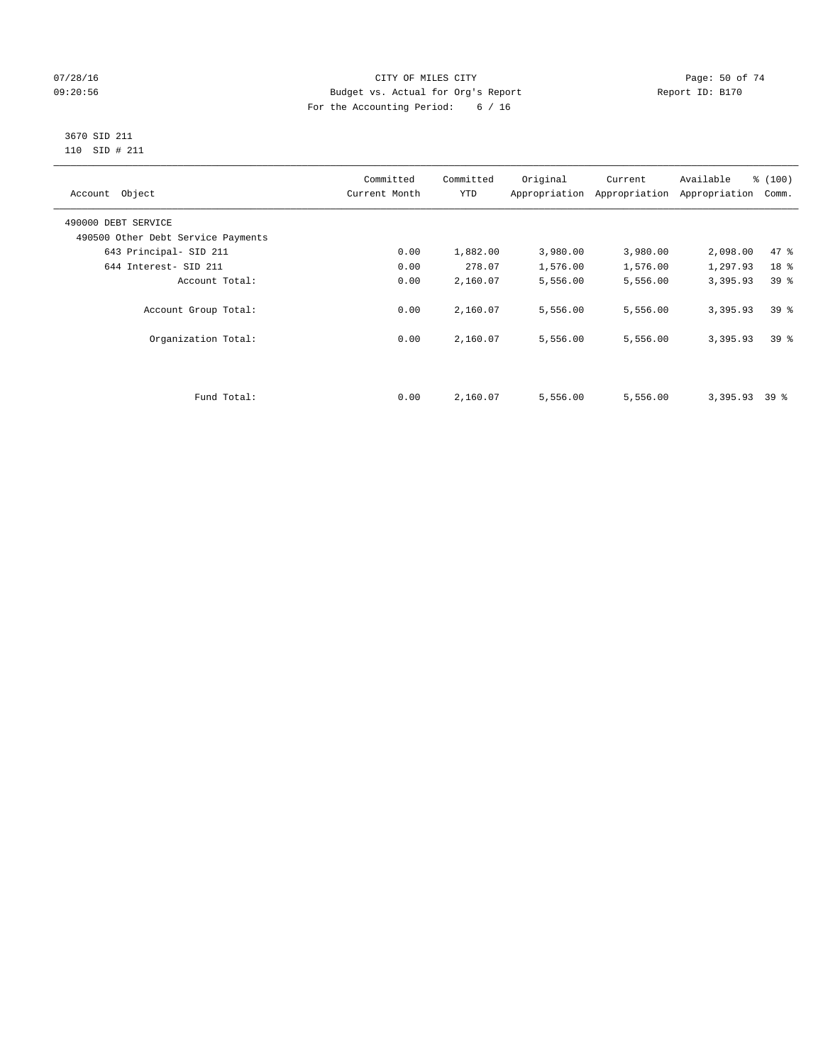## $O7/28/16$  Page: 50 of 74 09:20:56 Budget vs. Actual for Org's Report Report ID: B170 For the Accounting Period: 6 / 16

#### 3670 SID 211 110 SID # 211

| Account Object                     | Committed<br>Current Month | Committed<br><b>YTD</b> | Original | Current<br>Appropriation Appropriation | Available<br>Appropriation | % (100)<br>Comm. |
|------------------------------------|----------------------------|-------------------------|----------|----------------------------------------|----------------------------|------------------|
| 490000 DEBT SERVICE                |                            |                         |          |                                        |                            |                  |
| 490500 Other Debt Service Payments |                            |                         |          |                                        |                            |                  |
| 643 Principal- SID 211             | 0.00                       | 1,882.00                | 3,980.00 | 3,980.00                               | 2,098.00                   | 47.8             |
| 644 Interest- SID 211              | 0.00                       | 278.07                  | 1,576.00 | 1,576.00                               | 1,297.93                   | 18 <sup>°</sup>  |
| Account Total:                     | 0.00                       | 2,160.07                | 5,556.00 | 5,556.00                               | 3,395.93                   | 39 <sup>8</sup>  |
| Account Group Total:               | 0.00                       | 2,160.07                | 5,556.00 | 5,556.00                               | 3,395.93                   | 39 <sup>8</sup>  |
| Organization Total:                | 0.00                       | 2,160.07                | 5,556.00 | 5,556.00                               | 3,395.93                   | 39 <sup>8</sup>  |
|                                    |                            |                         |          |                                        |                            |                  |
| Fund Total:                        | 0.00                       | 2,160.07                | 5,556.00 | 5,556.00                               | 3,395.93                   | 39 %             |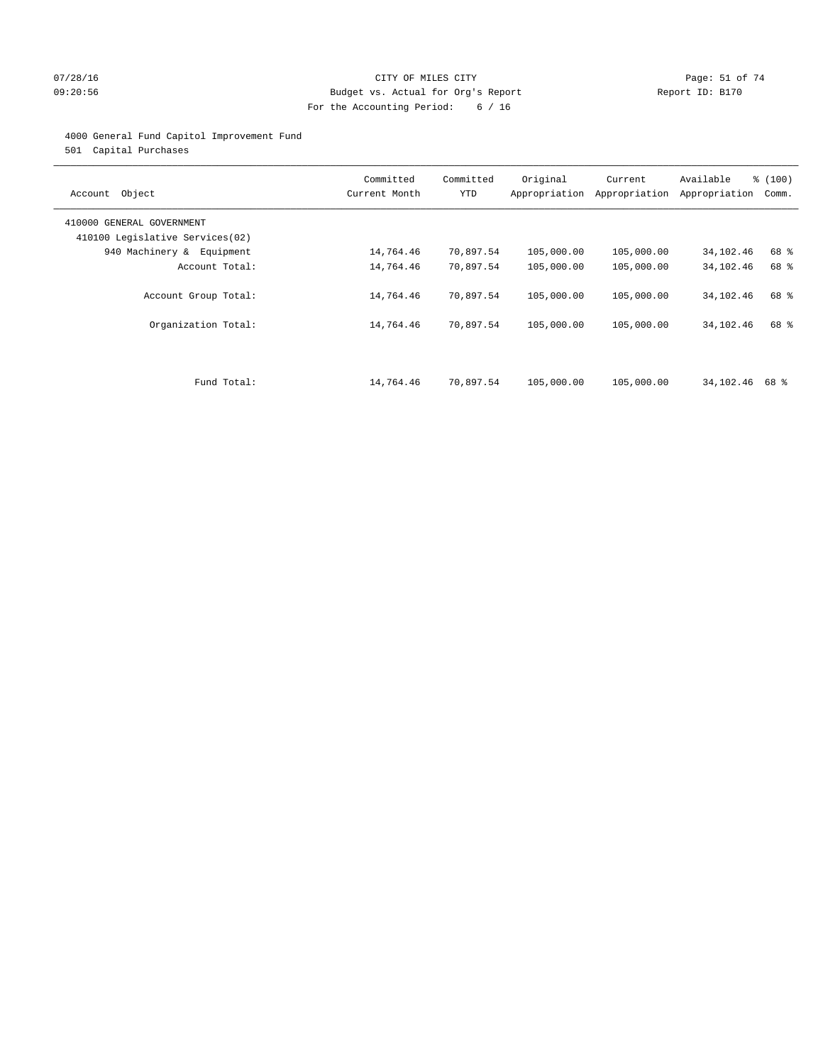## 07/28/16 Page: 51 of 74 09:20:56 Budget vs. Actual for Org's Report Report ID: B170 For the Accounting Period: 6 / 16

## 4000 General Fund Capitol Improvement Fund

501 Capital Purchases

| Account Object                                               | Committed<br>Current Month | Committed<br><b>YTD</b> | Original<br>Appropriation | Current<br>Appropriation | Available<br>Appropriation | % (100)<br>Comm. |
|--------------------------------------------------------------|----------------------------|-------------------------|---------------------------|--------------------------|----------------------------|------------------|
| 410000 GENERAL GOVERNMENT<br>410100 Legislative Services(02) |                            |                         |                           |                          |                            |                  |
| 940 Machinery & Equipment                                    | 14,764.46                  | 70,897.54               | 105,000.00                | 105,000.00               | 34,102.46                  | 68 %             |
| Account Total:                                               | 14,764.46                  | 70,897.54               | 105,000.00                | 105,000.00               | 34,102.46                  | 68 %             |
| Account Group Total:                                         | 14,764.46                  | 70,897.54               | 105,000.00                | 105,000.00               | 34,102.46                  | 68 %             |
| Organization Total:                                          | 14,764.46                  | 70,897.54               | 105,000.00                | 105,000.00               | 34,102.46                  | 68 %             |
|                                                              |                            |                         |                           |                          |                            |                  |
| Fund Total:                                                  | 14,764.46                  | 70,897.54               | 105,000.00                | 105,000.00               | 34,102.46                  | 68 දි            |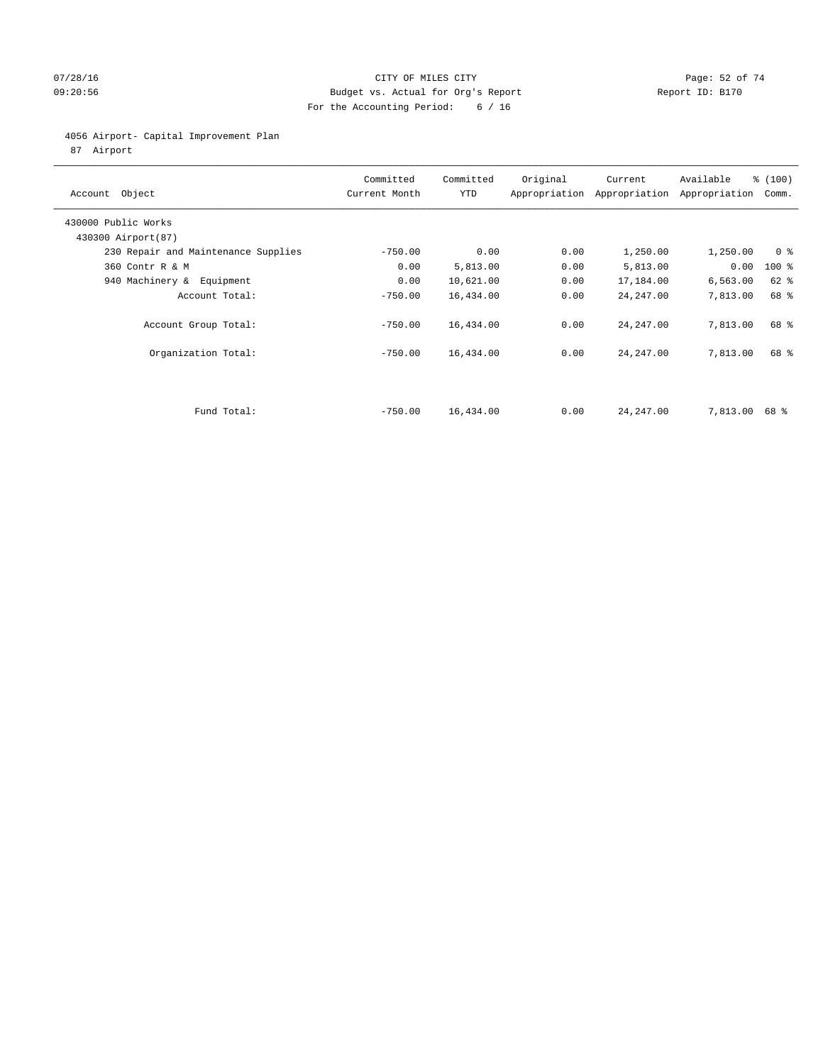## 07/28/16 Page: 52 of 74 09:20:56 Budget vs. Actual for Org's Report Report ID: B170 For the Accounting Period: 6 / 16

4056 Airport- Capital Improvement Plan

87 Airport

| Account Object                            | Committed<br>Current Month | Committed<br><b>YTD</b> | Original | Current<br>Appropriation Appropriation | Available<br>Appropriation | % (100)<br>Comm. |
|-------------------------------------------|----------------------------|-------------------------|----------|----------------------------------------|----------------------------|------------------|
| 430000 Public Works<br>430300 Airport(87) |                            |                         |          |                                        |                            |                  |
| 230 Repair and Maintenance Supplies       | $-750.00$                  | 0.00                    | 0.00     | 1,250.00                               | 1,250.00                   | 0 <sup>8</sup>   |
| 360 Contr R & M                           | 0.00                       | 5,813.00                | 0.00     | 5,813.00                               | 0.00                       | $100$ %          |
| 940 Machinery &<br>Equipment              | 0.00                       | 10,621.00               | 0.00     | 17,184.00                              | 6,563.00                   | $62$ $%$         |
| Account Total:                            | $-750.00$                  | 16,434.00               | 0.00     | 24, 247.00                             | 7,813.00                   | 68 %             |
| Account Group Total:                      | $-750.00$                  | 16,434.00               | 0.00     | 24, 247.00                             | 7,813.00                   | 68 %             |
| Organization Total:                       | $-750.00$                  | 16,434.00               | 0.00     | 24, 247.00                             | 7,813.00                   | 68 %             |
|                                           |                            |                         |          |                                        |                            |                  |
| Fund Total:                               | $-750.00$                  | 16,434.00               | 0.00     | 24, 247.00                             | 7,813.00                   | 68 %             |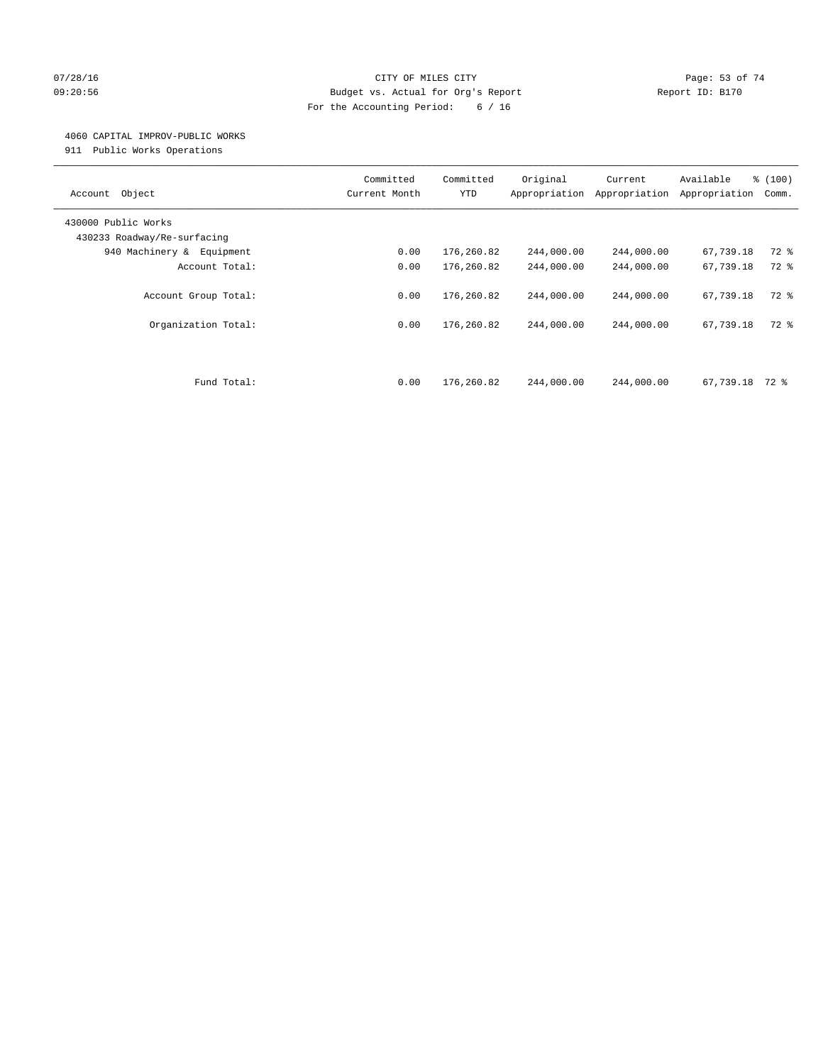## 07/28/16 Page: 53 of 74 09:20:56 Budget vs. Actual for Org's Report Report ID: B170 For the Accounting Period: 6 / 16

#### 4060 CAPITAL IMPROV-PUBLIC WORKS

911 Public Works Operations

| Object<br>Account                                  | Committed<br>Current Month | Committed<br><b>YTD</b> | Original<br>Appropriation | Current<br>Appropriation | Available<br>Appropriation | % (100)<br>Comm. |
|----------------------------------------------------|----------------------------|-------------------------|---------------------------|--------------------------|----------------------------|------------------|
| 430000 Public Works<br>430233 Roadway/Re-surfacing |                            |                         |                           |                          |                            |                  |
| 940 Machinery &<br>Equipment                       | 0.00                       | 176,260.82              | 244,000.00                | 244,000.00               | 67,739.18                  | $72$ $%$         |
| Account Total:                                     | 0.00                       | 176,260.82              | 244,000.00                | 244,000.00               | 67,739.18                  | $72$ $%$         |
| Account Group Total:                               | 0.00                       | 176,260.82              | 244,000.00                | 244,000.00               | 67,739.18                  | $72$ $%$         |
| Organization Total:                                | 0.00                       | 176,260.82              | 244,000.00                | 244,000.00               | 67,739.18                  | 72 %             |
| Fund Total:                                        | 0.00                       | 176,260.82              | 244,000.00                | 244,000.00               | 67,739.18                  | 72 %             |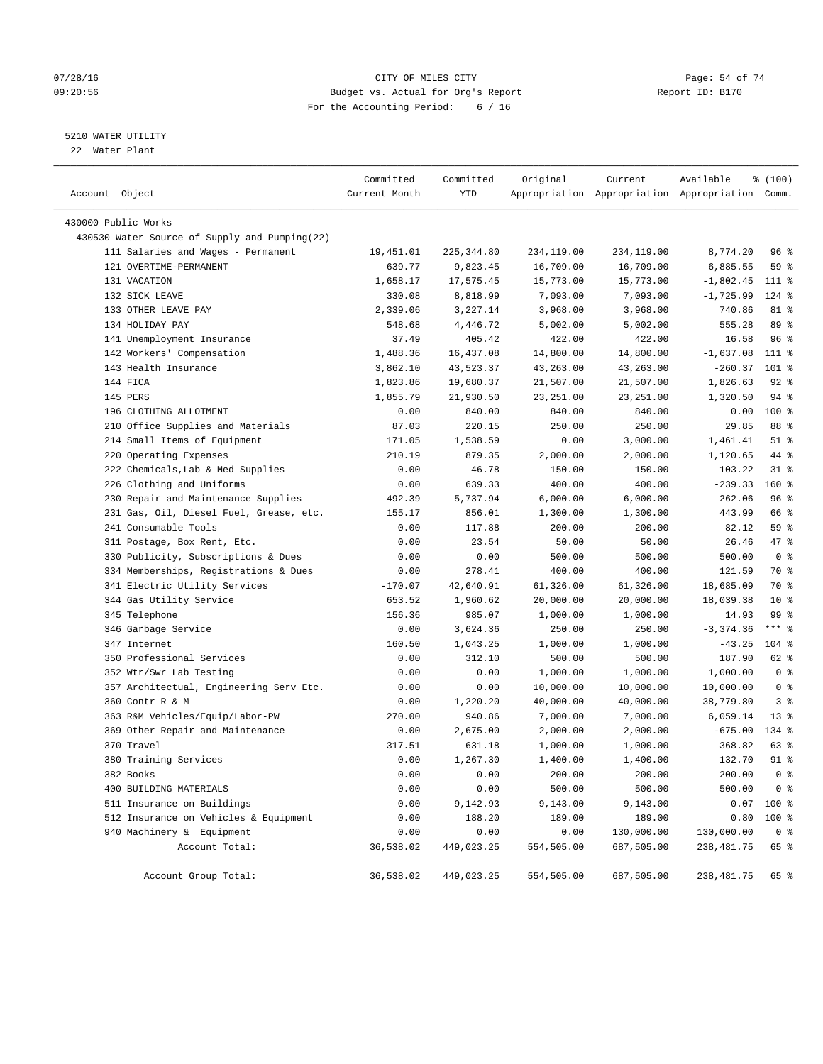## $O7/28/16$  Page: 54 of 74 09:20:56 Budget vs. Actual for Org's Report Report ID: B170 For the Accounting Period: 6 / 16

## 5210 WATER UTILITY

22 Water Plant

| Account Object                                | Committed<br>Current Month | Committed<br>YTD | Original   | Current    | Available<br>Appropriation Appropriation Appropriation Comm. | % (100)        |
|-----------------------------------------------|----------------------------|------------------|------------|------------|--------------------------------------------------------------|----------------|
| 430000 Public Works                           |                            |                  |            |            |                                                              |                |
| 430530 Water Source of Supply and Pumping(22) |                            |                  |            |            |                                                              |                |
| 111 Salaries and Wages - Permanent            | 19,451.01                  | 225, 344.80      | 234,119.00 | 234,119.00 | 8,774.20                                                     | 96 %           |
| 121 OVERTIME-PERMANENT                        | 639.77                     | 9,823.45         | 16,709.00  | 16,709.00  | 6,885.55                                                     | 59 %           |
| 131 VACATION                                  | 1,658.17                   | 17,575.45        | 15,773.00  | 15,773.00  | $-1,802.45$                                                  | $111$ %        |
| 132 SICK LEAVE                                | 330.08                     | 8,818.99         | 7,093.00   | 7,093.00   | $-1,725.99$                                                  | $124$ %        |
| 133 OTHER LEAVE PAY                           | 2,339.06                   | 3,227.14         | 3,968.00   | 3,968.00   | 740.86                                                       | 81 %           |
| 134 HOLIDAY PAY                               | 548.68                     | 4,446.72         | 5,002.00   | 5,002.00   | 555.28                                                       | 89 %           |
| 141 Unemployment Insurance                    | 37.49                      | 405.42           | 422.00     | 422.00     | 16.58                                                        | 96%            |
| 142 Workers' Compensation                     | 1,488.36                   | 16,437.08        | 14,800.00  | 14,800.00  | $-1,637.08$                                                  | 111 %          |
| 143 Health Insurance                          | 3,862.10                   | 43,523.37        | 43,263.00  | 43,263.00  | $-260.37$                                                    | $101$ %        |
| 144 FICA                                      | 1,823.86                   | 19,680.37        | 21,507.00  | 21,507.00  | 1,826.63                                                     | $92$ $%$       |
| 145 PERS                                      | 1,855.79                   | 21,930.50        | 23, 251.00 | 23, 251.00 | 1,320.50                                                     | $94$ %         |
| 196 CLOTHING ALLOTMENT                        | 0.00                       | 840.00           | 840.00     | 840.00     | 0.00                                                         | 100%           |
| 210 Office Supplies and Materials             | 87.03                      | 220.15           | 250.00     | 250.00     | 29.85                                                        | 88 %           |
| 214 Small Items of Equipment                  | 171.05                     | 1,538.59         | 0.00       | 3,000.00   | 1,461.41                                                     | $51$ %         |
| 220 Operating Expenses                        | 210.19                     | 879.35           | 2,000.00   | 2,000.00   | 1,120.65                                                     | 44 %           |
| 222 Chemicals, Lab & Med Supplies             | 0.00                       | 46.78            | 150.00     | 150.00     | 103.22                                                       | $31$ %         |
| 226 Clothing and Uniforms                     | 0.00                       | 639.33           | 400.00     | 400.00     | $-239.33$                                                    | 160 %          |
| 230 Repair and Maintenance Supplies           | 492.39                     | 5,737.94         | 6,000.00   | 6,000.00   | 262.06                                                       | 96%            |
| 231 Gas, Oil, Diesel Fuel, Grease, etc.       | 155.17                     | 856.01           | 1,300.00   | 1,300.00   | 443.99                                                       | 66 %           |
| 241 Consumable Tools                          | 0.00                       | 117.88           | 200.00     | 200.00     | 82.12                                                        | 59 %           |
| 311 Postage, Box Rent, Etc.                   | 0.00                       | 23.54            | 50.00      | 50.00      | 26.46                                                        | 47 %           |
| 330 Publicity, Subscriptions & Dues           | 0.00                       | 0.00             | 500.00     | 500.00     | 500.00                                                       | 0 <sup>8</sup> |
| 334 Memberships, Registrations & Dues         | 0.00                       | 278.41           | 400.00     | 400.00     | 121.59                                                       | 70 %           |
| 341 Electric Utility Services                 | $-170.07$                  | 42,640.91        | 61,326.00  | 61,326.00  | 18,685.09                                                    | 70 %           |
| 344 Gas Utility Service                       | 653.52                     | 1,960.62         | 20,000.00  | 20,000.00  | 18,039.38                                                    | $10*$          |
| 345 Telephone                                 | 156.36                     | 985.07           | 1,000.00   | 1,000.00   | 14.93                                                        | 99 %           |
| 346 Garbage Service                           | 0.00                       | 3,624.36         | 250.00     | 250.00     | $-3, 374.36$                                                 | $***$ $%$      |
| 347 Internet                                  | 160.50                     | 1,043.25         | 1,000.00   | 1,000.00   | $-43.25$                                                     | $104$ %        |
| 350 Professional Services                     | 0.00                       | 312.10           | 500.00     | 500.00     | 187.90                                                       | 62 %           |
| 352 Wtr/Swr Lab Testing                       | 0.00                       | 0.00             | 1,000.00   | 1,000.00   | 1,000.00                                                     | 0 <sup>8</sup> |
| 357 Architectual, Engineering Serv Etc.       | 0.00                       | 0.00             | 10,000.00  | 10,000.00  | 10,000.00                                                    | 0 <sup>8</sup> |
| 360 Contr R & M                               | 0.00                       | 1,220.20         | 40,000.00  | 40,000.00  | 38,779.80                                                    | 3 <sup>°</sup> |
| 363 R&M Vehicles/Equip/Labor-PW               | 270.00                     | 940.86           | 7,000.00   | 7,000.00   | 6,059.14                                                     | $13*$          |
| 369 Other Repair and Maintenance              | 0.00                       | 2,675.00         | 2,000.00   | 2,000.00   | $-675.00$                                                    | 134 %          |
| 370 Travel                                    | 317.51                     | 631.18           | 1,000.00   | 1,000.00   | 368.82                                                       | 63 %           |
| 380 Training Services                         | 0.00                       | 1,267.30         | 1,400.00   | 1,400.00   | 132.70                                                       | 91 %           |
| 382 Books                                     | 0.00                       | 0.00             | 200.00     | 200.00     | 200.00                                                       | 0 <sup>8</sup> |
| 400 BUILDING MATERIALS                        | 0.00                       | 0.00             | 500.00     | 500.00     | 500.00                                                       | 0 <sup>8</sup> |
| 511 Insurance on Buildings                    | 0.00                       | 9,142.93         | 9,143.00   | 9,143.00   | 0.07                                                         | 100 %          |
| 512 Insurance on Vehicles & Equipment         | 0.00                       | 188.20           | 189.00     | 189.00     | 0.80                                                         | $100*$         |
| 940 Machinery & Equipment                     | 0.00                       | 0.00             | 0.00       | 130,000.00 | 130,000.00                                                   | 0 <sup>8</sup> |
| Account Total:                                | 36,538.02                  | 449,023.25       | 554,505.00 | 687,505.00 | 238, 481.75                                                  | 65 %           |
| Account Group Total:                          | 36,538.02                  | 449,023.25       | 554,505.00 | 687,505.00 | 238,481.75                                                   | 65 %           |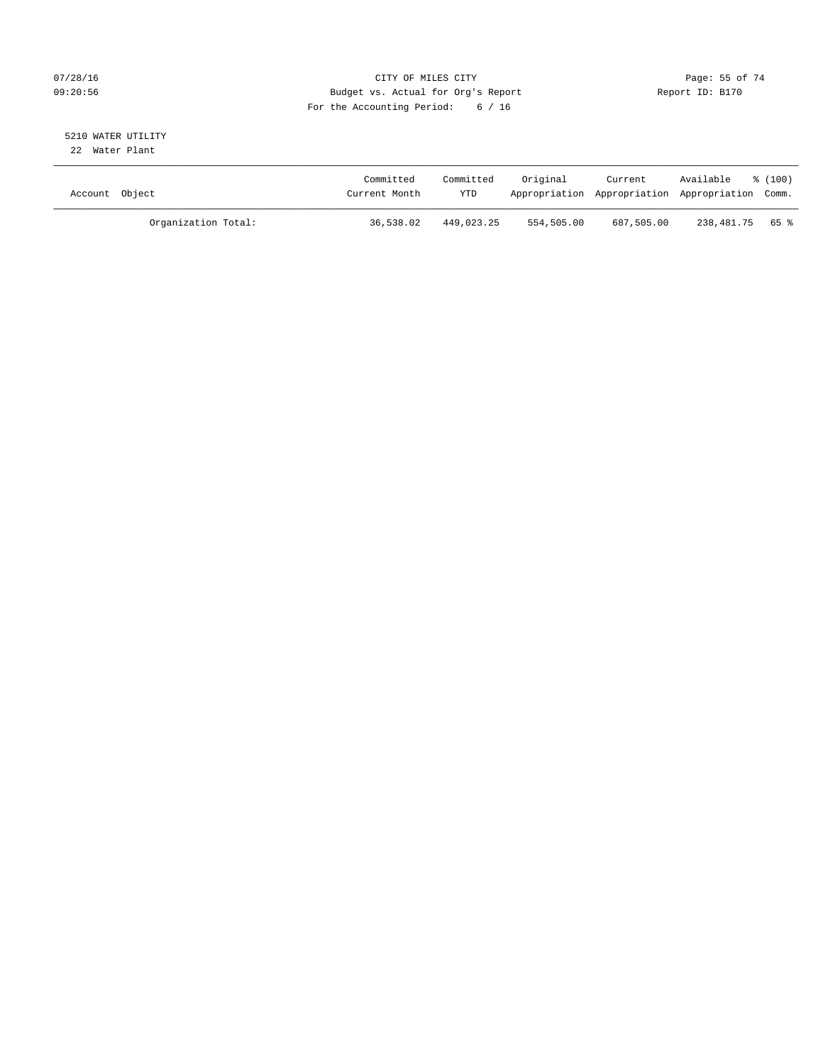## $O7/28/16$  Page: 55 of 74 09:20:56 Budget vs. Actual for Org's Report Report ID: B170 For the Accounting Period: 6 / 16

#### 5210 WATER UTILITY 22 Water Plant

| Account Object |                     | Committed<br>Current Month | Committed<br>YTD | Original   | Current    | Available<br>Appropriation Appropriation Appropriation Comm. | $\frac{100}{3}$ |
|----------------|---------------------|----------------------------|------------------|------------|------------|--------------------------------------------------------------|-----------------|
|                | Organization Total: | 36,538.02                  | 449,023.25       | 554,505.00 | 687,505.00 | 238,481.75 65%                                               |                 |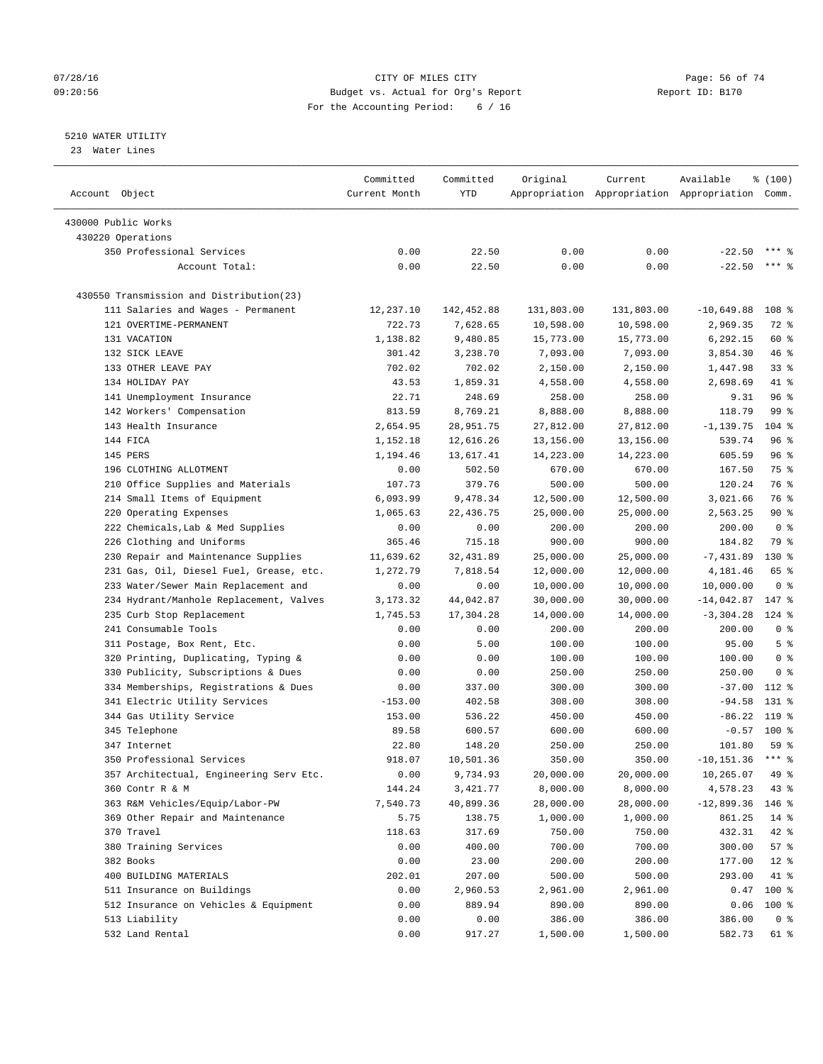## $O7/28/16$  Page: 56 of 74 09:20:56 Budget vs. Actual for Org's Report Report ID: B170 For the Accounting Period: 6 / 16

## 5210 WATER UTILITY

23 Water Lines

| Account Object                           | Committed<br>Current Month | Committed<br>YTD | Original   | Current    | Available<br>Appropriation Appropriation Appropriation Comm. | % (100)             |
|------------------------------------------|----------------------------|------------------|------------|------------|--------------------------------------------------------------|---------------------|
| 430000 Public Works                      |                            |                  |            |            |                                                              |                     |
| 430220 Operations                        |                            |                  |            |            |                                                              |                     |
| 350 Professional Services                | 0.00                       | 22.50            | 0.00       | 0.00       | $-22.50$                                                     |                     |
| Account Total:                           | 0.00                       | 22.50            | 0.00       | 0.00       | $-22.50$                                                     | $***$ $\frac{6}{5}$ |
|                                          |                            |                  |            |            |                                                              |                     |
| 430550 Transmission and Distribution(23) |                            |                  |            |            |                                                              |                     |
| 111 Salaries and Wages - Permanent       | 12,237.10                  | 142,452.88       | 131,803.00 | 131,803.00 | $-10,649.88$                                                 | 108 %               |
| 121 OVERTIME-PERMANENT                   | 722.73                     | 7,628.65         | 10,598.00  | 10,598.00  | 2,969.35                                                     | 72 %                |
| 131 VACATION                             | 1,138.82                   | 9,480.85         | 15,773.00  | 15,773.00  | 6,292.15                                                     | 60 %                |
| 132 SICK LEAVE                           | 301.42                     | 3,238.70         | 7,093.00   | 7,093.00   | 3,854.30                                                     | 46 %                |
| 133 OTHER LEAVE PAY                      | 702.02                     | 702.02           | 2,150.00   | 2,150.00   | 1,447.98                                                     | 33 <sup>8</sup>     |
| 134 HOLIDAY PAY                          | 43.53                      | 1,859.31         | 4,558.00   | 4,558.00   | 2,698.69                                                     | 41 %                |
| 141 Unemployment Insurance               | 22.71                      | 248.69           | 258.00     | 258.00     | 9.31                                                         | 96%                 |
| 142 Workers' Compensation                | 813.59                     | 8,769.21         | 8,888.00   | 8,888.00   | 118.79                                                       | 99 %                |
| 143 Health Insurance                     | 2,654.95                   | 28,951.75        | 27,812.00  | 27,812.00  | $-1, 139.75$                                                 | $104$ %             |
| 144 FICA                                 | 1,152.18                   | 12,616.26        | 13,156.00  | 13,156.00  | 539.74                                                       | 96%                 |
| 145 PERS                                 | 1,194.46                   | 13,617.41        | 14,223.00  | 14,223.00  | 605.59                                                       | 96%                 |
| 196 CLOTHING ALLOTMENT                   | 0.00                       | 502.50           | 670.00     | 670.00     | 167.50                                                       | 75 %                |
| 210 Office Supplies and Materials        | 107.73                     | 379.76           | 500.00     | 500.00     | 120.24                                                       | 76 %                |
| 214 Small Items of Equipment             | 6,093.99                   | 9,478.34         | 12,500.00  | 12,500.00  | 3,021.66                                                     | 76 %                |
| 220 Operating Expenses                   | 1,065.63                   | 22,436.75        | 25,000.00  | 25,000.00  | 2,563.25                                                     | $90*$               |
| 222 Chemicals, Lab & Med Supplies        | 0.00                       | 0.00             | 200.00     | 200.00     | 200.00                                                       | 0 <sup>8</sup>      |
| 226 Clothing and Uniforms                | 365.46                     | 715.18           | 900.00     | 900.00     | 184.82                                                       | 79 %                |
| 230 Repair and Maintenance Supplies      | 11,639.62                  | 32,431.89        | 25,000.00  | 25,000.00  | $-7,431.89$                                                  | $130*$              |
| 231 Gas, Oil, Diesel Fuel, Grease, etc.  | 1,272.79                   | 7,818.54         | 12,000.00  | 12,000.00  | 4,181.46                                                     | 65 %                |
| 233 Water/Sewer Main Replacement and     | 0.00                       | 0.00             | 10,000.00  | 10,000.00  | 10,000.00                                                    | 0 <sup>8</sup>      |
| 234 Hydrant/Manhole Replacement, Valves  | 3,173.32                   | 44,042.87        | 30,000.00  | 30,000.00  | $-14,042.87$                                                 | 147 %               |
| 235 Curb Stop Replacement                | 1,745.53                   | 17,304.28        | 14,000.00  | 14,000.00  | $-3,304.28$                                                  | $124$ %             |
| 241 Consumable Tools                     | 0.00                       | 0.00             | 200.00     | 200.00     | 200.00                                                       | 0 <sup>8</sup>      |
| 311 Postage, Box Rent, Etc.              | 0.00                       | 5.00             | 100.00     | 100.00     | 95.00                                                        | 5 <sup>°</sup>      |
| 320 Printing, Duplicating, Typing &      | 0.00                       | 0.00             | 100.00     | 100.00     | 100.00                                                       | 0 <sup>8</sup>      |
| 330 Publicity, Subscriptions & Dues      | 0.00                       | 0.00             | 250.00     | 250.00     | 250.00                                                       | 0 <sup>8</sup>      |
| 334 Memberships, Registrations & Dues    | 0.00                       | 337.00           | 300.00     | 300.00     | $-37.00$                                                     | 112 %               |
| 341 Electric Utility Services            | $-153.00$                  | 402.58           | 308.00     | 308.00     | $-94.58$                                                     | $131*$              |
| 344 Gas Utility Service                  | 153.00                     | 536.22           | 450.00     | 450.00     | $-86.22$                                                     | 119 %               |
| 345 Telephone                            | 89.58                      | 600.57           | 600.00     | 600.00     | $-0.57$                                                      | $100*$              |
| 347 Internet                             | 22.80                      | 148.20           | 250.00     | 250.00     | 101.80                                                       | 59 %                |
| 350 Professional Services                | 918.07                     | 10,501.36        | 350.00     | 350.00     | $-10, 151.36$                                                | $***$ $%$           |
| 357 Architectual, Engineering Serv Etc.  | 0.00                       | 9,734.93         | 20,000.00  | 20,000.00  | 10,265.07                                                    | 49 %                |
| 360 Contr R & M                          | 144.24                     | 3,421.77         | 8,000.00   | 8,000.00   | 4,578.23                                                     | 43 %                |
| 363 R&M Vehicles/Equip/Labor-PW          | 7,540.73                   | 40,899.36        | 28,000.00  | 28,000.00  | $-12,899.36$                                                 | 146 %               |
| 369 Other Repair and Maintenance         | 5.75                       | 138.75           | 1,000.00   | 1,000.00   | 861.25                                                       | $14*$               |
| 370 Travel                               | 118.63                     | 317.69           | 750.00     | 750.00     | 432.31                                                       | 42 %                |
| 380 Training Services                    | 0.00                       | 400.00           | 700.00     | 700.00     | 300.00                                                       | 57%                 |
| 382 Books                                | 0.00                       | 23.00            | 200.00     | 200.00     | 177.00                                                       | $12*$               |
| 400 BUILDING MATERIALS                   | 202.01                     | 207.00           | 500.00     | 500.00     | 293.00                                                       | 41 %                |
| 511 Insurance on Buildings               | 0.00                       | 2,960.53         | 2,961.00   | 2,961.00   | 0.47                                                         | 100 %               |
| 512 Insurance on Vehicles & Equipment    | 0.00                       | 889.94           | 890.00     | 890.00     | 0.06                                                         | $100$ %             |
| 513 Liability                            | 0.00                       | 0.00             | 386.00     | 386.00     | 386.00                                                       | 0 <sup>8</sup>      |
| 532 Land Rental                          | 0.00                       | 917.27           | 1,500.00   | 1,500.00   | 582.73                                                       | 61 %                |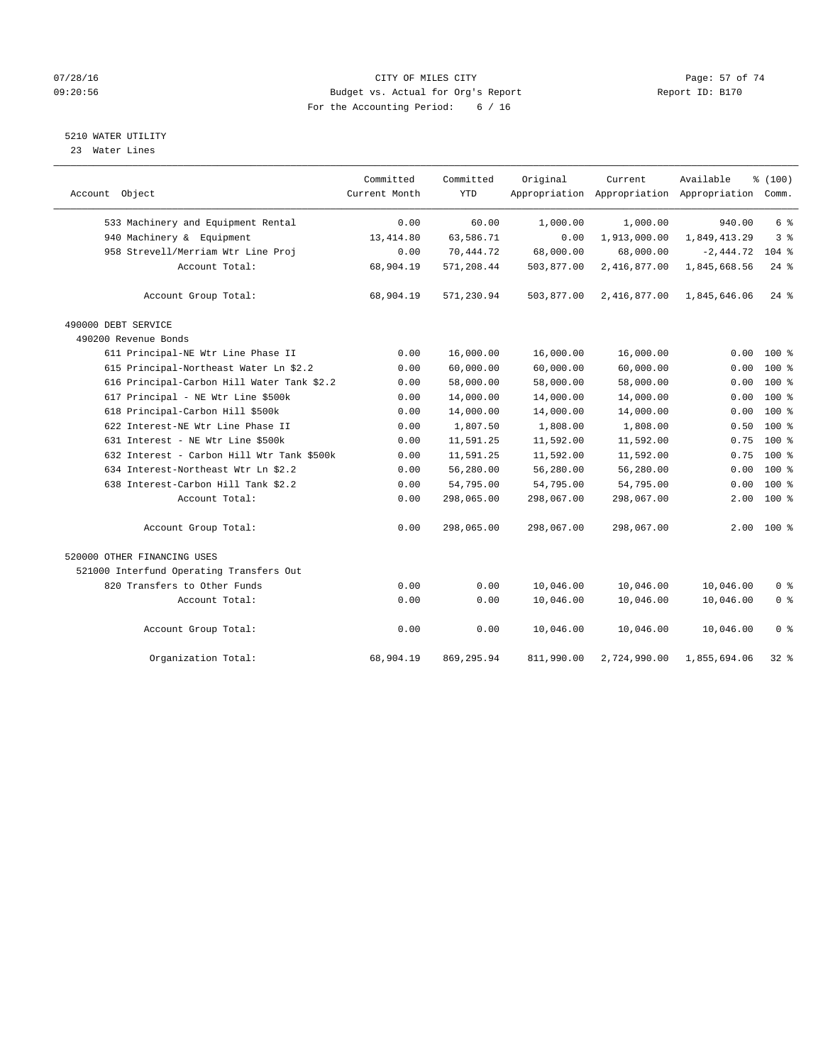#### 07/28/16 Page: 57 of 74 09:20:56 Budget vs. Actual for Org's Report Report ID: B170 For the Accounting Period: 6 / 16

# 5210 WATER UTILITY

23 Water Lines

| Account Object                             | Committed<br>Current Month | Committed<br><b>YTD</b> | Original   | Current      | Available<br>Appropriation Appropriation Appropriation Comm. | % (100)            |  |
|--------------------------------------------|----------------------------|-------------------------|------------|--------------|--------------------------------------------------------------|--------------------|--|
| 533 Machinery and Equipment Rental         | 0.00                       | 60.00                   | 1,000.00   | 1,000.00     | 940.00                                                       | 6 <sup>°</sup>     |  |
| 940 Machinery & Equipment                  | 13, 414.80                 | 63,586.71               | 0.00       | 1,913,000.00 | 1,849,413.29                                                 | 3 <sup>8</sup>     |  |
| 958 Strevell/Merriam Wtr Line Proj         | 0.00                       | 70,444.72               | 68,000.00  | 68,000.00    | $-2,444.72$                                                  | $104$ %            |  |
| Account Total:                             | 68,904.19                  | 571,208.44              | 503,877.00 | 2,416,877.00 | 1,845,668.56                                                 | $24$ $\frac{6}{5}$ |  |
| Account Group Total:                       | 68,904.19                  | 571,230.94              | 503,877.00 | 2,416,877.00 | 1,845,646.06                                                 | $24$ %             |  |
| 490000 DEBT SERVICE                        |                            |                         |            |              |                                                              |                    |  |
| 490200 Revenue Bonds                       |                            |                         |            |              |                                                              |                    |  |
| 611 Principal-NE Wtr Line Phase II         | 0.00                       | 16,000.00               | 16,000.00  | 16,000.00    | 0.00                                                         | $100*$             |  |
| 615 Principal-Northeast Water Ln \$2.2     | 0.00                       | 60,000.00               | 60,000.00  | 60,000.00    | 0.00                                                         | $100*$             |  |
| 616 Principal-Carbon Hill Water Tank \$2.2 | 0.00                       | 58,000.00               | 58,000.00  | 58,000.00    | 0.00                                                         | $100*$             |  |
| 617 Principal - NE Wtr Line \$500k         | 0.00                       | 14,000.00               | 14,000.00  | 14,000.00    | 0.00                                                         | 100 %              |  |
| 618 Principal-Carbon Hill \$500k           | 0.00                       | 14,000.00               | 14,000.00  | 14,000.00    | 0.00                                                         | $100$ %            |  |
| 622 Interest-NE Wtr Line Phase II          | 0.00                       | 1,807.50                | 1,808.00   | 1,808.00     | 0.50                                                         | $100*$             |  |
| 631 Interest - NE Wtr Line \$500k          | 0.00                       | 11,591.25               | 11,592.00  | 11,592.00    | 0.75                                                         | $100*$             |  |
| 632 Interest - Carbon Hill Wtr Tank \$500k | 0.00                       | 11,591.25               | 11,592.00  | 11,592.00    | 0.75                                                         | $100$ %            |  |
| 634 Interest-Northeast Wtr Ln \$2.2        | 0.00                       | 56,280.00               | 56,280.00  | 56,280.00    | 0.00                                                         | $100*$             |  |
| 638 Interest-Carbon Hill Tank \$2.2        | 0.00                       | 54,795.00               | 54,795.00  | 54,795.00    | 0.00                                                         | $100$ %            |  |
| Account Total:                             | 0.00                       | 298,065.00              | 298,067.00 | 298,067.00   | 2.00                                                         | 100 %              |  |
| Account Group Total:                       | 0.00                       | 298,065.00              | 298,067.00 | 298,067.00   |                                                              | $2.00$ 100 %       |  |
| 520000 OTHER FINANCING USES                |                            |                         |            |              |                                                              |                    |  |
| 521000 Interfund Operating Transfers Out   |                            |                         |            |              |                                                              |                    |  |
| 820 Transfers to Other Funds               | 0.00                       | 0.00                    | 10,046.00  | 10,046.00    | 10,046.00                                                    | 0 <sup>8</sup>     |  |
| Account Total:                             | 0.00                       | 0.00                    | 10,046.00  | 10,046.00    | 10,046.00                                                    | 0 <sup>8</sup>     |  |
| Account Group Total:                       | 0.00                       | 0.00                    | 10,046.00  | 10,046.00    | 10,046.00                                                    | 0 <sup>8</sup>     |  |
| Organization Total:                        | 68,904.19                  | 869, 295.94             | 811,990.00 | 2,724,990.00 | 1,855,694.06                                                 | $32$ $%$           |  |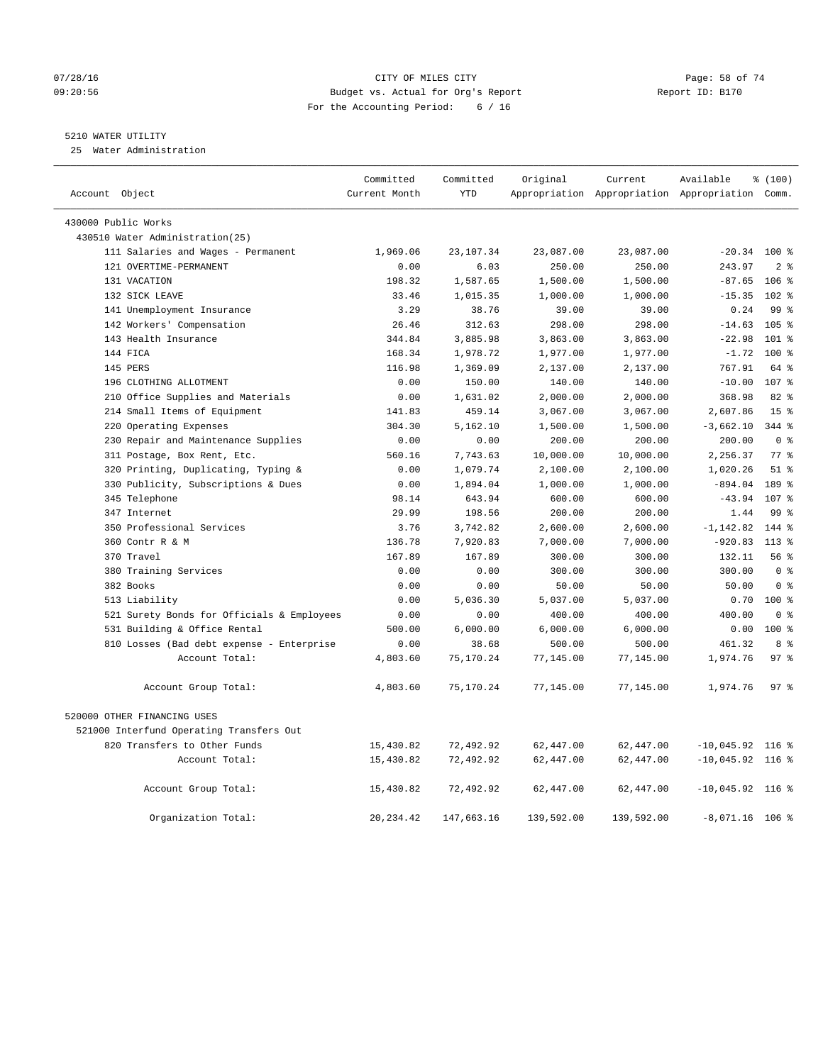#### 07/28/16 Page: 58 of 74 09:20:56 Budget vs. Actual for Org's Report Report ID: B170 For the Accounting Period: 6 / 16

## 5210 WATER UTILITY

25 Water Administration

| Account Object |                                            | Committed<br>Current Month | Committed<br><b>YTD</b> | Original   | Current    | Available<br>Appropriation Appropriation Appropriation Comm. | % (100)          |
|----------------|--------------------------------------------|----------------------------|-------------------------|------------|------------|--------------------------------------------------------------|------------------|
|                | 430000 Public Works                        |                            |                         |            |            |                                                              |                  |
|                | 430510 Water Administration(25)            |                            |                         |            |            |                                                              |                  |
|                | 111 Salaries and Wages - Permanent         | 1,969.06                   | 23,107.34               | 23,087.00  | 23,087.00  | $-20.34$ 100 %                                               |                  |
|                | 121 OVERTIME-PERMANENT                     | 0.00                       | 6.03                    | 250.00     | 250.00     | 243.97                                                       | 2 <sup>8</sup>   |
|                | 131 VACATION                               | 198.32                     | 1,587.65                | 1,500.00   | 1,500.00   | $-87.65$                                                     | $106$ %          |
|                | 132 SICK LEAVE                             | 33.46                      | 1,015.35                | 1,000.00   | 1,000.00   | $-15.35$                                                     | $102*$           |
|                | 141 Unemployment Insurance                 | 3.29                       | 38.76                   | 39.00      | 39.00      | 0.24                                                         | 99 <sup>°</sup>  |
|                | 142 Workers' Compensation                  | 26.46                      | 312.63                  | 298.00     | 298.00     | $-14.63$                                                     | $105$ $\approx$  |
|                | 143 Health Insurance                       | 344.84                     | 3,885.98                | 3,863.00   | 3,863.00   | $-22.98$                                                     | $101$ %          |
|                | 144 FICA                                   | 168.34                     | 1,978.72                | 1,977.00   | 1,977.00   | $-1.72$                                                      | $100*$           |
|                | 145 PERS                                   | 116.98                     | 1,369.09                | 2,137.00   | 2,137.00   | 767.91                                                       | 64 %             |
|                | 196 CLOTHING ALLOTMENT                     | 0.00                       | 150.00                  | 140.00     | 140.00     | $-10.00$                                                     | 107 <sub>8</sub> |
|                | 210 Office Supplies and Materials          | 0.00                       | 1,631.02                | 2,000.00   | 2,000.00   | 368.98                                                       | 82 %             |
|                | 214 Small Items of Equipment               | 141.83                     | 459.14                  | 3,067.00   | 3,067.00   | 2,607.86                                                     | 15 <sup>8</sup>  |
|                | 220 Operating Expenses                     | 304.30                     | 5,162.10                | 1,500.00   | 1,500.00   | $-3,662.10$                                                  | 344 %            |
|                | 230 Repair and Maintenance Supplies        | 0.00                       | 0.00                    | 200.00     | 200.00     | 200.00                                                       | 0 <sup>8</sup>   |
|                | 311 Postage, Box Rent, Etc.                | 560.16                     | 7,743.63                | 10,000.00  | 10,000.00  | 2,256.37                                                     | 77.8             |
|                | 320 Printing, Duplicating, Typing &        | 0.00                       | 1,079.74                | 2,100.00   | 2,100.00   | 1,020.26                                                     | $51$ %           |
|                | 330 Publicity, Subscriptions & Dues        | 0.00                       | 1,894.04                | 1,000.00   | 1,000.00   | $-894.04$                                                    | 189 %            |
|                | 345 Telephone                              | 98.14                      | 643.94                  | 600.00     | 600.00     | $-43.94$                                                     | 107 %            |
|                | 347 Internet                               | 29.99                      | 198.56                  | 200.00     | 200.00     | 1.44                                                         | 99 <sub>8</sub>  |
|                | 350 Professional Services                  | 3.76                       | 3,742.82                | 2,600.00   | 2,600.00   | $-1, 142.82$                                                 | 144 %            |
|                | 360 Contr R & M                            | 136.78                     | 7,920.83                | 7,000.00   | 7,000.00   | $-920.83$                                                    | $113$ %          |
|                | 370 Travel                                 | 167.89                     | 167.89                  | 300.00     | 300.00     | 132.11                                                       | 56%              |
|                | 380 Training Services                      | 0.00                       | 0.00                    | 300.00     | 300.00     | 300.00                                                       | 0 <sup>8</sup>   |
|                | 382 Books                                  | 0.00                       | 0.00                    | 50.00      | 50.00      | 50.00                                                        | 0 <sup>8</sup>   |
|                | 513 Liability                              | 0.00                       | 5,036.30                | 5,037.00   | 5,037.00   |                                                              | $0.70$ 100 %     |
|                | 521 Surety Bonds for Officials & Employees | 0.00                       | 0.00                    | 400.00     | 400.00     | 400.00                                                       | 0 <sup>8</sup>   |
|                | 531 Building & Office Rental               | 500.00                     | 6,000.00                | 6,000.00   | 6,000.00   | 0.00                                                         | $100*$           |
|                | 810 Losses (Bad debt expense - Enterprise  | 0.00                       | 38.68                   | 500.00     | 500.00     | 461.32                                                       | 8 %              |
|                | Account Total:                             | 4,803.60                   | 75,170.24               | 77,145.00  | 77,145.00  | 1,974.76                                                     | 97 <sup>8</sup>  |
|                | Account Group Total:                       | 4,803.60                   | 75,170.24               | 77,145.00  | 77,145.00  | 1,974.76                                                     | 97%              |
|                | 520000 OTHER FINANCING USES                |                            |                         |            |            |                                                              |                  |
|                | 521000 Interfund Operating Transfers Out   |                            |                         |            |            |                                                              |                  |
|                | 820 Transfers to Other Funds               | 15,430.82                  | 72,492.92               | 62,447.00  | 62,447.00  | $-10,045.92$ 116 %                                           |                  |
|                | Account Total:                             | 15,430.82                  | 72,492.92               | 62,447.00  | 62,447.00  | $-10,045.92$ 116 %                                           |                  |
|                | Account Group Total:                       | 15,430.82                  | 72,492.92               | 62,447.00  | 62,447.00  | $-10,045.92$ 116 %                                           |                  |
|                | Organization Total:                        | 20, 234.42                 | 147,663.16              | 139,592.00 | 139,592.00 | $-8,071.16$ 106 %                                            |                  |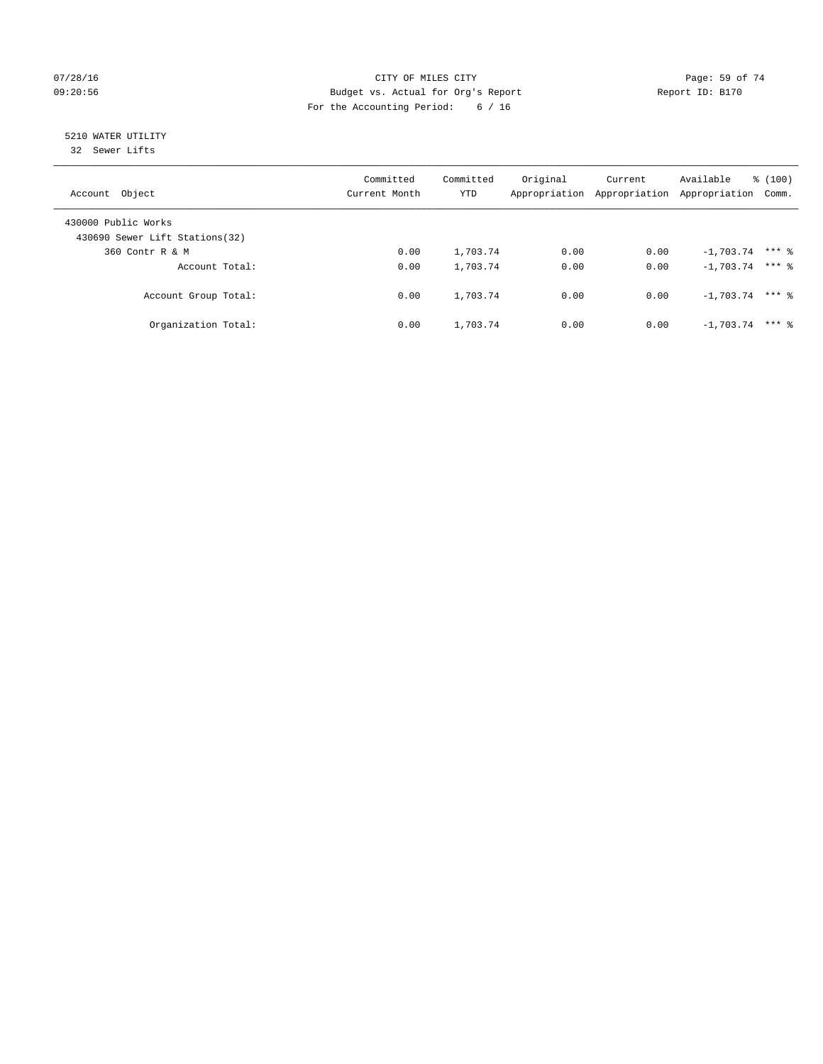## $O7/28/16$  Page: 59 of 74 09:20:56 Budget vs. Actual for Org's Report Report ID: B170 For the Accounting Period: 6 / 16

# 5210 WATER UTILITY

32 Sewer Lifts

| Account Object                                         | Committed<br>Current Month | Committed<br>YTD | Original<br>Appropriation | Current<br>Appropriation | Available<br>Appropriation | % (100)<br>Comm. |
|--------------------------------------------------------|----------------------------|------------------|---------------------------|--------------------------|----------------------------|------------------|
| 430000 Public Works<br>430690 Sewer Lift Stations (32) |                            |                  |                           |                          |                            |                  |
| 360 Contr R & M                                        | 0.00                       | 1,703.74         | 0.00                      | 0.00                     | $-1,703.74$                | $***$ %          |
| Account Total:                                         | 0.00                       | 1,703.74         | 0.00                      | 0.00                     | $-1,703.74$ *** &          |                  |
| Account Group Total:                                   | 0.00                       | 1,703.74         | 0.00                      | 0.00                     | $-1.703.74$                | $***$ 2          |
| Organization Total:                                    | 0.00                       | 1,703.74         | 0.00                      | 0.00                     | $-1.703.74$                | $***$ 2          |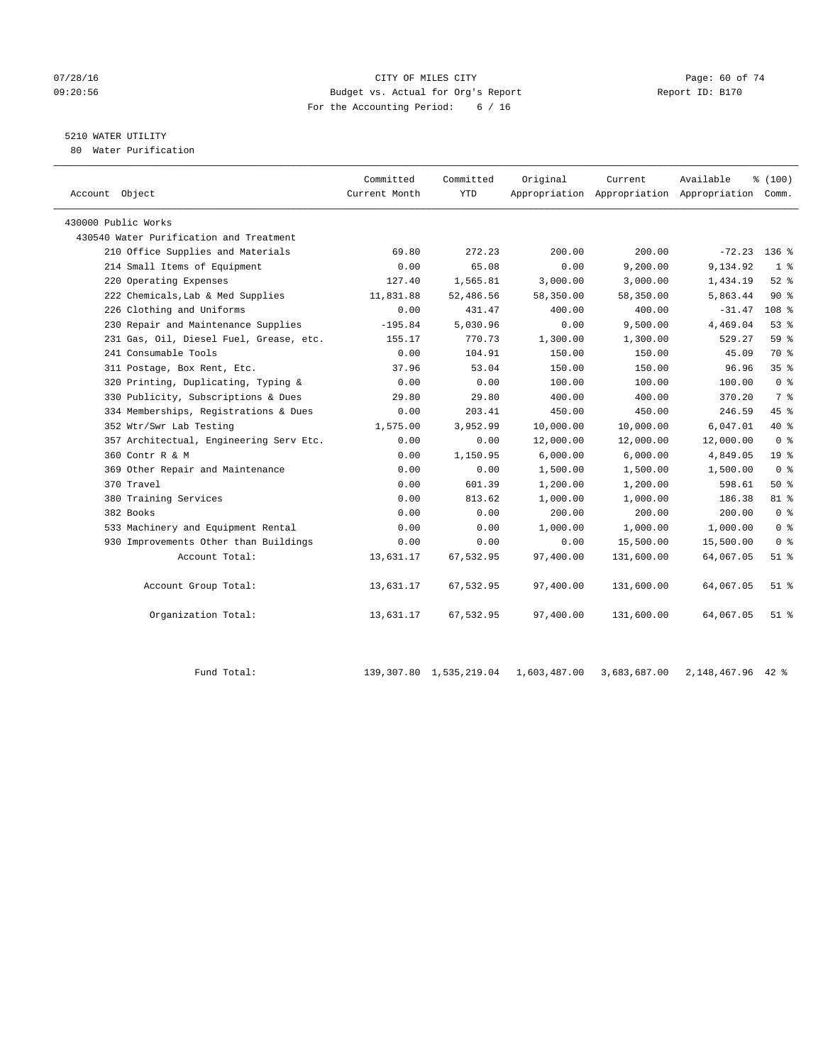#### 07/28/16 Page: 60 of 74 09:20:56 Budget vs. Actual for Org's Report Report ID: B170 For the Accounting Period: 6 / 16

# 5210 WATER UTILITY

80 Water Purification

|                                         | Committed     | Committed  | Original  | Current                                         | Available      | % (100)          |  |
|-----------------------------------------|---------------|------------|-----------|-------------------------------------------------|----------------|------------------|--|
| Account Object                          | Current Month | <b>YTD</b> |           | Appropriation Appropriation Appropriation Comm. |                |                  |  |
| 430000 Public Works                     |               |            |           |                                                 |                |                  |  |
| 430540 Water Purification and Treatment |               |            |           |                                                 |                |                  |  |
| 210 Office Supplies and Materials       | 69.80         | 272.23     | 200.00    | 200.00                                          | $-72.23$ 136 % |                  |  |
| 214 Small Items of Equipment            | 0.00          | 65.08      | 0.00      | 9,200.00                                        | 9,134.92       | 1 <sup>°</sup>   |  |
| 220 Operating Expenses                  | 127.40        | 1,565.81   | 3,000.00  | 3,000.00                                        | 1,434.19       | $52$ $%$         |  |
| 222 Chemicals, Lab & Med Supplies       | 11,831.88     | 52,486.56  | 58,350.00 | 58,350.00                                       | 5,863.44       | $90*$            |  |
| 226 Clothing and Uniforms               | 0.00          | 431.47     | 400.00    | 400.00                                          | $-31.47$       | 108 <sup>8</sup> |  |
| 230 Repair and Maintenance Supplies     | $-195.84$     | 5,030.96   | 0.00      | 9,500.00                                        | 4,469.04       | 53%              |  |
| 231 Gas, Oil, Diesel Fuel, Grease, etc. | 155.17        | 770.73     | 1,300.00  | 1,300.00                                        | 529.27         | 59 %             |  |
| 241 Consumable Tools                    | 0.00          | 104.91     | 150.00    | 150.00                                          | 45.09          | 70 %             |  |
| 311 Postage, Box Rent, Etc.             | 37.96         | 53.04      | 150.00    | 150.00                                          | 96.96          | 35 <sup>8</sup>  |  |
| 320 Printing, Duplicating, Typing &     | 0.00          | 0.00       | 100.00    | 100.00                                          | 100.00         | 0 <sup>8</sup>   |  |
| 330 Publicity, Subscriptions & Dues     | 29.80         | 29.80      | 400.00    | 400.00                                          | 370.20         | 7 %              |  |
| 334 Memberships, Registrations & Dues   | 0.00          | 203.41     | 450.00    | 450.00                                          | 246.59         | 45%              |  |
| 352 Wtr/Swr Lab Testing                 | 1,575.00      | 3,952.99   | 10,000.00 | 10,000.00                                       | 6,047.01       | $40*$            |  |
| 357 Architectual, Engineering Serv Etc. | 0.00          | 0.00       | 12,000.00 | 12,000.00                                       | 12,000.00      | 0 <sup>8</sup>   |  |
| 360 Contr R & M                         | 0.00          | 1,150.95   | 6,000.00  | 6,000.00                                        | 4,849.05       | 19 <sup>°</sup>  |  |
| 369 Other Repair and Maintenance        | 0.00          | 0.00       | 1,500.00  | 1,500.00                                        | 1,500.00       | 0 <sup>8</sup>   |  |
| 370 Travel                              | 0.00          | 601.39     | 1,200.00  | 1,200.00                                        | 598.61         | 50%              |  |
| 380 Training Services                   | 0.00          | 813.62     | 1,000.00  | 1,000.00                                        | 186.38         | 81 %             |  |
| 382 Books                               | 0.00          | 0.00       | 200.00    | 200.00                                          | 200.00         | 0 <sup>8</sup>   |  |
| 533 Machinery and Equipment Rental      | 0.00          | 0.00       | 1,000.00  | 1,000.00                                        | 1,000.00       | 0 <sup>8</sup>   |  |
| 930 Improvements Other than Buildings   | 0.00          | 0.00       | 0.00      | 15,500.00                                       | 15,500.00      | 0 <sup>8</sup>   |  |
| Account Total:                          | 13,631.17     | 67,532.95  | 97,400.00 | 131,600.00                                      | 64,067.05      | $51$ %           |  |
| Account Group Total:                    | 13,631.17     | 67,532.95  | 97,400.00 | 131,600.00                                      | 64,067.05      | $51$ %           |  |
| Organization Total:                     | 13,631.17     | 67,532.95  | 97,400.00 | 131,600.00                                      | 64,067.05      | $51$ %           |  |
|                                         |               |            |           |                                                 |                |                  |  |

Fund Total: 139,307.80 1,535,219.04 1,603,487.00 3,683,687.00 2,148,467.96 42 %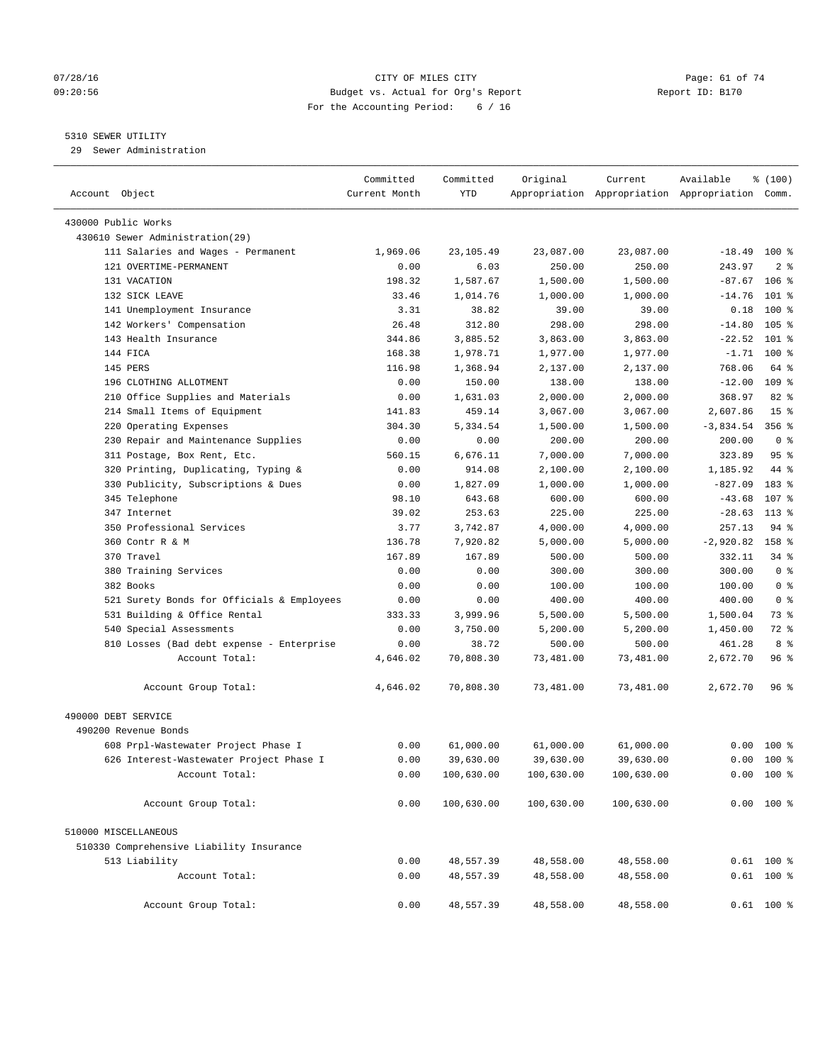#### 07/28/16 Page: 61 of 74 09:20:56 Budget vs. Actual for Org's Report Report ID: B170 For the Accounting Period: 6 / 16

————————————————————————————————————————————————————————————————————————————————————————————————————————————————————————————————————

## 5310 SEWER UTILITY

29 Sewer Administration

|                                            | Committed     | Committed  | Original   | Current    | Available                                       | % (100)          |
|--------------------------------------------|---------------|------------|------------|------------|-------------------------------------------------|------------------|
| Account Object                             | Current Month | <b>YTD</b> |            |            | Appropriation Appropriation Appropriation Comm. |                  |
| 430000 Public Works                        |               |            |            |            |                                                 |                  |
| 430610 Sewer Administration(29)            |               |            |            |            |                                                 |                  |
| 111 Salaries and Wages - Permanent         | 1,969.06      | 23,105.49  | 23,087.00  | 23,087.00  | $-18.49$ 100 %                                  |                  |
| 121 OVERTIME-PERMANENT                     | 0.00          | 6.03       | 250.00     | 250.00     | 243.97                                          | 2 <sup>8</sup>   |
| 131 VACATION                               | 198.32        | 1,587.67   | 1,500.00   | 1,500.00   | $-87.67$ 106 %                                  |                  |
| 132 SICK LEAVE                             | 33.46         | 1,014.76   | 1,000.00   | 1,000.00   | $-14.76$                                        | $101$ %          |
| 141 Unemployment Insurance                 | 3.31          | 38.82      | 39.00      | 39.00      | 0.18                                            | $100*$           |
| 142 Workers' Compensation                  | 26.48         | 312.80     | 298.00     | 298.00     | $-14.80$                                        | 105 <sub>8</sub> |
| 143 Health Insurance                       | 344.86        | 3,885.52   | 3,863.00   | 3,863.00   | $-22.52$                                        | $101$ %          |
| 144 FICA                                   | 168.38        | 1,978.71   | 1,977.00   | 1,977.00   | $-1.71$                                         | $100*$           |
| 145 PERS                                   | 116.98        | 1,368.94   | 2,137.00   | 2,137.00   | 768.06                                          | 64 %             |
| 196 CLOTHING ALLOTMENT                     | 0.00          | 150.00     | 138.00     | 138.00     | $-12.00$                                        | $109$ %          |
| 210 Office Supplies and Materials          | 0.00          | 1,631.03   | 2,000.00   | 2,000.00   | 368.97                                          | $82$ $%$         |
| 214 Small Items of Equipment               | 141.83        | 459.14     | 3,067.00   | 3,067.00   | 2,607.86                                        | 15 <sup>8</sup>  |
| 220 Operating Expenses                     | 304.30        | 5,334.54   | 1,500.00   | 1,500.00   | $-3,834.54$                                     | $356$ $%$        |
| 230 Repair and Maintenance Supplies        | 0.00          | 0.00       | 200.00     | 200.00     | 200.00                                          | 0 <sup>8</sup>   |
| 311 Postage, Box Rent, Etc.                | 560.15        | 6,676.11   | 7,000.00   | 7,000.00   | 323.89                                          | 95%              |
| 320 Printing, Duplicating, Typing &        | 0.00          | 914.08     | 2,100.00   | 2,100.00   | 1,185.92                                        | 44 %             |
| 330 Publicity, Subscriptions & Dues        | 0.00          | 1,827.09   | 1,000.00   | 1,000.00   | $-827.09$                                       | 183 %            |
| 345 Telephone                              | 98.10         | 643.68     | 600.00     | 600.00     | $-43.68$                                        | 107 %            |
| 347 Internet                               | 39.02         | 253.63     | 225.00     | 225.00     | $-28.63$                                        | 113 %            |
| 350 Professional Services                  | 3.77          | 3,742.87   | 4,000.00   | 4,000.00   | 257.13                                          | 94 %             |
| 360 Contr R & M                            | 136.78        | 7,920.82   | 5,000.00   | 5,000.00   | $-2,920.82$                                     | 158 %            |
| 370 Travel                                 | 167.89        | 167.89     | 500.00     | 500.00     | 332.11                                          | 34 %             |
| 380 Training Services                      | 0.00          | 0.00       | 300.00     | 300.00     | 300.00                                          | 0 <sup>8</sup>   |
| 382 Books                                  | 0.00          | 0.00       | 100.00     | 100.00     | 100.00                                          | 0 <sup>8</sup>   |
| 521 Surety Bonds for Officials & Employees | 0.00          | 0.00       | 400.00     | 400.00     | 400.00                                          | 0 <sup>8</sup>   |
| 531 Building & Office Rental               | 333.33        | 3,999.96   | 5,500.00   | 5,500.00   | 1,500.04                                        | 73 %             |
| 540 Special Assessments                    | 0.00          | 3,750.00   | 5,200.00   | 5,200.00   | 1,450.00                                        | 72 %             |
| 810 Losses (Bad debt expense - Enterprise  | 0.00          | 38.72      | 500.00     | 500.00     | 461.28                                          | 8 %              |
| Account Total:                             | 4,646.02      | 70,808.30  | 73,481.00  | 73,481.00  | 2,672.70                                        | 96%              |
|                                            |               |            |            |            |                                                 |                  |
| Account Group Total:                       | 4,646.02      | 70,808.30  | 73,481.00  | 73,481.00  | 2,672.70                                        | 96 %             |
| 490000 DEBT SERVICE                        |               |            |            |            |                                                 |                  |
| 490200 Revenue Bonds                       |               |            |            |            |                                                 |                  |
| 608 Prpl-Wastewater Project Phase I        | 0.00          | 61,000.00  | 61,000.00  | 61,000.00  |                                                 | $0.00 100$ %     |
| 626 Interest-Wastewater Project Phase I    | 0.00          | 39,630.00  | 39,630.00  | 39,630.00  |                                                 | $0.00$ 100 %     |
| Account Total:                             | 0.00          | 100,630.00 | 100,630.00 | 100,630.00 |                                                 | $0.00$ 100 %     |
| Account Group Total:                       | 0.00          | 100,630.00 | 100,630.00 | 100,630.00 |                                                 | $0.00$ 100 %     |
|                                            |               |            |            |            |                                                 |                  |
| 510000 MISCELLANEOUS                       |               |            |            |            |                                                 |                  |
| 510330 Comprehensive Liability Insurance   |               |            |            |            |                                                 |                  |
| 513 Liability                              | 0.00          | 48,557.39  | 48,558.00  | 48,558.00  |                                                 | $0.61$ 100 %     |
| Account Total:                             | 0.00          | 48,557.39  | 48,558.00  | 48,558.00  |                                                 | $0.61$ 100 %     |
| Account Group Total:                       | 0.00          | 48,557.39  | 48,558.00  | 48,558.00  |                                                 | $0.61$ 100 %     |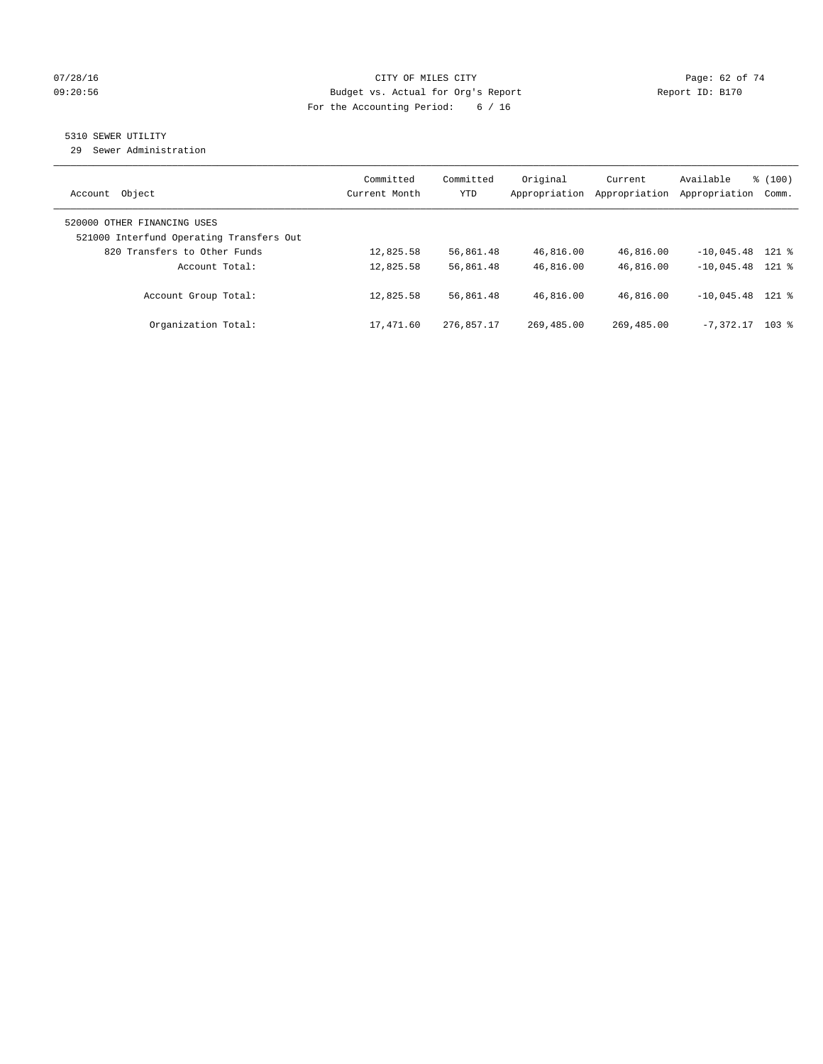## $O7/28/16$  Page: 62 of 74 09:20:56 Budget vs. Actual for Org's Report Report ID: B170 For the Accounting Period: 6 / 16

## 5310 SEWER UTILITY

29 Sewer Administration

| Object<br>Account                                                       | Committed<br>Current Month | Committed<br><b>YTD</b> | Original<br>Appropriation | Current<br>Appropriation | Available<br>Appropriation | % (100)<br>Comm. |
|-------------------------------------------------------------------------|----------------------------|-------------------------|---------------------------|--------------------------|----------------------------|------------------|
| 520000 OTHER FINANCING USES<br>521000 Interfund Operating Transfers Out |                            |                         |                           |                          |                            |                  |
| 820 Transfers to Other Funds                                            | 12,825.58                  | 56,861.48               | 46,816.00                 | 46,816.00                | $-10.045.48$ 121 %         |                  |
| Account Total:                                                          | 12,825.58                  | 56,861.48               | 46,816.00                 | 46,816.00                | $-10.045.48$ 121 %         |                  |
| Account Group Total:                                                    | 12,825.58                  | 56,861.48               | 46,816.00                 | 46,816.00                | $-10.045.48$ 121 %         |                  |
| Organization Total:                                                     | 17,471.60                  | 276,857.17              | 269,485.00                | 269,485.00               | $-7.372.17$                | $103$ %          |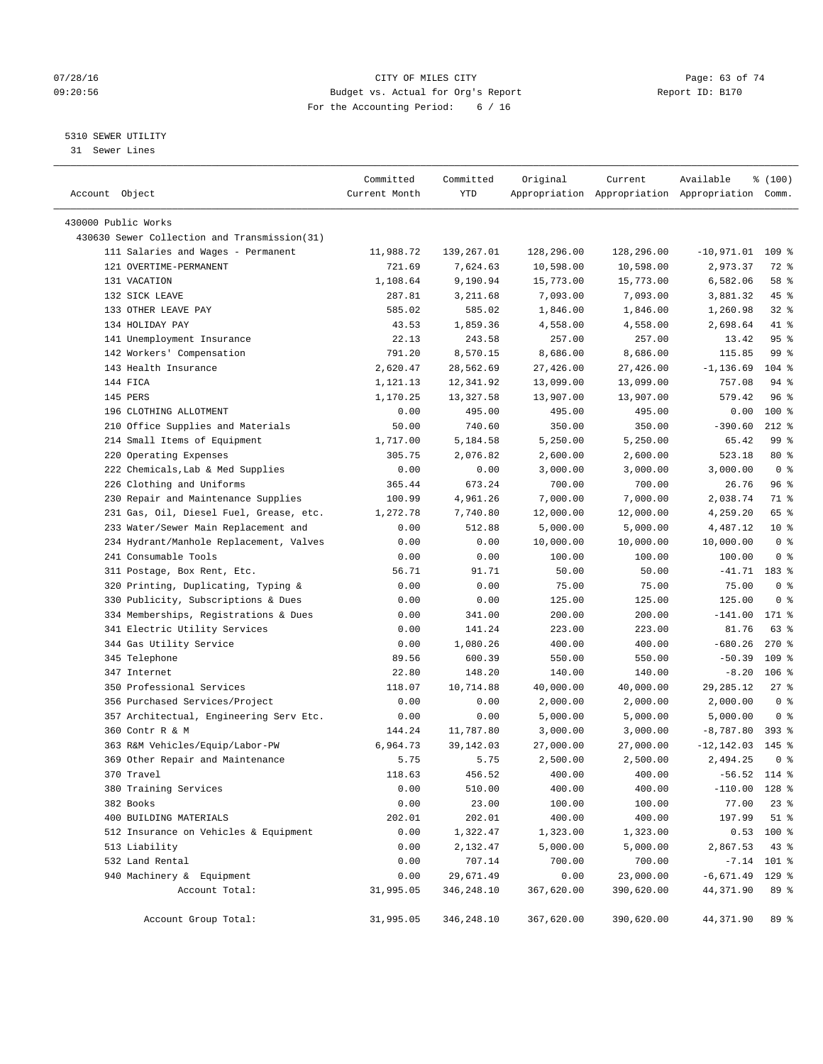## 07/28/16 Page: 63 of 74 09:20:56 Budget vs. Actual for Org's Report Report ID: B170 For the Accounting Period: 6 / 16

————————————————————————————————————————————————————————————————————————————————————————————————————————————————————————————————————

## 5310 SEWER UTILITY

31 Sewer Lines

|                                              | Committed     | Committed  | Original   | Current    | Available                                       | % (100)        |
|----------------------------------------------|---------------|------------|------------|------------|-------------------------------------------------|----------------|
| Account Object                               | Current Month | YTD        |            |            | Appropriation Appropriation Appropriation Comm. |                |
| 430000 Public Works                          |               |            |            |            |                                                 |                |
| 430630 Sewer Collection and Transmission(31) |               |            |            |            |                                                 |                |
| 111 Salaries and Wages - Permanent           | 11,988.72     | 139,267.01 | 128,296.00 | 128,296.00 | $-10,971.01$                                    | 109 %          |
| 121 OVERTIME-PERMANENT                       | 721.69        | 7,624.63   | 10,598.00  | 10,598.00  | 2,973.37                                        | 72 %           |
| 131 VACATION                                 | 1,108.64      | 9,190.94   | 15,773.00  | 15,773.00  | 6,582.06                                        | 58 %           |
| 132 SICK LEAVE                               | 287.81        | 3,211.68   | 7,093.00   | 7,093.00   | 3,881.32                                        | 45 %           |
| 133 OTHER LEAVE PAY                          | 585.02        | 585.02     | 1,846.00   | 1,846.00   | 1,260.98                                        | 32%            |
| 134 HOLIDAY PAY                              | 43.53         | 1,859.36   | 4,558.00   | 4,558.00   | 2,698.64                                        | 41 %           |
| 141 Unemployment Insurance                   | 22.13         | 243.58     | 257.00     | 257.00     | 13.42                                           | 95%            |
| 142 Workers' Compensation                    | 791.20        | 8,570.15   | 8,686.00   | 8,686.00   | 115.85                                          | 99 %           |
| 143 Health Insurance                         | 2,620.47      | 28,562.69  | 27,426.00  | 27,426.00  | $-1, 136.69$                                    | $104$ %        |
| 144 FICA                                     | 1,121.13      | 12,341.92  | 13,099.00  | 13,099.00  | 757.08                                          | 94 %           |
| 145 PERS                                     | 1,170.25      | 13,327.58  | 13,907.00  | 13,907.00  | 579.42                                          | 96%            |
| 196 CLOTHING ALLOTMENT                       | 0.00          | 495.00     | 495.00     | 495.00     | 0.00                                            | $100*$         |
| 210 Office Supplies and Materials            | 50.00         | 740.60     | 350.00     | 350.00     | $-390.60$                                       | $212$ %        |
| 214 Small Items of Equipment                 | 1,717.00      | 5,184.58   | 5,250.00   | 5,250.00   | 65.42                                           | 99%            |
| 220 Operating Expenses                       | 305.75        | 2,076.82   | 2,600.00   | 2,600.00   | 523.18                                          | $80*$          |
| 222 Chemicals, Lab & Med Supplies            | 0.00          | 0.00       | 3,000.00   | 3,000.00   | 3,000.00                                        | 0 <sup>8</sup> |
| 226 Clothing and Uniforms                    | 365.44        | 673.24     | 700.00     | 700.00     | 26.76                                           | 96%            |
| 230 Repair and Maintenance Supplies          | 100.99        | 4,961.26   | 7,000.00   | 7,000.00   | 2,038.74                                        | 71 %           |
| 231 Gas, Oil, Diesel Fuel, Grease, etc.      | 1,272.78      | 7,740.80   | 12,000.00  | 12,000.00  | 4,259.20                                        | 65 %           |
| 233 Water/Sewer Main Replacement and         | 0.00          | 512.88     | 5,000.00   | 5,000.00   | 4,487.12                                        | $10*$          |
| 234 Hydrant/Manhole Replacement, Valves      | 0.00          | 0.00       | 10,000.00  | 10,000.00  | 10,000.00                                       | 0 <sup>8</sup> |
| 241 Consumable Tools                         | 0.00          | 0.00       | 100.00     | 100.00     | 100.00                                          | 0 <sup>8</sup> |
| 311 Postage, Box Rent, Etc.                  | 56.71         | 91.71      | 50.00      | 50.00      | $-41.71$                                        | 183 %          |
| 320 Printing, Duplicating, Typing &          | 0.00          | 0.00       | 75.00      | 75.00      | 75.00                                           | 0 <sup>8</sup> |
| 330 Publicity, Subscriptions & Dues          | 0.00          | 0.00       | 125.00     | 125.00     | 125.00                                          | 0 <sup>8</sup> |
| 334 Memberships, Registrations & Dues        | 0.00          | 341.00     | 200.00     | 200.00     | $-141.00$                                       | 171 %          |
| 341 Electric Utility Services                | 0.00          | 141.24     | 223.00     | 223.00     | 81.76                                           | 63 %           |
| 344 Gas Utility Service                      | 0.00          | 1,080.26   | 400.00     | 400.00     | $-680.26$                                       | $270*$         |
| 345 Telephone                                | 89.56         | 600.39     | 550.00     | 550.00     | $-50.39$                                        | $109$ %        |
| 347 Internet                                 | 22.80         | 148.20     | 140.00     | 140.00     | $-8.20$                                         | $106$ %        |
| 350 Professional Services                    | 118.07        | 10,714.88  | 40,000.00  | 40,000.00  | 29, 285. 12                                     | $27$ %         |
| 356 Purchased Services/Project               | 0.00          | 0.00       | 2,000.00   | 2,000.00   | 2,000.00                                        | 0 <sup>8</sup> |
| 357 Architectual, Engineering Serv Etc.      | 0.00          | 0.00       | 5,000.00   | 5,000.00   | 5,000.00                                        | 0 <sup>8</sup> |
| 360 Contr R & M                              | 144.24        | 11,787.80  | 3,000.00   | 3,000.00   | $-8,787.80$                                     | 393 %          |
| 363 R&M Vehicles/Equip/Labor-PW              | 6,964.73      | 39,142.03  | 27,000.00  | 27,000.00  | $-12, 142.03$                                   | $145$ %        |
| 369 Other Repair and Maintenance             | 5.75          | 5.75       | 2,500.00   | 2,500.00   | 2,494.25                                        | 0 <sup>8</sup> |
| 370 Travel                                   | 118.63        | 456.52     | 400.00     | 400.00     | $-56.52$ 114 %                                  |                |
| 380 Training Services                        | 0.00          | 510.00     | 400.00     | 400.00     | $-110.00$ 128 %                                 |                |
| 382 Books                                    | 0.00          | 23.00      | 100.00     | 100.00     | 77.00                                           | $23$ $%$       |
| 400 BUILDING MATERIALS                       | 202.01        | 202.01     | 400.00     | 400.00     | 197.99                                          | $51$ %         |
| 512 Insurance on Vehicles & Equipment        | 0.00          | 1,322.47   | 1,323.00   | 1,323.00   | 0.53                                            | 100 %          |
| 513 Liability                                | 0.00          | 2,132.47   | 5,000.00   | 5,000.00   | 2,867.53                                        | 43 %           |
| 532 Land Rental                              | 0.00          | 707.14     | 700.00     | 700.00     |                                                 | $-7.14$ 101 %  |
| 940 Machinery & Equipment                    | 0.00          | 29,671.49  | 0.00       | 23,000.00  | $-6,671.49$                                     | $129$ %        |
| Account Total:                               | 31,995.05     | 346,248.10 | 367,620.00 | 390,620.00 | 44,371.90                                       | 89 %           |
| Account Group Total:                         | 31,995.05     | 346,248.10 | 367,620.00 | 390,620.00 | 44,371.90                                       | 89 %           |
|                                              |               |            |            |            |                                                 |                |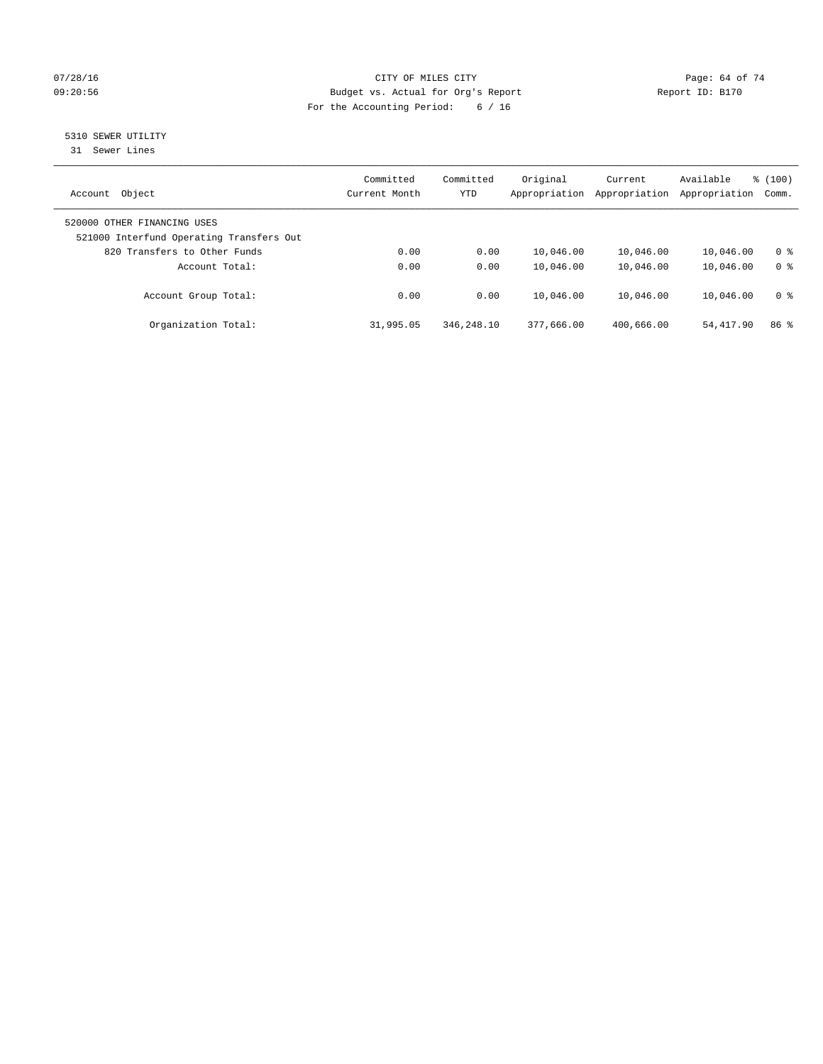## $O7/28/16$  Page: 64 of 74 09:20:56 Budget vs. Actual for Org's Report Report ID: B170 For the Accounting Period: 6 / 16

# 5310 SEWER UTILITY

31 Sewer Lines

| Object<br>Account                                                       | Committed<br>Current Month | Committed<br><b>YTD</b> | Original<br>Appropriation | Current<br>Appropriation | Available<br>Appropriation | % (100)<br>Comm. |
|-------------------------------------------------------------------------|----------------------------|-------------------------|---------------------------|--------------------------|----------------------------|------------------|
| 520000 OTHER FINANCING USES<br>521000 Interfund Operating Transfers Out |                            |                         |                           |                          |                            |                  |
| 820 Transfers to Other Funds                                            | 0.00                       | 0.00                    | 10,046.00                 | 10,046.00                | 10,046.00                  | 0 %              |
| Account Total:                                                          | 0.00                       | 0.00                    | 10,046.00                 | 10,046.00                | 10,046.00                  | 0 <sup>8</sup>   |
| Account Group Total:                                                    | 0.00                       | 0.00                    | 10,046.00                 | 10,046.00                | 10,046.00                  | 0 <sup>8</sup>   |
| Organization Total:                                                     | 31,995.05                  | 346,248.10              | 377,666.00                | 400,666.00               | 54, 417.90                 | 86 <sup>8</sup>  |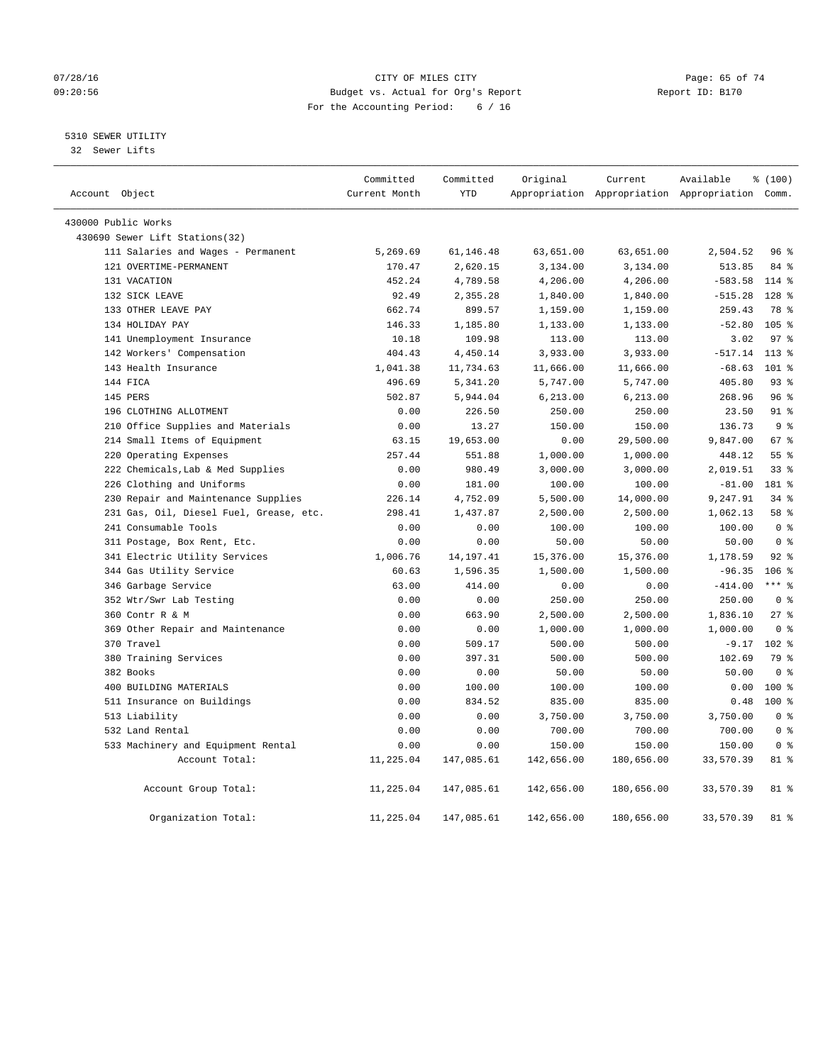## $O7/28/16$  Page: 65 of 74 09:20:56 Budget vs. Actual for Org's Report Report ID: B170 For the Accounting Period: 6 / 16

## 5310 SEWER UTILITY

32 Sewer Lifts

| Account Object |                                         | Committed<br>Current Month | Committed<br><b>YTD</b> | Original   | Current    | Available<br>Appropriation Appropriation Appropriation Comm. | % (100)          |
|----------------|-----------------------------------------|----------------------------|-------------------------|------------|------------|--------------------------------------------------------------|------------------|
|                | 430000 Public Works                     |                            |                         |            |            |                                                              |                  |
|                | 430690 Sewer Lift Stations(32)          |                            |                         |            |            |                                                              |                  |
|                | 111 Salaries and Wages - Permanent      | 5,269.69                   | 61,146.48               | 63,651.00  | 63,651.00  | 2,504.52                                                     | 96%              |
|                | 121 OVERTIME-PERMANENT                  | 170.47                     | 2,620.15                | 3,134.00   | 3,134.00   | 513.85                                                       | 84 %             |
|                | 131 VACATION                            | 452.24                     | 4,789.58                | 4,206.00   | 4,206.00   | $-583.58$                                                    | 114 %            |
|                | 132 SICK LEAVE                          | 92.49                      | 2,355.28                | 1,840.00   | 1,840.00   | $-515.28$                                                    | 128 <sup>8</sup> |
|                | 133 OTHER LEAVE PAY                     | 662.74                     | 899.57                  | 1,159.00   | 1,159.00   | 259.43                                                       | 78 %             |
|                | 134 HOLIDAY PAY                         | 146.33                     | 1,185.80                | 1,133.00   | 1,133.00   | $-52.80$                                                     | $105$ $%$        |
|                | 141 Unemployment Insurance              | 10.18                      | 109.98                  | 113.00     | 113.00     | 3.02                                                         | 97 <sup>°</sup>  |
|                | 142 Workers' Compensation               | 404.43                     | 4,450.14                | 3,933.00   | 3,933.00   | $-517.14$                                                    | $113$ %          |
|                | 143 Health Insurance                    | 1,041.38                   | 11,734.63               | 11,666.00  | 11,666.00  | $-68.63$                                                     | $101$ %          |
|                | 144 FICA                                | 496.69                     | 5,341.20                | 5,747.00   | 5,747.00   | 405.80                                                       | 93%              |
|                | 145 PERS                                | 502.87                     | 5,944.04                | 6,213.00   | 6, 213.00  | 268.96                                                       | 96%              |
|                | 196 CLOTHING ALLOTMENT                  | 0.00                       | 226.50                  | 250.00     | 250.00     | 23.50                                                        | $91$ $%$         |
|                | 210 Office Supplies and Materials       | 0.00                       | 13.27                   | 150.00     | 150.00     | 136.73                                                       | 9 <sup>°</sup>   |
|                | 214 Small Items of Equipment            | 63.15                      | 19,653.00               | 0.00       | 29,500.00  | 9,847.00                                                     | 67%              |
|                | 220 Operating Expenses                  | 257.44                     | 551.88                  | 1,000.00   | 1,000.00   | 448.12                                                       | 55 <sup>8</sup>  |
|                | 222 Chemicals, Lab & Med Supplies       | 0.00                       | 980.49                  | 3,000.00   | 3,000.00   | 2,019.51                                                     | 33%              |
|                | 226 Clothing and Uniforms               | 0.00                       | 181.00                  | 100.00     | 100.00     | $-81.00$                                                     | 181 %            |
|                | 230 Repair and Maintenance Supplies     | 226.14                     | 4,752.09                | 5,500.00   | 14,000.00  | 9,247.91                                                     | 34%              |
|                | 231 Gas, Oil, Diesel Fuel, Grease, etc. | 298.41                     | 1,437.87                | 2,500.00   | 2,500.00   | 1,062.13                                                     | 58 %             |
|                | 241 Consumable Tools                    | 0.00                       | 0.00                    | 100.00     | 100.00     | 100.00                                                       | 0 <sup>8</sup>   |
|                | 311 Postage, Box Rent, Etc.             | 0.00                       | 0.00                    | 50.00      | 50.00      | 50.00                                                        | 0 <sup>8</sup>   |
|                | 341 Electric Utility Services           | 1,006.76                   | 14, 197. 41             | 15,376.00  | 15,376.00  | 1,178.59                                                     | 92%              |
|                | 344 Gas Utility Service                 | 60.63                      | 1,596.35                | 1,500.00   | 1,500.00   | $-96.35$                                                     | $106$ %          |
|                | 346 Garbage Service                     | 63.00                      | 414.00                  | 0.00       | 0.00       | $-414.00$                                                    | $***$ $%$        |
|                | 352 Wtr/Swr Lab Testing                 | 0.00                       | 0.00                    | 250.00     | 250.00     | 250.00                                                       | 0 <sup>8</sup>   |
|                | 360 Contr R & M                         | 0.00                       | 663.90                  | 2,500.00   | 2,500.00   | 1,836.10                                                     | 27%              |
|                | 369 Other Repair and Maintenance        | 0.00                       | 0.00                    | 1,000.00   | 1,000.00   | 1,000.00                                                     | 0 <sup>8</sup>   |
|                | 370 Travel                              | 0.00                       | 509.17                  | 500.00     | 500.00     | $-9.17$                                                      | $102$ %          |
|                | 380 Training Services                   | 0.00                       | 397.31                  | 500.00     | 500.00     | 102.69                                                       | 79 %             |
|                | 382 Books                               | 0.00                       | 0.00                    | 50.00      | 50.00      | 50.00                                                        | 0 <sup>8</sup>   |
|                | 400 BUILDING MATERIALS                  | 0.00                       | 100.00                  | 100.00     | 100.00     | 0.00                                                         | $100*$           |
|                | 511 Insurance on Buildings              | 0.00                       | 834.52                  | 835.00     | 835.00     | 0.48                                                         | $100*$           |
|                | 513 Liability                           | 0.00                       | 0.00                    | 3,750.00   | 3,750.00   | 3,750.00                                                     | 0 <sup>8</sup>   |
|                | 532 Land Rental                         | 0.00                       | 0.00                    | 700.00     | 700.00     | 700.00                                                       | 0 <sup>8</sup>   |
|                | 533 Machinery and Equipment Rental      | 0.00                       | 0.00                    | 150.00     | 150.00     | 150.00                                                       | 0 <sup>8</sup>   |
|                | Account Total:                          | 11,225.04                  | 147,085.61              | 142,656.00 | 180,656.00 | 33,570.39                                                    | $81 - 8$         |
|                | Account Group Total:                    | 11,225.04                  | 147,085.61              | 142,656.00 | 180,656.00 | 33,570.39                                                    | 81 %             |
|                | Organization Total:                     | 11,225.04                  | 147,085.61              | 142,656.00 | 180,656.00 | 33,570.39                                                    | 81 %             |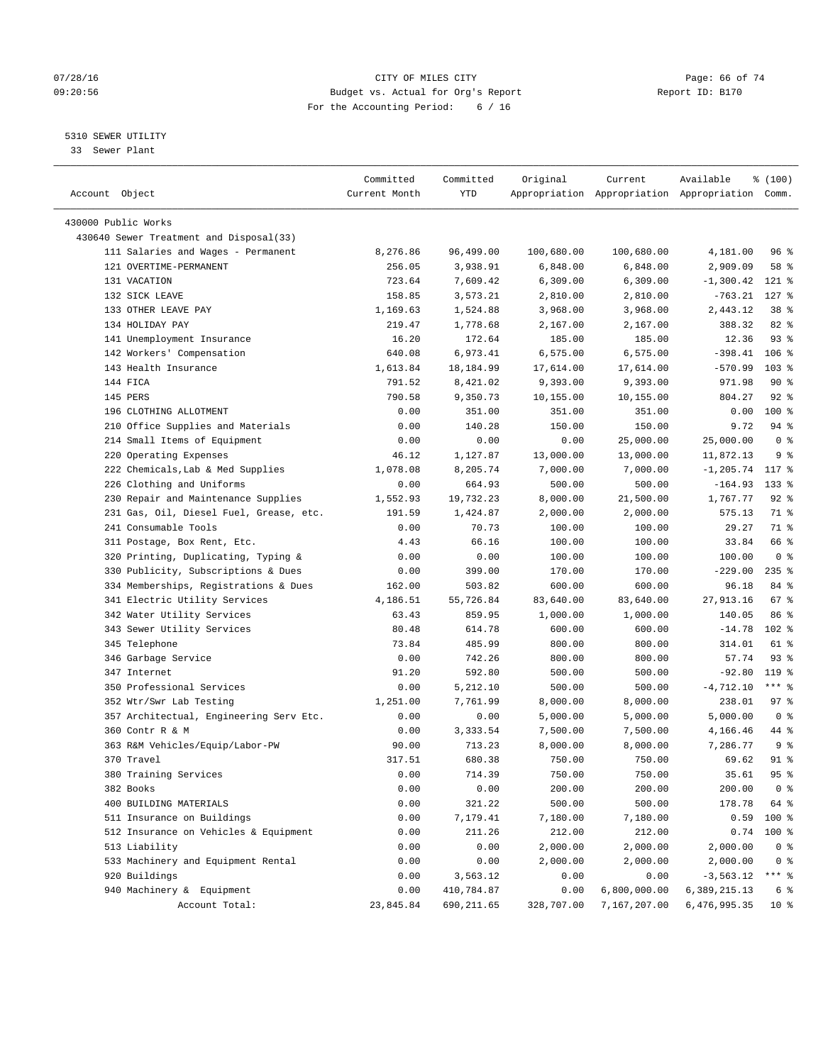#### 07/28/16 Page: 66 of 74 09:20:56 Budget vs. Actual for Org's Report Report ID: B170 For the Accounting Period: 6 / 16

————————————————————————————————————————————————————————————————————————————————————————————————————————————————————————————————————

## 5310 SEWER UTILITY

33 Sewer Plant

|                                         | Committed     | Committed  | Original   | Current                                         | Available          | % (100)          |
|-----------------------------------------|---------------|------------|------------|-------------------------------------------------|--------------------|------------------|
| Account Object                          | Current Month | YTD        |            | Appropriation Appropriation Appropriation Comm. |                    |                  |
| 430000 Public Works                     |               |            |            |                                                 |                    |                  |
| 430640 Sewer Treatment and Disposal(33) |               |            |            |                                                 |                    |                  |
| 111 Salaries and Wages - Permanent      | 8,276.86      | 96,499.00  | 100,680.00 | 100,680.00                                      | 4,181.00           | 96%              |
| 121 OVERTIME-PERMANENT                  | 256.05        | 3,938.91   | 6,848.00   | 6,848.00                                        | 2,909.09           | 58 %             |
| 131 VACATION                            |               |            |            |                                                 |                    |                  |
|                                         | 723.64        | 7,609.42   | 6,309.00   | 6,309.00                                        | $-1,300.42$        | $121$ %          |
| 132 SICK LEAVE                          | 158.85        | 3,573.21   | 2,810.00   | 2,810.00                                        | $-763.21$          | $127$ %          |
| 133 OTHER LEAVE PAY<br>134 HOLIDAY PAY  | 1,169.63      | 1,524.88   | 3,968.00   | 3,968.00                                        | 2,443.12           | 38 <sup>8</sup>  |
|                                         | 219.47        | 1,778.68   | 2,167.00   | 2,167.00                                        | 388.32             | 82 %<br>93%      |
| 141 Unemployment Insurance              | 16.20         | 172.64     | 185.00     | 185.00                                          | 12.36              |                  |
| 142 Workers' Compensation               | 640.08        | 6,973.41   | 6,575.00   | 6,575.00                                        | $-398.41$          | $106$ %          |
| 143 Health Insurance                    | 1,613.84      | 18,184.99  | 17,614.00  | 17,614.00                                       | $-570.99$          | 103 <sub>8</sub> |
| 144 FICA                                | 791.52        | 8,421.02   | 9,393.00   | 9,393.00                                        | 971.98             | 90%              |
| 145 PERS                                | 790.58        | 9,350.73   | 10,155.00  | 10,155.00                                       | 804.27             | $92$ %           |
| 196 CLOTHING ALLOTMENT                  | 0.00          | 351.00     | 351.00     | 351.00                                          | 0.00               | $100*$           |
| 210 Office Supplies and Materials       | 0.00          | 140.28     | 150.00     | 150.00                                          | 9.72               | $94$ %           |
| 214 Small Items of Equipment            | 0.00          | 0.00       | 0.00       | 25,000.00                                       | 25,000.00          | 0 <sup>8</sup>   |
| 220 Operating Expenses                  | 46.12         | 1,127.87   | 13,000.00  | 13,000.00                                       | 11,872.13          | 9 <sup>°</sup>   |
| 222 Chemicals, Lab & Med Supplies       | 1,078.08      | 8,205.74   | 7,000.00   | 7,000.00                                        | $-1, 205.74$ 117 % |                  |
| 226 Clothing and Uniforms               | 0.00          | 664.93     | 500.00     | 500.00                                          | $-164.93$          | $133$ %          |
| 230 Repair and Maintenance Supplies     | 1,552.93      | 19,732.23  | 8,000.00   | 21,500.00                                       | 1,767.77           | $92$ %           |
| 231 Gas, Oil, Diesel Fuel, Grease, etc. | 191.59        | 1,424.87   | 2,000.00   | 2,000.00                                        | 575.13             | 71 %             |
| 241 Consumable Tools                    | 0.00          | 70.73      | 100.00     | 100.00                                          | 29.27              | 71 %             |
| 311 Postage, Box Rent, Etc.             | 4.43          | 66.16      | 100.00     | 100.00                                          | 33.84              | 66 %             |
| 320 Printing, Duplicating, Typing &     | 0.00          | 0.00       | 100.00     | 100.00                                          | 100.00             | 0 <sup>8</sup>   |
| 330 Publicity, Subscriptions & Dues     | 0.00          | 399.00     | 170.00     | 170.00                                          | $-229.00$          | $235$ %          |
| 334 Memberships, Registrations & Dues   | 162.00        | 503.82     | 600.00     | 600.00                                          | 96.18              | 84 %             |
| 341 Electric Utility Services           | 4,186.51      | 55,726.84  | 83,640.00  | 83,640.00                                       | 27,913.16          | 67%              |
| 342 Water Utility Services              | 63.43         | 859.95     | 1,000.00   | 1,000.00                                        | 140.05             | 86 %             |
| 343 Sewer Utility Services              | 80.48         | 614.78     | 600.00     | 600.00                                          | $-14.78$           | $102$ %          |
| 345 Telephone                           | 73.84         | 485.99     | 800.00     | 800.00                                          | 314.01             | 61 %             |
| 346 Garbage Service                     | 0.00          | 742.26     | 800.00     | 800.00                                          | 57.74              | $93$ $%$         |
| 347 Internet                            | 91.20         | 592.80     | 500.00     | 500.00                                          | $-92.80$           | 119.8            |
| 350 Professional Services               | 0.00          | 5,212.10   | 500.00     | 500.00                                          | $-4,712.10$        | $***$ $-$        |
| 352 Wtr/Swr Lab Testing                 | 1,251.00      | 7,761.99   | 8,000.00   | 8,000.00                                        | 238.01             | 97%              |
| 357 Architectual, Engineering Serv Etc. | 0.00          | 0.00       | 5,000.00   | 5,000.00                                        | 5,000.00           | 0 <sup>8</sup>   |
| 360 Contr R & M                         | 0.00          | 3,333.54   | 7,500.00   | 7,500.00                                        | 4,166.46           | 44 %             |
| 363 R&M Vehicles/Equip/Labor-PW         | 90.00         | 713.23     | 8,000.00   | 8,000.00                                        | 7,286.77           | 9 <sup>°</sup>   |
| 370 Travel                              | 317.51        | 680.38     | 750.00     | 750.00                                          | 69.62              | 91 %             |
| 380 Training Services                   | 0.00          | 714.39     | 750.00     | 750.00                                          | 35.61              | 95%              |
| 382 Books                               | 0.00          | 0.00       | 200.00     | 200.00                                          | 200.00             | 0 %              |
| 400 BUILDING MATERIALS                  | 0.00          | 321.22     | 500.00     | 500.00                                          | 178.78             | 64 %             |
| 511 Insurance on Buildings              | 0.00          | 7,179.41   | 7,180.00   | 7,180.00                                        | 0.59               | $100$ %          |
| 512 Insurance on Vehicles & Equipment   | 0.00          | 211.26     | 212.00     | 212.00                                          | 0.74               | $100*$           |
| 513 Liability                           | 0.00          | 0.00       | 2,000.00   | 2,000.00                                        | 2,000.00           | 0 <sup>8</sup>   |
| 533 Machinery and Equipment Rental      | 0.00          | 0.00       | 2,000.00   | 2,000.00                                        | 2,000.00           | 0 <sup>8</sup>   |
| 920 Buildings                           | 0.00          | 3,563.12   | 0.00       | 0.00                                            | $-3,563.12$        | $***$ $8$        |
| 940 Machinery & Equipment               | 0.00          | 410,784.87 | 0.00       | 6,800,000.00                                    | 6,389,215.13       | 6 %              |
| Account Total:                          | 23,845.84     | 690,211.65 | 328,707.00 | 7,167,207.00                                    | 6,476,995.35       | $10*$            |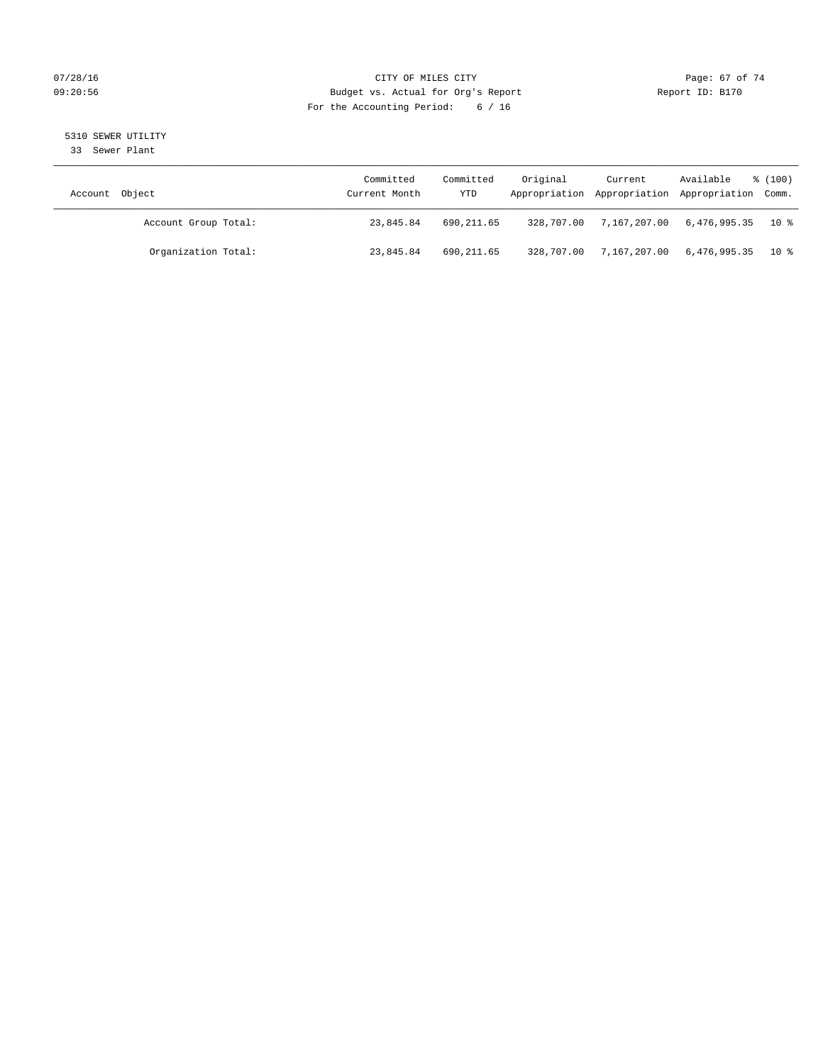## $O7/28/16$  Page: 67 of 74 09:20:56 Budget vs. Actual for Org's Report Report ID: B170 For the Accounting Period: 6 / 16

5310 SEWER UTILITY

33 Sewer Plant

| Account Object       | Committed<br>Current Month | Committed<br>YTD | Original   | Current      | Available<br>Appropriation Appropriation Appropriation Comm. | % (100) |
|----------------------|----------------------------|------------------|------------|--------------|--------------------------------------------------------------|---------|
| Account Group Total: | 23,845.84                  | 690,211.65       | 328,707.00 | 7,167,207.00 | $6.476.995.35$ 10 %                                          |         |
| Organization Total:  | 23,845.84                  | 690,211.65       | 328,707.00 | 7,167,207.00 | 6,476,995.35 10%                                             |         |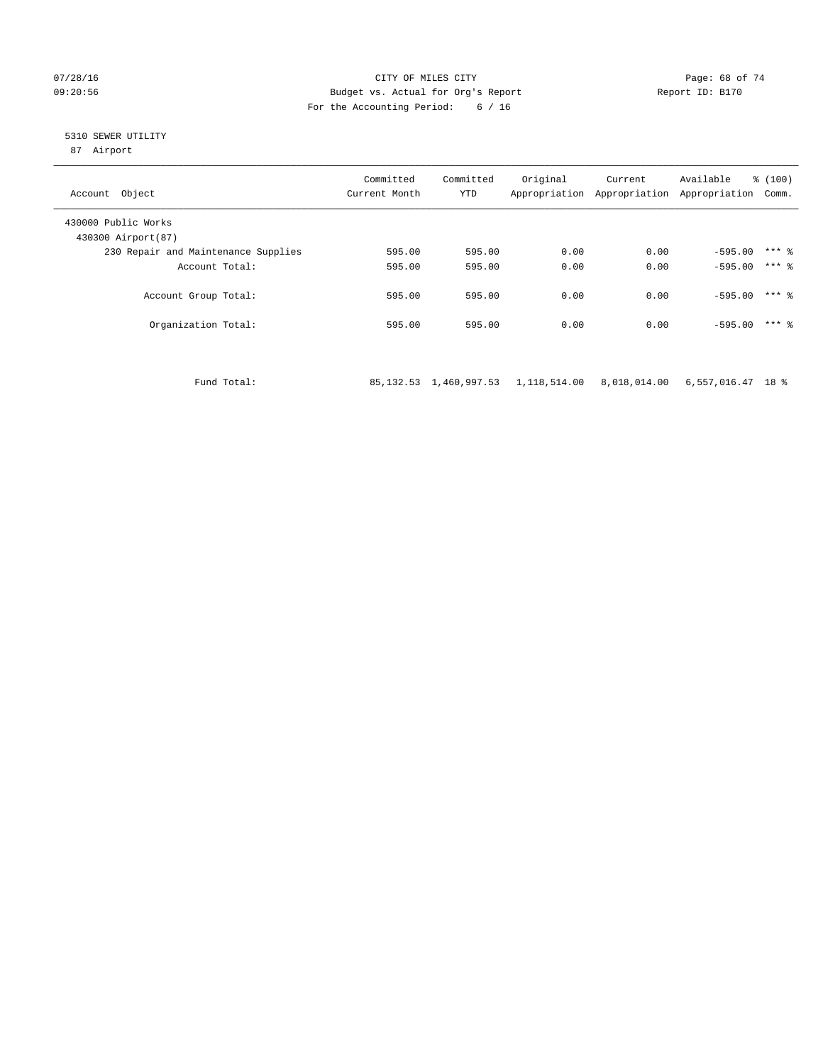#### 07/28/16 Page: 68 of 74 09:20:56 Budget vs. Actual for Org's Report Report ID: B170 For the Accounting Period: 6 / 16

## 5310 SEWER UTILITY

87 Airport

| Account Object                             | Committed<br>Current Month | Committed<br><b>YTD</b> | Original<br>Appropriation | Current<br>Appropriation | Available<br>Appropriation | % (100)<br>Comm. |
|--------------------------------------------|----------------------------|-------------------------|---------------------------|--------------------------|----------------------------|------------------|
| 430000 Public Works<br>430300 Airport (87) |                            |                         |                           |                          |                            |                  |
| 230 Repair and Maintenance Supplies        | 595.00                     | 595.00                  | 0.00                      | 0.00                     | $-595.00$                  | $***$ %          |
| Account Total:                             | 595.00                     | 595.00                  | 0.00                      | 0.00                     | $-595.00$                  | $***$ 2          |
| Account Group Total:                       | 595.00                     | 595.00                  | 0.00                      | 0.00                     | $-595.00$                  | $***$ %          |
| Organization Total:                        | 595.00                     | 595.00                  | 0.00                      | 0.00                     | $-595.00$                  | $***$ 2          |

Fund Total: 85,132.53 1,460,997.53 1,118,514.00 8,018,014.00 6,557,016.47 18 %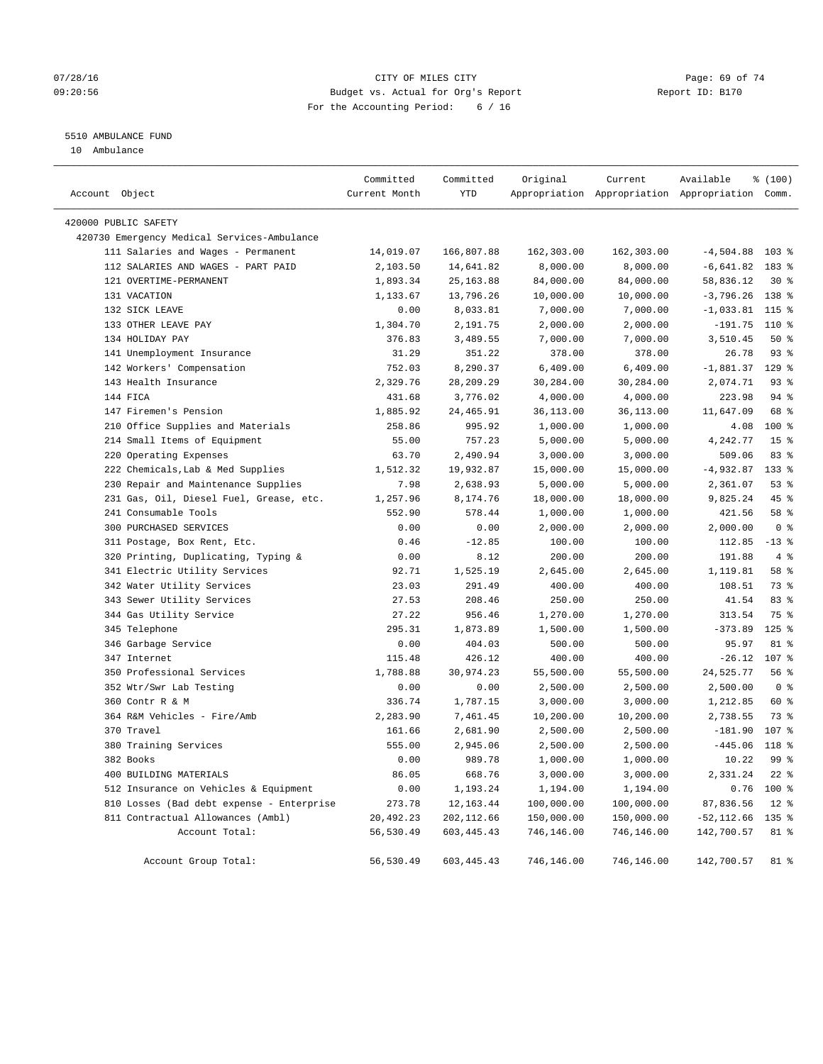## $O7/28/16$  Page: 69 of 74 09:20:56 Budget vs. Actual for Org's Report Report ID: B170 For the Accounting Period: 6 / 16

## 5510 AMBULANCE FUND

10 Ambulance

| Account Object |                                             | Committed<br>Current Month | Committed<br>YTD | Original   | Current    | Available<br>Appropriation Appropriation Appropriation Comm. | \$(100)         |
|----------------|---------------------------------------------|----------------------------|------------------|------------|------------|--------------------------------------------------------------|-----------------|
|                | 420000 PUBLIC SAFETY                        |                            |                  |            |            |                                                              |                 |
|                | 420730 Emergency Medical Services-Ambulance |                            |                  |            |            |                                                              |                 |
|                | 111 Salaries and Wages - Permanent          | 14,019.07                  | 166,807.88       | 162,303.00 | 162,303.00 | $-4,504.88$                                                  | $103$ %         |
|                | 112 SALARIES AND WAGES - PART PAID          | 2,103.50                   | 14,641.82        | 8,000.00   | 8,000.00   | $-6,641.82$                                                  | 183 %           |
|                | 121 OVERTIME-PERMANENT                      | 1,893.34                   | 25, 163.88       | 84,000.00  | 84,000.00  | 58,836.12                                                    | $30*$           |
|                | 131 VACATION                                | 1,133.67                   | 13,796.26        | 10,000.00  | 10,000.00  | $-3,796.26$                                                  | 138 %           |
|                | 132 SICK LEAVE                              | 0.00                       | 8,033.81         | 7,000.00   | 7,000.00   | $-1,033.81$ 115 %                                            |                 |
|                | 133 OTHER LEAVE PAY                         | 1,304.70                   | 2,191.75         | 2,000.00   | 2,000.00   | $-191.75$                                                    | 110 %           |
|                | 134 HOLIDAY PAY                             | 376.83                     | 3,489.55         | 7,000.00   | 7,000.00   | 3,510.45                                                     | 50%             |
|                | 141 Unemployment Insurance                  | 31.29                      | 351.22           | 378.00     | 378.00     | 26.78                                                        | 93%             |
|                | 142 Workers' Compensation                   | 752.03                     | 8,290.37         | 6,409.00   | 6,409.00   | $-1,881.37$                                                  | $129$ %         |
|                | 143 Health Insurance                        | 2,329.76                   | 28,209.29        | 30,284.00  | 30,284.00  | 2,074.71                                                     | 93%             |
|                | 144 FICA                                    | 431.68                     | 3,776.02         | 4,000.00   | 4,000.00   | 223.98                                                       | $94$ %          |
|                | 147 Firemen's Pension                       | 1,885.92                   | 24,465.91        | 36,113.00  | 36,113.00  | 11,647.09                                                    | 68 %            |
|                | 210 Office Supplies and Materials           | 258.86                     | 995.92           | 1,000.00   | 1,000.00   | 4.08                                                         | 100%            |
|                | 214 Small Items of Equipment                | 55.00                      | 757.23           | 5,000.00   | 5,000.00   | 4,242.77                                                     | 15 <sup>°</sup> |
|                | 220 Operating Expenses                      | 63.70                      | 2,490.94         | 3,000.00   | 3,000.00   | 509.06                                                       | 83 %            |
|                | 222 Chemicals, Lab & Med Supplies           | 1,512.32                   | 19,932.87        | 15,000.00  | 15,000.00  | $-4,932.87$                                                  | 133 %           |
|                | 230 Repair and Maintenance Supplies         | 7.98                       | 2,638.93         | 5,000.00   | 5,000.00   | 2,361.07                                                     | 53%             |
|                | 231 Gas, Oil, Diesel Fuel, Grease, etc.     | 1,257.96                   | 8,174.76         | 18,000.00  | 18,000.00  | 9,825.24                                                     | 45 %            |
|                | 241 Consumable Tools                        | 552.90                     | 578.44           | 1,000.00   | 1,000.00   | 421.56                                                       | 58 %            |
|                | 300 PURCHASED SERVICES                      | 0.00                       | 0.00             | 2,000.00   | 2,000.00   | 2,000.00                                                     | 0 <sup>8</sup>  |
|                | 311 Postage, Box Rent, Etc.                 | 0.46                       | $-12.85$         | 100.00     | 100.00     | 112.85                                                       | $-13$ %         |
|                | 320 Printing, Duplicating, Typing &         | 0.00                       | 8.12             | 200.00     | 200.00     | 191.88                                                       | 4%              |
|                | 341 Electric Utility Services               | 92.71                      | 1,525.19         | 2,645.00   | 2,645.00   | 1,119.81                                                     | 58 %            |
|                | 342 Water Utility Services                  | 23.03                      | 291.49           | 400.00     | 400.00     | 108.51                                                       | 73 %            |
|                | 343 Sewer Utility Services                  | 27.53                      | 208.46           | 250.00     | 250.00     | 41.54                                                        | 83 %            |
|                | 344 Gas Utility Service                     | 27.22                      | 956.46           | 1,270.00   | 1,270.00   | 313.54                                                       | 75 %            |
|                | 345 Telephone                               | 295.31                     | 1,873.89         | 1,500.00   | 1,500.00   | $-373.89$                                                    | $125$ %         |
|                | 346 Garbage Service                         | 0.00                       | 404.03           | 500.00     | 500.00     | 95.97                                                        | 81 %            |
|                | 347 Internet                                | 115.48                     | 426.12           | 400.00     | 400.00     | $-26.12$                                                     | 107 %           |
|                | 350 Professional Services                   | 1,788.88                   | 30,974.23        | 55,500.00  | 55,500.00  | 24,525.77                                                    | 56%             |
|                | 352 Wtr/Swr Lab Testing                     | 0.00                       | 0.00             | 2,500.00   | 2,500.00   | 2,500.00                                                     | 0 <sup>8</sup>  |
|                | 360 Contr R & M                             | 336.74                     | 1,787.15         | 3,000.00   | 3,000.00   | 1,212.85                                                     | 60 %            |
|                | 364 R&M Vehicles - Fire/Amb                 | 2,283.90                   | 7,461.45         | 10,200.00  | 10,200.00  | 2,738.55                                                     | 73 %            |
|                | 370 Travel                                  | 161.66                     | 2,681.90         | 2,500.00   | 2,500.00   | $-181.90$                                                    | 107 %           |
|                | 380 Training Services                       | 555.00                     | 2,945.06         | 2,500.00   | 2,500.00   | $-445.06$                                                    | 118 %           |
|                | 382 Books                                   | 0.00                       | 989.78           | 1,000.00   | 1,000.00   | 10.22                                                        | 99 %            |
|                | 400 BUILDING MATERIALS                      | 86.05                      | 668.76           | 3,000.00   | 3,000.00   | 2,331.24                                                     | $22$ %          |
|                | 512 Insurance on Vehicles & Equipment       | 0.00                       | 1,193.24         | 1,194.00   | 1,194.00   | 0.76                                                         | 100 %           |
|                | 810 Losses (Bad debt expense - Enterprise   | 273.78                     | 12, 163.44       | 100,000.00 | 100,000.00 | 87,836.56                                                    | $12*$           |
|                | 811 Contractual Allowances (Ambl)           | 20,492.23                  | 202,112.66       | 150,000.00 | 150,000.00 | $-52,112.66$                                                 | 135 %           |
|                | Account Total:                              | 56,530.49                  | 603,445.43       | 746,146.00 | 746,146.00 | 142,700.57                                                   | 81 %            |
|                | Account Group Total:                        | 56,530.49                  | 603,445.43       | 746,146.00 | 746,146.00 | 142,700.57                                                   | 81 %            |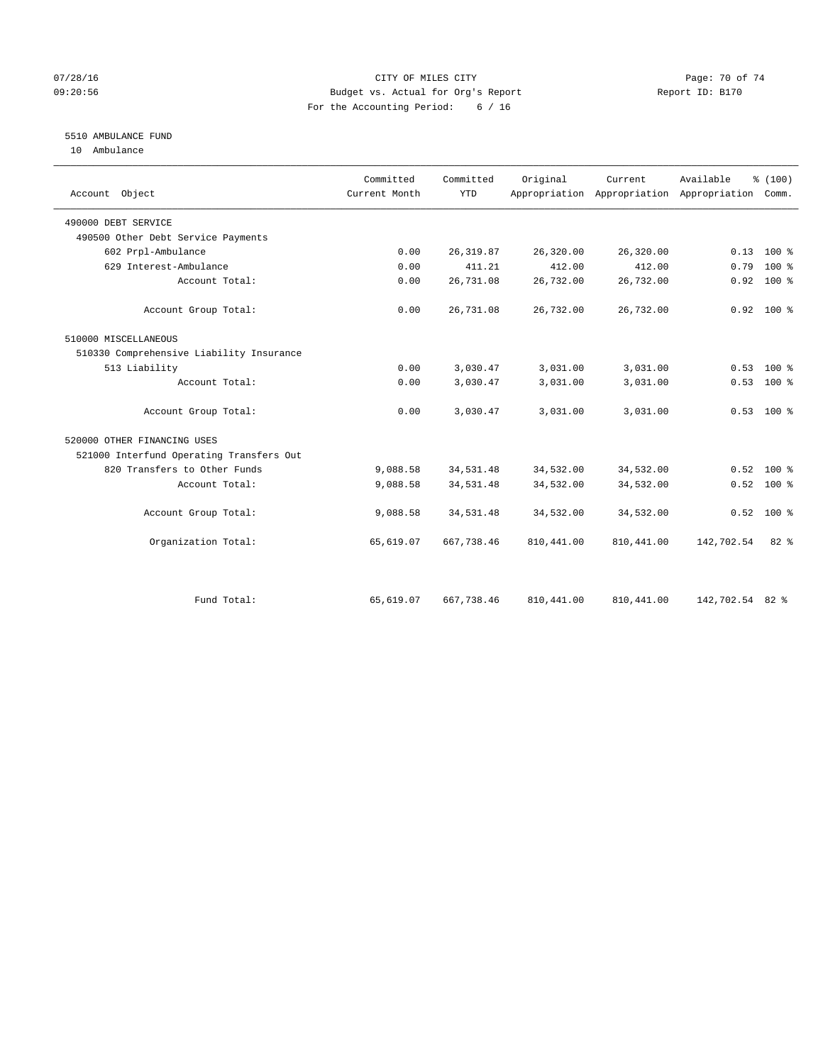## $O7/28/16$  Page: 70 of 74 09:20:56 Budget vs. Actual for Org's Report Report ID: B170 For the Accounting Period: 6 / 16

## 5510 AMBULANCE FUND

10 Ambulance

| Account Object                           | Committed<br>Current Month | Committed<br><b>YTD</b> | Original   | Current<br>Appropriation Appropriation Appropriation | Available       | % (100)<br>Comm. |
|------------------------------------------|----------------------------|-------------------------|------------|------------------------------------------------------|-----------------|------------------|
| 490000 DEBT SERVICE                      |                            |                         |            |                                                      |                 |                  |
| 490500 Other Debt Service Payments       |                            |                         |            |                                                      |                 |                  |
| 602 Prpl-Ambulance                       | 0.00                       | 26, 319.87              | 26,320.00  | 26,320.00                                            |                 | $0.13$ 100 %     |
| 629 Interest-Ambulance                   | 0.00                       | 411.21                  | 412.00     | 412.00                                               | 0.79            | $100*$           |
| Account Total:                           | 0.00                       | 26,731.08               | 26,732.00  | 26,732.00                                            | 0.92            | 100 %            |
| Account Group Total:                     | 0.00                       | 26,731.08               | 26,732.00  | 26,732.00                                            |                 | $0.92$ 100 %     |
| 510000 MISCELLANEOUS                     |                            |                         |            |                                                      |                 |                  |
| 510330 Comprehensive Liability Insurance |                            |                         |            |                                                      |                 |                  |
| 513 Liability                            | 0.00                       | 3,030.47                | 3,031.00   | 3,031.00                                             | 0.53            | $100*$           |
| Account Total:                           | 0.00                       | 3,030.47                | 3,031.00   | 3,031.00                                             | 0.53            | $100*$           |
| Account Group Total:                     | 0.00                       | 3,030.47                | 3,031.00   | 3,031.00                                             |                 | $0.53$ 100 %     |
| 520000 OTHER FINANCING USES              |                            |                         |            |                                                      |                 |                  |
| 521000 Interfund Operating Transfers Out |                            |                         |            |                                                      |                 |                  |
| 820 Transfers to Other Funds             | 9,088.58                   | 34,531.48               | 34,532.00  | 34,532.00                                            |                 | $0.52$ 100 %     |
| Account Total:                           | 9,088.58                   | 34,531.48               | 34,532.00  | 34,532.00                                            | 0.52            | 100 %            |
| Account Group Total:                     | 9,088.58                   | 34,531.48               | 34,532.00  | 34,532.00                                            |                 | $0.52$ 100 %     |
| Organization Total:                      | 65,619.07                  | 667,738.46              | 810,441.00 | 810,441.00                                           | 142,702.54      | $82*$            |
|                                          |                            |                         |            |                                                      |                 |                  |
| Fund Total:                              | 65,619.07                  | 667,738.46              | 810,441.00 | 810,441.00                                           | 142,702.54 82 % |                  |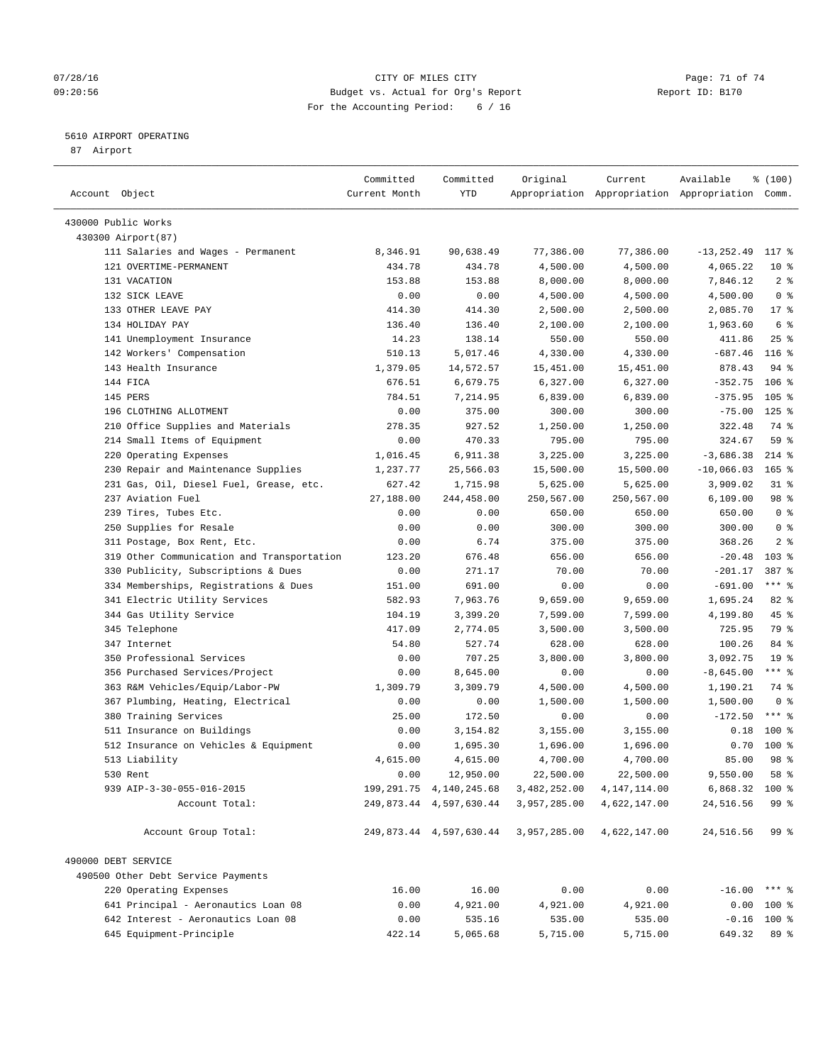#### 07/28/16 Page: 71 of 74 09:20:56 Budget vs. Actual for Org's Report Report ID: B170 For the Accounting Period: 6 / 16

————————————————————————————————————————————————————————————————————————————————————————————————————————————————————————————————————

## 5610 AIRPORT OPERATING

87 Airport

|                                            | Committed     | Committed                    | Original     | Current                                         | Available           | \$(100)          |                |
|--------------------------------------------|---------------|------------------------------|--------------|-------------------------------------------------|---------------------|------------------|----------------|
| Account Object                             | Current Month | YTD                          |              | Appropriation Appropriation Appropriation Comm. |                     |                  |                |
|                                            |               |                              |              |                                                 |                     |                  |                |
| 430000 Public Works                        |               |                              |              |                                                 |                     |                  |                |
| 430300 Airport (87)                        |               |                              |              |                                                 |                     |                  |                |
| 111 Salaries and Wages - Permanent         | 8,346.91      | 90,638.49                    | 77,386.00    | 77,386.00                                       | $-13, 252.49$ 117 % |                  |                |
| 121 OVERTIME-PERMANENT                     | 434.78        | 434.78                       | 4,500.00     | 4,500.00                                        | 4,065.22            | 10 <sub>8</sub>  |                |
| 131 VACATION                               | 153.88        | 153.88                       | 8,000.00     | 8,000.00                                        | 7,846.12            |                  | 2 <sup>8</sup> |
| 132 SICK LEAVE                             | 0.00          | 0.00                         | 4,500.00     | 4,500.00                                        | 4,500.00            |                  | 0 <sup>8</sup> |
| 133 OTHER LEAVE PAY                        | 414.30        | 414.30                       | 2,500.00     | 2,500.00                                        | 2,085.70            | $17*$            |                |
| 134 HOLIDAY PAY                            | 136.40        | 136.40                       | 2,100.00     | 2,100.00                                        | 1,963.60            | 6 %              |                |
| 141 Unemployment Insurance                 | 14.23         | 138.14                       | 550.00       | 550.00                                          | 411.86              | $25$ $%$         |                |
| 142 Workers' Compensation                  | 510.13        | 5,017.46                     | 4,330.00     | 4,330.00                                        | $-687.46$           | 116 <sup>8</sup> |                |
| 143 Health Insurance                       | 1,379.05      | 14,572.57                    | 15,451.00    | 15,451.00                                       | 878.43              | $94$ %           |                |
| 144 FICA                                   | 676.51        | 6,679.75                     | 6,327.00     | 6,327.00                                        | $-352.75$           | $106$ %          |                |
| 145 PERS                                   | 784.51        | 7,214.95                     | 6,839.00     | 6,839.00                                        | $-375.95$           | $105$ %          |                |
| 196 CLOTHING ALLOTMENT                     | 0.00          | 375.00                       | 300.00       | 300.00                                          | $-75.00$            | $125$ %          |                |
| 210 Office Supplies and Materials          | 278.35        | 927.52                       | 1,250.00     | 1,250.00                                        | 322.48              | 74 %             |                |
| 214 Small Items of Equipment               | 0.00          | 470.33                       | 795.00       | 795.00                                          | 324.67              | 59 %             |                |
| 220 Operating Expenses                     | 1,016.45      | 6,911.38                     | 3,225.00     | 3,225.00                                        | $-3,686.38$         | $214$ %          |                |
| 230 Repair and Maintenance Supplies        | 1,237.77      | 25,566.03                    | 15,500.00    | 15,500.00                                       | $-10,066.03$        | $165$ %          |                |
| 231 Gas, Oil, Diesel Fuel, Grease, etc.    | 627.42        | 1,715.98                     | 5,625.00     | 5,625.00                                        | 3,909.02            | $31$ %           |                |
| 237 Aviation Fuel                          | 27,188.00     | 244,458.00                   | 250,567.00   | 250,567.00                                      | 6,109.00            | 98 %             |                |
| 239 Tires, Tubes Etc.                      | 0.00          | 0.00                         | 650.00       | 650.00                                          | 650.00              |                  | 0 <sup>8</sup> |
| 250 Supplies for Resale                    | 0.00          | 0.00                         | 300.00       | 300.00                                          | 300.00              |                  | 0 <sup>8</sup> |
| 311 Postage, Box Rent, Etc.                | 0.00          | 6.74                         | 375.00       | 375.00                                          | 368.26              |                  | 2 <sub>8</sub> |
| 319 Other Communication and Transportation | 123.20        | 676.48                       | 656.00       | 656.00                                          | $-20.48$            | $103$ %          |                |
| 330 Publicity, Subscriptions & Dues        | 0.00          | 271.17                       | 70.00        | 70.00                                           | $-201.17$           | 387 %            |                |
| 334 Memberships, Registrations & Dues      | 151.00        | 691.00                       | 0.00         | 0.00                                            | $-691.00$           | $***$ $%$        |                |
| 341 Electric Utility Services              | 582.93        | 7,963.76                     | 9,659.00     | 9,659.00                                        | 1,695.24            | $82$ $%$         |                |
| 344 Gas Utility Service                    | 104.19        | 3,399.20                     | 7,599.00     | 7,599.00                                        | 4,199.80            | 45 %             |                |
| 345 Telephone                              | 417.09        | 2,774.05                     | 3,500.00     | 3,500.00                                        | 725.95              | 79 %             |                |
| 347 Internet                               | 54.80         | 527.74                       | 628.00       | 628.00                                          | 100.26              | 84 %             |                |
| 350 Professional Services                  | 0.00          | 707.25                       | 3,800.00     | 3,800.00                                        | 3,092.75            | 19 <sup>°</sup>  |                |
| 356 Purchased Services/Project             | 0.00          | 8,645.00                     | 0.00         | 0.00                                            | $-8,645.00$         | $***$ $-$        |                |
| 363 R&M Vehicles/Equip/Labor-PW            | 1,309.79      | 3,309.79                     | 4,500.00     | 4,500.00                                        | 1,190.21            | 74 %             |                |
| 367 Plumbing, Heating, Electrical          | 0.00          | 0.00                         | 1,500.00     | 1,500.00                                        | 1,500.00            |                  | 0 <sup>8</sup> |
| 380 Training Services                      | 25.00         | 172.50                       | 0.00         | 0.00                                            | $-172.50$           | *** 응            |                |
| 511 Insurance on Buildings                 | 0.00          | 3,154.82                     | 3,155.00     | 3,155.00                                        | 0.18                | $100$ %          |                |
| 512 Insurance on Vehicles & Equipment      | 0.00          | 1,695.30                     | 1,696.00     | 1,696.00                                        | 0.70                | $100*$           |                |
| 513 Liability                              | 4,615.00      | 4,615.00                     | 4,700.00     | 4,700.00                                        | 85.00               | 98 %             |                |
| 530 Rent                                   | 0.00          | 12,950.00                    | 22,500.00    | 22,500.00                                       | 9,550.00            | 58 %             |                |
| 939 AIP-3-30-055-016-2015                  |               | 199, 291. 75 4, 140, 245. 68 | 3,482,252.00 | 4, 147, 114.00                                  | 6,868.32 100 %      |                  |                |
| Account Total:                             |               | 249,873.44 4,597,630.44      | 3,957,285.00 | 4,622,147.00                                    | 24,516.56           | 99 %             |                |
| Account Group Total:                       |               | 249, 873.44 4, 597, 630.44   | 3,957,285.00 | 4,622,147.00                                    | 24,516.56           | 99 %             |                |
|                                            |               |                              |              |                                                 |                     |                  |                |
| 490000 DEBT SERVICE                        |               |                              |              |                                                 |                     |                  |                |
| 490500 Other Debt Service Payments         |               |                              |              |                                                 |                     |                  |                |
| 220 Operating Expenses                     | 16.00         | 16.00                        | 0.00         | 0.00                                            | $-16.00$ *** %      |                  |                |
| 641 Principal - Aeronautics Loan 08        | 0.00          | 4,921.00                     | 4,921.00     | 4,921.00                                        | $0.00$ 100 %        |                  |                |
| 642 Interest - Aeronautics Loan 08         | 0.00          | 535.16                       | 535.00       | 535.00                                          | $-0.16$ 100 %       |                  |                |
| 645 Equipment-Principle                    | 422.14        | 5,065.68                     | 5,715.00     | 5,715.00                                        | 649.32              | 89 %             |                |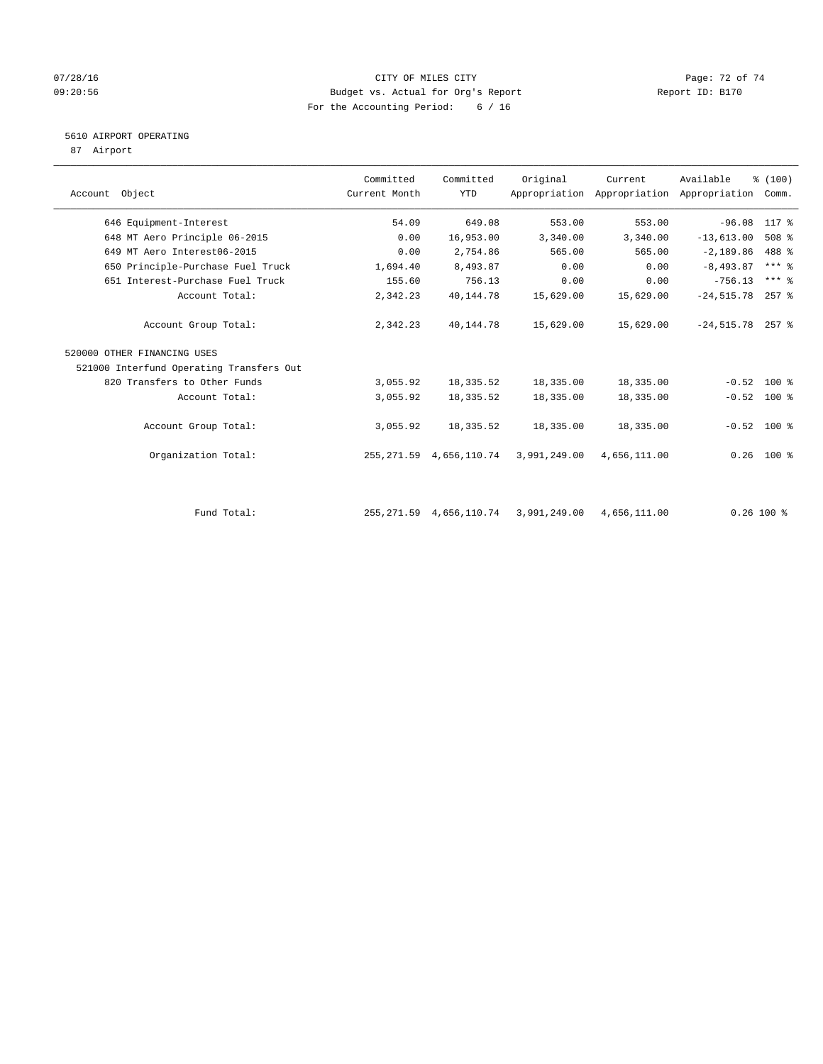#### 07/28/16 Page: 72 of 74 09:20:56 Budget vs. Actual for Org's Report Report ID: B170 For the Accounting Period: 6 / 16

## 5610 AIRPORT OPERATING

87 Airport

| Account Object                           | Committed<br>Current Month | Committed<br><b>YTD</b> | Original     | Current      | Available<br>Appropriation Appropriation Appropriation | % (100)<br>Comm.    |
|------------------------------------------|----------------------------|-------------------------|--------------|--------------|--------------------------------------------------------|---------------------|
| 646 Equipment-Interest                   | 54.09                      | 649.08                  | 553.00       | 553.00       | $-96.08$                                               | 117 %               |
| 648 MT Aero Principle 06-2015            | 0.00                       | 16,953.00               | 3,340.00     | 3,340.00     | $-13,613.00$                                           | $508$ %             |
| 649 MT Aero Interest06-2015              | 0.00                       | 2,754.86                | 565.00       | 565.00       | $-2,189.86$                                            | 488 %               |
| 650 Principle-Purchase Fuel Truck        | 1,694.40                   | 8,493.87                | 0.00         | 0.00         | $-8, 493.87$                                           | $***$ $%$           |
| 651 Interest-Purchase Fuel Truck         | 155.60                     | 756.13                  | 0.00         | 0.00         | $-756.13$                                              | $***$ $\frac{6}{5}$ |
| Account Total:                           | 2,342.23                   | 40,144.78               | 15,629.00    | 15,629.00    | $-24, 515.78$                                          | $257$ %             |
| Account Group Total:                     | 2,342.23                   | 40,144.78               | 15,629.00    | 15,629.00    | $-24,515.78$ 257 %                                     |                     |
| 520000 OTHER FINANCING USES              |                            |                         |              |              |                                                        |                     |
| 521000 Interfund Operating Transfers Out |                            |                         |              |              |                                                        |                     |
| 820 Transfers to Other Funds             | 3,055.92                   | 18,335.52               | 18,335.00    | 18,335.00    | $-0.52$                                                | $100*$              |
| Account Total:                           | 3,055.92                   | 18,335.52               | 18,335.00    | 18,335.00    |                                                        | $-0.52$ 100 %       |
| Account Group Total:                     | 3,055.92                   | 18,335.52               | 18,335.00    | 18,335.00    |                                                        | $-0.52$ 100 %       |
| Organization Total:                      | 255, 271.59                | 4,656,110.74            | 3,991,249.00 | 4,656,111.00 |                                                        | $0.26$ 100 %        |
| Fund Total:                              | 255, 271.59                | 4,656,110.74            | 3,991,249.00 | 4,656,111.00 |                                                        | $0.26$ 100 %        |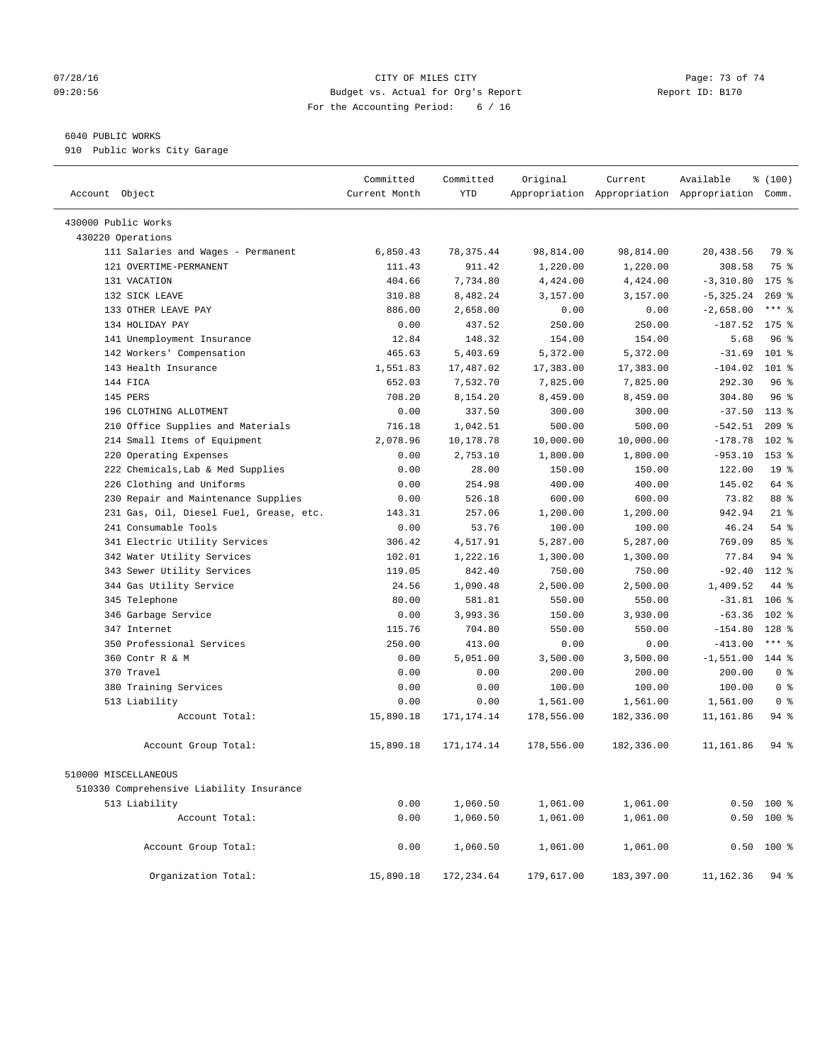## 07/28/16 Page: 73 of 74 09:20:56 Budget vs. Actual for Org's Report Report ID: B170 For the Accounting Period: 6 / 16

## 6040 PUBLIC WORKS

910 Public Works City Garage

| Account Object                           | Committed<br>Current Month | Committed<br><b>YTD</b> | Original   | Current    | Available<br>Appropriation Appropriation Appropriation Comm. | % (100)         |
|------------------------------------------|----------------------------|-------------------------|------------|------------|--------------------------------------------------------------|-----------------|
| 430000 Public Works                      |                            |                         |            |            |                                                              |                 |
| 430220 Operations                        |                            |                         |            |            |                                                              |                 |
| 111 Salaries and Wages - Permanent       | 6,850.43                   | 78, 375.44              | 98,814.00  | 98,814.00  | 20,438.56                                                    | 79 %            |
| 121 OVERTIME-PERMANENT                   | 111.43                     | 911.42                  | 1,220.00   | 1,220.00   | 308.58                                                       | 75 %            |
| 131 VACATION                             | 404.66                     | 7,734.80                | 4,424.00   | 4,424.00   | $-3,310.80$                                                  | 175 %           |
| 132 SICK LEAVE                           | 310.88                     | 8,482.24                | 3,157.00   | 3,157.00   | $-5, 325.24$                                                 | $269$ %         |
| 133 OTHER LEAVE PAY                      | 886.00                     | 2,658.00                | 0.00       | 0.00       | $-2,658.00$                                                  | $***$ $%$       |
| 134 HOLIDAY PAY                          | 0.00                       | 437.52                  | 250.00     | 250.00     | $-187.52$                                                    | $175$ %         |
| 141 Unemployment Insurance               | 12.84                      | 148.32                  | 154.00     | 154.00     | 5.68                                                         | 96%             |
| 142 Workers' Compensation                | 465.63                     | 5,403.69                | 5,372.00   | 5,372.00   | $-31.69$                                                     | $101$ %         |
| 143 Health Insurance                     | 1,551.83                   | 17,487.02               | 17,383.00  | 17,383.00  | $-104.02$                                                    | $101$ %         |
| 144 FICA                                 | 652.03                     | 7,532.70                | 7,825.00   | 7,825.00   | 292.30                                                       | 96%             |
| 145 PERS                                 | 708.20                     | 8,154.20                | 8,459.00   | 8,459.00   | 304.80                                                       | 96%             |
| 196 CLOTHING ALLOTMENT                   | 0.00                       | 337.50                  | 300.00     | 300.00     | $-37.50$                                                     | $113$ %         |
| 210 Office Supplies and Materials        | 716.18                     | 1,042.51                | 500.00     | 500.00     | $-542.51$                                                    | $209$ %         |
| 214 Small Items of Equipment             | 2,078.96                   | 10,178.78               | 10,000.00  | 10,000.00  | $-178.78$                                                    | $102$ %         |
| 220 Operating Expenses                   | 0.00                       | 2,753.10                | 1,800.00   | 1,800.00   | $-953.10$                                                    | $153$ %         |
| 222 Chemicals, Lab & Med Supplies        | 0.00                       | 28.00                   | 150.00     | 150.00     | 122.00                                                       | 19 <sup>°</sup> |
| 226 Clothing and Uniforms                | 0.00                       | 254.98                  | 400.00     | 400.00     | 145.02                                                       | 64 %            |
| 230 Repair and Maintenance Supplies      | 0.00                       | 526.18                  | 600.00     | 600.00     | 73.82                                                        | 88 %            |
| 231 Gas, Oil, Diesel Fuel, Grease, etc.  | 143.31                     | 257.06                  | 1,200.00   | 1,200.00   | 942.94                                                       | $21$ %          |
| 241 Consumable Tools                     | 0.00                       | 53.76                   | 100.00     | 100.00     | 46.24                                                        | 54 %            |
| 341 Electric Utility Services            | 306.42                     | 4,517.91                | 5,287.00   | 5,287.00   | 769.09                                                       | 85%             |
| 342 Water Utility Services               | 102.01                     | 1,222.16                | 1,300.00   | 1,300.00   | 77.84                                                        | 94%             |
| 343 Sewer Utility Services               | 119.05                     | 842.40                  | 750.00     | 750.00     | $-92.40$                                                     | 112 %           |
| 344 Gas Utility Service                  | 24.56                      | 1,090.48                | 2,500.00   | 2,500.00   | 1,409.52                                                     | 44 %            |
| 345 Telephone                            | 80.00                      | 581.81                  | 550.00     | 550.00     | $-31.81$                                                     | $106$ %         |
| 346 Garbage Service                      | 0.00                       | 3,993.36                | 150.00     | 3,930.00   | $-63.36$                                                     | $102$ %         |
| 347 Internet                             | 115.76                     | 704.80                  | 550.00     | 550.00     | $-154.80$                                                    | $128$ %         |
| 350 Professional Services                | 250.00                     | 413.00                  | 0.00       | 0.00       | $-413.00$                                                    | $***$ $-$       |
| 360 Contr R & M                          | 0.00                       | 5,051.00                | 3,500.00   | 3,500.00   | $-1,551.00$                                                  | 144 %           |
| 370 Travel                               | 0.00                       | 0.00                    | 200.00     | 200.00     | 200.00                                                       | 0 <sup>8</sup>  |
| 380 Training Services                    | 0.00                       | 0.00                    | 100.00     | 100.00     | 100.00                                                       | 0 <sup>8</sup>  |
| 513 Liability                            | 0.00                       | 0.00                    | 1,561.00   | 1,561.00   | 1,561.00                                                     | 0 <sup>8</sup>  |
| Account Total:                           | 15,890.18                  | 171, 174. 14            | 178,556.00 | 182,336.00 | 11,161.86                                                    | 94 %            |
| Account Group Total:                     | 15,890.18                  | 171, 174. 14            | 178,556.00 | 182,336.00 | 11,161.86                                                    | 94%             |
| 510000 MISCELLANEOUS                     |                            |                         |            |            |                                                              |                 |
| 510330 Comprehensive Liability Insurance |                            |                         |            |            |                                                              |                 |
| 513 Liability                            | 0.00                       | 1,060.50                | 1,061.00   | 1,061.00   | 0.50                                                         | $100$ %         |
| Account Total:                           | 0.00                       | 1,060.50                | 1,061.00   | 1,061.00   |                                                              | $0.50$ 100 %    |
| Account Group Total:                     | 0.00                       | 1,060.50                | 1,061.00   | 1,061.00   | 0.50                                                         | $100$ %         |
| Organization Total:                      | 15,890.18                  | 172, 234.64             | 179,617.00 | 183,397.00 | 11,162.36                                                    | $94$ %          |